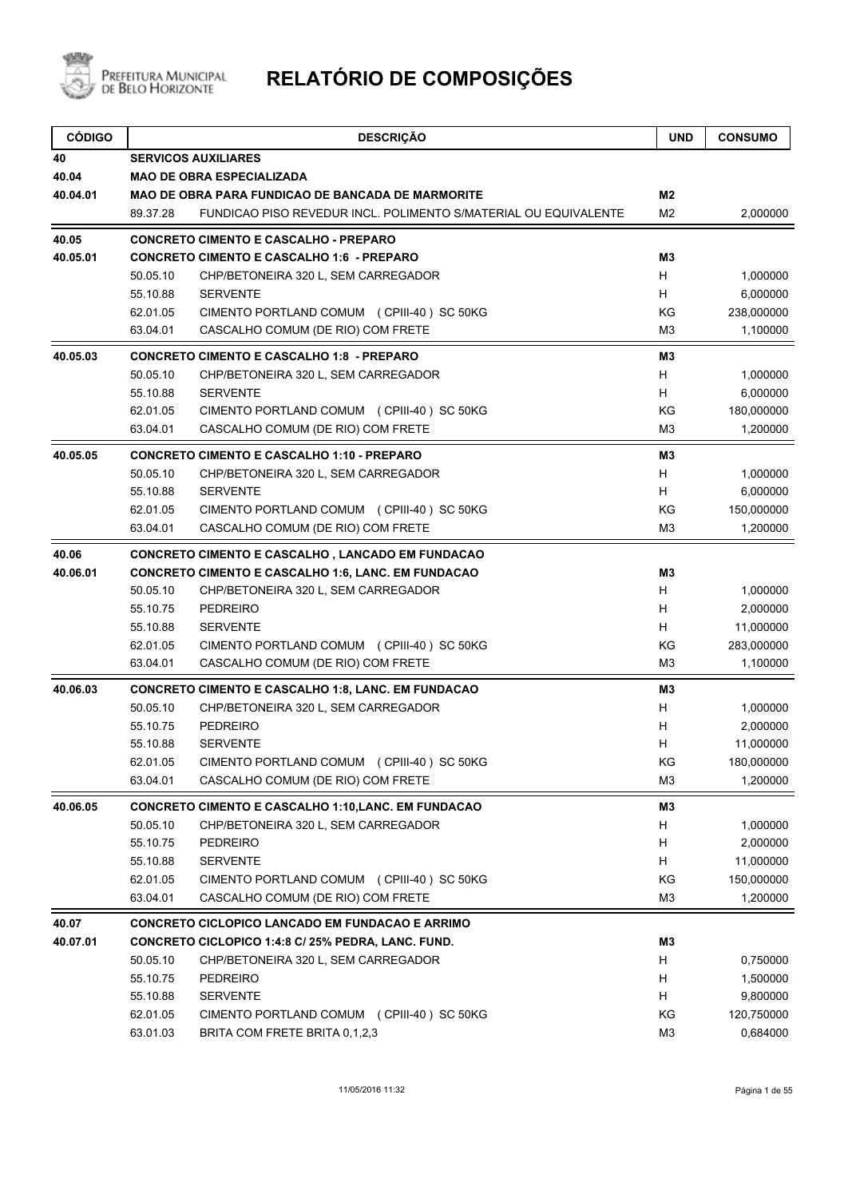

| <b>SERVICOS AUXILIARES</b><br><b>MAO DE OBRA ESPECIALIZADA</b><br>M <sub>2</sub><br><b>MAO DE OBRA PARA FUNDICAO DE BANCADA DE MARMORITE</b><br>89.37.28<br>FUNDICAO PISO REVEDUR INCL. POLIMENTO S/MATERIAL OU EQUIVALENTE<br>M <sub>2</sub><br>2,000000<br><b>CONCRETO CIMENTO E CASCALHO - PREPARO</b><br><b>CONCRETO CIMENTO E CASCALHO 1:6 - PREPARO</b><br>M3<br>H<br>50.05.10<br>CHP/BETONEIRA 320 L, SEM CARREGADOR<br>1,000000<br>H<br>55.10.88<br><b>SERVENTE</b><br>6,000000<br>KG<br>238,000000<br>62.01.05<br>CIMENTO PORTLAND COMUM (CPIII-40) SC 50KG<br>63.04.01<br>CASCALHO COMUM (DE RIO) COM FRETE<br>M <sub>3</sub><br>1,100000<br><b>CONCRETO CIMENTO E CASCALHO 1:8 - PREPARO</b><br>M3<br>50.05.10<br>CHP/BETONEIRA 320 L, SEM CARREGADOR<br>H<br>1,000000<br>6,000000<br>55.10.88<br><b>SERVENTE</b><br>H<br>KG<br>180,000000<br>62.01.05<br>CIMENTO PORTLAND COMUM (CPIII-40) SC 50KG<br>63.04.01<br>CASCALHO COMUM (DE RIO) COM FRETE<br>M <sub>3</sub><br>1,200000<br><b>CONCRETO CIMENTO E CASCALHO 1:10 - PREPARO</b><br>M3<br>50.05.10<br>H<br>1,000000<br>CHP/BETONEIRA 320 L, SEM CARREGADOR<br><b>SERVENTE</b><br>H<br>6,000000<br>55.10.88<br>KG<br>62.01.05<br>CIMENTO PORTLAND COMUM (CPIII-40) SC 50KG<br>150,000000<br>63.04.01<br>CASCALHO COMUM (DE RIO) COM FRETE<br>M <sub>3</sub><br>1,200000<br><b>CONCRETO CIMENTO E CASCALHO, LANCADO EM FUNDACAO</b><br><b>CONCRETO CIMENTO E CASCALHO 1:6, LANC. EM FUNDACAO</b><br>M3<br>50.05.10<br>H<br>CHP/BETONEIRA 320 L, SEM CARREGADOR<br>1,000000<br>H.<br>55.10.75<br><b>PEDREIRO</b><br>2,000000<br>H<br>55.10.88<br><b>SERVENTE</b><br>11,000000<br>KG<br>62.01.05<br>CIMENTO PORTLAND COMUM (CPIII-40) SC 50KG<br>283,000000<br>63.04.01<br>CASCALHO COMUM (DE RIO) COM FRETE<br>M <sub>3</sub><br>1,100000<br><b>CONCRETO CIMENTO E CASCALHO 1:8, LANC. EM FUNDACAO</b><br>M3<br>50.05.10<br>1,000000<br>CHP/BETONEIRA 320 L, SEM CARREGADOR<br>H<br><b>PEDREIRO</b><br>2,000000<br>55.10.75<br>H<br>H<br>55.10.88<br><b>SERVENTE</b><br>11,000000<br>KG<br>62.01.05<br>CIMENTO PORTLAND COMUM (CPIII-40) SC 50KG<br>180,000000<br>CASCALHO COMUM (DE RIO) COM FRETE<br>63.04.01<br>1,200000<br>M3<br><b>CONCRETO CIMENTO E CASCALHO 1:10, LANC. EM FUNDACAO</b><br>M3<br>50.05.10<br>H<br>CHP/BETONEIRA 320 L, SEM CARREGADOR<br>1,000000<br>H<br>55.10.75<br>PEDREIRO<br>2,000000<br>H<br>55.10.88<br><b>SERVENTE</b><br>11,000000<br>62.01.05<br>CIMENTO PORTLAND COMUM (CPIII-40) SC 50KG<br>ΚG<br>150,000000<br>CASCALHO COMUM (DE RIO) COM FRETE<br>63.04.01<br>M3<br>1,200000<br>CONCRETO CICLOPICO LANCADO EM FUNDACAO E ARRIMO<br>CONCRETO CICLOPICO 1:4:8 C/ 25% PEDRA, LANC. FUND.<br>M <sub>3</sub><br>50.05.10<br>CHP/BETONEIRA 320 L, SEM CARREGADOR<br>H<br>0,750000<br>55.10.75<br>H<br><b>PEDREIRO</b><br>1,500000<br>H<br>55.10.88<br><b>SERVENTE</b><br>9,800000<br>KG<br>62.01.05<br>CIMENTO PORTLAND COMUM (CPIII-40) SC 50KG<br>120,750000<br>63.01.03<br>BRITA COM FRETE BRITA 0,1,2,3<br>M <sub>3</sub><br>0,684000 | <b>CÓDIGO</b> | <b>DESCRIÇÃO</b> | <b>UND</b> | <b>CONSUMO</b> |  |  |  |  |
|-------------------------------------------------------------------------------------------------------------------------------------------------------------------------------------------------------------------------------------------------------------------------------------------------------------------------------------------------------------------------------------------------------------------------------------------------------------------------------------------------------------------------------------------------------------------------------------------------------------------------------------------------------------------------------------------------------------------------------------------------------------------------------------------------------------------------------------------------------------------------------------------------------------------------------------------------------------------------------------------------------------------------------------------------------------------------------------------------------------------------------------------------------------------------------------------------------------------------------------------------------------------------------------------------------------------------------------------------------------------------------------------------------------------------------------------------------------------------------------------------------------------------------------------------------------------------------------------------------------------------------------------------------------------------------------------------------------------------------------------------------------------------------------------------------------------------------------------------------------------------------------------------------------------------------------------------------------------------------------------------------------------------------------------------------------------------------------------------------------------------------------------------------------------------------------------------------------------------------------------------------------------------------------------------------------------------------------------------------------------------------------------------------------------------------------------------------------------------------------------------------------------------------------------------------------------------------------------------------------------------------------------------------------------------------------------------------------------------------------------------------------------------------------------------------------------------------------------------------------------------------------------------------------------------------------------------------------------------------------------------------------------------------------------|---------------|------------------|------------|----------------|--|--|--|--|
|                                                                                                                                                                                                                                                                                                                                                                                                                                                                                                                                                                                                                                                                                                                                                                                                                                                                                                                                                                                                                                                                                                                                                                                                                                                                                                                                                                                                                                                                                                                                                                                                                                                                                                                                                                                                                                                                                                                                                                                                                                                                                                                                                                                                                                                                                                                                                                                                                                                                                                                                                                                                                                                                                                                                                                                                                                                                                                                                                                                                                                           | 40            |                  |            |                |  |  |  |  |
|                                                                                                                                                                                                                                                                                                                                                                                                                                                                                                                                                                                                                                                                                                                                                                                                                                                                                                                                                                                                                                                                                                                                                                                                                                                                                                                                                                                                                                                                                                                                                                                                                                                                                                                                                                                                                                                                                                                                                                                                                                                                                                                                                                                                                                                                                                                                                                                                                                                                                                                                                                                                                                                                                                                                                                                                                                                                                                                                                                                                                                           | 40.04         |                  |            |                |  |  |  |  |
|                                                                                                                                                                                                                                                                                                                                                                                                                                                                                                                                                                                                                                                                                                                                                                                                                                                                                                                                                                                                                                                                                                                                                                                                                                                                                                                                                                                                                                                                                                                                                                                                                                                                                                                                                                                                                                                                                                                                                                                                                                                                                                                                                                                                                                                                                                                                                                                                                                                                                                                                                                                                                                                                                                                                                                                                                                                                                                                                                                                                                                           | 40.04.01      |                  |            |                |  |  |  |  |
|                                                                                                                                                                                                                                                                                                                                                                                                                                                                                                                                                                                                                                                                                                                                                                                                                                                                                                                                                                                                                                                                                                                                                                                                                                                                                                                                                                                                                                                                                                                                                                                                                                                                                                                                                                                                                                                                                                                                                                                                                                                                                                                                                                                                                                                                                                                                                                                                                                                                                                                                                                                                                                                                                                                                                                                                                                                                                                                                                                                                                                           |               |                  |            |                |  |  |  |  |
|                                                                                                                                                                                                                                                                                                                                                                                                                                                                                                                                                                                                                                                                                                                                                                                                                                                                                                                                                                                                                                                                                                                                                                                                                                                                                                                                                                                                                                                                                                                                                                                                                                                                                                                                                                                                                                                                                                                                                                                                                                                                                                                                                                                                                                                                                                                                                                                                                                                                                                                                                                                                                                                                                                                                                                                                                                                                                                                                                                                                                                           | 40.05         |                  |            |                |  |  |  |  |
|                                                                                                                                                                                                                                                                                                                                                                                                                                                                                                                                                                                                                                                                                                                                                                                                                                                                                                                                                                                                                                                                                                                                                                                                                                                                                                                                                                                                                                                                                                                                                                                                                                                                                                                                                                                                                                                                                                                                                                                                                                                                                                                                                                                                                                                                                                                                                                                                                                                                                                                                                                                                                                                                                                                                                                                                                                                                                                                                                                                                                                           | 40.05.01      |                  |            |                |  |  |  |  |
|                                                                                                                                                                                                                                                                                                                                                                                                                                                                                                                                                                                                                                                                                                                                                                                                                                                                                                                                                                                                                                                                                                                                                                                                                                                                                                                                                                                                                                                                                                                                                                                                                                                                                                                                                                                                                                                                                                                                                                                                                                                                                                                                                                                                                                                                                                                                                                                                                                                                                                                                                                                                                                                                                                                                                                                                                                                                                                                                                                                                                                           |               |                  |            |                |  |  |  |  |
|                                                                                                                                                                                                                                                                                                                                                                                                                                                                                                                                                                                                                                                                                                                                                                                                                                                                                                                                                                                                                                                                                                                                                                                                                                                                                                                                                                                                                                                                                                                                                                                                                                                                                                                                                                                                                                                                                                                                                                                                                                                                                                                                                                                                                                                                                                                                                                                                                                                                                                                                                                                                                                                                                                                                                                                                                                                                                                                                                                                                                                           |               |                  |            |                |  |  |  |  |
|                                                                                                                                                                                                                                                                                                                                                                                                                                                                                                                                                                                                                                                                                                                                                                                                                                                                                                                                                                                                                                                                                                                                                                                                                                                                                                                                                                                                                                                                                                                                                                                                                                                                                                                                                                                                                                                                                                                                                                                                                                                                                                                                                                                                                                                                                                                                                                                                                                                                                                                                                                                                                                                                                                                                                                                                                                                                                                                                                                                                                                           |               |                  |            |                |  |  |  |  |
|                                                                                                                                                                                                                                                                                                                                                                                                                                                                                                                                                                                                                                                                                                                                                                                                                                                                                                                                                                                                                                                                                                                                                                                                                                                                                                                                                                                                                                                                                                                                                                                                                                                                                                                                                                                                                                                                                                                                                                                                                                                                                                                                                                                                                                                                                                                                                                                                                                                                                                                                                                                                                                                                                                                                                                                                                                                                                                                                                                                                                                           |               |                  |            |                |  |  |  |  |
|                                                                                                                                                                                                                                                                                                                                                                                                                                                                                                                                                                                                                                                                                                                                                                                                                                                                                                                                                                                                                                                                                                                                                                                                                                                                                                                                                                                                                                                                                                                                                                                                                                                                                                                                                                                                                                                                                                                                                                                                                                                                                                                                                                                                                                                                                                                                                                                                                                                                                                                                                                                                                                                                                                                                                                                                                                                                                                                                                                                                                                           | 40.05.03      |                  |            |                |  |  |  |  |
|                                                                                                                                                                                                                                                                                                                                                                                                                                                                                                                                                                                                                                                                                                                                                                                                                                                                                                                                                                                                                                                                                                                                                                                                                                                                                                                                                                                                                                                                                                                                                                                                                                                                                                                                                                                                                                                                                                                                                                                                                                                                                                                                                                                                                                                                                                                                                                                                                                                                                                                                                                                                                                                                                                                                                                                                                                                                                                                                                                                                                                           |               |                  |            |                |  |  |  |  |
|                                                                                                                                                                                                                                                                                                                                                                                                                                                                                                                                                                                                                                                                                                                                                                                                                                                                                                                                                                                                                                                                                                                                                                                                                                                                                                                                                                                                                                                                                                                                                                                                                                                                                                                                                                                                                                                                                                                                                                                                                                                                                                                                                                                                                                                                                                                                                                                                                                                                                                                                                                                                                                                                                                                                                                                                                                                                                                                                                                                                                                           |               |                  |            |                |  |  |  |  |
|                                                                                                                                                                                                                                                                                                                                                                                                                                                                                                                                                                                                                                                                                                                                                                                                                                                                                                                                                                                                                                                                                                                                                                                                                                                                                                                                                                                                                                                                                                                                                                                                                                                                                                                                                                                                                                                                                                                                                                                                                                                                                                                                                                                                                                                                                                                                                                                                                                                                                                                                                                                                                                                                                                                                                                                                                                                                                                                                                                                                                                           |               |                  |            |                |  |  |  |  |
|                                                                                                                                                                                                                                                                                                                                                                                                                                                                                                                                                                                                                                                                                                                                                                                                                                                                                                                                                                                                                                                                                                                                                                                                                                                                                                                                                                                                                                                                                                                                                                                                                                                                                                                                                                                                                                                                                                                                                                                                                                                                                                                                                                                                                                                                                                                                                                                                                                                                                                                                                                                                                                                                                                                                                                                                                                                                                                                                                                                                                                           |               |                  |            |                |  |  |  |  |
|                                                                                                                                                                                                                                                                                                                                                                                                                                                                                                                                                                                                                                                                                                                                                                                                                                                                                                                                                                                                                                                                                                                                                                                                                                                                                                                                                                                                                                                                                                                                                                                                                                                                                                                                                                                                                                                                                                                                                                                                                                                                                                                                                                                                                                                                                                                                                                                                                                                                                                                                                                                                                                                                                                                                                                                                                                                                                                                                                                                                                                           | 40.05.05      |                  |            |                |  |  |  |  |
|                                                                                                                                                                                                                                                                                                                                                                                                                                                                                                                                                                                                                                                                                                                                                                                                                                                                                                                                                                                                                                                                                                                                                                                                                                                                                                                                                                                                                                                                                                                                                                                                                                                                                                                                                                                                                                                                                                                                                                                                                                                                                                                                                                                                                                                                                                                                                                                                                                                                                                                                                                                                                                                                                                                                                                                                                                                                                                                                                                                                                                           |               |                  |            |                |  |  |  |  |
|                                                                                                                                                                                                                                                                                                                                                                                                                                                                                                                                                                                                                                                                                                                                                                                                                                                                                                                                                                                                                                                                                                                                                                                                                                                                                                                                                                                                                                                                                                                                                                                                                                                                                                                                                                                                                                                                                                                                                                                                                                                                                                                                                                                                                                                                                                                                                                                                                                                                                                                                                                                                                                                                                                                                                                                                                                                                                                                                                                                                                                           |               |                  |            |                |  |  |  |  |
|                                                                                                                                                                                                                                                                                                                                                                                                                                                                                                                                                                                                                                                                                                                                                                                                                                                                                                                                                                                                                                                                                                                                                                                                                                                                                                                                                                                                                                                                                                                                                                                                                                                                                                                                                                                                                                                                                                                                                                                                                                                                                                                                                                                                                                                                                                                                                                                                                                                                                                                                                                                                                                                                                                                                                                                                                                                                                                                                                                                                                                           |               |                  |            |                |  |  |  |  |
|                                                                                                                                                                                                                                                                                                                                                                                                                                                                                                                                                                                                                                                                                                                                                                                                                                                                                                                                                                                                                                                                                                                                                                                                                                                                                                                                                                                                                                                                                                                                                                                                                                                                                                                                                                                                                                                                                                                                                                                                                                                                                                                                                                                                                                                                                                                                                                                                                                                                                                                                                                                                                                                                                                                                                                                                                                                                                                                                                                                                                                           |               |                  |            |                |  |  |  |  |
|                                                                                                                                                                                                                                                                                                                                                                                                                                                                                                                                                                                                                                                                                                                                                                                                                                                                                                                                                                                                                                                                                                                                                                                                                                                                                                                                                                                                                                                                                                                                                                                                                                                                                                                                                                                                                                                                                                                                                                                                                                                                                                                                                                                                                                                                                                                                                                                                                                                                                                                                                                                                                                                                                                                                                                                                                                                                                                                                                                                                                                           | 40.06         |                  |            |                |  |  |  |  |
|                                                                                                                                                                                                                                                                                                                                                                                                                                                                                                                                                                                                                                                                                                                                                                                                                                                                                                                                                                                                                                                                                                                                                                                                                                                                                                                                                                                                                                                                                                                                                                                                                                                                                                                                                                                                                                                                                                                                                                                                                                                                                                                                                                                                                                                                                                                                                                                                                                                                                                                                                                                                                                                                                                                                                                                                                                                                                                                                                                                                                                           | 40.06.01      |                  |            |                |  |  |  |  |
|                                                                                                                                                                                                                                                                                                                                                                                                                                                                                                                                                                                                                                                                                                                                                                                                                                                                                                                                                                                                                                                                                                                                                                                                                                                                                                                                                                                                                                                                                                                                                                                                                                                                                                                                                                                                                                                                                                                                                                                                                                                                                                                                                                                                                                                                                                                                                                                                                                                                                                                                                                                                                                                                                                                                                                                                                                                                                                                                                                                                                                           |               |                  |            |                |  |  |  |  |
|                                                                                                                                                                                                                                                                                                                                                                                                                                                                                                                                                                                                                                                                                                                                                                                                                                                                                                                                                                                                                                                                                                                                                                                                                                                                                                                                                                                                                                                                                                                                                                                                                                                                                                                                                                                                                                                                                                                                                                                                                                                                                                                                                                                                                                                                                                                                                                                                                                                                                                                                                                                                                                                                                                                                                                                                                                                                                                                                                                                                                                           |               |                  |            |                |  |  |  |  |
|                                                                                                                                                                                                                                                                                                                                                                                                                                                                                                                                                                                                                                                                                                                                                                                                                                                                                                                                                                                                                                                                                                                                                                                                                                                                                                                                                                                                                                                                                                                                                                                                                                                                                                                                                                                                                                                                                                                                                                                                                                                                                                                                                                                                                                                                                                                                                                                                                                                                                                                                                                                                                                                                                                                                                                                                                                                                                                                                                                                                                                           |               |                  |            |                |  |  |  |  |
|                                                                                                                                                                                                                                                                                                                                                                                                                                                                                                                                                                                                                                                                                                                                                                                                                                                                                                                                                                                                                                                                                                                                                                                                                                                                                                                                                                                                                                                                                                                                                                                                                                                                                                                                                                                                                                                                                                                                                                                                                                                                                                                                                                                                                                                                                                                                                                                                                                                                                                                                                                                                                                                                                                                                                                                                                                                                                                                                                                                                                                           |               |                  |            |                |  |  |  |  |
|                                                                                                                                                                                                                                                                                                                                                                                                                                                                                                                                                                                                                                                                                                                                                                                                                                                                                                                                                                                                                                                                                                                                                                                                                                                                                                                                                                                                                                                                                                                                                                                                                                                                                                                                                                                                                                                                                                                                                                                                                                                                                                                                                                                                                                                                                                                                                                                                                                                                                                                                                                                                                                                                                                                                                                                                                                                                                                                                                                                                                                           |               |                  |            |                |  |  |  |  |
|                                                                                                                                                                                                                                                                                                                                                                                                                                                                                                                                                                                                                                                                                                                                                                                                                                                                                                                                                                                                                                                                                                                                                                                                                                                                                                                                                                                                                                                                                                                                                                                                                                                                                                                                                                                                                                                                                                                                                                                                                                                                                                                                                                                                                                                                                                                                                                                                                                                                                                                                                                                                                                                                                                                                                                                                                                                                                                                                                                                                                                           | 40.06.03      |                  |            |                |  |  |  |  |
|                                                                                                                                                                                                                                                                                                                                                                                                                                                                                                                                                                                                                                                                                                                                                                                                                                                                                                                                                                                                                                                                                                                                                                                                                                                                                                                                                                                                                                                                                                                                                                                                                                                                                                                                                                                                                                                                                                                                                                                                                                                                                                                                                                                                                                                                                                                                                                                                                                                                                                                                                                                                                                                                                                                                                                                                                                                                                                                                                                                                                                           |               |                  |            |                |  |  |  |  |
|                                                                                                                                                                                                                                                                                                                                                                                                                                                                                                                                                                                                                                                                                                                                                                                                                                                                                                                                                                                                                                                                                                                                                                                                                                                                                                                                                                                                                                                                                                                                                                                                                                                                                                                                                                                                                                                                                                                                                                                                                                                                                                                                                                                                                                                                                                                                                                                                                                                                                                                                                                                                                                                                                                                                                                                                                                                                                                                                                                                                                                           |               |                  |            |                |  |  |  |  |
|                                                                                                                                                                                                                                                                                                                                                                                                                                                                                                                                                                                                                                                                                                                                                                                                                                                                                                                                                                                                                                                                                                                                                                                                                                                                                                                                                                                                                                                                                                                                                                                                                                                                                                                                                                                                                                                                                                                                                                                                                                                                                                                                                                                                                                                                                                                                                                                                                                                                                                                                                                                                                                                                                                                                                                                                                                                                                                                                                                                                                                           |               |                  |            |                |  |  |  |  |
|                                                                                                                                                                                                                                                                                                                                                                                                                                                                                                                                                                                                                                                                                                                                                                                                                                                                                                                                                                                                                                                                                                                                                                                                                                                                                                                                                                                                                                                                                                                                                                                                                                                                                                                                                                                                                                                                                                                                                                                                                                                                                                                                                                                                                                                                                                                                                                                                                                                                                                                                                                                                                                                                                                                                                                                                                                                                                                                                                                                                                                           |               |                  |            |                |  |  |  |  |
|                                                                                                                                                                                                                                                                                                                                                                                                                                                                                                                                                                                                                                                                                                                                                                                                                                                                                                                                                                                                                                                                                                                                                                                                                                                                                                                                                                                                                                                                                                                                                                                                                                                                                                                                                                                                                                                                                                                                                                                                                                                                                                                                                                                                                                                                                                                                                                                                                                                                                                                                                                                                                                                                                                                                                                                                                                                                                                                                                                                                                                           |               |                  |            |                |  |  |  |  |
|                                                                                                                                                                                                                                                                                                                                                                                                                                                                                                                                                                                                                                                                                                                                                                                                                                                                                                                                                                                                                                                                                                                                                                                                                                                                                                                                                                                                                                                                                                                                                                                                                                                                                                                                                                                                                                                                                                                                                                                                                                                                                                                                                                                                                                                                                                                                                                                                                                                                                                                                                                                                                                                                                                                                                                                                                                                                                                                                                                                                                                           | 40.06.05      |                  |            |                |  |  |  |  |
|                                                                                                                                                                                                                                                                                                                                                                                                                                                                                                                                                                                                                                                                                                                                                                                                                                                                                                                                                                                                                                                                                                                                                                                                                                                                                                                                                                                                                                                                                                                                                                                                                                                                                                                                                                                                                                                                                                                                                                                                                                                                                                                                                                                                                                                                                                                                                                                                                                                                                                                                                                                                                                                                                                                                                                                                                                                                                                                                                                                                                                           |               |                  |            |                |  |  |  |  |
|                                                                                                                                                                                                                                                                                                                                                                                                                                                                                                                                                                                                                                                                                                                                                                                                                                                                                                                                                                                                                                                                                                                                                                                                                                                                                                                                                                                                                                                                                                                                                                                                                                                                                                                                                                                                                                                                                                                                                                                                                                                                                                                                                                                                                                                                                                                                                                                                                                                                                                                                                                                                                                                                                                                                                                                                                                                                                                                                                                                                                                           |               |                  |            |                |  |  |  |  |
|                                                                                                                                                                                                                                                                                                                                                                                                                                                                                                                                                                                                                                                                                                                                                                                                                                                                                                                                                                                                                                                                                                                                                                                                                                                                                                                                                                                                                                                                                                                                                                                                                                                                                                                                                                                                                                                                                                                                                                                                                                                                                                                                                                                                                                                                                                                                                                                                                                                                                                                                                                                                                                                                                                                                                                                                                                                                                                                                                                                                                                           |               |                  |            |                |  |  |  |  |
|                                                                                                                                                                                                                                                                                                                                                                                                                                                                                                                                                                                                                                                                                                                                                                                                                                                                                                                                                                                                                                                                                                                                                                                                                                                                                                                                                                                                                                                                                                                                                                                                                                                                                                                                                                                                                                                                                                                                                                                                                                                                                                                                                                                                                                                                                                                                                                                                                                                                                                                                                                                                                                                                                                                                                                                                                                                                                                                                                                                                                                           |               |                  |            |                |  |  |  |  |
|                                                                                                                                                                                                                                                                                                                                                                                                                                                                                                                                                                                                                                                                                                                                                                                                                                                                                                                                                                                                                                                                                                                                                                                                                                                                                                                                                                                                                                                                                                                                                                                                                                                                                                                                                                                                                                                                                                                                                                                                                                                                                                                                                                                                                                                                                                                                                                                                                                                                                                                                                                                                                                                                                                                                                                                                                                                                                                                                                                                                                                           |               |                  |            |                |  |  |  |  |
|                                                                                                                                                                                                                                                                                                                                                                                                                                                                                                                                                                                                                                                                                                                                                                                                                                                                                                                                                                                                                                                                                                                                                                                                                                                                                                                                                                                                                                                                                                                                                                                                                                                                                                                                                                                                                                                                                                                                                                                                                                                                                                                                                                                                                                                                                                                                                                                                                                                                                                                                                                                                                                                                                                                                                                                                                                                                                                                                                                                                                                           | 40.07         |                  |            |                |  |  |  |  |
|                                                                                                                                                                                                                                                                                                                                                                                                                                                                                                                                                                                                                                                                                                                                                                                                                                                                                                                                                                                                                                                                                                                                                                                                                                                                                                                                                                                                                                                                                                                                                                                                                                                                                                                                                                                                                                                                                                                                                                                                                                                                                                                                                                                                                                                                                                                                                                                                                                                                                                                                                                                                                                                                                                                                                                                                                                                                                                                                                                                                                                           | 40.07.01      |                  |            |                |  |  |  |  |
|                                                                                                                                                                                                                                                                                                                                                                                                                                                                                                                                                                                                                                                                                                                                                                                                                                                                                                                                                                                                                                                                                                                                                                                                                                                                                                                                                                                                                                                                                                                                                                                                                                                                                                                                                                                                                                                                                                                                                                                                                                                                                                                                                                                                                                                                                                                                                                                                                                                                                                                                                                                                                                                                                                                                                                                                                                                                                                                                                                                                                                           |               |                  |            |                |  |  |  |  |
|                                                                                                                                                                                                                                                                                                                                                                                                                                                                                                                                                                                                                                                                                                                                                                                                                                                                                                                                                                                                                                                                                                                                                                                                                                                                                                                                                                                                                                                                                                                                                                                                                                                                                                                                                                                                                                                                                                                                                                                                                                                                                                                                                                                                                                                                                                                                                                                                                                                                                                                                                                                                                                                                                                                                                                                                                                                                                                                                                                                                                                           |               |                  |            |                |  |  |  |  |
|                                                                                                                                                                                                                                                                                                                                                                                                                                                                                                                                                                                                                                                                                                                                                                                                                                                                                                                                                                                                                                                                                                                                                                                                                                                                                                                                                                                                                                                                                                                                                                                                                                                                                                                                                                                                                                                                                                                                                                                                                                                                                                                                                                                                                                                                                                                                                                                                                                                                                                                                                                                                                                                                                                                                                                                                                                                                                                                                                                                                                                           |               |                  |            |                |  |  |  |  |
|                                                                                                                                                                                                                                                                                                                                                                                                                                                                                                                                                                                                                                                                                                                                                                                                                                                                                                                                                                                                                                                                                                                                                                                                                                                                                                                                                                                                                                                                                                                                                                                                                                                                                                                                                                                                                                                                                                                                                                                                                                                                                                                                                                                                                                                                                                                                                                                                                                                                                                                                                                                                                                                                                                                                                                                                                                                                                                                                                                                                                                           |               |                  |            |                |  |  |  |  |
|                                                                                                                                                                                                                                                                                                                                                                                                                                                                                                                                                                                                                                                                                                                                                                                                                                                                                                                                                                                                                                                                                                                                                                                                                                                                                                                                                                                                                                                                                                                                                                                                                                                                                                                                                                                                                                                                                                                                                                                                                                                                                                                                                                                                                                                                                                                                                                                                                                                                                                                                                                                                                                                                                                                                                                                                                                                                                                                                                                                                                                           |               |                  |            |                |  |  |  |  |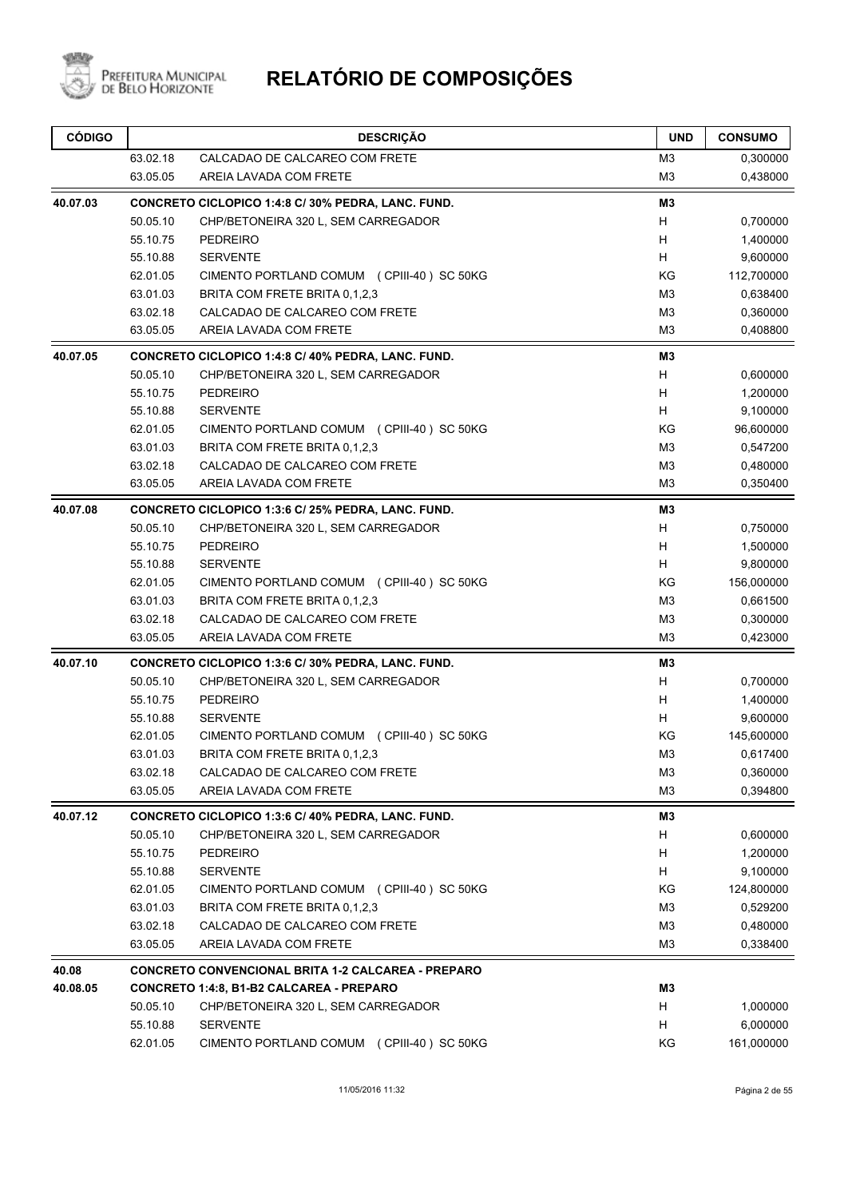

| <b>CÓDIGO</b> |          | <b>DESCRIÇÃO</b>                                          | <b>UND</b>     | <b>CONSUMO</b> |
|---------------|----------|-----------------------------------------------------------|----------------|----------------|
|               | 63.02.18 | CALCADAO DE CALCAREO COM FRETE                            | M3             | 0,300000       |
|               | 63.05.05 | AREIA LAVADA COM FRETE                                    | M <sub>3</sub> | 0,438000       |
| 40.07.03      |          | CONCRETO CICLOPICO 1:4:8 C/ 30% PEDRA, LANC. FUND.        | M3             |                |
|               | 50.05.10 | CHP/BETONEIRA 320 L, SEM CARREGADOR                       | H              | 0,700000       |
|               | 55.10.75 | <b>PEDREIRO</b>                                           | H              | 1,400000       |
|               | 55.10.88 | <b>SERVENTE</b>                                           | H              | 9,600000       |
|               | 62.01.05 | CIMENTO PORTLAND COMUM (CPIII-40) SC 50KG                 | KG             | 112,700000     |
|               | 63.01.03 | BRITA COM FRETE BRITA 0.1.2.3                             | M <sub>3</sub> | 0,638400       |
|               | 63.02.18 | CALCADAO DE CALCAREO COM FRETE                            | M <sub>3</sub> | 0,360000       |
|               | 63.05.05 | AREIA LAVADA COM FRETE                                    | M <sub>3</sub> | 0,408800       |
| 40.07.05      |          | CONCRETO CICLOPICO 1:4:8 C/ 40% PEDRA, LANC. FUND.        | M3             |                |
|               | 50.05.10 | CHP/BETONEIRA 320 L, SEM CARREGADOR                       | H              | 0,600000       |
|               | 55.10.75 | <b>PEDREIRO</b>                                           | H              | 1,200000       |
|               | 55.10.88 | <b>SERVENTE</b>                                           | H              | 9,100000       |
|               | 62.01.05 | CIMENTO PORTLAND COMUM (CPIII-40) SC 50KG                 | KG             | 96,600000      |
|               | 63.01.03 | BRITA COM FRETE BRITA 0,1,2,3                             | M <sub>3</sub> | 0,547200       |
|               | 63.02.18 | CALCADAO DE CALCAREO COM FRETE                            | M <sub>3</sub> | 0,480000       |
|               | 63.05.05 | AREIA LAVADA COM FRETE                                    | M3             | 0,350400       |
| 40.07.08      |          | CONCRETO CICLOPICO 1:3:6 C/ 25% PEDRA, LANC. FUND.        | M3             |                |
|               | 50.05.10 | CHP/BETONEIRA 320 L, SEM CARREGADOR                       | H              | 0,750000       |
|               | 55.10.75 | <b>PEDREIRO</b>                                           | H              | 1,500000       |
|               | 55.10.88 | <b>SERVENTE</b>                                           | H              | 9,800000       |
|               | 62.01.05 | CIMENTO PORTLAND COMUM (CPIII-40) SC 50KG                 | ΚG             | 156,000000     |
|               | 63.01.03 | BRITA COM FRETE BRITA 0,1,2,3                             | M <sub>3</sub> | 0,661500       |
|               | 63.02.18 | CALCADAO DE CALCAREO COM FRETE                            | M <sub>3</sub> | 0,300000       |
|               | 63.05.05 | AREIA LAVADA COM FRETE                                    | M <sub>3</sub> | 0,423000       |
| 40.07.10      |          | CONCRETO CICLOPICO 1:3:6 C/ 30% PEDRA, LANC. FUND.        | M3             |                |
|               | 50.05.10 | CHP/BETONEIRA 320 L, SEM CARREGADOR                       | H              | 0,700000       |
|               | 55.10.75 | <b>PEDREIRO</b>                                           | H              | 1,400000       |
|               | 55.10.88 | <b>SERVENTE</b>                                           | H              | 9,600000       |
|               | 62.01.05 | CIMENTO PORTLAND COMUM (CPIII-40) SC 50KG                 | ΚG             | 145,600000     |
|               | 63.01.03 | BRITA COM FRETE BRITA 0,1,2,3                             | M <sub>3</sub> | 0,617400       |
|               | 63.02.18 | CALCADAO DE CALCAREO COM FRETE                            | M <sub>3</sub> | 0,360000       |
|               | 63.05.05 | AREIA LAVADA COM FRETE                                    | M <sub>3</sub> | 0,394800       |
| 40.07.12      |          | CONCRETO CICLOPICO 1:3:6 C/ 40% PEDRA, LANC. FUND.        | M3             |                |
|               | 50.05.10 | CHP/BETONEIRA 320 L, SEM CARREGADOR                       | H              | 0,600000       |
|               | 55.10.75 | <b>PEDREIRO</b>                                           | H              | 1,200000       |
|               | 55.10.88 | <b>SERVENTE</b>                                           | H              | 9,100000       |
|               | 62.01.05 | CIMENTO PORTLAND COMUM (CPIII-40) SC 50KG                 | KG             | 124,800000     |
|               | 63.01.03 | BRITA COM FRETE BRITA 0,1,2,3                             | M <sub>3</sub> | 0,529200       |
|               | 63.02.18 | CALCADAO DE CALCAREO COM FRETE                            | M <sub>3</sub> | 0,480000       |
|               | 63.05.05 | AREIA LAVADA COM FRETE                                    | M <sub>3</sub> | 0,338400       |
| 40.08         |          | <b>CONCRETO CONVENCIONAL BRITA 1-2 CALCAREA - PREPARO</b> |                |                |
| 40.08.05      |          | CONCRETO 1:4:8, B1-B2 CALCAREA - PREPARO                  | M3             |                |
|               | 50.05.10 | CHP/BETONEIRA 320 L, SEM CARREGADOR                       | H              | 1,000000       |
|               | 55.10.88 | <b>SERVENTE</b>                                           | H              | 6,000000       |
|               | 62.01.05 | CIMENTO PORTLAND COMUM (CPIII-40) SC 50KG                 | KG             | 161,000000     |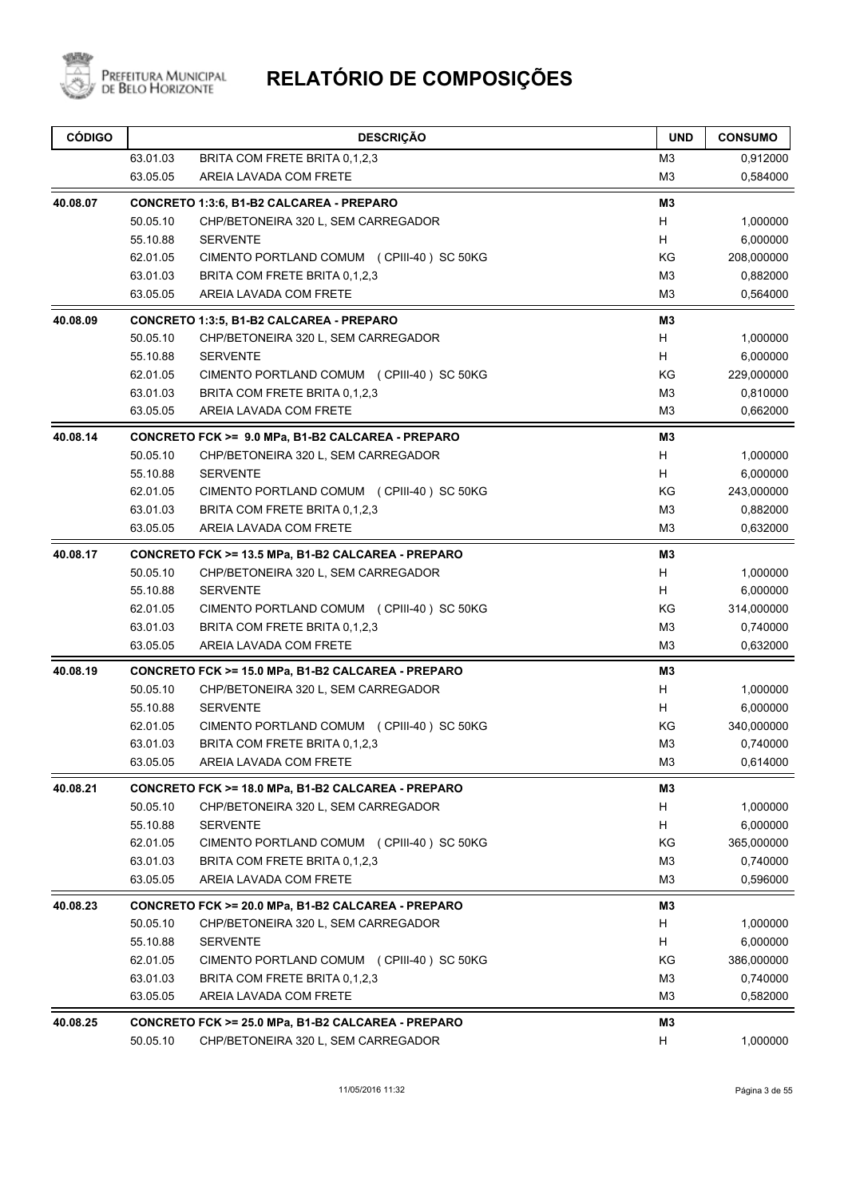

| <b>CÓDIGO</b> |          | <b>DESCRIÇÃO</b>                                   | <b>UND</b>     | <b>CONSUMO</b> |
|---------------|----------|----------------------------------------------------|----------------|----------------|
|               | 63.01.03 | BRITA COM FRETE BRITA 0,1,2,3                      | M <sub>3</sub> | 0,912000       |
|               | 63.05.05 | AREIA LAVADA COM FRETE                             | M <sub>3</sub> | 0,584000       |
| 40.08.07      |          | CONCRETO 1:3:6, B1-B2 CALCAREA - PREPARO           | M3             |                |
|               | 50.05.10 | CHP/BETONEIRA 320 L, SEM CARREGADOR                | H              | 1,000000       |
|               | 55.10.88 | <b>SERVENTE</b>                                    | H              | 6,000000       |
|               | 62.01.05 | CIMENTO PORTLAND COMUM (CPIII-40) SC 50KG          | ΚG             | 208,000000     |
|               | 63.01.03 | BRITA COM FRETE BRITA 0,1,2,3                      | M <sub>3</sub> | 0,882000       |
|               | 63.05.05 | AREIA LAVADA COM FRETE                             | M <sub>3</sub> | 0,564000       |
| 40.08.09      |          | CONCRETO 1:3:5, B1-B2 CALCAREA - PREPARO           | M3             |                |
|               | 50.05.10 | CHP/BETONEIRA 320 L, SEM CARREGADOR                | H              | 1,000000       |
|               | 55.10.88 | <b>SERVENTE</b>                                    | H              | 6,000000       |
|               | 62.01.05 | CIMENTO PORTLAND COMUM (CPIII-40) SC 50KG          | ΚG             | 229,000000     |
|               | 63.01.03 | BRITA COM FRETE BRITA 0,1,2,3                      | M <sub>3</sub> | 0,810000       |
|               | 63.05.05 | AREIA LAVADA COM FRETE                             | M <sub>3</sub> | 0,662000       |
| 40.08.14      |          | CONCRETO FCK >= 9.0 MPa, B1-B2 CALCAREA - PREPARO  | M <sub>3</sub> |                |
|               | 50.05.10 | CHP/BETONEIRA 320 L, SEM CARREGADOR                | H              | 1,000000       |
|               | 55.10.88 | <b>SERVENTE</b>                                    | H              | 6,000000       |
|               | 62.01.05 | CIMENTO PORTLAND COMUM (CPIII-40) SC 50KG          | KG             | 243,000000     |
|               | 63.01.03 | BRITA COM FRETE BRITA 0,1,2,3                      | M <sub>3</sub> | 0,882000       |
|               | 63.05.05 | AREIA LAVADA COM FRETE                             | M <sub>3</sub> | 0,632000       |
| 40.08.17      |          | CONCRETO FCK >= 13.5 MPa, B1-B2 CALCAREA - PREPARO | M3             |                |
|               | 50.05.10 | CHP/BETONEIRA 320 L, SEM CARREGADOR                | H              | 1,000000       |
|               | 55.10.88 | <b>SERVENTE</b>                                    | н              | 6,000000       |
|               | 62.01.05 | CIMENTO PORTLAND COMUM (CPIII-40) SC 50KG          | ΚG             | 314,000000     |
|               | 63.01.03 | BRITA COM FRETE BRITA 0,1,2,3                      | MЗ             | 0,740000       |
|               | 63.05.05 | AREIA LAVADA COM FRETE                             | M <sub>3</sub> | 0,632000       |
| 40.08.19      |          | CONCRETO FCK >= 15.0 MPa, B1-B2 CALCAREA - PREPARO | M3             |                |
|               | 50.05.10 | CHP/BETONEIRA 320 L, SEM CARREGADOR                | Н              | 1,000000       |
|               | 55.10.88 | <b>SERVENTE</b>                                    | H              | 6,000000       |
|               | 62.01.05 | CIMENTO PORTLAND COMUM (CPIII-40) SC 50KG          | ΚG             | 340,000000     |
|               | 63.01.03 | BRITA COM FRETE BRITA 0.1.2.3                      | M <sub>3</sub> | 0,740000       |
|               | 63.05.05 | AREIA LAVADA COM FRETE                             | M <sub>3</sub> | 0,614000       |
| 40.08.21      |          | CONCRETO FCK >= 18.0 MPa, B1-B2 CALCAREA - PREPARO | M3             |                |
|               | 50.05.10 | CHP/BETONEIRA 320 L, SEM CARREGADOR                | H              | 1,000000       |
|               | 55.10.88 | <b>SERVENTE</b>                                    | H              | 6,000000       |
|               | 62.01.05 | CIMENTO PORTLAND COMUM (CPIII-40) SC 50KG          | KG             | 365,000000     |
|               | 63.01.03 | BRITA COM FRETE BRITA 0,1,2,3                      | M3             | 0,740000       |
|               | 63.05.05 | AREIA LAVADA COM FRETE                             | M <sub>3</sub> | 0,596000       |
| 40.08.23      |          | CONCRETO FCK >= 20.0 MPa, B1-B2 CALCAREA - PREPARO | M3             |                |
|               | 50.05.10 | CHP/BETONEIRA 320 L, SEM CARREGADOR                | H              | 1,000000       |
|               | 55.10.88 | <b>SERVENTE</b>                                    | H              | 6,000000       |
|               | 62.01.05 | CIMENTO PORTLAND COMUM (CPIII-40) SC 50KG          | KG             | 386,000000     |
|               | 63.01.03 | BRITA COM FRETE BRITA 0,1,2,3                      | M <sub>3</sub> | 0,740000       |
|               | 63.05.05 | AREIA LAVADA COM FRETE                             | M <sub>3</sub> | 0,582000       |
| 40.08.25      |          | CONCRETO FCK >= 25.0 MPa, B1-B2 CALCAREA - PREPARO | M <sub>3</sub> |                |
|               | 50.05.10 | CHP/BETONEIRA 320 L, SEM CARREGADOR                | н              | 1,000000       |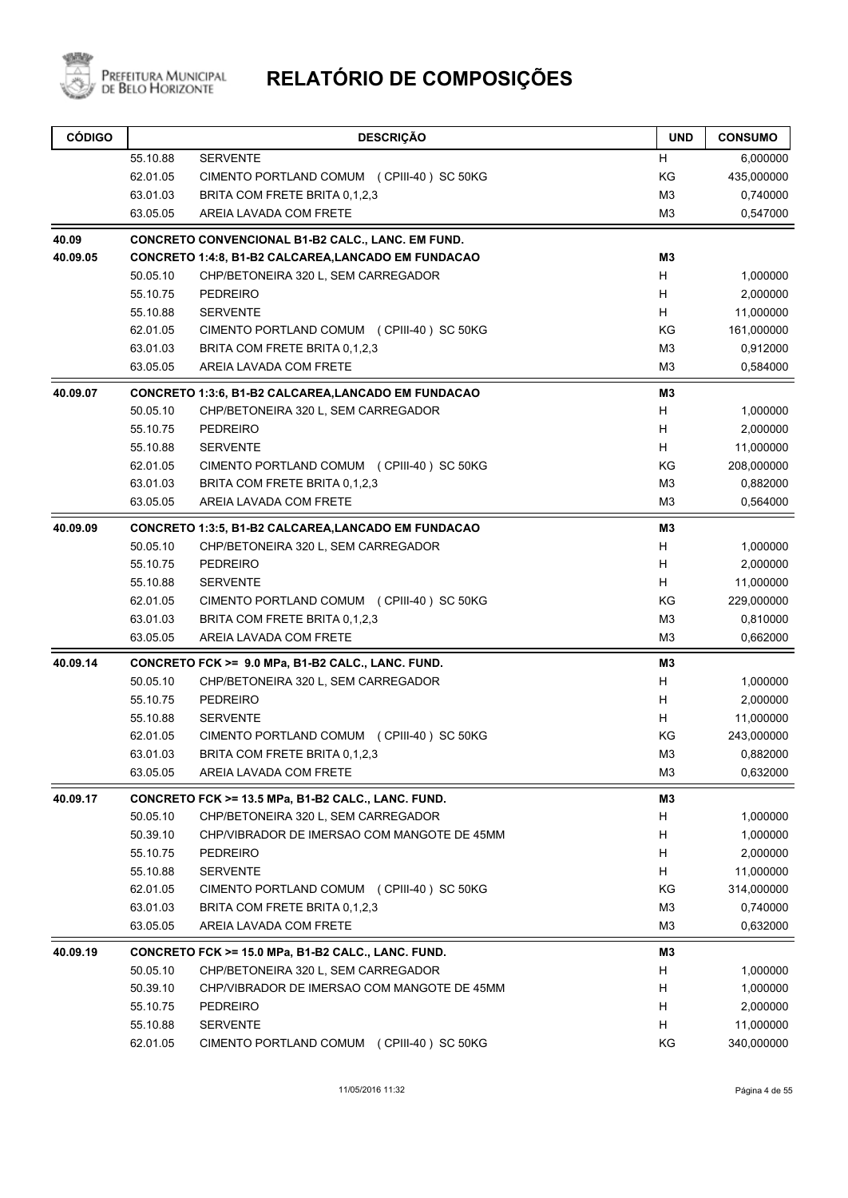

| <b>CÓDIGO</b> |          | <b>DESCRIÇÃO</b>                                           | <b>UND</b>     | <b>CONSUMO</b> |
|---------------|----------|------------------------------------------------------------|----------------|----------------|
|               | 55.10.88 | <b>SERVENTE</b>                                            | H              | 6,000000       |
|               | 62.01.05 | CIMENTO PORTLAND COMUM (CPIII-40) SC 50KG                  | KG             | 435,000000     |
|               | 63.01.03 | BRITA COM FRETE BRITA 0,1,2,3                              | M <sub>3</sub> | 0,740000       |
|               | 63.05.05 | AREIA LAVADA COM FRETE                                     | M3             | 0,547000       |
| 40.09         |          | CONCRETO CONVENCIONAL B1-B2 CALC., LANC. EM FUND.          |                |                |
| 40.09.05      |          | <b>CONCRETO 1:4:8, B1-B2 CALCAREA, LANCADO EM FUNDACAO</b> | M3             |                |
|               | 50.05.10 | CHP/BETONEIRA 320 L, SEM CARREGADOR                        | H              | 1,000000       |
|               | 55.10.75 | <b>PEDREIRO</b>                                            | H              | 2,000000       |
|               | 55.10.88 | <b>SERVENTE</b>                                            | H              | 11,000000      |
|               | 62.01.05 | CIMENTO PORTLAND COMUM (CPIII-40) SC 50KG                  | KG             | 161,000000     |
|               | 63.01.03 | BRITA COM FRETE BRITA 0,1,2,3                              | M <sub>3</sub> | 0,912000       |
|               | 63.05.05 | AREIA LAVADA COM FRETE                                     | M <sub>3</sub> | 0,584000       |
| 40.09.07      |          | <b>CONCRETO 1:3:6, B1-B2 CALCAREA, LANCADO EM FUNDACAO</b> | M <sub>3</sub> |                |
|               | 50.05.10 | CHP/BETONEIRA 320 L, SEM CARREGADOR                        | H              | 1,000000       |
|               | 55.10.75 | <b>PEDREIRO</b>                                            | Н              | 2,000000       |
|               | 55.10.88 | <b>SERVENTE</b>                                            | н              | 11,000000      |
|               | 62.01.05 | CIMENTO PORTLAND COMUM (CPIII-40) SC 50KG                  | KG             | 208,000000     |
|               | 63.01.03 | BRITA COM FRETE BRITA 0.1.2.3                              | M <sub>3</sub> | 0,882000       |
|               | 63.05.05 | AREIA LAVADA COM FRETE                                     | M3             | 0,564000       |
| 40.09.09      |          | <b>CONCRETO 1:3:5, B1-B2 CALCAREA, LANCADO EM FUNDACAO</b> | M3             |                |
|               | 50.05.10 | CHP/BETONEIRA 320 L, SEM CARREGADOR                        | н              | 1,000000       |
|               | 55.10.75 | <b>PEDREIRO</b>                                            | H              | 2,000000       |
|               | 55.10.88 | <b>SERVENTE</b>                                            | н              | 11,000000      |
|               | 62.01.05 | CIMENTO PORTLAND COMUM (CPIII-40) SC 50KG                  | KG             | 229,000000     |
|               | 63.01.03 | BRITA COM FRETE BRITA 0,1,2,3                              | M <sub>3</sub> | 0,810000       |
|               | 63.05.05 | AREIA LAVADA COM FRETE                                     | M <sub>3</sub> | 0,662000       |
| 40.09.14      |          | CONCRETO FCK >= 9.0 MPa, B1-B2 CALC., LANC. FUND.          | M3             |                |
|               | 50.05.10 | CHP/BETONEIRA 320 L, SEM CARREGADOR                        | H              | 1,000000       |
|               | 55.10.75 | <b>PEDREIRO</b>                                            | H              | 2,000000       |
|               | 55.10.88 | <b>SERVENTE</b>                                            | H              | 11,000000      |
|               | 62.01.05 | CIMENTO PORTLAND COMUM (CPIII-40) SC 50KG                  | ΚG             | 243,000000     |
|               | 63.01.03 | BRITA COM FRETE BRITA 0,1,2,3                              | M <sub>3</sub> | 0,882000       |
|               | 63.05.05 | AREIA LAVADA COM FRETE                                     | M <sub>3</sub> | 0,632000       |
| 40.09.17      |          | CONCRETO FCK >= 13.5 MPa, B1-B2 CALC., LANC. FUND.         | M <sub>3</sub> |                |
|               | 50.05.10 | CHP/BETONEIRA 320 L, SEM CARREGADOR                        | H              | 1,000000       |
|               | 50.39.10 | CHP/VIBRADOR DE IMERSAO COM MANGOTE DE 45MM                | H              | 1,000000       |
|               | 55.10.75 | <b>PEDREIRO</b>                                            | H              | 2,000000       |
|               | 55.10.88 | <b>SERVENTE</b>                                            | Н              | 11,000000      |
|               | 62.01.05 | CIMENTO PORTLAND COMUM (CPIII-40) SC 50KG                  | KG             | 314,000000     |
|               | 63.01.03 | BRITA COM FRETE BRITA 0,1,2,3                              | M <sub>3</sub> | 0,740000       |
|               | 63.05.05 | AREIA LAVADA COM FRETE                                     | M <sub>3</sub> | 0,632000       |
| 40.09.19      |          | CONCRETO FCK >= 15.0 MPa, B1-B2 CALC., LANC. FUND.         | M3             |                |
|               | 50.05.10 | CHP/BETONEIRA 320 L, SEM CARREGADOR                        | н              | 1,000000       |
|               | 50.39.10 | CHP/VIBRADOR DE IMERSAO COM MANGOTE DE 45MM                | H              | 1,000000       |
|               | 55.10.75 | <b>PEDREIRO</b>                                            | H              | 2,000000       |
|               | 55.10.88 | <b>SERVENTE</b>                                            | н              | 11,000000      |
|               | 62.01.05 | CIMENTO PORTLAND COMUM (CPIII-40) SC 50KG                  | KG             | 340,000000     |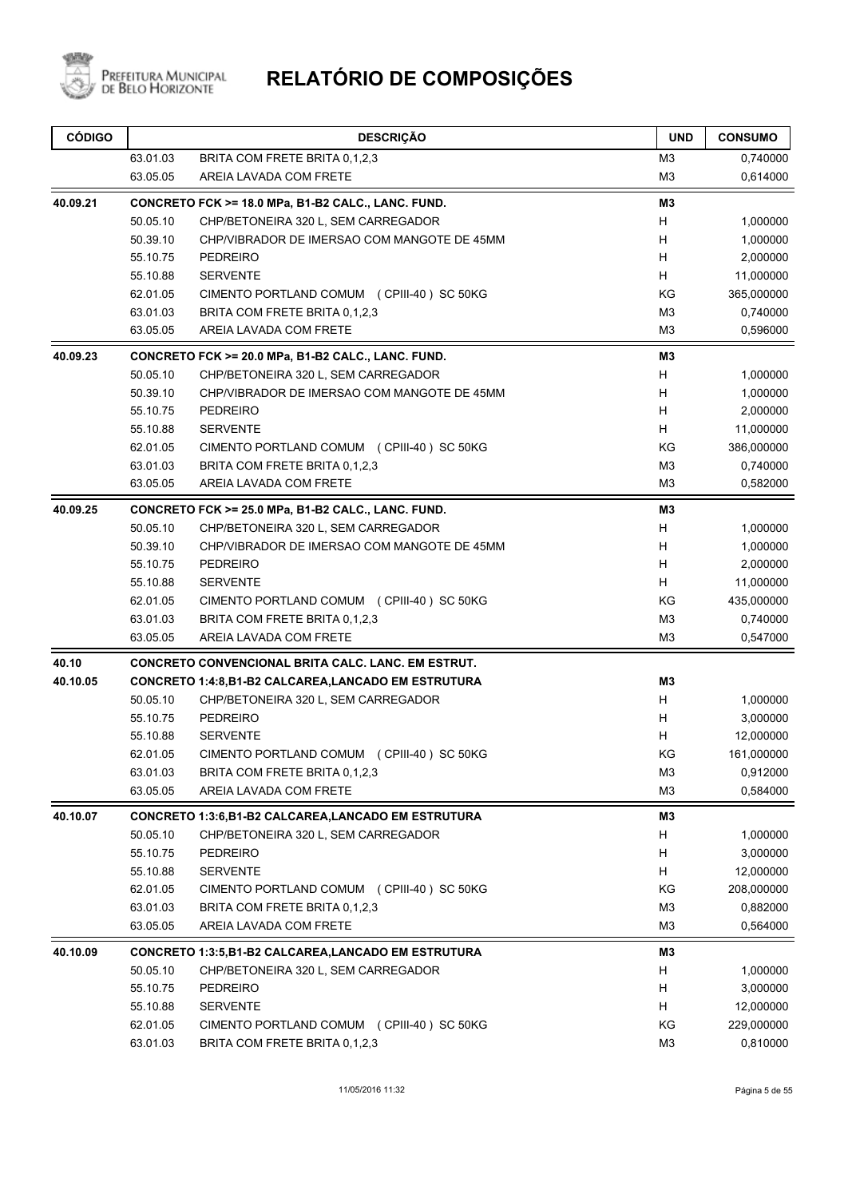

| <b>CÓDIGO</b> |          | <b>DESCRIÇÃO</b>                                          | <b>UND</b>     | <b>CONSUMO</b> |
|---------------|----------|-----------------------------------------------------------|----------------|----------------|
|               | 63.01.03 | BRITA COM FRETE BRITA 0,1,2,3                             | M <sub>3</sub> | 0,740000       |
|               | 63.05.05 | AREIA LAVADA COM FRETE                                    | M <sub>3</sub> | 0,614000       |
| 40.09.21      |          | CONCRETO FCK >= 18.0 MPa, B1-B2 CALC., LANC. FUND.        | M3             |                |
|               | 50.05.10 | CHP/BETONEIRA 320 L, SEM CARREGADOR                       | H              | 1,000000       |
|               | 50.39.10 | CHP/VIBRADOR DE IMERSAO COM MANGOTE DE 45MM               | H              | 1,000000       |
|               | 55.10.75 | <b>PEDREIRO</b>                                           | H              | 2,000000       |
|               | 55.10.88 | <b>SERVENTE</b>                                           | Н              | 11,000000      |
|               | 62.01.05 | CIMENTO PORTLAND COMUM (CPIII-40) SC 50KG                 | KG             | 365,000000     |
|               | 63.01.03 | BRITA COM FRETE BRITA 0,1,2,3                             | M <sub>3</sub> | 0,740000       |
|               | 63.05.05 | AREIA LAVADA COM FRETE                                    | M <sub>3</sub> | 0,596000       |
| 40.09.23      |          | CONCRETO FCK >= 20.0 MPa, B1-B2 CALC., LANC. FUND.        | M3             |                |
|               | 50.05.10 | CHP/BETONEIRA 320 L, SEM CARREGADOR                       | Н              | 1,000000       |
|               | 50.39.10 | CHP/VIBRADOR DE IMERSAO COM MANGOTE DE 45MM               | H              | 1,000000       |
|               | 55.10.75 | <b>PEDREIRO</b>                                           | H              | 2,000000       |
|               | 55.10.88 | <b>SERVENTE</b>                                           | H              | 11,000000      |
|               | 62.01.05 | CIMENTO PORTLAND COMUM (CPIII-40) SC 50KG                 | KG             | 386,000000     |
|               | 63.01.03 | BRITA COM FRETE BRITA 0.1.2.3                             | M <sub>3</sub> | 0,740000       |
|               | 63.05.05 | AREIA LAVADA COM FRETE                                    | M <sub>3</sub> | 0,582000       |
| 40.09.25      |          | CONCRETO FCK >= 25.0 MPa, B1-B2 CALC., LANC. FUND.        | M3             |                |
|               | 50.05.10 | CHP/BETONEIRA 320 L, SEM CARREGADOR                       | H              | 1,000000       |
|               | 50.39.10 | CHP/VIBRADOR DE IMERSAO COM MANGOTE DE 45MM               | H              | 1,000000       |
|               | 55.10.75 | <b>PEDREIRO</b>                                           | H              | 2,000000       |
|               | 55.10.88 | <b>SERVENTE</b>                                           | H.             | 11,000000      |
|               | 62.01.05 | CIMENTO PORTLAND COMUM (CPIII-40) SC 50KG                 | KG             | 435,000000     |
|               | 63.01.03 | BRITA COM FRETE BRITA 0,1,2,3                             | M <sub>3</sub> | 0,740000       |
|               | 63.05.05 | AREIA LAVADA COM FRETE                                    | M <sub>3</sub> | 0,547000       |
| 40.10         |          | <b>CONCRETO CONVENCIONAL BRITA CALC. LANC. EM ESTRUT.</b> |                |                |
| 40.10.05      |          | <b>CONCRETO 1:4:8,B1-B2 CALCAREA,LANCADO EM ESTRUTURA</b> | M <sub>3</sub> |                |
|               | 50.05.10 | CHP/BETONEIRA 320 L, SEM CARREGADOR                       | H              | 1,000000       |
|               | 55.10.75 | <b>PEDREIRO</b>                                           | H              | 3,000000       |
|               | 55.10.88 | <b>SERVENTE</b>                                           | H              | 12,000000      |
|               | 62.01.05 | CIMENTO PORTLAND COMUM (CPIII-40) SC 50KG                 | ΚG             | 161,000000     |
|               | 63.01.03 | BRITA COM FRETE BRITA 0,1,2,3                             | M <sub>3</sub> | 0,912000       |
|               | 63.05.05 | AREIA LAVADA COM FRETE                                    | M <sub>3</sub> | 0,584000       |
| 40.10.07      |          | CONCRETO 1:3:6,B1-B2 CALCAREA,LANCADO EM ESTRUTURA        | M3             |                |
|               | 50.05.10 | CHP/BETONEIRA 320 L, SEM CARREGADOR                       | H              | 1,000000       |
|               | 55.10.75 | <b>PEDREIRO</b>                                           | н              | 3,000000       |
|               | 55.10.88 | <b>SERVENTE</b>                                           | H              | 12,000000      |
|               | 62.01.05 | CIMENTO PORTLAND COMUM (CPIII-40) SC 50KG                 | KG             | 208,000000     |
|               | 63.01.03 | BRITA COM FRETE BRITA 0,1,2,3                             | M <sub>3</sub> | 0,882000       |
|               | 63.05.05 | AREIA LAVADA COM FRETE                                    | M <sub>3</sub> | 0,564000       |
| 40.10.09      |          | <b>CONCRETO 1:3:5,B1-B2 CALCAREA,LANCADO EM ESTRUTURA</b> | M3             |                |
|               | 50.05.10 | CHP/BETONEIRA 320 L, SEM CARREGADOR                       | н              | 1,000000       |
|               | 55.10.75 | <b>PEDREIRO</b>                                           | н              | 3,000000       |
|               | 55.10.88 | <b>SERVENTE</b>                                           | H              | 12,000000      |
|               | 62.01.05 | CIMENTO PORTLAND COMUM (CPIII-40) SC 50KG                 | KG             | 229,000000     |
|               | 63.01.03 | BRITA COM FRETE BRITA 0,1,2,3                             | M <sub>3</sub> | 0,810000       |
|               |          |                                                           |                |                |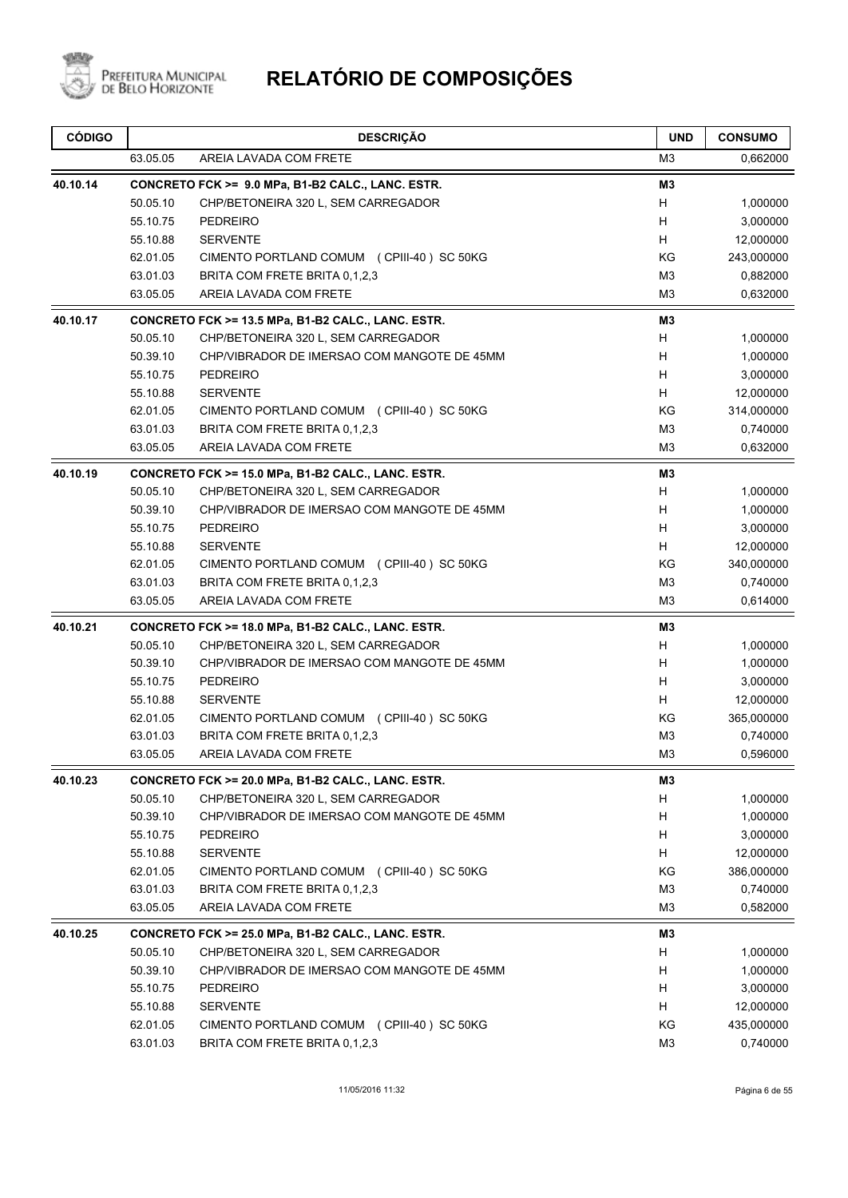

| <b>CÓDIGO</b> |          | <b>DESCRIÇÃO</b>                                   | <b>UND</b>     | <b>CONSUMO</b> |
|---------------|----------|----------------------------------------------------|----------------|----------------|
|               | 63.05.05 | AREIA LAVADA COM FRETE                             | M3             | 0,662000       |
| 40.10.14      |          | CONCRETO FCK >= 9.0 MPa, B1-B2 CALC., LANC. ESTR.  | M <sub>3</sub> |                |
|               | 50.05.10 | CHP/BETONEIRA 320 L, SEM CARREGADOR                | н              | 1,000000       |
|               | 55.10.75 | <b>PEDREIRO</b>                                    | H              | 3,000000       |
|               | 55.10.88 | <b>SERVENTE</b>                                    | H              | 12,000000      |
|               | 62.01.05 | CIMENTO PORTLAND COMUM (CPIII-40) SC 50KG          | ΚG             | 243,000000     |
|               | 63.01.03 | BRITA COM FRETE BRITA 0,1,2,3                      | M <sub>3</sub> | 0,882000       |
|               | 63.05.05 | AREIA LAVADA COM FRETE                             | M <sub>3</sub> | 0,632000       |
| 40.10.17      |          | CONCRETO FCK >= 13.5 MPa, B1-B2 CALC., LANC. ESTR. | M3             |                |
|               | 50.05.10 | CHP/BETONEIRA 320 L, SEM CARREGADOR                | н              | 1,000000       |
|               | 50.39.10 | CHP/VIBRADOR DE IMERSAO COM MANGOTE DE 45MM        | H              | 1,000000       |
|               | 55.10.75 | <b>PEDREIRO</b>                                    | H              | 3,000000       |
|               | 55.10.88 | <b>SERVENTE</b>                                    | H.             | 12,000000      |
|               | 62.01.05 | CIMENTO PORTLAND COMUM (CPIII-40) SC 50KG          | KG             | 314,000000     |
|               | 63.01.03 | BRITA COM FRETE BRITA 0,1,2,3                      | M3             | 0,740000       |
|               | 63.05.05 | AREIA LAVADA COM FRETE                             | M <sub>3</sub> | 0,632000       |
| 40.10.19      |          | CONCRETO FCK >= 15.0 MPa, B1-B2 CALC., LANC. ESTR. | M3             |                |
|               | 50.05.10 | CHP/BETONEIRA 320 L, SEM CARREGADOR                | н              | 1,000000       |
|               | 50.39.10 | CHP/VIBRADOR DE IMERSAO COM MANGOTE DE 45MM        | H              | 1,000000       |
|               | 55.10.75 | <b>PEDREIRO</b>                                    | H              | 3,000000       |
|               | 55.10.88 | <b>SERVENTE</b>                                    | H              | 12,000000      |
|               | 62.01.05 | CIMENTO PORTLAND COMUM (CPIII-40) SC 50KG          | KG             | 340,000000     |
|               | 63.01.03 | BRITA COM FRETE BRITA 0,1,2,3                      | M3             | 0,740000       |
|               | 63.05.05 | AREIA LAVADA COM FRETE                             | M <sub>3</sub> | 0,614000       |
| 40.10.21      |          | CONCRETO FCK >= 18.0 MPa, B1-B2 CALC., LANC. ESTR. | MЗ             |                |
|               | 50.05.10 | CHP/BETONEIRA 320 L, SEM CARREGADOR                | н              | 1,000000       |
|               | 50.39.10 | CHP/VIBRADOR DE IMERSAO COM MANGOTE DE 45MM        | H              | 1,000000       |
|               | 55.10.75 | <b>PEDREIRO</b>                                    | H              | 3,000000       |
|               | 55.10.88 | <b>SERVENTE</b>                                    | H              | 12,000000      |
|               | 62.01.05 | CIMENTO PORTLAND COMUM (CPIII-40) SC 50KG          | KG             | 365,000000     |
|               | 63.01.03 | BRITA COM FRETE BRITA 0,1,2,3                      | M <sub>3</sub> | 0,740000       |
|               | 63.05.05 | AREIA LAVADA COM FRETE                             | M <sub>3</sub> | 0,596000       |
| 40.10.23      |          | CONCRETO FCK >= 20.0 MPa, B1-B2 CALC., LANC. ESTR. | M3             |                |
|               | 50.05.10 | CHP/BETONEIRA 320 L, SEM CARREGADOR                | H              | 1,000000       |
|               | 50.39.10 | CHP/VIBRADOR DE IMERSAO COM MANGOTE DE 45MM        | н              | 1,000000       |
|               | 55.10.75 | PEDREIRO                                           | н              | 3,000000       |
|               | 55.10.88 | <b>SERVENTE</b>                                    | Н              | 12,000000      |
|               | 62.01.05 | CIMENTO PORTLAND COMUM (CPIII-40) SC 50KG          | KG             | 386,000000     |
|               | 63.01.03 | BRITA COM FRETE BRITA 0,1,2,3                      | M <sub>3</sub> | 0,740000       |
|               | 63.05.05 | AREIA LAVADA COM FRETE                             | M <sub>3</sub> | 0,582000       |
| 40.10.25      |          | CONCRETO FCK >= 25.0 MPa, B1-B2 CALC., LANC. ESTR. | M3             |                |
|               | 50.05.10 | CHP/BETONEIRA 320 L, SEM CARREGADOR                | н              | 1,000000       |
|               | 50.39.10 | CHP/VIBRADOR DE IMERSAO COM MANGOTE DE 45MM        | н              | 1,000000       |
|               | 55.10.75 | PEDREIRO                                           | н              | 3,000000       |
|               | 55.10.88 | <b>SERVENTE</b>                                    | н              | 12,000000      |
|               | 62.01.05 | CIMENTO PORTLAND COMUM (CPIII-40) SC 50KG          | KG             | 435,000000     |
|               | 63.01.03 | BRITA COM FRETE BRITA 0,1,2,3                      | M <sub>3</sub> | 0,740000       |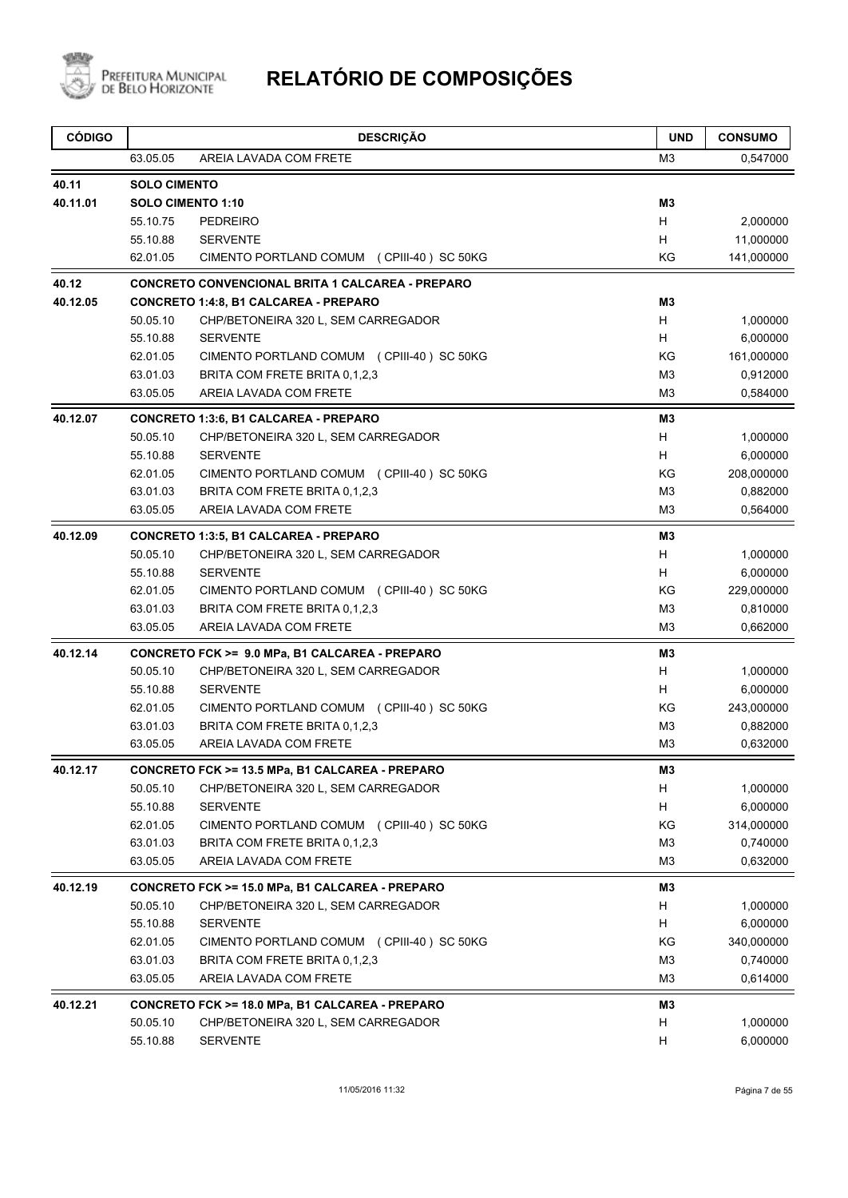

| <b>CÓDIGO</b> |                      | <b>DESCRIÇÃO</b>                                                                    | <b>UND</b>          | <b>CONSUMO</b>         |
|---------------|----------------------|-------------------------------------------------------------------------------------|---------------------|------------------------|
|               | 63.05.05             | AREIA LAVADA COM FRETE                                                              | M3                  | 0,547000               |
| 40.11         | <b>SOLO CIMENTO</b>  |                                                                                     |                     |                        |
| 40.11.01      |                      | <b>SOLO CIMENTO 1:10</b>                                                            | M <sub>3</sub>      |                        |
|               | 55.10.75             | <b>PEDREIRO</b>                                                                     | H                   | 2,000000               |
|               | 55.10.88             | <b>SERVENTE</b>                                                                     | H.                  | 11,000000              |
|               | 62.01.05             | CIMENTO PORTLAND COMUM (CPIII-40) SC 50KG                                           | KG                  | 141,000000             |
| 40.12         |                      | <b>CONCRETO CONVENCIONAL BRITA 1 CALCAREA - PREPARO</b>                             |                     |                        |
| 40.12.05      |                      | <b>CONCRETO 1:4:8, B1 CALCAREA - PREPARO</b>                                        | M <sub>3</sub>      |                        |
|               | 50.05.10             | CHP/BETONEIRA 320 L, SEM CARREGADOR                                                 | H                   | 1,000000               |
|               | 55.10.88             | <b>SERVENTE</b>                                                                     | H                   | 6,000000               |
|               | 62.01.05             | CIMENTO PORTLAND COMUM (CPIII-40) SC 50KG                                           | KG                  | 161,000000             |
|               | 63.01.03             | BRITA COM FRETE BRITA 0,1,2,3                                                       | M <sub>3</sub>      | 0,912000               |
|               | 63.05.05             | AREIA LAVADA COM FRETE                                                              | M <sub>3</sub>      | 0,584000               |
| 40.12.07      | 50.05.10             | <b>CONCRETO 1:3:6, B1 CALCAREA - PREPARO</b>                                        | M3<br>H             |                        |
|               |                      | CHP/BETONEIRA 320 L, SEM CARREGADOR<br><b>SERVENTE</b>                              | H                   | 1,000000               |
|               | 55.10.88<br>62.01.05 | CIMENTO PORTLAND COMUM (CPIII-40) SC 50KG                                           | ΚG                  | 6,000000<br>208,000000 |
|               | 63.01.03             | BRITA COM FRETE BRITA 0,1,2,3                                                       | M3                  | 0,882000               |
|               | 63.05.05             | AREIA LAVADA COM FRETE                                                              | M <sub>3</sub>      | 0,564000               |
|               |                      |                                                                                     |                     |                        |
| 40.12.09      | 50.05.10             | <b>CONCRETO 1:3:5, B1 CALCAREA - PREPARO</b><br>CHP/BETONEIRA 320 L, SEM CARREGADOR | M <sub>3</sub><br>H |                        |
|               | 55.10.88             | <b>SERVENTE</b>                                                                     | H.                  | 1,000000<br>6,000000   |
|               | 62.01.05             | CIMENTO PORTLAND COMUM (CPIII-40) SC 50KG                                           | KG                  | 229,000000             |
|               | 63.01.03             | BRITA COM FRETE BRITA 0,1,2,3                                                       | M <sub>3</sub>      | 0,810000               |
|               | 63.05.05             | AREIA LAVADA COM FRETE                                                              | M <sub>3</sub>      | 0,662000               |
| 40.12.14      |                      | CONCRETO FCK >= 9.0 MPa, B1 CALCAREA - PREPARO                                      | M3                  |                        |
|               | 50.05.10             | CHP/BETONEIRA 320 L, SEM CARREGADOR                                                 | Н                   | 1,000000               |
|               | 55.10.88             | <b>SERVENTE</b>                                                                     | H                   | 6,000000               |
|               | 62.01.05             | CIMENTO PORTLAND COMUM (CPIII-40) SC 50KG                                           | KG                  | 243,000000             |
|               | 63.01.03             | BRITA COM FRETE BRITA 0,1,2,3                                                       | M <sub>3</sub>      | 0,882000               |
|               | 63.05.05             | AREIA LAVADA COM FRETE                                                              | M <sub>3</sub>      | 0,632000               |
| 40.12.17      |                      | CONCRETO FCK >= 13.5 MPa, B1 CALCAREA - PREPARO                                     | M <sub>3</sub>      |                        |
|               | 50.05.10             | CHP/BETONEIRA 320 L, SEM CARREGADOR                                                 | H                   | 1,000000               |
|               | 55.10.88             | <b>SERVENTE</b>                                                                     | Н                   | 6,000000               |
|               | 62.01.05             | CIMENTO PORTLAND COMUM (CPIII-40) SC 50KG                                           | KG                  | 314,000000             |
|               | 63.01.03             | BRITA COM FRETE BRITA 0,1,2,3                                                       | M <sub>3</sub>      | 0,740000               |
|               | 63.05.05             | AREIA LAVADA COM FRETE                                                              | M <sub>3</sub>      | 0,632000               |
| 40.12.19      |                      | CONCRETO FCK >= 15.0 MPa, B1 CALCAREA - PREPARO                                     | M3                  |                        |
|               | 50.05.10             | CHP/BETONEIRA 320 L, SEM CARREGADOR                                                 | H                   | 1,000000               |
|               | 55.10.88             | <b>SERVENTE</b>                                                                     | H                   | 6,000000               |
|               | 62.01.05             | CIMENTO PORTLAND COMUM (CPIII-40) SC 50KG                                           | KG                  | 340,000000             |
|               | 63.01.03             | BRITA COM FRETE BRITA 0,1,2,3                                                       | M <sub>3</sub>      | 0,740000               |
|               | 63.05.05             | AREIA LAVADA COM FRETE                                                              | M <sub>3</sub>      | 0,614000               |
| 40.12.21      |                      | CONCRETO FCK >= 18.0 MPa, B1 CALCAREA - PREPARO                                     | M3                  |                        |
|               | 50.05.10             | CHP/BETONEIRA 320 L, SEM CARREGADOR                                                 | н                   | 1,000000               |
|               | 55.10.88             | <b>SERVENTE</b>                                                                     | н                   | 6,000000               |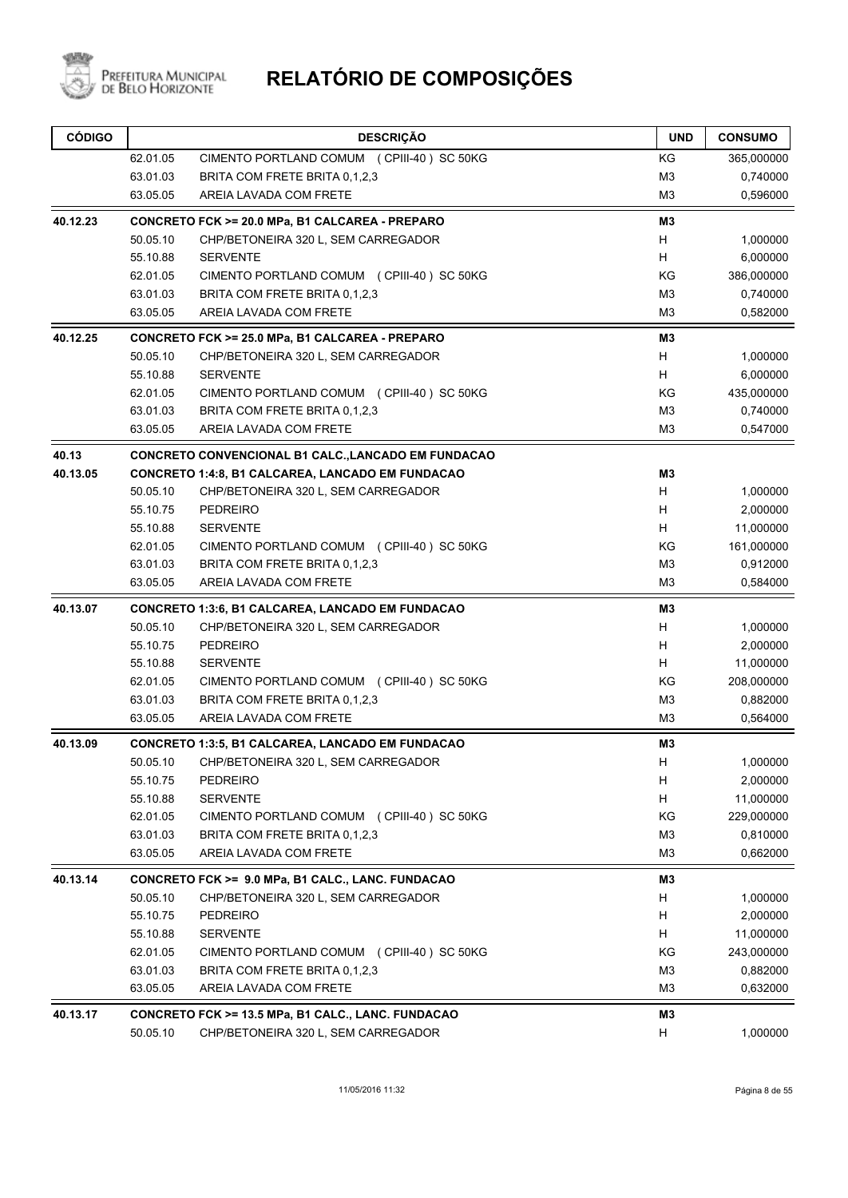

| <b>CÓDIGO</b> |          | <b>DESCRIÇÃO</b>                                        | <b>UND</b>                | <b>CONSUMO</b> |
|---------------|----------|---------------------------------------------------------|---------------------------|----------------|
|               | 62.01.05 | CIMENTO PORTLAND COMUM (CPIII-40) SC 50KG               | ΚG                        | 365,000000     |
|               | 63.01.03 | BRITA COM FRETE BRITA 0,1,2,3                           | M <sub>3</sub>            | 0,740000       |
|               | 63.05.05 | AREIA LAVADA COM FRETE                                  | M <sub>3</sub>            | 0,596000       |
| 40.12.23      |          | CONCRETO FCK >= 20.0 MPa, B1 CALCAREA - PREPARO         | M <sub>3</sub>            |                |
|               | 50.05.10 | CHP/BETONEIRA 320 L, SEM CARREGADOR                     | H                         | 1,000000       |
|               | 55.10.88 | <b>SERVENTE</b>                                         | H                         | 6,000000       |
|               | 62.01.05 | CIMENTO PORTLAND COMUM (CPIII-40) SC 50KG               | ΚG                        | 386,000000     |
|               | 63.01.03 | BRITA COM FRETE BRITA 0.1.2.3                           | M <sub>3</sub>            | 0,740000       |
|               | 63.05.05 | AREIA LAVADA COM FRETE                                  | M3                        | 0,582000       |
| 40.12.25      |          | CONCRETO FCK >= 25.0 MPa, B1 CALCAREA - PREPARO         | M3                        |                |
|               | 50.05.10 | CHP/BETONEIRA 320 L, SEM CARREGADOR                     | H                         | 1,000000       |
|               | 55.10.88 | <b>SERVENTE</b>                                         | H                         | 6,000000       |
|               | 62.01.05 | CIMENTO PORTLAND COMUM (CPIII-40) SC 50KG               | ΚG                        | 435,000000     |
|               | 63.01.03 | BRITA COM FRETE BRITA 0.1.2.3                           | M <sub>3</sub>            | 0,740000       |
|               | 63.05.05 | AREIA LAVADA COM FRETE                                  | M <sub>3</sub>            | 0,547000       |
| 40.13         |          | CONCRETO CONVENCIONAL B1 CALC., LANCADO EM FUNDACAO     |                           |                |
| 40.13.05      |          | <b>CONCRETO 1:4:8, B1 CALCAREA, LANCADO EM FUNDACAO</b> | M3                        |                |
|               | 50.05.10 | CHP/BETONEIRA 320 L, SEM CARREGADOR                     | H                         | 1,000000       |
|               | 55.10.75 | <b>PEDREIRO</b>                                         | H                         | 2,000000       |
|               | 55.10.88 | <b>SERVENTE</b>                                         | H                         | 11,000000      |
|               | 62.01.05 | CIMENTO PORTLAND COMUM (CPIII-40) SC 50KG               | ΚG                        | 161,000000     |
|               | 63.01.03 | BRITA COM FRETE BRITA 0,1,2,3                           | M3                        | 0,912000       |
|               | 63.05.05 | AREIA LAVADA COM FRETE                                  | M <sub>3</sub>            | 0,584000       |
| 40.13.07      |          | <b>CONCRETO 1:3:6, B1 CALCAREA, LANCADO EM FUNDACAO</b> | M3                        |                |
|               | 50.05.10 | CHP/BETONEIRA 320 L, SEM CARREGADOR                     | Н                         | 1,000000       |
|               | 55.10.75 | <b>PEDREIRO</b>                                         | H                         | 2,000000       |
|               | 55.10.88 | <b>SERVENTE</b>                                         | H                         | 11,000000      |
|               | 62.01.05 | CIMENTO PORTLAND COMUM (CPIII-40) SC 50KG               | ΚG                        | 208,000000     |
|               | 63.01.03 | BRITA COM FRETE BRITA 0.1.2.3                           | M <sub>3</sub>            | 0,882000       |
|               | 63.05.05 | AREIA LAVADA COM FRETE                                  | M3                        | 0,564000       |
| 40.13.09      |          | CONCRETO 1:3:5, B1 CALCAREA, LANCADO EM FUNDACAO        | M3                        |                |
|               | 50.05.10 | CHP/BETONEIRA 320 L, SEM CARREGADOR                     | $\boldsymbol{\mathsf{H}}$ | 1,000000       |
|               | 55.10.75 | <b>PEDREIRO</b>                                         | H                         | 2,000000       |
|               | 55.10.88 | <b>SERVENTE</b>                                         | Н                         | 11,000000      |
|               | 62.01.05 | CIMENTO PORTLAND COMUM (CPIII-40) SC 50KG               | KG                        | 229,000000     |
|               | 63.01.03 | BRITA COM FRETE BRITA 0.1.2.3                           | M <sub>3</sub>            | 0,810000       |
|               | 63.05.05 | AREIA LAVADA COM FRETE                                  | M <sub>3</sub>            | 0,662000       |
| 40.13.14      |          | CONCRETO FCK >= 9.0 MPa, B1 CALC., LANC. FUNDACAO       | M3                        |                |
|               | 50.05.10 | CHP/BETONEIRA 320 L, SEM CARREGADOR                     | H                         | 1,000000       |
|               | 55.10.75 | <b>PEDREIRO</b>                                         | H                         | 2,000000       |
|               | 55.10.88 | <b>SERVENTE</b>                                         | H                         | 11,000000      |
|               | 62.01.05 | CIMENTO PORTLAND COMUM (CPIII-40) SC 50KG               | KG                        | 243,000000     |
|               | 63.01.03 | BRITA COM FRETE BRITA 0,1,2,3                           | M <sub>3</sub>            | 0,882000       |
|               | 63.05.05 | AREIA LAVADA COM FRETE                                  | M <sub>3</sub>            | 0,632000       |
| 40.13.17      |          | CONCRETO FCK >= 13.5 MPa, B1 CALC., LANC. FUNDACAO      | M3                        |                |
|               | 50.05.10 | CHP/BETONEIRA 320 L, SEM CARREGADOR                     | H                         | 1,000000       |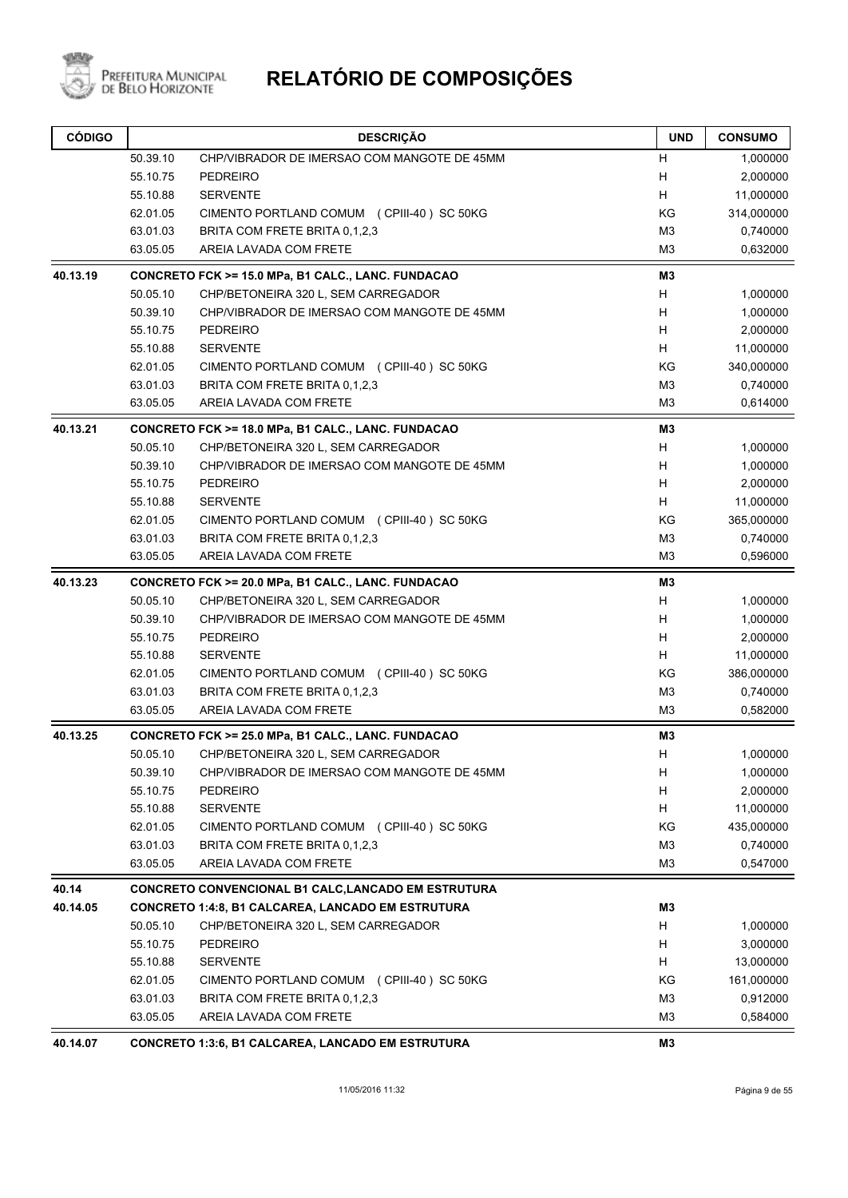

# PREFEITURA MUNICIPAL **RELATÓRIO DE COMPOSIÇÕES**

| <b>CÓDIGO</b> |          | <b>DESCRIÇÃO</b>                                         | <b>UND</b>     | <b>CONSUMO</b> |
|---------------|----------|----------------------------------------------------------|----------------|----------------|
|               | 50.39.10 | CHP/VIBRADOR DE IMERSAO COM MANGOTE DE 45MM              | н              | 1,000000       |
|               | 55.10.75 | PEDREIRO                                                 | H              | 2,000000       |
|               | 55.10.88 | <b>SERVENTE</b>                                          | Н              | 11,000000      |
|               | 62.01.05 | CIMENTO PORTLAND COMUM (CPIII-40) SC 50KG                | ΚG             | 314,000000     |
|               | 63.01.03 | BRITA COM FRETE BRITA 0,1,2,3                            | M <sub>3</sub> | 0,740000       |
|               | 63.05.05 | AREIA LAVADA COM FRETE                                   | M <sub>3</sub> | 0,632000       |
| 40.13.19      |          | CONCRETO FCK >= 15.0 MPa, B1 CALC., LANC. FUNDACAO       | M3             |                |
|               | 50.05.10 | CHP/BETONEIRA 320 L, SEM CARREGADOR                      | н              | 1,000000       |
|               | 50.39.10 | CHP/VIBRADOR DE IMERSAO COM MANGOTE DE 45MM              | H              | 1,000000       |
|               | 55.10.75 | <b>PEDREIRO</b>                                          | H              | 2,000000       |
|               | 55.10.88 | <b>SERVENTE</b>                                          | H.             | 11,000000      |
|               | 62.01.05 | CIMENTO PORTLAND COMUM (CPIII-40) SC 50KG                | KG             | 340,000000     |
|               | 63.01.03 | BRITA COM FRETE BRITA 0,1,2,3                            | M <sub>3</sub> | 0,740000       |
|               | 63.05.05 | AREIA LAVADA COM FRETE                                   | M <sub>3</sub> | 0,614000       |
| 40.13.21      |          | CONCRETO FCK >= 18.0 MPa, B1 CALC., LANC. FUNDACAO       | M <sub>3</sub> |                |
|               | 50.05.10 | CHP/BETONEIRA 320 L, SEM CARREGADOR                      | н              | 1,000000       |
|               | 50.39.10 | CHP/VIBRADOR DE IMERSAO COM MANGOTE DE 45MM              | H              | 1,000000       |
|               | 55.10.75 | PEDREIRO                                                 | н              | 2,000000       |
|               | 55.10.88 | <b>SERVENTE</b>                                          | H              | 11,000000      |
|               | 62.01.05 | CIMENTO PORTLAND COMUM (CPIII-40) SC 50KG                | KG             | 365,000000     |
|               | 63.01.03 | BRITA COM FRETE BRITA 0,1,2,3                            | M <sub>3</sub> | 0,740000       |
|               | 63.05.05 | AREIA LAVADA COM FRETE                                   | M <sub>3</sub> | 0,596000       |
| 40.13.23      |          | CONCRETO FCK >= 20.0 MPa, B1 CALC., LANC. FUNDACAO       | M3             |                |
|               | 50.05.10 | CHP/BETONEIRA 320 L, SEM CARREGADOR                      | н              | 1,000000       |
|               | 50.39.10 | CHP/VIBRADOR DE IMERSAO COM MANGOTE DE 45MM              | H              | 1,000000       |
|               | 55.10.75 | PEDREIRO                                                 | н              | 2,000000       |
|               | 55.10.88 | <b>SERVENTE</b>                                          | H              | 11,000000      |
|               | 62.01.05 | CIMENTO PORTLAND COMUM (CPIII-40) SC 50KG                | KG             | 386,000000     |
|               | 63.01.03 | BRITA COM FRETE BRITA 0,1,2,3                            | M <sub>3</sub> | 0,740000       |
|               | 63.05.05 | AREIA LAVADA COM FRETE                                   | M <sub>3</sub> | 0,582000       |
| 40.13.25      |          | CONCRETO FCK >= 25.0 MPa, B1 CALC., LANC. FUNDACAO       | M3             |                |
|               | 50.05.10 | CHP/BETONEIRA 320 L, SEM CARREGADOR                      | н              | 1,000000       |
|               | 50.39.10 | CHP/VIBRADOR DE IMERSAO COM MANGOTE DE 45MM              | н              | 1,000000       |
|               | 55.10.75 | PEDREIRO                                                 | H.             | 2,000000       |
|               | 55.10.88 | <b>SERVENTE</b>                                          | H              | 11,000000      |
|               | 62.01.05 | CIMENTO PORTLAND COMUM (CPIII-40) SC 50KG                | KG             | 435,000000     |
|               | 63.01.03 | BRITA COM FRETE BRITA 0,1,2,3                            | M <sub>3</sub> | 0,740000       |
|               | 63.05.05 | AREIA LAVADA COM FRETE                                   | M3             | 0,547000       |
| 40.14         |          | CONCRETO CONVENCIONAL B1 CALC, LANCADO EM ESTRUTURA      |                |                |
| 40.14.05      |          | <b>CONCRETO 1:4:8, B1 CALCAREA, LANCADO EM ESTRUTURA</b> | M3             |                |
|               | 50.05.10 | CHP/BETONEIRA 320 L, SEM CARREGADOR                      | H              | 1,000000       |
|               | 55.10.75 | <b>PEDREIRO</b>                                          | H              | 3,000000       |
|               | 55.10.88 | <b>SERVENTE</b>                                          | H              | 13,000000      |
|               | 62.01.05 | CIMENTO PORTLAND COMUM (CPIII-40) SC 50KG                | ΚG             | 161,000000     |
|               | 63.01.03 | BRITA COM FRETE BRITA 0,1,2,3                            | M <sub>3</sub> | 0,912000       |
|               | 63.05.05 | AREIA LAVADA COM FRETE                                   | M <sub>3</sub> | 0,584000       |
| 40.14.07      |          | <b>CONCRETO 1:3:6, B1 CALCAREA, LANCADO EM ESTRUTURA</b> | M3             |                |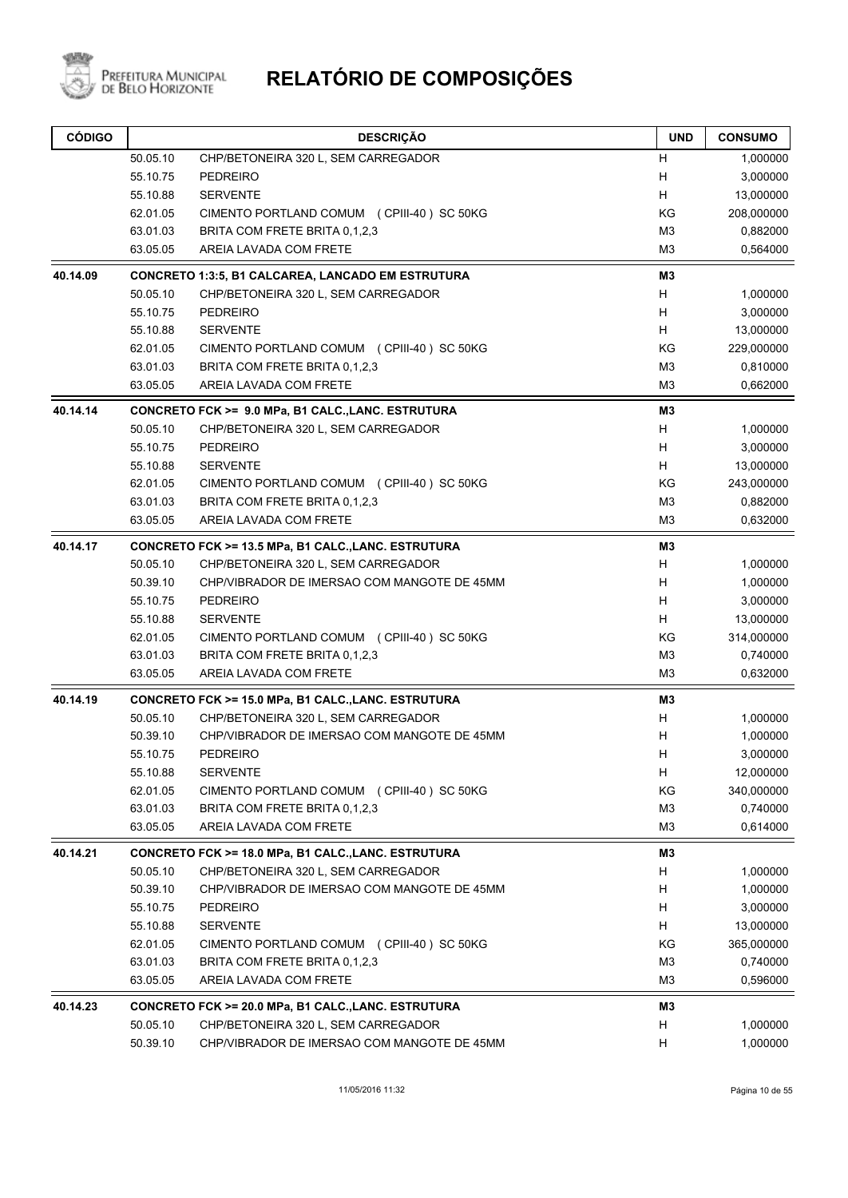

| <b>CÓDIGO</b> |          | <b>DESCRIÇÃO</b>                                         | <b>UND</b>     | <b>CONSUMO</b> |
|---------------|----------|----------------------------------------------------------|----------------|----------------|
|               | 50.05.10 | CHP/BETONEIRA 320 L, SEM CARREGADOR                      | H              | 1,000000       |
|               | 55.10.75 | <b>PEDREIRO</b>                                          | H              | 3,000000       |
|               | 55.10.88 | <b>SERVENTE</b>                                          | н              | 13,000000      |
|               | 62.01.05 | CIMENTO PORTLAND COMUM (CPIII-40) SC 50KG                | KG             | 208,000000     |
|               | 63.01.03 | BRITA COM FRETE BRITA 0,1,2,3                            | M <sub>3</sub> | 0,882000       |
|               | 63.05.05 | AREIA LAVADA COM FRETE                                   | M <sub>3</sub> | 0,564000       |
| 40.14.09      |          | <b>CONCRETO 1:3:5, B1 CALCAREA, LANCADO EM ESTRUTURA</b> | M3             |                |
|               | 50.05.10 | CHP/BETONEIRA 320 L, SEM CARREGADOR                      | Н              | 1,000000       |
|               | 55.10.75 | <b>PEDREIRO</b>                                          | H              | 3,000000       |
|               | 55.10.88 | <b>SERVENTE</b>                                          | н              | 13,000000      |
|               | 62.01.05 | CIMENTO PORTLAND COMUM (CPIII-40) SC 50KG                | ΚG             | 229,000000     |
|               | 63.01.03 | BRITA COM FRETE BRITA 0,1,2,3                            | M <sub>3</sub> | 0,810000       |
|               | 63.05.05 | AREIA LAVADA COM FRETE                                   | M3             | 0,662000       |
| 40.14.14      |          | CONCRETO FCK >= 9.0 MPa, B1 CALC., LANC. ESTRUTURA       | M <sub>3</sub> |                |
|               | 50.05.10 | CHP/BETONEIRA 320 L, SEM CARREGADOR                      | H              | 1,000000       |
|               | 55.10.75 | <b>PEDREIRO</b>                                          | н              | 3,000000       |
|               | 55.10.88 | <b>SERVENTE</b>                                          | H              | 13,000000      |
|               | 62.01.05 | CIMENTO PORTLAND COMUM (CPIII-40) SC 50KG                | KG             | 243,000000     |
|               | 63.01.03 | BRITA COM FRETE BRITA 0,1,2,3                            | M <sub>3</sub> | 0,882000       |
|               | 63.05.05 | AREIA LAVADA COM FRETE                                   | M <sub>3</sub> | 0,632000       |
| 40.14.17      |          | CONCRETO FCK >= 13.5 MPa, B1 CALC., LANC. ESTRUTURA      | M3             |                |
|               | 50.05.10 | CHP/BETONEIRA 320 L, SEM CARREGADOR                      | н              | 1,000000       |
|               | 50.39.10 | CHP/VIBRADOR DE IMERSAO COM MANGOTE DE 45MM              | H              | 1,000000       |
|               | 55.10.75 | <b>PEDREIRO</b>                                          | H              | 3,000000       |
|               | 55.10.88 | <b>SERVENTE</b>                                          | H              | 13,000000      |
|               | 62.01.05 | CIMENTO PORTLAND COMUM (CPIII-40) SC 50KG                | KG             | 314,000000     |
|               | 63.01.03 | BRITA COM FRETE BRITA 0,1,2,3                            | M <sub>3</sub> | 0,740000       |
|               | 63.05.05 | AREIA LAVADA COM FRETE                                   | M <sub>3</sub> | 0,632000       |
| 40.14.19      |          | CONCRETO FCK >= 15.0 MPa, B1 CALC.,LANC. ESTRUTURA       | M3             |                |
|               | 50.05.10 | CHP/BETONEIRA 320 L, SEM CARREGADOR                      | H              | 1,000000       |
|               | 50.39.10 | CHP/VIBRADOR DE IMERSAO COM MANGOTE DE 45MM              | Н              | 1,000000       |
|               | 55.10.75 | <b>PEDREIRO</b>                                          | H              | 3,000000       |
|               | 55.10.88 | <b>SERVENTE</b>                                          | Н              | 12,000000      |
|               | 62.01.05 | CIMENTO PORTLAND COMUM (CPIII-40) SC 50KG                | KG             | 340,000000     |
|               | 63.01.03 | BRITA COM FRETE BRITA 0.1.2.3                            | M <sub>3</sub> | 0,740000       |
|               | 63.05.05 | AREIA LAVADA COM FRETE                                   | M <sub>3</sub> | 0,614000       |
| 40.14.21      |          | CONCRETO FCK >= 18.0 MPa, B1 CALC., LANC. ESTRUTURA      | M3             |                |
|               | 50.05.10 | CHP/BETONEIRA 320 L, SEM CARREGADOR                      | н              | 1,000000       |
|               | 50.39.10 | CHP/VIBRADOR DE IMERSAO COM MANGOTE DE 45MM              | н              | 1,000000       |
|               | 55.10.75 | PEDREIRO                                                 | Н              | 3,000000       |
|               | 55.10.88 | <b>SERVENTE</b>                                          | H              | 13,000000      |
|               | 62.01.05 | CIMENTO PORTLAND COMUM (CPIII-40) SC 50KG                | KG             | 365,000000     |
|               | 63.01.03 | BRITA COM FRETE BRITA 0,1,2,3                            | M <sub>3</sub> | 0,740000       |
|               | 63.05.05 | AREIA LAVADA COM FRETE                                   | M <sub>3</sub> | 0,596000       |
| 40.14.23      |          | CONCRETO FCK >= 20.0 MPa, B1 CALC., LANC. ESTRUTURA      | M3             |                |
|               | 50.05.10 | CHP/BETONEIRA 320 L, SEM CARREGADOR                      | н              | 1,000000       |
|               | 50.39.10 | CHP/VIBRADOR DE IMERSAO COM MANGOTE DE 45MM              | н              | 1,000000       |
|               |          |                                                          |                |                |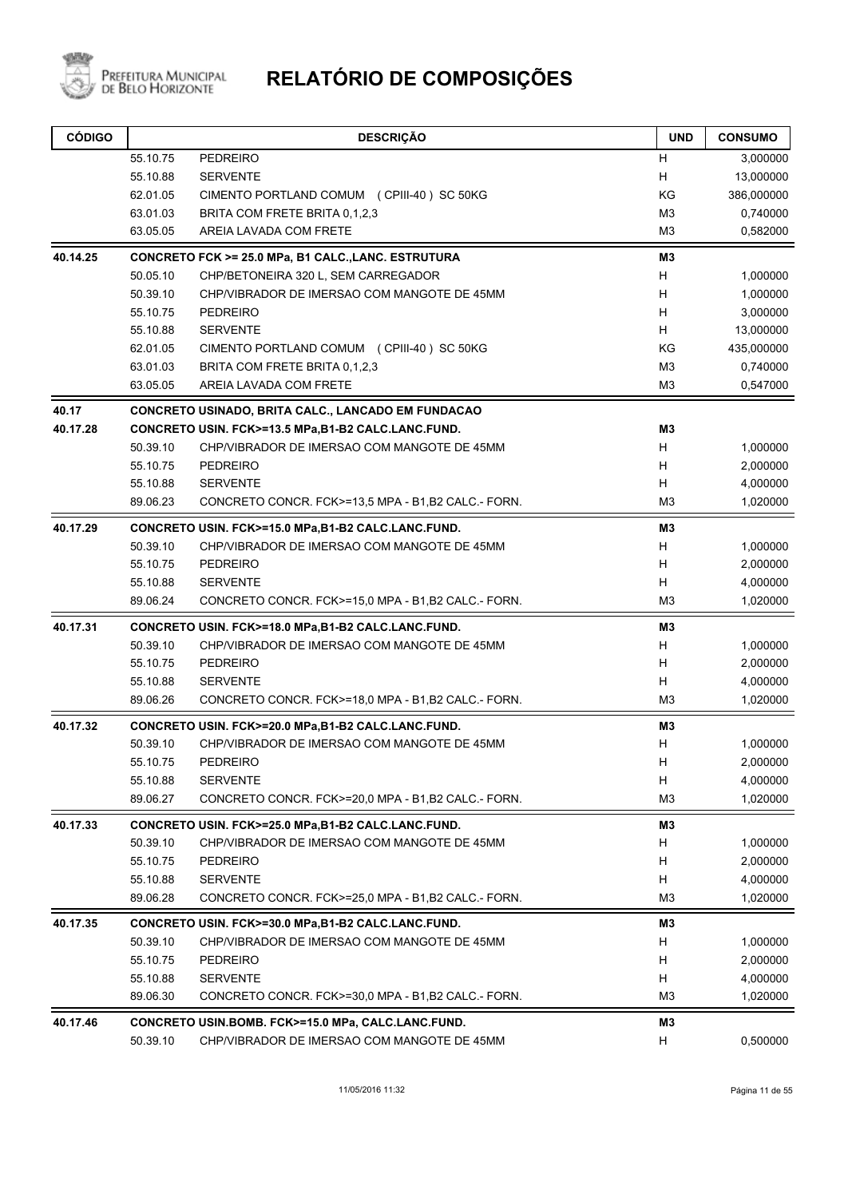

| <b>CÓDIGO</b> |          | <b>DESCRIÇÃO</b>                                          | <b>UND</b>     | <b>CONSUMO</b> |
|---------------|----------|-----------------------------------------------------------|----------------|----------------|
|               | 55.10.75 | PEDREIRO                                                  | H              | 3,000000       |
|               | 55.10.88 | <b>SERVENTE</b>                                           | Н              | 13,000000      |
|               | 62.01.05 | CIMENTO PORTLAND COMUM (CPIII-40) SC 50KG                 | KG             | 386,000000     |
|               | 63.01.03 | BRITA COM FRETE BRITA 0.1.2.3                             | M <sub>3</sub> | 0,740000       |
|               | 63.05.05 | AREIA LAVADA COM FRETE                                    | M3             | 0,582000       |
| 40.14.25      |          | CONCRETO FCK >= 25.0 MPa, B1 CALC., LANC. ESTRUTURA       | M3             |                |
|               | 50.05.10 | CHP/BETONEIRA 320 L, SEM CARREGADOR                       | H              | 1,000000       |
|               | 50.39.10 | CHP/VIBRADOR DE IMERSAO COM MANGOTE DE 45MM               | H              | 1,000000       |
|               | 55.10.75 | <b>PEDREIRO</b>                                           | H              | 3,000000       |
|               | 55.10.88 | <b>SERVENTE</b>                                           | H              | 13,000000      |
|               | 62.01.05 | CIMENTO PORTLAND COMUM (CPIII-40) SC 50KG                 | KG             | 435,000000     |
|               | 63.01.03 | BRITA COM FRETE BRITA 0,1,2,3                             | M <sub>3</sub> | 0,740000       |
|               | 63.05.05 | AREIA LAVADA COM FRETE                                    | M <sub>3</sub> | 0,547000       |
| 40.17         |          | <b>CONCRETO USINADO, BRITA CALC., LANCADO EM FUNDACAO</b> |                |                |
| 40.17.28      |          | CONCRETO USIN. FCK>=13.5 MPa,B1-B2 CALC.LANC.FUND.        | M <sub>3</sub> |                |
|               | 50.39.10 | CHP/VIBRADOR DE IMERSAO COM MANGOTE DE 45MM               | н              | 1,000000       |
|               | 55.10.75 | <b>PEDREIRO</b>                                           | H              | 2,000000       |
|               | 55.10.88 | <b>SERVENTE</b>                                           | H              | 4,000000       |
|               | 89.06.23 | CONCRETO CONCR. FCK>=13,5 MPA - B1,B2 CALC - FORN.        | M <sub>3</sub> | 1,020000       |
| 40.17.29      |          | CONCRETO USIN. FCK>=15.0 MPa,B1-B2 CALC.LANC.FUND.        | M3             |                |
|               | 50.39.10 | CHP/VIBRADOR DE IMERSAO COM MANGOTE DE 45MM               | H              | 1,000000       |
|               | 55.10.75 | <b>PEDREIRO</b>                                           | H              | 2,000000       |
|               | 55.10.88 | <b>SERVENTE</b>                                           | Н              | 4,000000       |
|               | 89.06.24 | CONCRETO CONCR. FCK>=15,0 MPA - B1,B2 CALC - FORN.        | M <sub>3</sub> | 1,020000       |
| 40.17.31      |          | CONCRETO USIN. FCK>=18.0 MPa,B1-B2 CALC.LANC.FUND.        | M <sub>3</sub> |                |
|               | 50.39.10 | CHP/VIBRADOR DE IMERSAO COM MANGOTE DE 45MM               | H              | 1,000000       |
|               | 55.10.75 | <b>PEDREIRO</b>                                           | н              | 2,000000       |
|               | 55.10.88 | <b>SERVENTE</b>                                           | н              | 4,000000       |
|               | 89.06.26 | CONCRETO CONCR. FCK>=18,0 MPA - B1,B2 CALC - FORN.        | M <sub>3</sub> | 1,020000       |
| 40.17.32      |          | CONCRETO USIN. FCK>=20.0 MPa,B1-B2 CALC.LANC.FUND.        | M3             |                |
|               | 50.39.10 | CHP/VIBRADOR DE IMERSAO COM MANGOTE DE 45MM               | H              | 1,000000       |
|               | 55.10.75 | PEDREIRO                                                  | н              | 2,000000       |
|               | 55.10.88 | <b>SERVENTE</b>                                           | H              | 4,000000       |
|               | 89.06.27 | CONCRETO CONCR. FCK>=20,0 MPA - B1,B2 CALC - FORN.        | M <sub>3</sub> | 1,020000       |
| 40.17.33      |          | CONCRETO USIN. FCK>=25.0 MPa,B1-B2 CALC.LANC.FUND.        | MЗ             |                |
|               | 50.39.10 | CHP/VIBRADOR DE IMERSAO COM MANGOTE DE 45MM               | H              | 1,000000       |
|               | 55.10.75 | PEDREIRO                                                  | н              | 2,000000       |
|               | 55.10.88 | <b>SERVENTE</b>                                           | H              | 4,000000       |
|               | 89.06.28 | CONCRETO CONCR. FCK>=25.0 MPA - B1,B2 CALC - FORN.        | M3             | 1,020000       |
| 40.17.35      |          | CONCRETO USIN. FCK>=30.0 MPa,B1-B2 CALC.LANC.FUND.        | M3             |                |
|               | 50.39.10 | CHP/VIBRADOR DE IMERSAO COM MANGOTE DE 45MM               | н              | 1,000000       |
|               | 55.10.75 | <b>PEDREIRO</b>                                           | н              | 2,000000       |
|               | 55.10.88 | <b>SERVENTE</b>                                           | H              | 4,000000       |
|               | 89.06.30 | CONCRETO CONCR. FCK>=30,0 MPA - B1,B2 CALC - FORN.        | M <sub>3</sub> | 1,020000       |
| 40.17.46      |          | CONCRETO USIN.BOMB. FCK>=15.0 MPa, CALC.LANC.FUND.        | M3             |                |
|               | 50.39.10 | CHP/VIBRADOR DE IMERSAO COM MANGOTE DE 45MM               | н              | 0,500000       |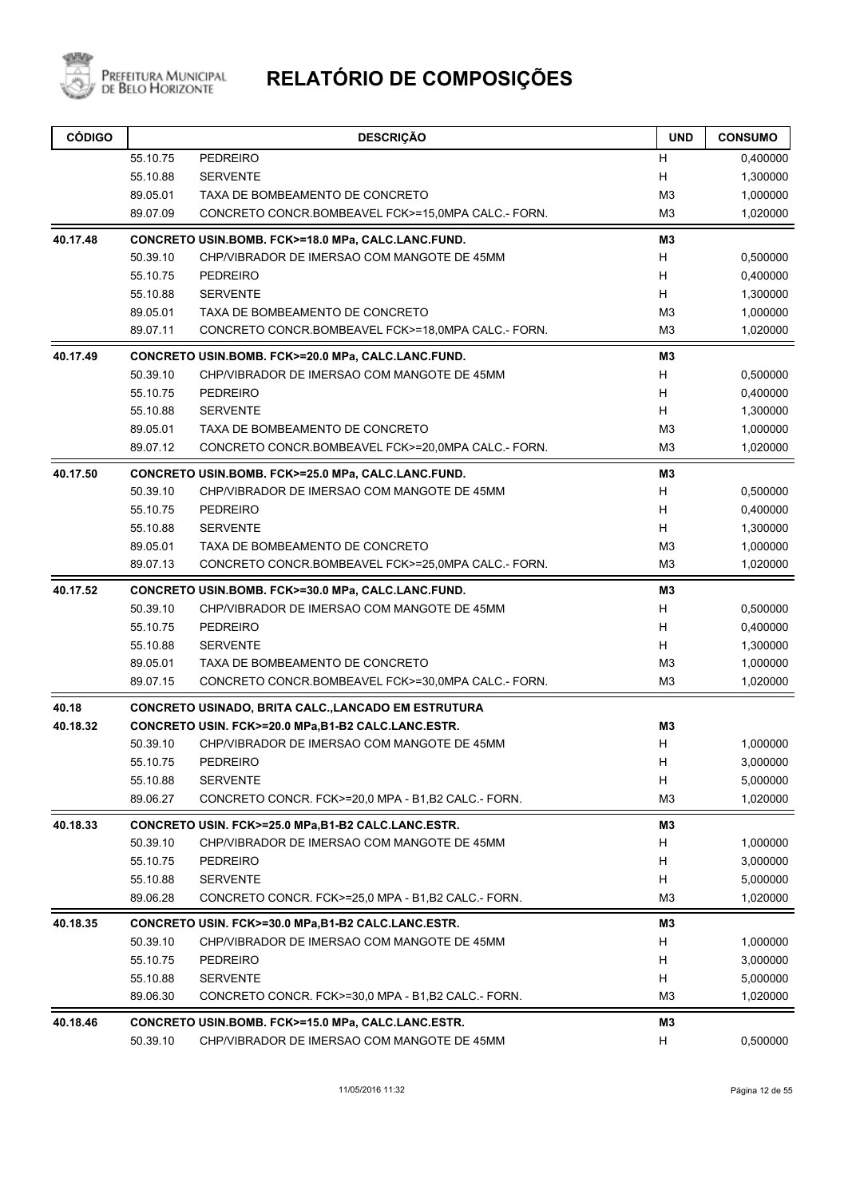

| <b>CÓDIGO</b> |                      | <b>DESCRIÇÃO</b>                                                       | <b>UND</b>          | <b>CONSUMO</b>       |
|---------------|----------------------|------------------------------------------------------------------------|---------------------|----------------------|
|               | 55.10.75             | PEDREIRO                                                               | н                   | 0,400000             |
|               | 55.10.88             | <b>SERVENTE</b>                                                        | н                   | 1,300000             |
|               | 89.05.01             | TAXA DE BOMBEAMENTO DE CONCRETO                                        | M <sub>3</sub>      | 1,000000             |
|               | 89.07.09             | CONCRETO CONCR.BOMBEAVEL FCK>=15,0MPA CALC.- FORN.                     | M <sub>3</sub>      | 1,020000             |
| 40.17.48      |                      | CONCRETO USIN.BOMB. FCK>=18.0 MPa, CALC.LANC.FUND.                     | MЗ                  |                      |
|               | 50.39.10             | CHP/VIBRADOR DE IMERSAO COM MANGOTE DE 45MM                            | H                   | 0,500000             |
|               | 55.10.75             | <b>PEDREIRO</b>                                                        | н                   | 0,400000             |
|               | 55.10.88             | <b>SERVENTE</b>                                                        | Н                   | 1,300000             |
|               | 89.05.01             | TAXA DE BOMBEAMENTO DE CONCRETO                                        | M3                  | 1,000000             |
|               | 89.07.11             | CONCRETO CONCR.BOMBEAVEL FCK>=18,0MPA CALC.- FORN.                     | M3                  | 1,020000             |
| 40.17.49      |                      | CONCRETO USIN.BOMB. FCK>=20.0 MPa, CALC.LANC.FUND.                     | MЗ                  |                      |
|               | 50.39.10             | CHP/VIBRADOR DE IMERSAO COM MANGOTE DE 45MM                            | н                   | 0,500000             |
|               | 55.10.75             | <b>PEDREIRO</b>                                                        | н                   | 0,400000             |
|               | 55.10.88             | <b>SERVENTE</b>                                                        | н                   | 1,300000             |
|               | 89.05.01             | TAXA DE BOMBEAMENTO DE CONCRETO                                        | M3                  | 1,000000             |
|               | 89.07.12             | CONCRETO CONCR.BOMBEAVEL FCK>=20,0MPA CALC.- FORN.                     | M3                  | 1,020000             |
| 40.17.50      |                      | CONCRETO USIN.BOMB. FCK>=25.0 MPa, CALC.LANC.FUND.                     | MЗ                  |                      |
|               | 50.39.10             | CHP/VIBRADOR DE IMERSAO COM MANGOTE DE 45MM                            | H                   | 0,500000             |
|               | 55.10.75             | <b>PEDREIRO</b>                                                        | н                   | 0,400000             |
|               | 55.10.88             | <b>SERVENTE</b>                                                        | н                   | 1,300000             |
|               | 89.05.01             | TAXA DE BOMBEAMENTO DE CONCRETO                                        | M3                  | 1,000000             |
|               | 89.07.13             | CONCRETO CONCR.BOMBEAVEL FCK>=25,0MPA CALC.- FORN.                     | MЗ                  | 1,020000             |
| 40.17.52      |                      | CONCRETO USIN.BOMB. FCK>=30.0 MPa, CALC.LANC.FUND.                     | MЗ                  |                      |
|               | 50.39.10             | CHP/VIBRADOR DE IMERSAO COM MANGOTE DE 45MM                            | H                   | 0,500000             |
|               | 55.10.75             | <b>PEDREIRO</b>                                                        | H                   | 0,400000             |
|               | 55.10.88             | <b>SERVENTE</b>                                                        | H                   | 1,300000             |
|               | 89.05.01             | TAXA DE BOMBEAMENTO DE CONCRETO                                        | M <sub>3</sub>      | 1,000000             |
|               | 89.07.15             | CONCRETO CONCR.BOMBEAVEL FCK>=30,0MPA CALC.- FORN.                     | MЗ                  | 1,020000             |
| 40.18         |                      | <b>CONCRETO USINADO, BRITA CALC., LANCADO EM ESTRUTURA</b>             |                     |                      |
| 40.18.32      |                      | CONCRETO USIN. FCK>=20.0 MPa,B1-B2 CALC.LANC.ESTR.                     | M3                  |                      |
|               | 50.39.10             | CHP/VIBRADOR DE IMERSAO COM MANGOTE DE 45MM                            | Н                   | 1,000000             |
|               | 55.10.75             | PEDREIRO                                                               | н                   | 3,000000             |
|               | 55.10.88             | <b>SERVENTE</b>                                                        | н<br>M <sub>3</sub> | 5,000000             |
|               | 89.06.27             | CONCRETO CONCR. FCK>=20,0 MPA - B1,B2 CALC - FORN.                     |                     | 1,020000             |
| 40.18.33      |                      | CONCRETO USIN. FCK>=25.0 MPa,B1-B2 CALC.LANC.ESTR.                     | MЗ                  |                      |
|               | 50.39.10             | CHP/VIBRADOR DE IMERSAO COM MANGOTE DE 45MM                            | H                   | 1,000000             |
|               | 55.10.75             | <b>PEDREIRO</b>                                                        | H                   | 3,000000             |
|               | 55.10.88<br>89.06.28 | <b>SERVENTE</b><br>CONCRETO CONCR. FCK>=25.0 MPA - B1, B2 CALC - FORN. | H<br>M <sub>3</sub> | 5,000000<br>1,020000 |
| 40.18.35      |                      | CONCRETO USIN. FCK>=30.0 MPa,B1-B2 CALC.LANC.ESTR.                     | M3                  |                      |
|               | 50.39.10             | CHP/VIBRADOR DE IMERSAO COM MANGOTE DE 45MM                            | H                   | 1,000000             |
|               | 55.10.75             | <b>PEDREIRO</b>                                                        | H                   | 3,000000             |
|               | 55.10.88             | <b>SERVENTE</b>                                                        | H                   | 5,000000             |
|               | 89.06.30             | CONCRETO CONCR. FCK>=30,0 MPA - B1,B2 CALC - FORN.                     | M <sub>3</sub>      | 1,020000             |
| 40.18.46      |                      | CONCRETO USIN.BOMB. FCK>=15.0 MPa, CALC.LANC.ESTR.                     | M3                  |                      |
|               | 50.39.10             | CHP/VIBRADOR DE IMERSAO COM MANGOTE DE 45MM                            | н                   | 0,500000             |
|               |                      |                                                                        |                     |                      |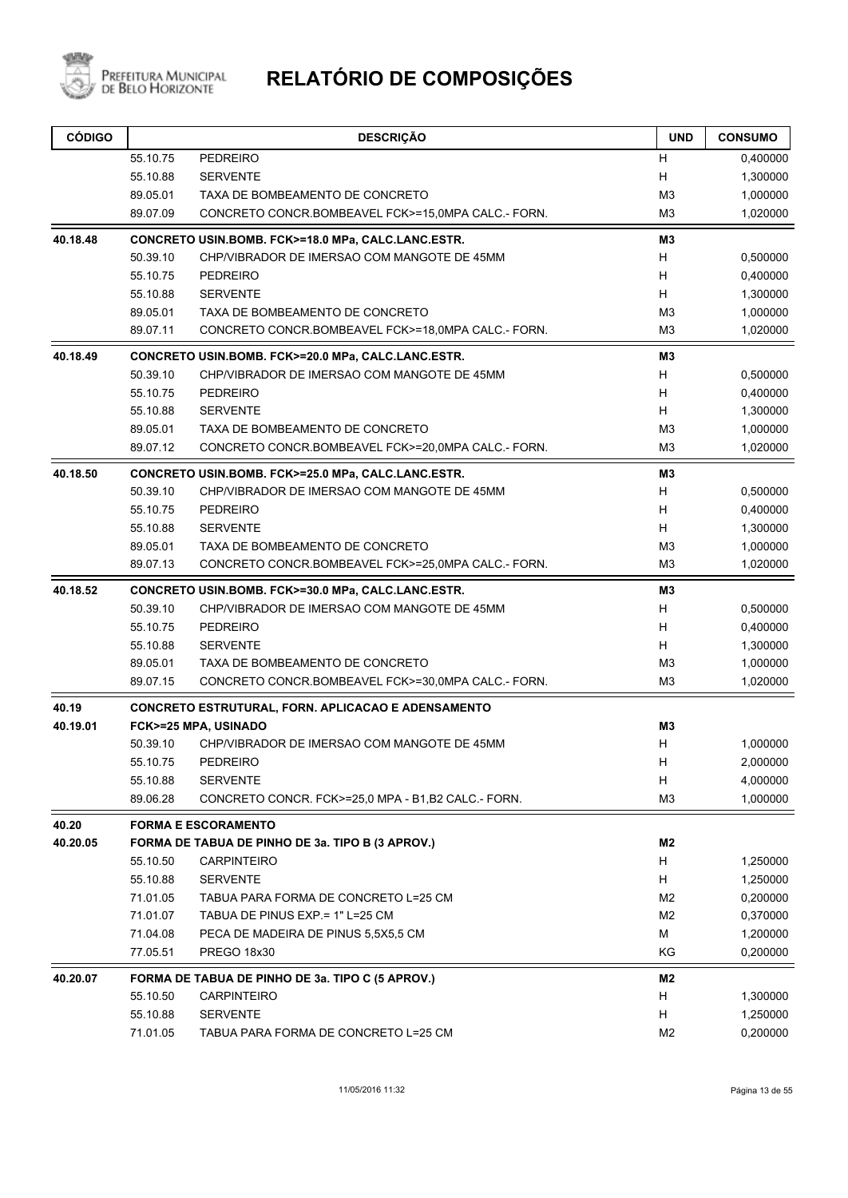

| <b>CÓDIGO</b> |          | <b>DESCRIÇÃO</b>                                   | <b>UND</b>     | <b>CONSUMO</b> |
|---------------|----------|----------------------------------------------------|----------------|----------------|
|               | 55.10.75 | <b>PEDREIRO</b>                                    | н              | 0,400000       |
|               | 55.10.88 | <b>SERVENTE</b>                                    | Н              | 1,300000       |
|               | 89.05.01 | TAXA DE BOMBEAMENTO DE CONCRETO                    | M <sub>3</sub> | 1,000000       |
|               | 89.07.09 | CONCRETO CONCR.BOMBEAVEL FCK>=15,0MPA CALC.- FORN. | M <sub>3</sub> | 1,020000       |
| 40.18.48      |          | CONCRETO USIN.BOMB. FCK>=18.0 MPa, CALC.LANC.ESTR. | M3             |                |
|               | 50.39.10 | CHP/VIBRADOR DE IMERSAO COM MANGOTE DE 45MM        | H              | 0,500000       |
|               | 55.10.75 | <b>PEDREIRO</b>                                    | H              | 0,400000       |
|               | 55.10.88 | <b>SERVENTE</b>                                    | H              | 1,300000       |
|               | 89.05.01 | TAXA DE BOMBEAMENTO DE CONCRETO                    | M <sub>3</sub> | 1,000000       |
|               | 89.07.11 | CONCRETO CONCR.BOMBEAVEL FCK>=18,0MPA CALC.- FORN. | M <sub>3</sub> | 1,020000       |
| 40.18.49      |          | CONCRETO USIN.BOMB. FCK>=20.0 MPa, CALC.LANC.ESTR. | M3             |                |
|               | 50.39.10 | CHP/VIBRADOR DE IMERSAO COM MANGOTE DE 45MM        | H              | 0,500000       |
|               | 55.10.75 | <b>PEDREIRO</b>                                    | H              | 0,400000       |
|               | 55.10.88 | <b>SERVENTE</b>                                    | H              | 1,300000       |
|               | 89.05.01 | TAXA DE BOMBEAMENTO DE CONCRETO                    | M <sub>3</sub> | 1,000000       |
|               | 89.07.12 | CONCRETO CONCR.BOMBEAVEL FCK>=20,0MPA CALC.- FORN. | M <sub>3</sub> | 1,020000       |
| 40.18.50      |          | CONCRETO USIN.BOMB. FCK>=25.0 MPa, CALC.LANC.ESTR. | M3             |                |
|               | 50.39.10 | CHP/VIBRADOR DE IMERSAO COM MANGOTE DE 45MM        | H              | 0,500000       |
|               | 55.10.75 | <b>PEDREIRO</b>                                    | H              | 0,400000       |
|               | 55.10.88 | <b>SERVENTE</b>                                    | H              | 1,300000       |
|               | 89.05.01 | TAXA DE BOMBEAMENTO DE CONCRETO                    | M <sub>3</sub> | 1,000000       |
|               | 89.07.13 | CONCRETO CONCR.BOMBEAVEL FCK>=25,0MPA CALC.- FORN. | M <sub>3</sub> | 1,020000       |
| 40.18.52      |          | CONCRETO USIN.BOMB. FCK>=30.0 MPa, CALC.LANC.ESTR. | M3             |                |
|               | 50.39.10 | CHP/VIBRADOR DE IMERSAO COM MANGOTE DE 45MM        | H              | 0,500000       |
|               | 55.10.75 | <b>PEDREIRO</b>                                    | H              | 0,400000       |
|               | 55.10.88 | <b>SERVENTE</b>                                    | H              | 1,300000       |
|               | 89.05.01 | TAXA DE BOMBEAMENTO DE CONCRETO                    | M <sub>3</sub> | 1,000000       |
|               | 89.07.15 | CONCRETO CONCR.BOMBEAVEL FCK>=30,0MPA CALC.- FORN. | M <sub>3</sub> | 1,020000       |
| 40.19         |          | CONCRETO ESTRUTURAL, FORN. APLICACAO E ADENSAMENTO |                |                |
| 40.19.01      |          | FCK>=25 MPA, USINADO                               | M3             |                |
|               | 50.39.10 | CHP/VIBRADOR DE IMERSAO COM MANGOTE DE 45MM        | H              | 1,000000       |
|               | 55.10.75 | PEDREIRO                                           | H              | 2,000000       |
|               | 55.10.88 | <b>SERVENTE</b>                                    | H              | 4,000000       |
|               | 89.06.28 | CONCRETO CONCR. FCK>=25,0 MPA - B1,B2 CALC - FORN. | M <sub>3</sub> | 1,000000       |
| 40.20         |          | <b>FORMA E ESCORAMENTO</b>                         |                |                |
| 40.20.05      |          | FORMA DE TABUA DE PINHO DE 3a. TIPO B (3 APROV.)   | M2             |                |
|               | 55.10.50 | <b>CARPINTEIRO</b>                                 | H              | 1,250000       |
|               | 55.10.88 | <b>SERVENTE</b>                                    | H              | 1,250000       |
|               | 71.01.05 | TABUA PARA FORMA DE CONCRETO L=25 CM               | M <sub>2</sub> | 0,200000       |
|               | 71.01.07 | TABUA DE PINUS EXP = 1" L=25 CM                    | M <sub>2</sub> | 0,370000       |
|               | 71.04.08 | PECA DE MADEIRA DE PINUS 5,5X5,5 CM                | M              | 1,200000       |
|               | 77.05.51 | PREGO 18x30                                        | KG             | 0,200000       |
| 40.20.07      |          | FORMA DE TABUA DE PINHO DE 3a. TIPO C (5 APROV.)   | M2             |                |
|               | 55.10.50 | <b>CARPINTEIRO</b>                                 | H              | 1,300000       |
|               | 55.10.88 | <b>SERVENTE</b>                                    | H              | 1,250000       |
|               | 71.01.05 | TABUA PARA FORMA DE CONCRETO L=25 CM               | M <sub>2</sub> | 0,200000       |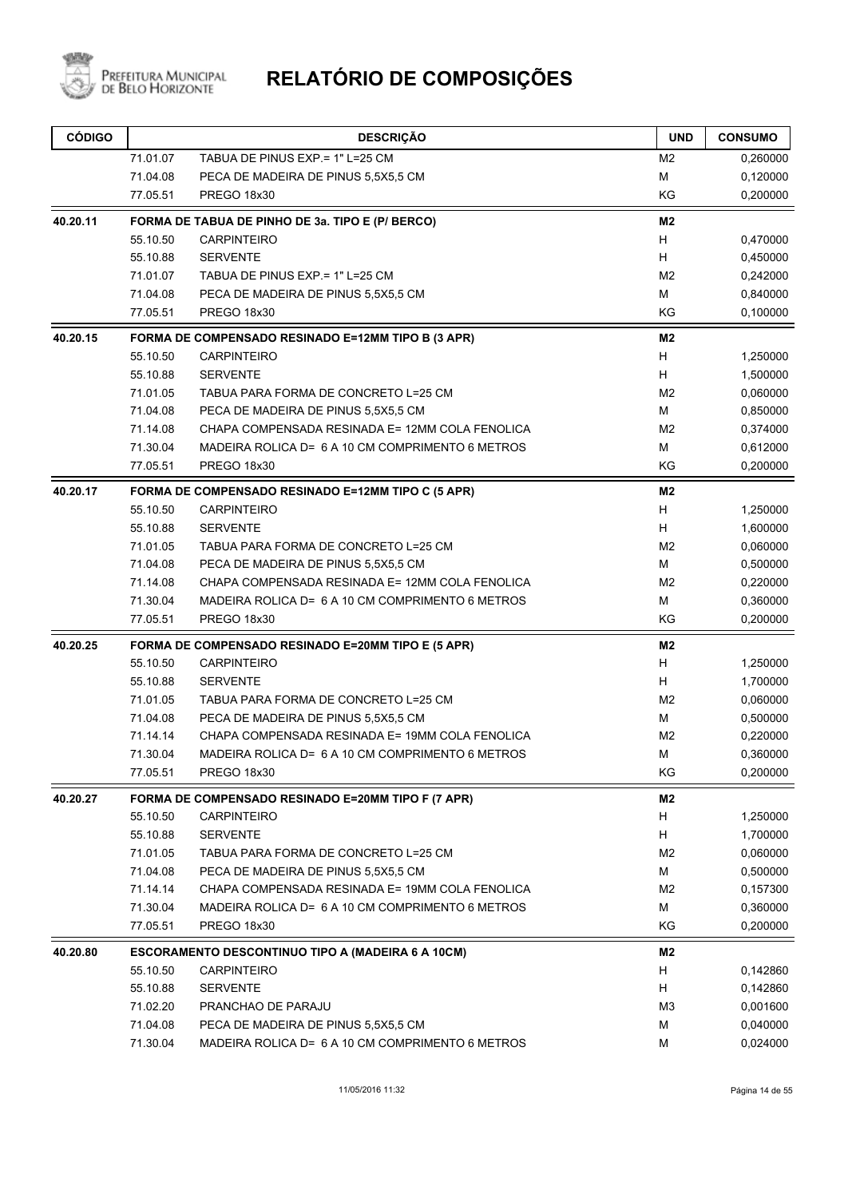

| <b>CÓDIGO</b> |          | <b>DESCRIÇÃO</b>                                         | <b>UND</b>     | <b>CONSUMO</b> |
|---------------|----------|----------------------------------------------------------|----------------|----------------|
|               | 71.01.07 | TABUA DE PINUS EXP. = 1" L=25 CM                         | M <sub>2</sub> | 0,260000       |
|               | 71.04.08 | PECA DE MADEIRA DE PINUS 5,5X5,5 CM                      | м              | 0,120000       |
|               | 77.05.51 | <b>PREGO 18x30</b>                                       | KG             | 0,200000       |
| 40.20.11      |          | FORMA DE TABUA DE PINHO DE 3a. TIPO E (P/ BERCO)         | M2             |                |
|               | 55.10.50 | <b>CARPINTEIRO</b>                                       | H              | 0,470000       |
|               | 55.10.88 | <b>SERVENTE</b>                                          | H              | 0,450000       |
|               | 71.01.07 | TABUA DE PINUS EXP = 1" L=25 CM                          | M <sub>2</sub> | 0,242000       |
|               | 71.04.08 | PECA DE MADEIRA DE PINUS 5,5X5,5 CM                      | М              | 0,840000       |
|               | 77.05.51 | PREGO 18x30                                              | KG             | 0,100000       |
| 40.20.15      |          | FORMA DE COMPENSADO RESINADO E=12MM TIPO B (3 APR)       | M <sub>2</sub> |                |
|               | 55.10.50 | <b>CARPINTEIRO</b>                                       | H              | 1,250000       |
|               | 55.10.88 | <b>SERVENTE</b>                                          | H              | 1,500000       |
|               | 71.01.05 | TABUA PARA FORMA DE CONCRETO L=25 CM                     | M <sub>2</sub> | 0,060000       |
|               | 71.04.08 | PECA DE MADEIRA DE PINUS 5,5X5,5 CM                      | M              | 0,850000       |
|               | 71.14.08 | CHAPA COMPENSADA RESINADA E= 12MM COLA FENOLICA          | M <sub>2</sub> | 0,374000       |
|               | 71.30.04 | MADEIRA ROLICA D= 6 A 10 CM COMPRIMENTO 6 METROS         | М              | 0,612000       |
|               | 77.05.51 | PREGO 18x30                                              | KG             | 0,200000       |
| 40.20.17      |          | FORMA DE COMPENSADO RESINADO E=12MM TIPO C (5 APR)       | M <sub>2</sub> |                |
|               | 55.10.50 | <b>CARPINTEIRO</b>                                       | H              | 1,250000       |
|               | 55.10.88 | <b>SERVENTE</b>                                          | H              | 1,600000       |
|               | 71.01.05 | TABUA PARA FORMA DE CONCRETO L=25 CM                     | M <sub>2</sub> | 0,060000       |
|               | 71.04.08 | PECA DE MADEIRA DE PINUS 5,5X5,5 CM                      | M              | 0,500000       |
|               | 71.14.08 | CHAPA COMPENSADA RESINADA E= 12MM COLA FENOLICA          | M <sub>2</sub> | 0,220000       |
|               | 71.30.04 | MADEIRA ROLICA D= 6 A 10 CM COMPRIMENTO 6 METROS         | М              | 0,360000       |
|               | 77.05.51 | PREGO 18x30                                              | KG             | 0,200000       |
| 40.20.25      |          | FORMA DE COMPENSADO RESINADO E=20MM TIPO E (5 APR)       | M <sub>2</sub> |                |
|               | 55.10.50 | <b>CARPINTEIRO</b>                                       | H              | 1,250000       |
|               | 55.10.88 | <b>SERVENTE</b>                                          | H              | 1,700000       |
|               | 71.01.05 | TABUA PARA FORMA DE CONCRETO L=25 CM                     | M <sub>2</sub> | 0,060000       |
|               | 71.04.08 | PECA DE MADEIRA DE PINUS 5,5X5,5 CM                      | м              | 0,500000       |
|               | 71.14.14 | CHAPA COMPENSADA RESINADA E= 19MM COLA FENOLICA          | M <sub>2</sub> | 0,220000       |
|               | 71.30.04 | MADEIRA ROLICA D= 6 A 10 CM COMPRIMENTO 6 METROS         | М              | 0,360000       |
|               | 77.05.51 | PREGO 18x30                                              | KG             | 0,200000       |
| 40.20.27      |          | FORMA DE COMPENSADO RESINADO E=20MM TIPO F (7 APR)       | M <sub>2</sub> |                |
|               | 55.10.50 | <b>CARPINTEIRO</b>                                       | H              | 1,250000       |
|               | 55.10.88 | <b>SERVENTE</b>                                          | H              | 1,700000       |
|               | 71.01.05 | TABUA PARA FORMA DE CONCRETO L=25 CM                     | M <sub>2</sub> | 0,060000       |
|               | 71.04.08 | PECA DE MADEIRA DE PINUS 5,5X5,5 CM                      | М              | 0,500000       |
|               | 71.14.14 | CHAPA COMPENSADA RESINADA E= 19MM COLA FENOLICA          | M <sub>2</sub> | 0,157300       |
|               | 71.30.04 | MADEIRA ROLICA D= 6 A 10 CM COMPRIMENTO 6 METROS         | М              | 0,360000       |
|               | 77.05.51 | PREGO 18x30                                              | KG             | 0,200000       |
| 40.20.80      |          | <b>ESCORAMENTO DESCONTINUO TIPO A (MADEIRA 6 A 10CM)</b> | M <sub>2</sub> |                |
|               | 55.10.50 | <b>CARPINTEIRO</b>                                       | н              | 0,142860       |
|               | 55.10.88 | <b>SERVENTE</b>                                          | н              | 0,142860       |
|               | 71.02.20 | PRANCHAO DE PARAJU                                       | M <sub>3</sub> | 0,001600       |
|               | 71.04.08 | PECA DE MADEIRA DE PINUS 5,5X5,5 CM                      | M              | 0,040000       |
|               | 71.30.04 | MADEIRA ROLICA D= 6 A 10 CM COMPRIMENTO 6 METROS         | М              | 0,024000       |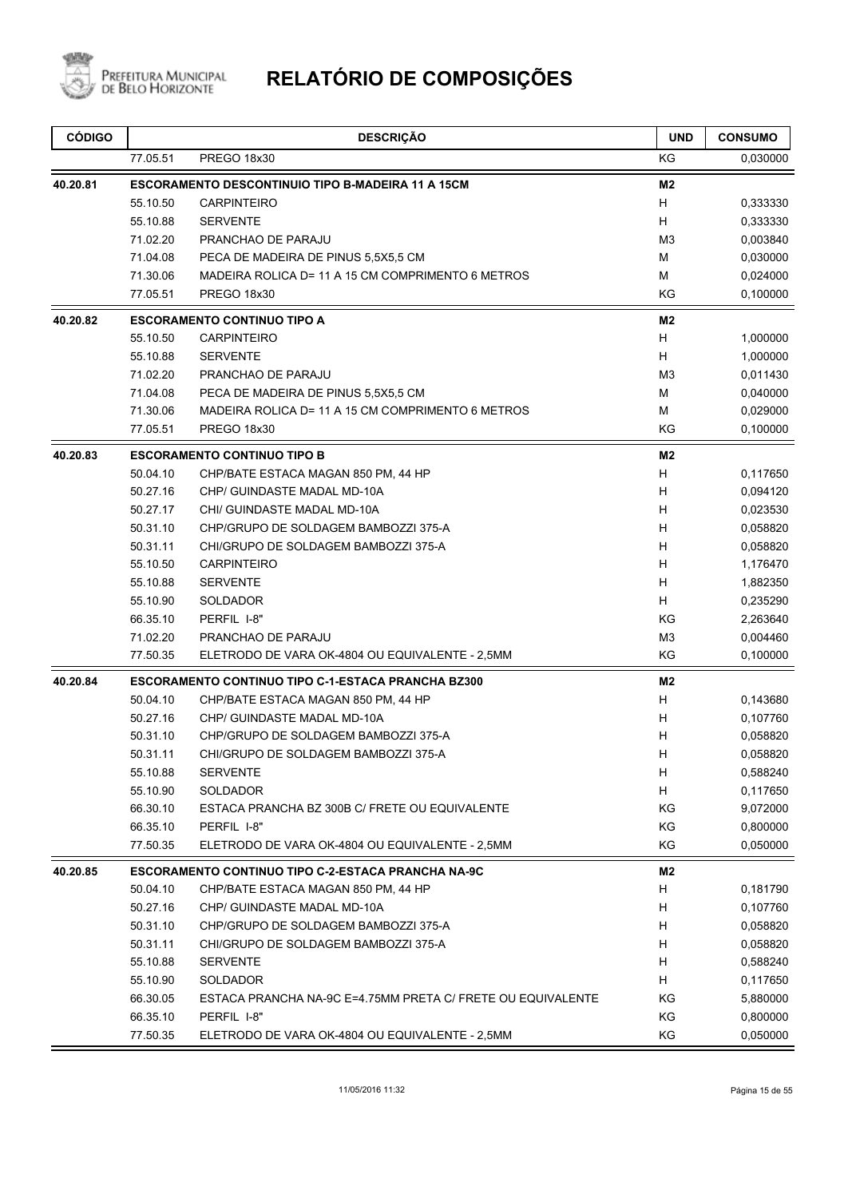

| <b>CÓDIGO</b> |          | <b>DESCRIÇÃO</b>                                            | <b>UND</b>     | <b>CONSUMO</b> |
|---------------|----------|-------------------------------------------------------------|----------------|----------------|
|               | 77.05.51 | <b>PREGO 18x30</b>                                          | KG             | 0,030000       |
| 40.20.81      |          | <b>ESCORAMENTO DESCONTINUIO TIPO B-MADEIRA 11 A 15CM</b>    | M <sub>2</sub> |                |
|               | 55.10.50 | <b>CARPINTEIRO</b>                                          | H              | 0,333330       |
|               | 55.10.88 | <b>SERVENTE</b>                                             | H              | 0,333330       |
|               | 71.02.20 | PRANCHAO DE PARAJU                                          | M <sub>3</sub> | 0,003840       |
|               | 71.04.08 | PECA DE MADEIRA DE PINUS 5,5X5,5 CM                         | м              | 0,030000       |
|               | 71.30.06 | MADEIRA ROLICA D= 11 A 15 CM COMPRIMENTO 6 METROS           | M              | 0,024000       |
|               | 77.05.51 | PREGO 18x30                                                 | ΚG             | 0,100000       |
| 40.20.82      |          | <b>ESCORAMENTO CONTINUO TIPO A</b>                          | M <sub>2</sub> |                |
|               | 55.10.50 | <b>CARPINTEIRO</b>                                          | H              | 1,000000       |
|               | 55.10.88 | <b>SERVENTE</b>                                             | H              | 1,000000       |
|               | 71.02.20 | PRANCHAO DE PARAJU                                          | M <sub>3</sub> | 0,011430       |
|               | 71.04.08 | PECA DE MADEIRA DE PINUS 5,5X5,5 CM                         | м              | 0,040000       |
|               | 71.30.06 | MADEIRA ROLICA D= 11 A 15 CM COMPRIMENTO 6 METROS           | М              | 0,029000       |
|               | 77.05.51 | PREGO 18x30                                                 | KG             | 0,100000       |
| 40.20.83      |          | <b>ESCORAMENTO CONTINUO TIPO B</b>                          | M <sub>2</sub> |                |
|               | 50.04.10 | CHP/BATE ESTACA MAGAN 850 PM, 44 HP                         | H              | 0,117650       |
|               | 50.27.16 | CHP/ GUINDASTE MADAL MD-10A                                 | H              | 0,094120       |
|               | 50.27.17 | CHI/ GUINDASTE MADAL MD-10A                                 | H              | 0,023530       |
|               | 50.31.10 | CHP/GRUPO DE SOLDAGEM BAMBOZZI 375-A                        | H              | 0,058820       |
|               | 50.31.11 | CHI/GRUPO DE SOLDAGEM BAMBOZZI 375-A                        | H              | 0,058820       |
|               | 55.10.50 | <b>CARPINTEIRO</b>                                          | н              | 1,176470       |
|               | 55.10.88 | <b>SERVENTE</b>                                             | H              | 1,882350       |
|               | 55.10.90 | <b>SOLDADOR</b>                                             | H              | 0,235290       |
|               | 66.35.10 | PERFIL I-8"                                                 | KG             | 2,263640       |
|               | 71.02.20 | PRANCHAO DE PARAJU                                          | M <sub>3</sub> | 0,004460       |
|               | 77.50.35 | ELETRODO DE VARA OK-4804 OU EQUIVALENTE - 2,5MM             | KG             | 0,100000       |
| 40.20.84      |          | ESCORAMENTO CONTINUO TIPO C-1-ESTACA PRANCHA BZ300          | M <sub>2</sub> |                |
|               | 50.04.10 | CHP/BATE ESTACA MAGAN 850 PM, 44 HP                         | H              | 0,143680       |
|               | 50.27.16 | CHP/ GUINDASTE MADAL MD-10A                                 | H              | 0,107760       |
|               | 50.31.10 | CHP/GRUPO DE SOLDAGEM BAMBOZZI 375-A                        | н              | 0,058820       |
|               | 50.31.11 | CHI/GRUPO DE SOLDAGEM BAMBOZZI 375-A                        | Н              | 0,058820       |
|               | 55.10.88 | <b>SERVENTE</b>                                             | H              | 0,588240       |
|               | 55.10.90 | SOLDADOR                                                    | Н              | 0,117650       |
|               | 66.30.10 | ESTACA PRANCHA BZ 300B C/ FRETE OU EQUIVALENTE              | ΚG             | 9,072000       |
|               | 66.35.10 | PERFIL I-8"                                                 | KG             | 0,800000       |
|               | 77.50.35 | ELETRODO DE VARA OK-4804 OU EQUIVALENTE - 2,5MM             | ΚG             | 0,050000       |
| 40.20.85      |          | <b>ESCORAMENTO CONTINUO TIPO C-2-ESTACA PRANCHA NA-9C</b>   | M2             |                |
|               | 50.04.10 | CHP/BATE ESTACA MAGAN 850 PM, 44 HP                         | Н              | 0,181790       |
|               | 50.27.16 | CHP/ GUINDASTE MADAL MD-10A                                 | H              | 0,107760       |
|               | 50.31.10 | CHP/GRUPO DE SOLDAGEM BAMBOZZI 375-A                        | H              | 0,058820       |
|               | 50.31.11 | CHI/GRUPO DE SOLDAGEM BAMBOZZI 375-A                        | H              | 0,058820       |
|               | 55.10.88 | <b>SERVENTE</b>                                             | H              | 0,588240       |
|               | 55.10.90 | SOLDADOR                                                    | H              | 0,117650       |
|               | 66.30.05 | ESTACA PRANCHA NA-9C E=4.75MM PRETA C/ FRETE OU EQUIVALENTE | ΚG             | 5,880000       |
|               | 66.35.10 | PERFIL I-8"                                                 | ΚG             | 0,800000       |
|               | 77.50.35 | ELETRODO DE VARA OK-4804 OU EQUIVALENTE - 2,5MM             | KG             | 0,050000       |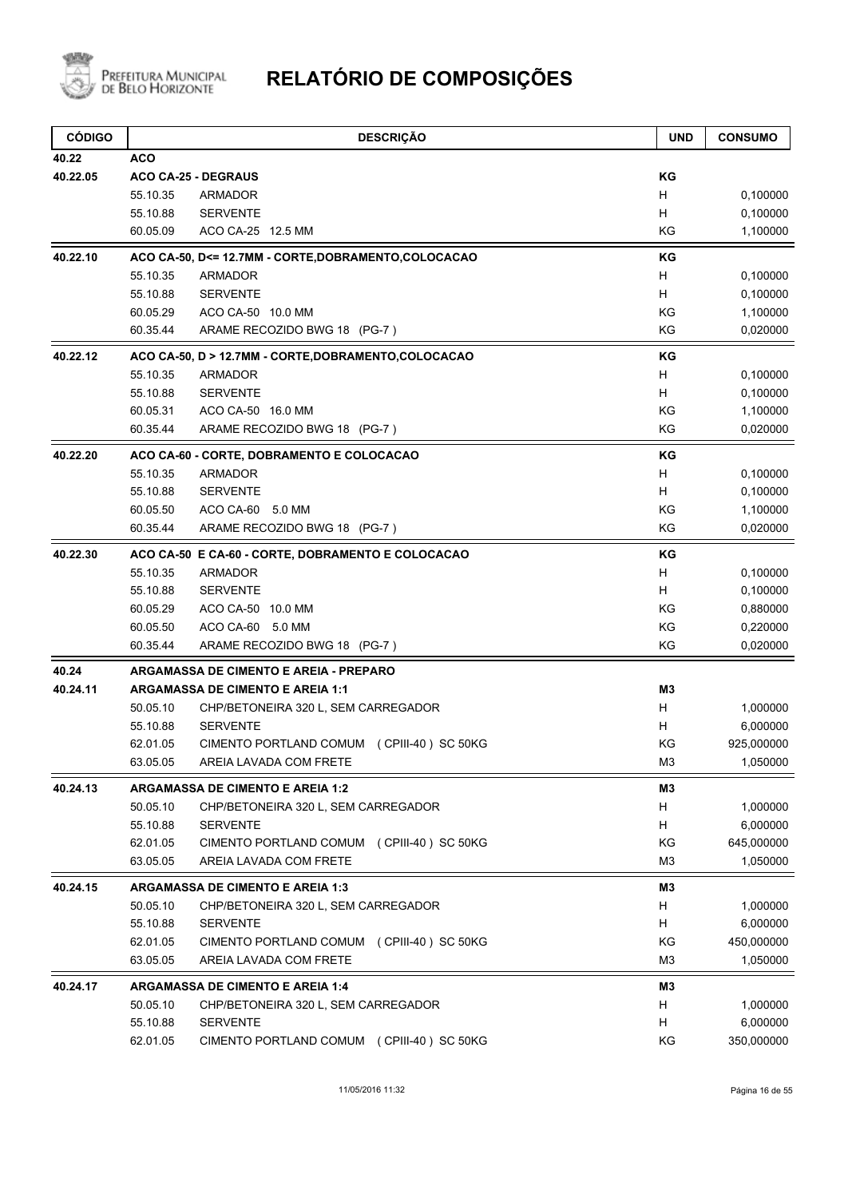

| <b>CÓDIGO</b> | <b>DESCRIÇÃO</b>                                      | <b>UND</b>     | <b>CONSUMO</b> |
|---------------|-------------------------------------------------------|----------------|----------------|
| 40.22         | <b>ACO</b>                                            |                |                |
| 40.22.05      | <b>ACO CA-25 - DEGRAUS</b>                            | ΚG             |                |
|               | 55.10.35<br>ARMADOR                                   | H              | 0,100000       |
|               | 55.10.88<br><b>SERVENTE</b>                           | н              | 0,100000       |
|               | 60.05.09<br>ACO CA-25 12.5 MM                         | KG             | 1,100000       |
| 40.22.10      | ACO CA-50, D<= 12.7MM - CORTE, DOBRAMENTO, COLOCACAO  | KG             |                |
|               | 55.10.35<br>ARMADOR                                   | H              | 0,100000       |
|               | 55.10.88<br><b>SERVENTE</b>                           | H              | 0,100000       |
|               | 60.05.29<br>ACO CA-50 10.0 MM                         | KG             | 1,100000       |
|               | 60.35.44<br>ARAME RECOZIDO BWG 18 (PG-7)              | KG             | 0,020000       |
| 40.22.12      | ACO CA-50, D > 12.7MM - CORTE, DOBRAMENTO, COLOCACAO  | ΚG             |                |
|               | 55.10.35<br>ARMADOR                                   | H              | 0,100000       |
|               | 55.10.88<br><b>SERVENTE</b>                           | H              | 0,100000       |
|               | 60.05.31<br>ACO CA-50 16.0 MM                         | KG             | 1,100000       |
|               | 60.35.44<br>ARAME RECOZIDO BWG 18 (PG-7)              | KG             | 0,020000       |
| 40.22.20      | ACO CA-60 - CORTE, DOBRAMENTO E COLOCACAO             | KG             |                |
|               | 55.10.35<br><b>ARMADOR</b>                            | H              | 0,100000       |
|               | 55.10.88<br><b>SERVENTE</b>                           | H              | 0,100000       |
|               | 60.05.50<br>ACO CA-60 5.0 MM                          | KG             | 1,100000       |
|               | ARAME RECOZIDO BWG 18 (PG-7)<br>60.35.44              | KG             | 0,020000       |
| 40.22.30      | ACO CA-50 E CA-60 - CORTE, DOBRAMENTO E COLOCACAO     | ΚG             |                |
|               | 55.10.35<br><b>ARMADOR</b>                            | H              | 0,100000       |
|               | 55.10.88<br><b>SERVENTE</b>                           | H              | 0,100000       |
|               | 60.05.29<br>ACO CA-50 10.0 MM                         | KG             | 0,880000       |
|               | 60.05.50<br>ACO CA-60 5.0 MM                          | KG             | 0,220000       |
|               | 60.35.44<br>ARAME RECOZIDO BWG 18 (PG-7)              | KG             | 0,020000       |
| 40.24         | <b>ARGAMASSA DE CIMENTO E AREIA - PREPARO</b>         |                |                |
| 40.24.11      | <b>ARGAMASSA DE CIMENTO E AREIA 1:1</b>               | M3             |                |
|               | 50.05.10<br>CHP/BETONEIRA 320 L, SEM CARREGADOR       | H              | 1,000000       |
|               | <b>SERVENTE</b><br>55.10.88                           | H              | 6,000000       |
|               | CIMENTO PORTLAND COMUM (CPIII-40) SC 50KG<br>62.01.05 | ΚG             | 925,000000     |
|               | 63.05.05<br>AREIA LAVADA COM FRETE                    | M <sub>3</sub> | 1,050000       |
| 40.24.13      | <b>ARGAMASSA DE CIMENTO E AREIA 1:2</b>               | M3             |                |
|               | 50.05.10<br>CHP/BETONEIRA 320 L, SEM CARREGADOR       | H              | 1,000000       |
|               | 55.10.88<br><b>SERVENTE</b>                           | H              | 6,000000       |
|               | 62.01.05<br>CIMENTO PORTLAND COMUM (CPIII-40) SC 50KG | ΚG             | 645,000000     |
|               | 63.05.05<br>AREIA LAVADA COM FRETE                    | M <sub>3</sub> | 1,050000       |
| 40.24.15      | <b>ARGAMASSA DE CIMENTO E AREIA 1:3</b>               | M3             |                |
|               | 50.05.10<br>CHP/BETONEIRA 320 L, SEM CARREGADOR       | H              | 1,000000       |
|               | <b>SERVENTE</b><br>55.10.88                           | H              | 6,000000       |
|               | 62.01.05<br>CIMENTO PORTLAND COMUM (CPIII-40) SC 50KG | KG             | 450,000000     |
|               | AREIA LAVADA COM FRETE<br>63.05.05                    | M <sub>3</sub> | 1,050000       |
| 40.24.17      | <b>ARGAMASSA DE CIMENTO E AREIA 1:4</b>               | M3             |                |
|               | 50.05.10<br>CHP/BETONEIRA 320 L, SEM CARREGADOR       | H              | 1,000000       |
|               | 55.10.88<br><b>SERVENTE</b>                           | H              | 6,000000       |
|               | 62.01.05<br>CIMENTO PORTLAND COMUM (CPIII-40) SC 50KG | KG             | 350,000000     |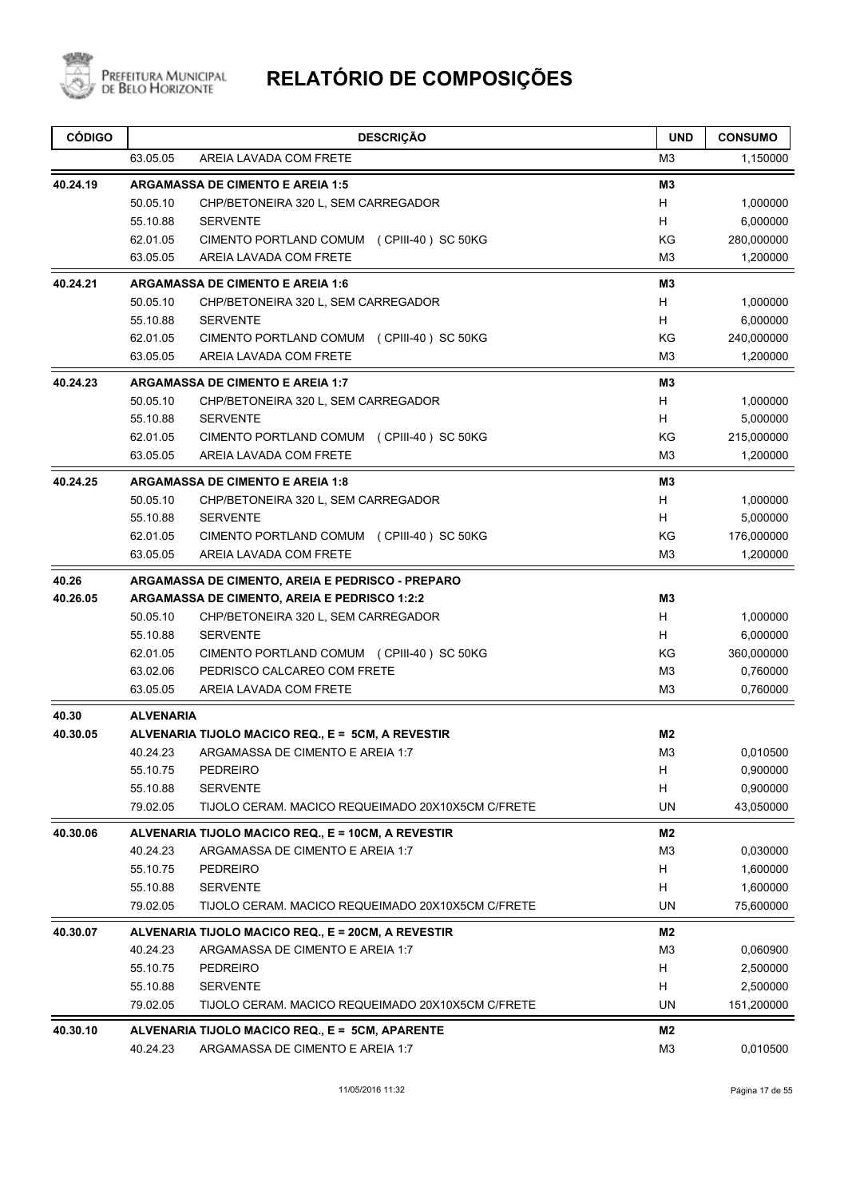

| <b>CÓDIGO</b> |                  | <b>DESCRIÇÃO</b>                                   | <b>UND</b>     | <b>CONSUMO</b> |
|---------------|------------------|----------------------------------------------------|----------------|----------------|
|               | 63.05.05         | AREIA LAVADA COM FRETE                             | M3             | 1,150000       |
| 40.24.19      |                  | <b>ARGAMASSA DE CIMENTO E AREIA 1:5</b>            | M3             |                |
|               | 50.05.10         | CHP/BETONEIRA 320 L, SEM CARREGADOR                | H              | 1,000000       |
|               | 55.10.88         | <b>SERVENTE</b>                                    | H              | 6,000000       |
|               | 62.01.05         | CIMENTO PORTLAND COMUM (CPIII-40) SC 50KG          | ΚG             | 280,000000     |
|               | 63.05.05         | AREIA LAVADA COM FRETE                             | M <sub>3</sub> | 1,200000       |
| 40.24.21      |                  | <b>ARGAMASSA DE CIMENTO E AREIA 1:6</b>            | M3             |                |
|               | 50.05.10         | CHP/BETONEIRA 320 L, SEM CARREGADOR                | H              | 1,000000       |
|               | 55.10.88         | <b>SERVENTE</b>                                    | H              | 6,000000       |
|               | 62.01.05         | CIMENTO PORTLAND COMUM (CPIII-40) SC 50KG          | KG             | 240,000000     |
|               | 63.05.05         | AREIA LAVADA COM FRETE                             | M3             | 1,200000       |
| 40.24.23      |                  | <b>ARGAMASSA DE CIMENTO E AREIA 1:7</b>            | M3             |                |
|               | 50.05.10         | CHP/BETONEIRA 320 L, SEM CARREGADOR                | H              | 1,000000       |
|               | 55.10.88         | <b>SERVENTE</b>                                    | H              | 5,000000       |
|               | 62.01.05         | CIMENTO PORTLAND COMUM (CPIII-40) SC 50KG          | ΚG             | 215,000000     |
|               | 63.05.05         | AREIA LAVADA COM FRETE                             | M3             | 1,200000       |
| 40.24.25      |                  | <b>ARGAMASSA DE CIMENTO E AREIA 1:8</b>            | M <sub>3</sub> |                |
|               | 50.05.10         | CHP/BETONEIRA 320 L, SEM CARREGADOR                | H              | 1,000000       |
|               | 55.10.88         | <b>SERVENTE</b>                                    | H              | 5,000000       |
|               | 62.01.05         | CIMENTO PORTLAND COMUM (CPIII-40) SC 50KG          | KG             | 176,000000     |
|               | 63.05.05         | AREIA LAVADA COM FRETE                             | M3             | 1,200000       |
| 40.26         |                  | ARGAMASSA DE CIMENTO, AREIA E PEDRISCO - PREPARO   |                |                |
| 40.26.05      |                  | ARGAMASSA DE CIMENTO, AREIA E PEDRISCO 1:2:2       | M <sub>3</sub> |                |
|               | 50.05.10         | CHP/BETONEIRA 320 L, SEM CARREGADOR                | H              | 1,000000       |
|               | 55.10.88         | <b>SERVENTE</b>                                    | H              | 6,000000       |
|               | 62.01.05         | CIMENTO PORTLAND COMUM (CPIII-40) SC 50KG          | ΚG             | 360,000000     |
|               | 63.02.06         | PEDRISCO CALCAREO COM FRETE                        | M3             | 0,760000       |
|               | 63.05.05         | AREIA LAVADA COM FRETE                             | M3             | 0,760000       |
| 40.30         | <b>ALVENARIA</b> |                                                    |                |                |
| 40.30.05      |                  | ALVENARIA TIJOLO MACICO REQ., E = 5CM, A REVESTIR  | M2             |                |
|               | 40.24.23         | ARGAMASSA DE CIMENTO E AREIA 1:7                   | M3             | 0,010500       |
|               | 55.10.75         | <b>PEDREIRO</b>                                    | H              | 0,900000       |
|               | 55.10.88         | <b>SERVENTE</b>                                    | Н              | 0,900000       |
|               | 79.02.05         | TIJOLO CERAM. MACICO REQUEIMADO 20X10X5CM C/FRETE  | <b>UN</b>      | 43,050000      |
| 40.30.06      |                  | ALVENARIA TIJOLO MACICO REQ., E = 10CM, A REVESTIR | M2             |                |
|               | 40.24.23         | ARGAMASSA DE CIMENTO E AREIA 1:7                   | M <sub>3</sub> | 0,030000       |
|               | 55.10.75         | <b>PEDREIRO</b>                                    | H              | 1,600000       |
|               | 55.10.88         | <b>SERVENTE</b>                                    | Н              | 1,600000       |
|               | 79.02.05         | TIJOLO CERAM. MACICO REQUEIMADO 20X10X5CM C/FRETE  | <b>UN</b>      | 75,600000      |
| 40.30.07      |                  | ALVENARIA TIJOLO MACICO REQ., E = 20CM, A REVESTIR | M2             |                |
|               | 40.24.23         | ARGAMASSA DE CIMENTO E AREIA 1:7                   | M3             | 0,060900       |
|               | 55.10.75         | <b>PEDREIRO</b>                                    | H              | 2,500000       |
|               | 55.10.88         | <b>SERVENTE</b>                                    | H              | 2,500000       |
|               | 79.02.05         | TIJOLO CERAM. MACICO REQUEIMADO 20X10X5CM C/FRETE  | UN             | 151,200000     |
| 40.30.10      |                  | ALVENARIA TIJOLO MACICO REQ., E = 5CM, APARENTE    | M2             |                |
|               | 40.24.23         | ARGAMASSA DE CIMENTO E AREIA 1:7                   | M <sub>3</sub> | 0,010500       |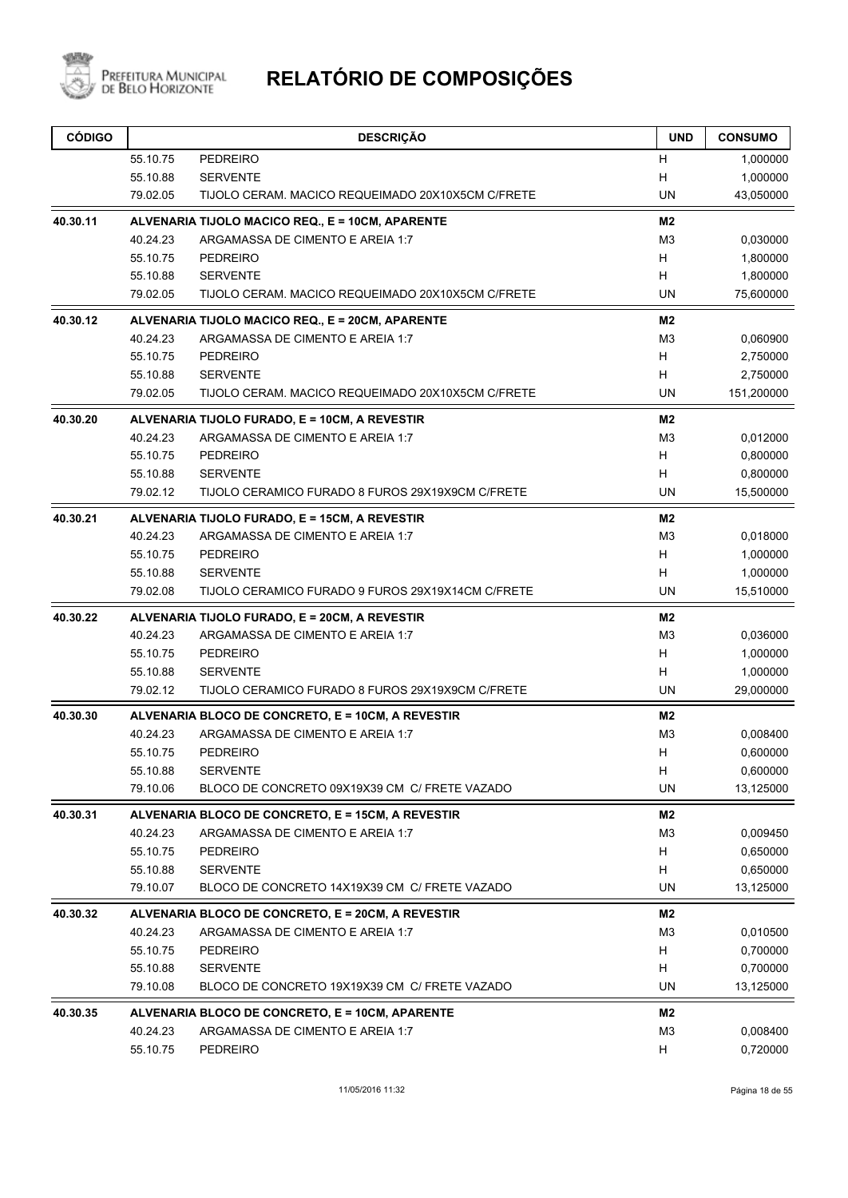

| 55.10.75<br><b>PEDREIRO</b><br>Н<br>55.10.88<br><b>SERVENTE</b><br>Н<br>79.02.05<br>TIJOLO CERAM. MACICO REQUEIMADO 20X10X5CM C/FRETE<br>40.30.11<br>ALVENARIA TIJOLO MACICO REQ., E = 10CM, APARENTE<br>40.24.23<br>ARGAMASSA DE CIMENTO E AREIA 1:7<br>H<br>55.10.75<br><b>PEDREIRO</b><br>55.10.88<br>н<br><b>SERVENTE</b><br>79.02.05<br>TIJOLO CERAM. MACICO REQUEIMADO 20X10X5CM C/FRETE<br>40.30.12<br>ALVENARIA TIJOLO MACICO REQ., E = 20CM, APARENTE<br>40.24.23<br>ARGAMASSA DE CIMENTO E AREIA 1:7<br>55.10.75<br><b>PEDREIRO</b><br>H<br>н<br>55.10.88<br><b>SERVENTE</b><br>79.02.05<br>TIJOLO CERAM. MACICO REQUEIMADO 20X10X5CM C/FRETE<br>40.30.20<br>ALVENARIA TIJOLO FURADO, E = 10CM, A REVESTIR<br>40.24.23<br>ARGAMASSA DE CIMENTO E AREIA 1:7<br>55.10.75<br><b>PEDREIRO</b><br>н<br>H<br>55.10.88<br><b>SERVENTE</b><br>79.02.12<br>TIJOLO CERAMICO FURADO 8 FUROS 29X19X9CM C/FRETE<br>40.30.21<br>ALVENARIA TIJOLO FURADO, E = 15CM, A REVESTIR<br>40.24.23<br>ARGAMASSA DE CIMENTO E AREIA 1:7<br>55.10.75<br>H<br><b>PEDREIRO</b><br>н<br>55.10.88<br><b>SERVENTE</b><br>79.02.08<br>TIJOLO CERAMICO FURADO 9 FUROS 29X19X14CM C/FRETE<br>40.30.22<br>ALVENARIA TIJOLO FURADO, E = 20CM, A REVESTIR<br>40.24.23<br>ARGAMASSA DE CIMENTO E AREIA 1:7<br>55.10.75<br>H<br><b>PEDREIRO</b><br>55.10.88<br><b>SERVENTE</b><br>H |                      | <b>CONSUMO</b>        |
|---------------------------------------------------------------------------------------------------------------------------------------------------------------------------------------------------------------------------------------------------------------------------------------------------------------------------------------------------------------------------------------------------------------------------------------------------------------------------------------------------------------------------------------------------------------------------------------------------------------------------------------------------------------------------------------------------------------------------------------------------------------------------------------------------------------------------------------------------------------------------------------------------------------------------------------------------------------------------------------------------------------------------------------------------------------------------------------------------------------------------------------------------------------------------------------------------------------------------------------------------------------------------------------------------------------------------------------------------------|----------------------|-----------------------|
|                                                                                                                                                                                                                                                                                                                                                                                                                                                                                                                                                                                                                                                                                                                                                                                                                                                                                                                                                                                                                                                                                                                                                                                                                                                                                                                                                         |                      | 1,000000              |
|                                                                                                                                                                                                                                                                                                                                                                                                                                                                                                                                                                                                                                                                                                                                                                                                                                                                                                                                                                                                                                                                                                                                                                                                                                                                                                                                                         |                      | 1,000000              |
|                                                                                                                                                                                                                                                                                                                                                                                                                                                                                                                                                                                                                                                                                                                                                                                                                                                                                                                                                                                                                                                                                                                                                                                                                                                                                                                                                         | <b>UN</b>            | 43,050000             |
|                                                                                                                                                                                                                                                                                                                                                                                                                                                                                                                                                                                                                                                                                                                                                                                                                                                                                                                                                                                                                                                                                                                                                                                                                                                                                                                                                         | M2                   |                       |
|                                                                                                                                                                                                                                                                                                                                                                                                                                                                                                                                                                                                                                                                                                                                                                                                                                                                                                                                                                                                                                                                                                                                                                                                                                                                                                                                                         | M <sub>3</sub>       | 0,030000              |
|                                                                                                                                                                                                                                                                                                                                                                                                                                                                                                                                                                                                                                                                                                                                                                                                                                                                                                                                                                                                                                                                                                                                                                                                                                                                                                                                                         |                      | 1,800000              |
|                                                                                                                                                                                                                                                                                                                                                                                                                                                                                                                                                                                                                                                                                                                                                                                                                                                                                                                                                                                                                                                                                                                                                                                                                                                                                                                                                         |                      | 1,800000              |
|                                                                                                                                                                                                                                                                                                                                                                                                                                                                                                                                                                                                                                                                                                                                                                                                                                                                                                                                                                                                                                                                                                                                                                                                                                                                                                                                                         | <b>UN</b>            | 75,600000             |
|                                                                                                                                                                                                                                                                                                                                                                                                                                                                                                                                                                                                                                                                                                                                                                                                                                                                                                                                                                                                                                                                                                                                                                                                                                                                                                                                                         | M2                   |                       |
|                                                                                                                                                                                                                                                                                                                                                                                                                                                                                                                                                                                                                                                                                                                                                                                                                                                                                                                                                                                                                                                                                                                                                                                                                                                                                                                                                         | M3                   | 0,060900              |
|                                                                                                                                                                                                                                                                                                                                                                                                                                                                                                                                                                                                                                                                                                                                                                                                                                                                                                                                                                                                                                                                                                                                                                                                                                                                                                                                                         |                      | 2,750000              |
|                                                                                                                                                                                                                                                                                                                                                                                                                                                                                                                                                                                                                                                                                                                                                                                                                                                                                                                                                                                                                                                                                                                                                                                                                                                                                                                                                         |                      | 2,750000              |
|                                                                                                                                                                                                                                                                                                                                                                                                                                                                                                                                                                                                                                                                                                                                                                                                                                                                                                                                                                                                                                                                                                                                                                                                                                                                                                                                                         | UN                   | 151,200000            |
|                                                                                                                                                                                                                                                                                                                                                                                                                                                                                                                                                                                                                                                                                                                                                                                                                                                                                                                                                                                                                                                                                                                                                                                                                                                                                                                                                         | M <sub>2</sub>       |                       |
|                                                                                                                                                                                                                                                                                                                                                                                                                                                                                                                                                                                                                                                                                                                                                                                                                                                                                                                                                                                                                                                                                                                                                                                                                                                                                                                                                         | M <sub>3</sub>       | 0,012000              |
|                                                                                                                                                                                                                                                                                                                                                                                                                                                                                                                                                                                                                                                                                                                                                                                                                                                                                                                                                                                                                                                                                                                                                                                                                                                                                                                                                         |                      | 0,800000<br>0,800000  |
|                                                                                                                                                                                                                                                                                                                                                                                                                                                                                                                                                                                                                                                                                                                                                                                                                                                                                                                                                                                                                                                                                                                                                                                                                                                                                                                                                         | UN                   | 15,500000             |
|                                                                                                                                                                                                                                                                                                                                                                                                                                                                                                                                                                                                                                                                                                                                                                                                                                                                                                                                                                                                                                                                                                                                                                                                                                                                                                                                                         | M2                   |                       |
|                                                                                                                                                                                                                                                                                                                                                                                                                                                                                                                                                                                                                                                                                                                                                                                                                                                                                                                                                                                                                                                                                                                                                                                                                                                                                                                                                         | M <sub>3</sub>       | 0,018000              |
|                                                                                                                                                                                                                                                                                                                                                                                                                                                                                                                                                                                                                                                                                                                                                                                                                                                                                                                                                                                                                                                                                                                                                                                                                                                                                                                                                         |                      | 1,000000              |
|                                                                                                                                                                                                                                                                                                                                                                                                                                                                                                                                                                                                                                                                                                                                                                                                                                                                                                                                                                                                                                                                                                                                                                                                                                                                                                                                                         |                      | 1,000000              |
|                                                                                                                                                                                                                                                                                                                                                                                                                                                                                                                                                                                                                                                                                                                                                                                                                                                                                                                                                                                                                                                                                                                                                                                                                                                                                                                                                         | <b>UN</b>            | 15,510000             |
|                                                                                                                                                                                                                                                                                                                                                                                                                                                                                                                                                                                                                                                                                                                                                                                                                                                                                                                                                                                                                                                                                                                                                                                                                                                                                                                                                         | M2                   |                       |
|                                                                                                                                                                                                                                                                                                                                                                                                                                                                                                                                                                                                                                                                                                                                                                                                                                                                                                                                                                                                                                                                                                                                                                                                                                                                                                                                                         | M <sub>3</sub>       | 0,036000              |
|                                                                                                                                                                                                                                                                                                                                                                                                                                                                                                                                                                                                                                                                                                                                                                                                                                                                                                                                                                                                                                                                                                                                                                                                                                                                                                                                                         |                      | 1,000000              |
|                                                                                                                                                                                                                                                                                                                                                                                                                                                                                                                                                                                                                                                                                                                                                                                                                                                                                                                                                                                                                                                                                                                                                                                                                                                                                                                                                         |                      | 1,000000              |
| 79.02.12<br>TIJOLO CERAMICO FURADO 8 FUROS 29X19X9CM C/FRETE                                                                                                                                                                                                                                                                                                                                                                                                                                                                                                                                                                                                                                                                                                                                                                                                                                                                                                                                                                                                                                                                                                                                                                                                                                                                                            | UN.                  | 29,000000             |
| 40.30.30<br>ALVENARIA BLOCO DE CONCRETO, E = 10CM, A REVESTIR                                                                                                                                                                                                                                                                                                                                                                                                                                                                                                                                                                                                                                                                                                                                                                                                                                                                                                                                                                                                                                                                                                                                                                                                                                                                                           | M2                   |                       |
| ARGAMASSA DE CIMENTO E AREIA 1:7<br>40.24.23                                                                                                                                                                                                                                                                                                                                                                                                                                                                                                                                                                                                                                                                                                                                                                                                                                                                                                                                                                                                                                                                                                                                                                                                                                                                                                            | M <sub>3</sub>       | 0,008400              |
| Н<br>55.10.75<br><b>PEDREIRO</b>                                                                                                                                                                                                                                                                                                                                                                                                                                                                                                                                                                                                                                                                                                                                                                                                                                                                                                                                                                                                                                                                                                                                                                                                                                                                                                                        |                      | 0,600000              |
| 55.10.88<br><b>SERVENTE</b><br>H                                                                                                                                                                                                                                                                                                                                                                                                                                                                                                                                                                                                                                                                                                                                                                                                                                                                                                                                                                                                                                                                                                                                                                                                                                                                                                                        |                      | 0,600000              |
| 79.10.06<br>BLOCO DE CONCRETO 09X19X39 CM C/ FRETE VAZADO                                                                                                                                                                                                                                                                                                                                                                                                                                                                                                                                                                                                                                                                                                                                                                                                                                                                                                                                                                                                                                                                                                                                                                                                                                                                                               | UN                   | 13,125000             |
| 40.30.31<br>ALVENARIA BLOCO DE CONCRETO, E = 15CM, A REVESTIR                                                                                                                                                                                                                                                                                                                                                                                                                                                                                                                                                                                                                                                                                                                                                                                                                                                                                                                                                                                                                                                                                                                                                                                                                                                                                           | M2                   |                       |
| 40.24.23<br>ARGAMASSA DE CIMENTO E AREIA 1:7                                                                                                                                                                                                                                                                                                                                                                                                                                                                                                                                                                                                                                                                                                                                                                                                                                                                                                                                                                                                                                                                                                                                                                                                                                                                                                            | M <sub>3</sub>       | 0,009450              |
| 55.10.75<br><b>PEDREIRO</b><br>H                                                                                                                                                                                                                                                                                                                                                                                                                                                                                                                                                                                                                                                                                                                                                                                                                                                                                                                                                                                                                                                                                                                                                                                                                                                                                                                        |                      | 0,650000              |
| 55.10.88<br><b>SERVENTE</b><br>H<br>79.10.07<br>BLOCO DE CONCRETO 14X19X39 CM C/ FRETE VAZADO                                                                                                                                                                                                                                                                                                                                                                                                                                                                                                                                                                                                                                                                                                                                                                                                                                                                                                                                                                                                                                                                                                                                                                                                                                                           | <b>UN</b>            | 0,650000<br>13,125000 |
|                                                                                                                                                                                                                                                                                                                                                                                                                                                                                                                                                                                                                                                                                                                                                                                                                                                                                                                                                                                                                                                                                                                                                                                                                                                                                                                                                         |                      |                       |
| 40.30.32<br>ALVENARIA BLOCO DE CONCRETO, E = 20CM, A REVESTIR<br>40.24.23<br>ARGAMASSA DE CIMENTO E AREIA 1:7                                                                                                                                                                                                                                                                                                                                                                                                                                                                                                                                                                                                                                                                                                                                                                                                                                                                                                                                                                                                                                                                                                                                                                                                                                           | M2<br>M <sub>3</sub> | 0,010500              |
| 55.10.75<br>H<br><b>PEDREIRO</b>                                                                                                                                                                                                                                                                                                                                                                                                                                                                                                                                                                                                                                                                                                                                                                                                                                                                                                                                                                                                                                                                                                                                                                                                                                                                                                                        |                      | 0,700000              |
| Н<br>55.10.88<br><b>SERVENTE</b>                                                                                                                                                                                                                                                                                                                                                                                                                                                                                                                                                                                                                                                                                                                                                                                                                                                                                                                                                                                                                                                                                                                                                                                                                                                                                                                        |                      | 0,700000              |
| 79.10.08<br>BLOCO DE CONCRETO 19X19X39 CM C/ FRETE VAZADO                                                                                                                                                                                                                                                                                                                                                                                                                                                                                                                                                                                                                                                                                                                                                                                                                                                                                                                                                                                                                                                                                                                                                                                                                                                                                               | UN                   | 13,125000             |
| 40.30.35<br>ALVENARIA BLOCO DE CONCRETO, E = 10CM, APARENTE                                                                                                                                                                                                                                                                                                                                                                                                                                                                                                                                                                                                                                                                                                                                                                                                                                                                                                                                                                                                                                                                                                                                                                                                                                                                                             | M2                   |                       |
| ARGAMASSA DE CIMENTO E AREIA 1:7<br>40.24.23                                                                                                                                                                                                                                                                                                                                                                                                                                                                                                                                                                                                                                                                                                                                                                                                                                                                                                                                                                                                                                                                                                                                                                                                                                                                                                            | M <sub>3</sub>       | 0,008400              |
| 55.10.75<br><b>PEDREIRO</b><br>H                                                                                                                                                                                                                                                                                                                                                                                                                                                                                                                                                                                                                                                                                                                                                                                                                                                                                                                                                                                                                                                                                                                                                                                                                                                                                                                        |                      | 0,720000              |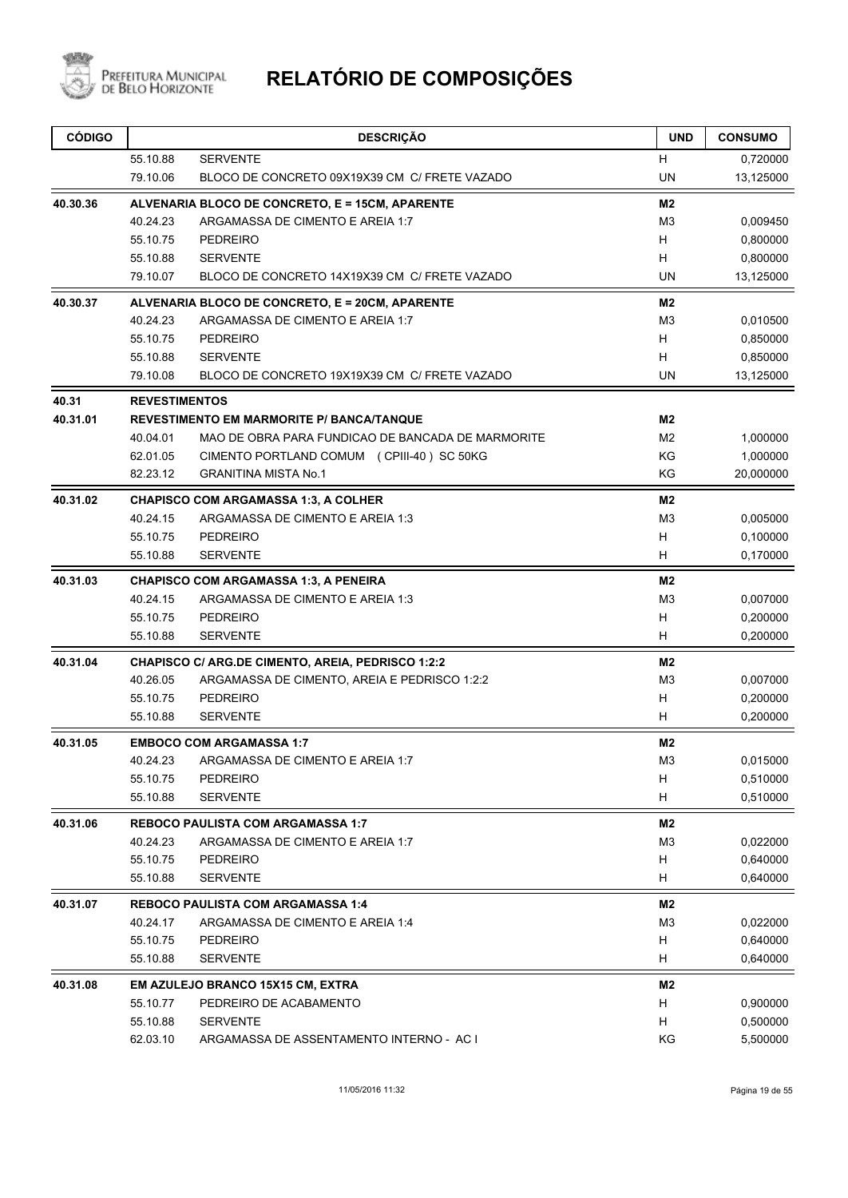

| <b>CÓDIGO</b> |                      | <b>DESCRIÇÃO</b>                                         | <b>UND</b>     | <b>CONSUMO</b> |
|---------------|----------------------|----------------------------------------------------------|----------------|----------------|
|               | 55.10.88             | <b>SERVENTE</b>                                          | H              | 0,720000       |
|               | 79.10.06             | BLOCO DE CONCRETO 09X19X39 CM C/ FRETE VAZADO            | <b>UN</b>      | 13,125000      |
| 40.30.36      |                      | ALVENARIA BLOCO DE CONCRETO, E = 15CM, APARENTE          | M <sub>2</sub> |                |
|               | 40.24.23             | ARGAMASSA DE CIMENTO E AREIA 1:7                         | M3             | 0,009450       |
|               | 55.10.75             | <b>PEDREIRO</b>                                          | H              | 0,800000       |
|               | 55.10.88             | <b>SERVENTE</b>                                          | H              | 0,800000       |
|               | 79.10.07             | BLOCO DE CONCRETO 14X19X39 CM C/ FRETE VAZADO            | <b>UN</b>      | 13,125000      |
| 40.30.37      |                      | ALVENARIA BLOCO DE CONCRETO, E = 20CM, APARENTE          | M2             |                |
|               | 40.24.23             | ARGAMASSA DE CIMENTO E AREIA 1:7                         | M <sub>3</sub> | 0,010500       |
|               | 55.10.75             | <b>PEDREIRO</b>                                          | H              | 0,850000       |
|               | 55.10.88             | <b>SERVENTE</b>                                          | н              | 0,850000       |
|               | 79.10.08             | BLOCO DE CONCRETO 19X19X39 CM C/ FRETE VAZADO            | <b>UN</b>      | 13,125000      |
| 40.31         | <b>REVESTIMENTOS</b> |                                                          |                |                |
| 40.31.01      |                      | <b>REVESTIMENTO EM MARMORITE P/ BANCA/TANQUE</b>         | M2             |                |
|               | 40.04.01             | MAO DE OBRA PARA FUNDICAO DE BANCADA DE MARMORITE        | M <sub>2</sub> | 1,000000       |
|               | 62.01.05             | CIMENTO PORTLAND COMUM (CPIII-40) SC 50KG                | KG             | 1,000000       |
|               | 82.23.12             | <b>GRANITINA MISTA No.1</b>                              | KG             | 20,000000      |
| 40.31.02      |                      | <b>CHAPISCO COM ARGAMASSA 1:3, A COLHER</b>              | M2             |                |
|               | 40.24.15             | ARGAMASSA DE CIMENTO E AREIA 1:3                         | M <sub>3</sub> | 0,005000       |
|               | 55.10.75             | <b>PEDREIRO</b>                                          | H              | 0,100000       |
|               | 55.10.88             | <b>SERVENTE</b>                                          | н              | 0,170000       |
| 40.31.03      |                      | <b>CHAPISCO COM ARGAMASSA 1:3, A PENEIRA</b>             | M2             |                |
|               | 40.24.15             | ARGAMASSA DE CIMENTO E AREIA 1:3                         | M <sub>3</sub> | 0,007000       |
|               | 55.10.75             | PEDREIRO                                                 | н              | 0,200000       |
|               | 55.10.88             | <b>SERVENTE</b>                                          | H              | 0,200000       |
| 40.31.04      |                      | <b>CHAPISCO C/ ARG.DE CIMENTO, AREIA, PEDRISCO 1:2:2</b> | M2             |                |
|               | 40.26.05             | ARGAMASSA DE CIMENTO, AREIA E PEDRISCO 1:2:2             | M <sub>3</sub> | 0,007000       |
|               | 55.10.75             | <b>PEDREIRO</b>                                          | H              | 0,200000       |
|               | 55.10.88             | <b>SERVENTE</b>                                          | н              | 0,200000       |
| 40.31.05      |                      | <b>EMBOCO COM ARGAMASSA 1:7</b>                          | M2             |                |
|               |                      | 40.24.23 ARGAMASSA DE CIMENTO E AREIA 1:7                | M3             | 0,015000       |
|               | 55.10.75             | PEDREIRO                                                 | H              | 0,510000       |
|               | 55.10.88             | <b>SERVENTE</b>                                          | н              | 0,510000       |
| 40.31.06      |                      | <b>REBOCO PAULISTA COM ARGAMASSA 1:7</b>                 | M2             |                |
|               | 40.24.23             | ARGAMASSA DE CIMENTO E AREIA 1:7                         | M <sub>3</sub> | 0,022000       |
|               | 55.10.75             | PEDREIRO                                                 | H              | 0,640000       |
|               | 55.10.88             | <b>SERVENTE</b>                                          | H              | 0,640000       |
| 40.31.07      |                      | <b>REBOCO PAULISTA COM ARGAMASSA 1:4</b>                 | M2             |                |
|               | 40.24.17             | ARGAMASSA DE CIMENTO E AREIA 1:4                         | M <sub>3</sub> | 0,022000       |
|               | 55.10.75             | <b>PEDREIRO</b>                                          | Н              | 0,640000       |
|               | 55.10.88             | <b>SERVENTE</b>                                          | н              | 0,640000       |
| 40.31.08      |                      | EM AZULEJO BRANCO 15X15 CM, EXTRA                        | M <sub>2</sub> |                |
|               | 55.10.77             | PEDREIRO DE ACABAMENTO                                   | н              | 0,900000       |
|               | 55.10.88             | <b>SERVENTE</b>                                          | H              | 0,500000       |
|               | 62.03.10             | ARGAMASSA DE ASSENTAMENTO INTERNO - AC I                 | KG             | 5,500000       |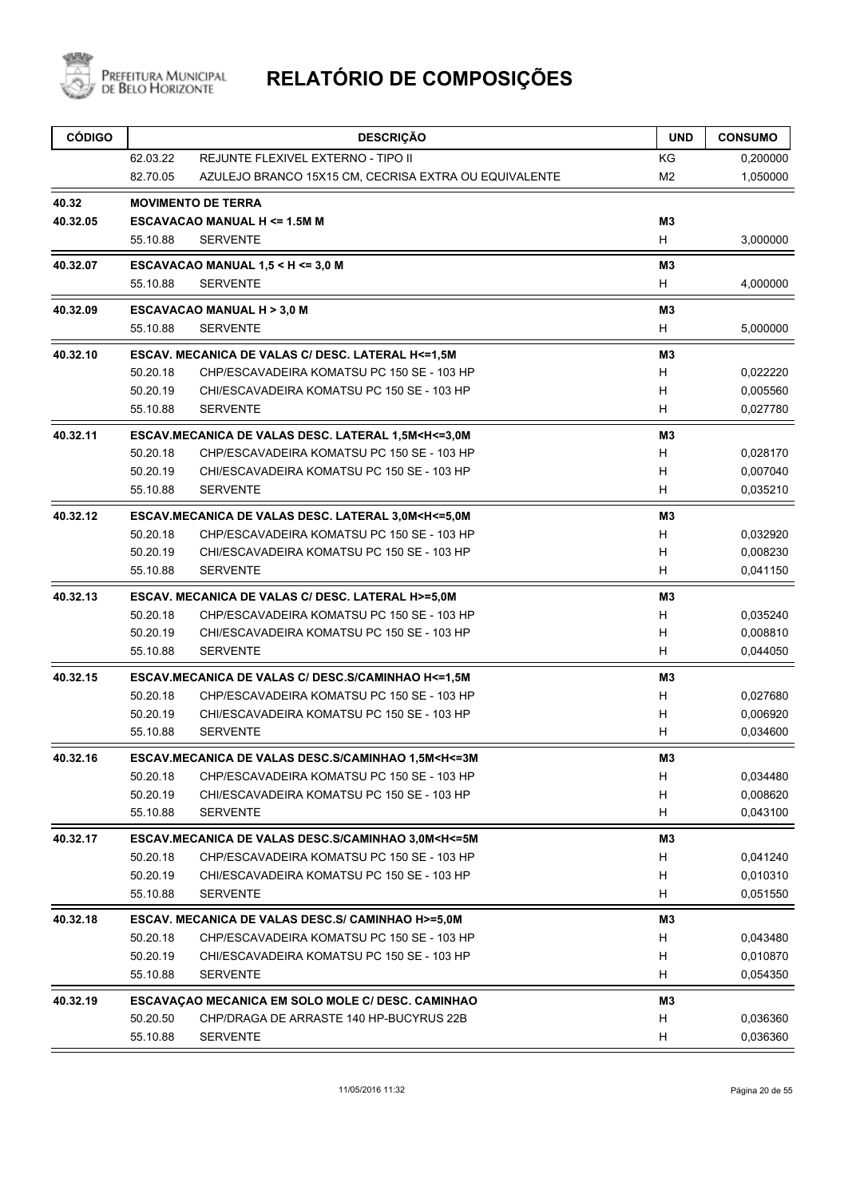

| <b>CÓDIGO</b> |          | <b>DESCRIÇÃO</b>                                                                                    | <b>UND</b>     | <b>CONSUMO</b> |
|---------------|----------|-----------------------------------------------------------------------------------------------------|----------------|----------------|
|               | 62.03.22 | REJUNTE FLEXIVEL EXTERNO - TIPO II                                                                  | KG             | 0,200000       |
|               | 82.70.05 | AZULEJO BRANCO 15X15 CM, CECRISA EXTRA OU EQUIVALENTE                                               | M <sub>2</sub> | 1,050000       |
| 40.32         |          | <b>MOVIMENTO DE TERRA</b>                                                                           |                |                |
| 40.32.05      |          | <b>ESCAVACAO MANUAL H &lt;= 1.5M M</b>                                                              | M <sub>3</sub> |                |
|               | 55.10.88 | <b>SERVENTE</b>                                                                                     | H              | 3,000000       |
| 40.32.07      |          | ESCAVACAO MANUAL 1,5 < H <= 3,0 M                                                                   | M3             |                |
|               | 55.10.88 | <b>SERVENTE</b>                                                                                     | H              | 4,000000       |
| 40.32.09      |          | <b>ESCAVACAO MANUAL H &gt; 3,0 M</b>                                                                | M <sub>3</sub> |                |
|               | 55.10.88 | <b>SERVENTE</b>                                                                                     | H              | 5,000000       |
| 40.32.10      |          | ESCAV. MECANICA DE VALAS C/ DESC. LATERAL H<=1,5M                                                   | M <sub>3</sub> |                |
|               | 50.20.18 | CHP/ESCAVADEIRA KOMATSU PC 150 SE - 103 HP                                                          | H              | 0,022220       |
|               | 50.20.19 | CHI/ESCAVADEIRA KOMATSU PC 150 SE - 103 HP                                                          | H              | 0,005560       |
|               | 55.10.88 | <b>SERVENTE</b>                                                                                     | H              | 0,027780       |
| 40.32.11      |          | ESCAV.MECANICA DE VALAS DESC. LATERAL 1,5M <h<=3,0m< td=""><td>M3</td><td></td></h<=3,0m<>          | M3             |                |
|               | 50.20.18 | CHP/ESCAVADEIRA KOMATSU PC 150 SE - 103 HP                                                          | H              | 0,028170       |
|               | 50.20.19 | CHI/ESCAVADEIRA KOMATSU PC 150 SE - 103 HP                                                          | H              | 0,007040       |
|               | 55.10.88 | <b>SERVENTE</b>                                                                                     | H              | 0,035210       |
| 40.32.12      |          | ESCAV.MECANICA DE VALAS DESC. LATERAL 3,0M <h<=5,0m< td=""><td>M3</td><td></td></h<=5,0m<>          | M3             |                |
|               | 50.20.18 | CHP/ESCAVADEIRA KOMATSU PC 150 SE - 103 HP                                                          | н              | 0,032920       |
|               | 50.20.19 | CHI/ESCAVADEIRA KOMATSU PC 150 SE - 103 HP                                                          | H              | 0,008230       |
|               | 55.10.88 | <b>SERVENTE</b>                                                                                     | H              | 0,041150       |
| 40.32.13      |          | ESCAV. MECANICA DE VALAS C/ DESC. LATERAL H>=5,0M                                                   | M3             |                |
|               | 50.20.18 | CHP/ESCAVADEIRA KOMATSU PC 150 SE - 103 HP                                                          | H              | 0,035240       |
|               | 50.20.19 | CHI/ESCAVADEIRA KOMATSU PC 150 SE - 103 HP                                                          | H              | 0,008810       |
|               | 55.10.88 | <b>SERVENTE</b>                                                                                     | H              | 0,044050       |
| 40.32.15      |          | ESCAV.MECANICA DE VALAS C/ DESC.S/CAMINHAO H<=1,5M                                                  | MЗ             |                |
|               | 50.20.18 | CHP/ESCAVADEIRA KOMATSU PC 150 SE - 103 HP                                                          | H              | 0,027680       |
|               | 50.20.19 | CHI/ESCAVADEIRA KOMATSU PC 150 SE - 103 HP                                                          | H              | 0,006920       |
|               | 55.10.88 | <b>SERVENTE</b>                                                                                     | H              | 0,034600       |
| 40.32.16      |          | ESCAV.MECANICA DE VALAS DESC.S/CAMINHAO 1,5M <h<=3m< td=""><td>M3</td><td></td></h<=3m<>            | M3             |                |
|               | 50.20.18 | CHP/ESCAVADEIRA KOMATSU PC 150 SE - 103 HP                                                          | H              | 0,034480       |
|               | 50.20.19 | CHI/ESCAVADEIRA KOMATSU PC 150 SE - 103 HP                                                          | H              | 0,008620       |
|               | 55.10.88 | <b>SERVENTE</b>                                                                                     | H              | 0,043100       |
| 40.32.17      |          | ESCAV.MECANICA DE VALAS DESC.S/CAMINHAO 3,0M <h<=5m< td=""><td>M<sub>3</sub></td><td></td></h<=5m<> | M <sub>3</sub> |                |
|               | 50.20.18 | CHP/ESCAVADEIRA KOMATSU PC 150 SE - 103 HP                                                          | H              | 0,041240       |
|               | 50.20.19 | CHI/ESCAVADEIRA KOMATSU PC 150 SE - 103 HP                                                          | H              | 0,010310       |
|               | 55.10.88 | <b>SERVENTE</b>                                                                                     | H              | 0,051550       |
| 40.32.18      |          | ESCAV. MECANICA DE VALAS DESC.S/ CAMINHAO H>=5,0M                                                   | M <sub>3</sub> |                |
|               | 50.20.18 | CHP/ESCAVADEIRA KOMATSU PC 150 SE - 103 HP                                                          | H              | 0,043480       |
|               | 50.20.19 | CHI/ESCAVADEIRA KOMATSU PC 150 SE - 103 HP                                                          | H              | 0,010870       |
|               | 55.10.88 | <b>SERVENTE</b>                                                                                     | H              | 0,054350       |
| 40.32.19      |          | ESCAVAÇÃO MECANICA EM SOLO MOLE C/ DESC. CAMINHÃO                                                   | M3             |                |
|               | 50.20.50 | CHP/DRAGA DE ARRASTE 140 HP-BUCYRUS 22B                                                             | H              | 0,036360       |
|               | 55.10.88 | <b>SERVENTE</b>                                                                                     | H              | 0,036360       |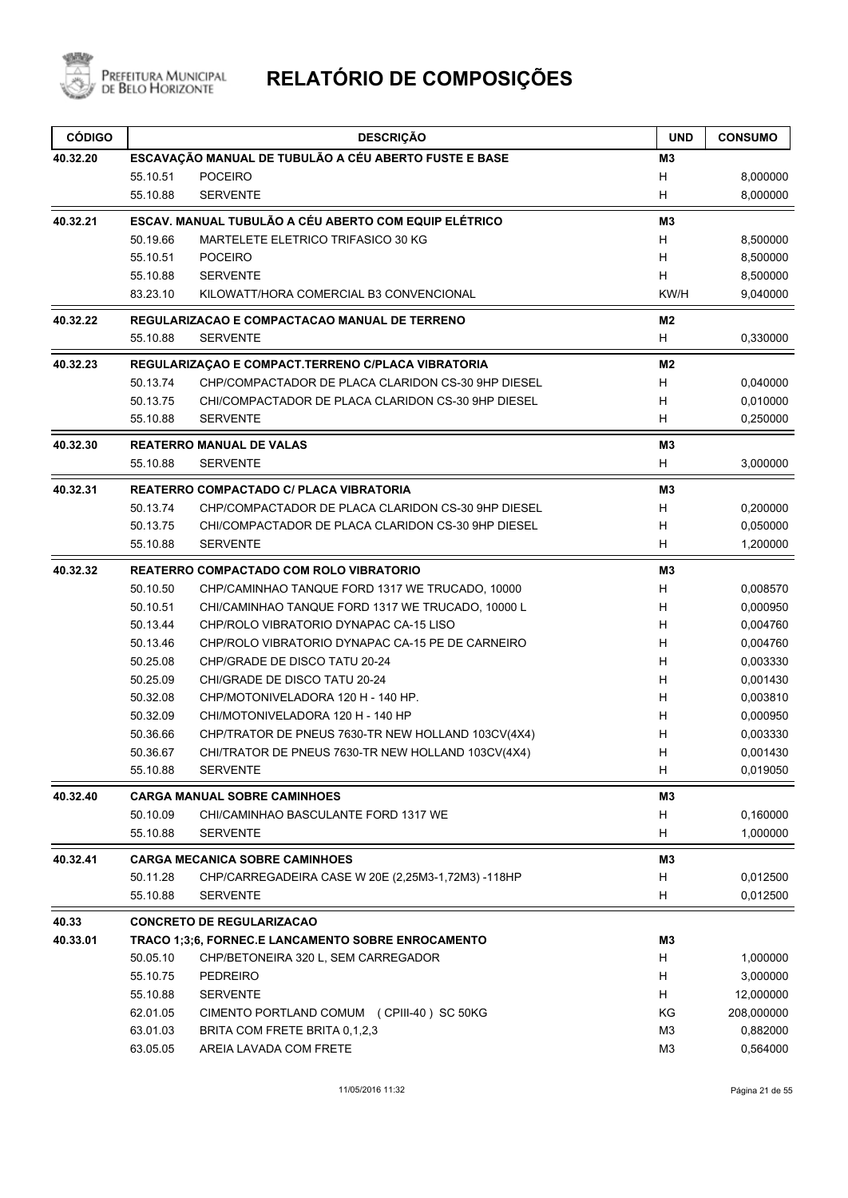

| <b>CÓDIGO</b> |                      | <b>DESCRIÇÃO</b>                                                            | <b>UND</b>          | <b>CONSUMO</b>       |
|---------------|----------------------|-----------------------------------------------------------------------------|---------------------|----------------------|
| 40.32.20      |                      | ESCAVAÇÃO MANUAL DE TUBULÃO A CÉU ABERTO FUSTE E BASE                       | M3                  |                      |
|               | 55.10.51             | <b>POCEIRO</b>                                                              | H                   | 8,000000             |
|               | 55.10.88             | <b>SERVENTE</b>                                                             | H                   | 8,000000             |
| 40.32.21      |                      | ESCAV. MANUAL TUBULÃO A CÉU ABERTO COM EQUIP ELÉTRICO                       | M <sub>3</sub>      |                      |
|               | 50.19.66             | MARTELETE ELETRICO TRIFASICO 30 KG                                          | H                   | 8,500000             |
|               | 55.10.51             | <b>POCEIRO</b>                                                              | H                   | 8,500000             |
|               | 55.10.88             | <b>SERVENTE</b>                                                             | H                   | 8,500000             |
|               | 83.23.10             | KILOWATT/HORA COMERCIAL B3 CONVENCIONAL                                     | KW/H                | 9,040000             |
| 40.32.22      |                      | REGULARIZACAO E COMPACTACAO MANUAL DE TERRENO                               | M <sub>2</sub>      |                      |
|               | 55.10.88             | <b>SERVENTE</b>                                                             | H                   | 0,330000             |
| 40.32.23      |                      | REGULARIZAÇÃO E COMPACT.TERRENO C/PLACA VIBRATORIA                          | M2                  |                      |
|               | 50.13.74             | CHP/COMPACTADOR DE PLACA CLARIDON CS-30 9HP DIESEL                          | H                   | 0,040000             |
|               | 50.13.75             | CHI/COMPACTADOR DE PLACA CLARIDON CS-30 9HP DIESEL                          | н                   | 0,010000             |
|               | 55.10.88             | <b>SERVENTE</b>                                                             | H                   | 0,250000             |
| 40.32.30      |                      | <b>REATERRO MANUAL DE VALAS</b>                                             | M <sub>3</sub>      |                      |
|               | 55.10.88             | <b>SERVENTE</b>                                                             | H                   | 3,000000             |
| 40.32.31      |                      | <b>REATERRO COMPACTADO C/ PLACA VIBRATORIA</b>                              | M <sub>3</sub>      |                      |
|               | 50.13.74             | CHP/COMPACTADOR DE PLACA CLARIDON CS-30 9HP DIESEL                          | H                   | 0,200000             |
|               | 50.13.75             | CHI/COMPACTADOR DE PLACA CLARIDON CS-30 9HP DIESEL                          | H                   | 0,050000             |
|               | 55.10.88             | <b>SERVENTE</b>                                                             | н                   | 1,200000             |
| 40.32.32      |                      | <b>REATERRO COMPACTADO COM ROLO VIBRATORIO</b>                              | M3                  |                      |
|               | 50.10.50             | CHP/CAMINHAO TANQUE FORD 1317 WE TRUCADO, 10000                             | Н                   | 0,008570             |
|               | 50.10.51             | CHI/CAMINHAO TANQUE FORD 1317 WE TRUCADO, 10000 L                           | H                   | 0,000950             |
|               | 50.13.44             | CHP/ROLO VIBRATORIO DYNAPAC CA-15 LISO                                      | Н                   | 0,004760             |
|               | 50.13.46             | CHP/ROLO VIBRATORIO DYNAPAC CA-15 PE DE CARNEIRO                            | H                   | 0,004760             |
|               | 50.25.08             | CHP/GRADE DE DISCO TATU 20-24                                               | H                   | 0,003330             |
|               | 50.25.09             | CHI/GRADE DE DISCO TATU 20-24                                               | H                   | 0,001430             |
|               | 50.32.08             | CHP/MOTONIVELADORA 120 H - 140 HP.                                          | H                   | 0,003810             |
|               | 50.32.09             | CHI/MOTONIVELADORA 120 H - 140 HP                                           | н                   | 0,000950             |
|               | 50.36.66             | CHP/TRATOR DE PNEUS 7630-TR NEW HOLLAND 103CV(4X4)                          | н                   | 0,003330             |
|               | 50.36.67<br>55.10.88 | CHI/TRATOR DE PNEUS 7630-TR NEW HOLLAND 103CV(4X4)<br><b>SERVENTE</b>       | H<br>Н              | 0,001430<br>0,019050 |
|               |                      |                                                                             |                     |                      |
| 40.32.40      | 50.10.09             | <b>CARGA MANUAL SOBRE CAMINHOES</b><br>CHI/CAMINHAO BASCULANTE FORD 1317 WE | M <sub>3</sub><br>H | 0,160000             |
|               | 55.10.88             | <b>SERVENTE</b>                                                             | H                   | 1,000000             |
| 40.32.41      |                      | <b>CARGA MECANICA SOBRE CAMINHOES</b>                                       | M3                  |                      |
|               | 50.11.28             | CHP/CARREGADEIRA CASE W 20E (2,25M3-1,72M3) -118HP                          | H                   | 0,012500             |
|               | 55.10.88             | <b>SERVENTE</b>                                                             | H                   | 0,012500             |
| 40.33         |                      | <b>CONCRETO DE REGULARIZACAO</b>                                            |                     |                      |
| 40.33.01      |                      | TRACO 1;3;6, FORNEC.E LANCAMENTO SOBRE ENROCAMENTO                          | M3                  |                      |
|               | 50.05.10             | CHP/BETONEIRA 320 L, SEM CARREGADOR                                         | н                   | 1,000000             |
|               | 55.10.75             | <b>PEDREIRO</b>                                                             | H                   | 3,000000             |
|               | 55.10.88             | <b>SERVENTE</b>                                                             | H                   | 12,000000            |
|               | 62.01.05             | CIMENTO PORTLAND COMUM (CPIII-40) SC 50KG                                   | ΚG                  | 208,000000           |
|               | 63.01.03             | BRITA COM FRETE BRITA 0,1,2,3                                               | MЗ                  | 0,882000             |
|               | 63.05.05             | AREIA LAVADA COM FRETE                                                      | M <sub>3</sub>      | 0,564000             |
|               |                      |                                                                             |                     |                      |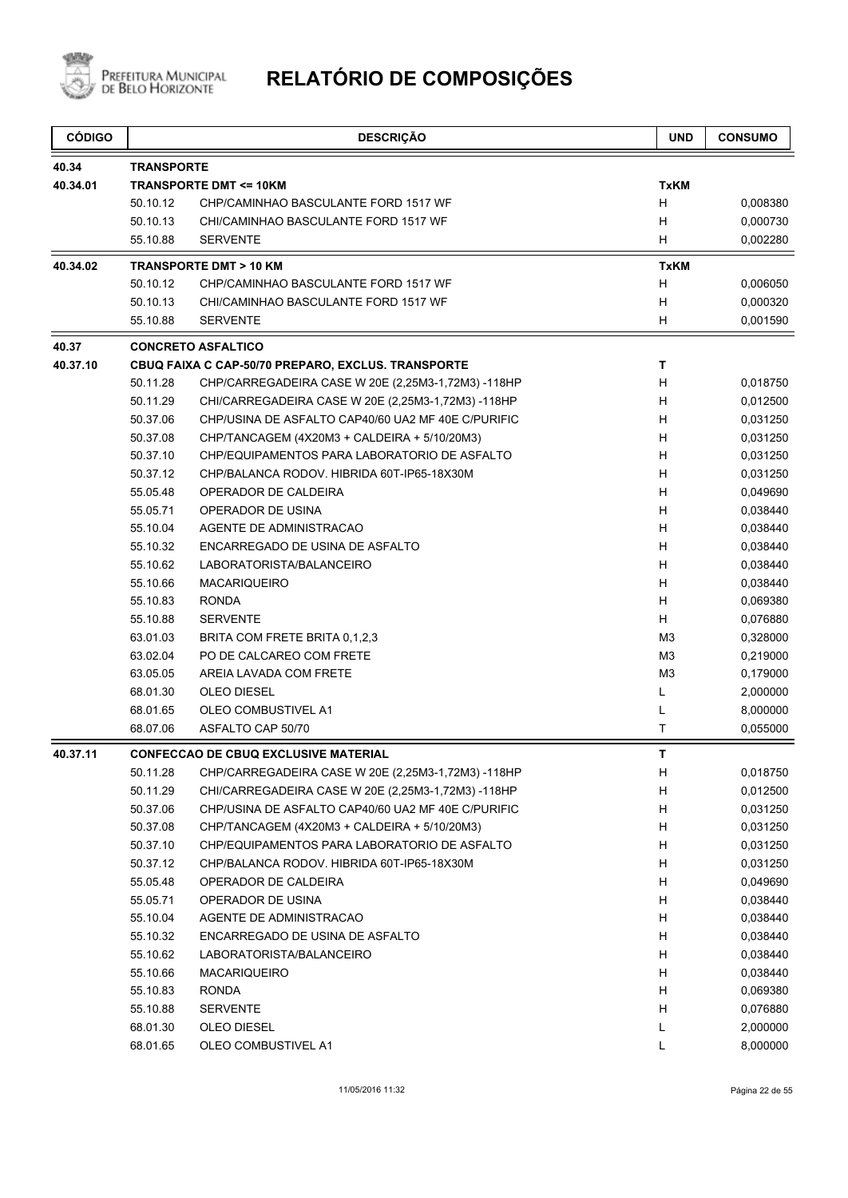

| <b>CÓDIGO</b> |                   | <b>DESCRIÇÃO</b>                                   | <b>UND</b>     | <b>CONSUMO</b> |
|---------------|-------------------|----------------------------------------------------|----------------|----------------|
| 40.34         | <b>TRANSPORTE</b> |                                                    |                |                |
| 40.34.01      |                   | <b>TRANSPORTE DMT &lt;= 10KM</b>                   | <b>TxKM</b>    |                |
|               | 50.10.12          | CHP/CAMINHAO BASCULANTE FORD 1517 WF               | H              | 0,008380       |
|               | 50.10.13          | CHI/CAMINHAO BASCULANTE FORD 1517 WF               | н              | 0,000730       |
|               | 55.10.88          | <b>SERVENTE</b>                                    | н              | 0,002280       |
| 40.34.02      |                   | <b>TRANSPORTE DMT &gt; 10 KM</b>                   | <b>TxKM</b>    |                |
|               | 50.10.12          | CHP/CAMINHAO BASCULANTE FORD 1517 WF               | H              | 0,006050       |
|               | 50.10.13          | CHI/CAMINHAO BASCULANTE FORD 1517 WF               | H              | 0,000320       |
|               | 55.10.88          | <b>SERVENTE</b>                                    | H              | 0,001590       |
| 40.37         |                   | <b>CONCRETO ASFALTICO</b>                          |                |                |
| 40.37.10      |                   | CBUQ FAIXA C CAP-50/70 PREPARO, EXCLUS. TRANSPORTE | т              |                |
|               | 50.11.28          | CHP/CARREGADEIRA CASE W 20E (2,25M3-1,72M3) -118HP | H              | 0,018750       |
|               | 50.11.29          | CHI/CARREGADEIRA CASE W 20E (2,25M3-1,72M3) -118HP | н              | 0,012500       |
|               | 50.37.06          | CHP/USINA DE ASFALTO CAP40/60 UA2 MF 40E C/PURIFIC | н              | 0,031250       |
|               | 50.37.08          | CHP/TANCAGEM (4X20M3 + CALDEIRA + 5/10/20M3)       | H              | 0,031250       |
|               | 50.37.10          | CHP/EQUIPAMENTOS PARA LABORATORIO DE ASFALTO       | H              | 0,031250       |
|               | 50.37.12          | CHP/BALANCA RODOV. HIBRIDA 60T-IP65-18X30M         | H              | 0,031250       |
|               | 55.05.48          | OPERADOR DE CALDEIRA                               | H              | 0,049690       |
|               | 55.05.71          | OPERADOR DE USINA                                  | H              | 0,038440       |
|               | 55.10.04          | AGENTE DE ADMINISTRACAO                            | H              | 0,038440       |
|               | 55.10.32          | ENCARREGADO DE USINA DE ASFALTO                    | H              | 0,038440       |
|               | 55.10.62          | LABORATORISTA/BALANCEIRO                           | н              | 0,038440       |
|               | 55.10.66          | <b>MACARIQUEIRO</b>                                | H              | 0,038440       |
|               | 55.10.83          | <b>RONDA</b>                                       | H              | 0,069380       |
|               | 55.10.88          | <b>SERVENTE</b>                                    | H              | 0,076880       |
|               | 63.01.03          | BRITA COM FRETE BRITA 0,1,2,3                      | M <sub>3</sub> | 0,328000       |
|               | 63.02.04          | PO DE CALCAREO COM FRETE                           | M <sub>3</sub> | 0,219000       |
|               | 63.05.05          | AREIA LAVADA COM FRETE                             | M <sub>3</sub> | 0,179000       |
|               | 68.01.30          | <b>OLEO DIESEL</b>                                 | L              | 2,000000       |
|               | 68.01.65          | OLEO COMBUSTIVEL A1                                | L              | 8,000000       |
|               | 68.07.06          | ASFALTO CAP 50/70                                  | Τ              | 0,055000       |
| 40.37.11      |                   | <b>CONFECCAO DE CBUQ EXCLUSIVE MATERIAL</b>        | T              |                |
|               | 50.11.28          | CHP/CARREGADEIRA CASE W 20E (2,25M3-1,72M3) -118HP | H              | 0,018750       |
|               | 50.11.29          | CHI/CARREGADEIRA CASE W 20E (2,25M3-1,72M3) -118HP | Н              | 0,012500       |
|               | 50.37.06          | CHP/USINA DE ASFALTO CAP40/60 UA2 MF 40E C/PURIFIC | H              | 0,031250       |
|               | 50.37.08          | CHP/TANCAGEM (4X20M3 + CALDEIRA + 5/10/20M3)       | H              | 0,031250       |
|               | 50.37.10          | CHP/EQUIPAMENTOS PARA LABORATORIO DE ASFALTO       | H              | 0,031250       |
|               | 50.37.12          | CHP/BALANCA RODOV. HIBRIDA 60T-IP65-18X30M         | H              | 0,031250       |
|               | 55.05.48          | OPERADOR DE CALDEIRA                               | H              | 0,049690       |
|               | 55.05.71          | OPERADOR DE USINA                                  | H              | 0,038440       |
|               | 55.10.04          | AGENTE DE ADMINISTRACAO                            | H              | 0,038440       |
|               | 55.10.32          | ENCARREGADO DE USINA DE ASFALTO                    | Н              | 0,038440       |
|               | 55.10.62          | LABORATORISTA/BALANCEIRO                           | H              | 0,038440       |
|               | 55.10.66          | <b>MACARIQUEIRO</b>                                | H              | 0,038440       |
|               | 55.10.83          | <b>RONDA</b>                                       | H              | 0,069380       |
|               | 55.10.88          | <b>SERVENTE</b>                                    | H              | 0,076880       |
|               | 68.01.30          | OLEO DIESEL                                        | L              | 2,000000       |
|               | 68.01.65          | OLEO COMBUSTIVEL A1                                | L              | 8,000000       |
|               |                   |                                                    |                |                |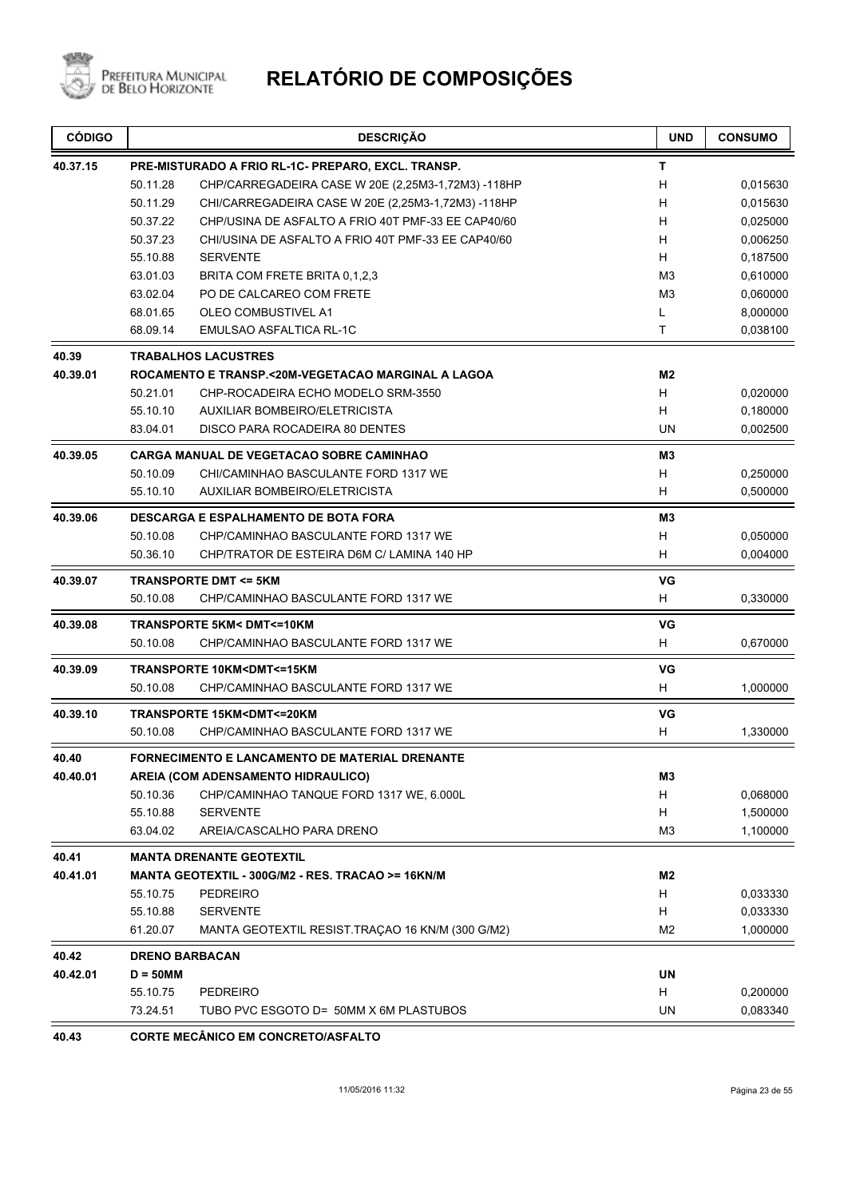

# PREFEITURA MUNICIPAL **RELATÓRIO DE COMPOSIÇÕES**

| <b>CÓDIGO</b> |                       | <b>DESCRIÇÃO</b>                                                    | <b>UND</b>     | <b>CONSUMO</b> |
|---------------|-----------------------|---------------------------------------------------------------------|----------------|----------------|
| 40.37.15      |                       | PRE-MISTURADO A FRIO RL-1C- PREPARO, EXCL. TRANSP.                  | т              |                |
|               | 50.11.28              | CHP/CARREGADEIRA CASE W 20E (2,25M3-1,72M3) -118HP                  | н              | 0,015630       |
|               | 50.11.29              | CHI/CARREGADEIRA CASE W 20E (2,25M3-1,72M3) -118HP                  | н              | 0,015630       |
|               | 50.37.22              | CHP/USINA DE ASFALTO A FRIO 40T PMF-33 EE CAP40/60                  | н              | 0,025000       |
|               | 50.37.23              | CHI/USINA DE ASFALTO A FRIO 40T PMF-33 EE CAP40/60                  | H              | 0,006250       |
|               | 55.10.88              | <b>SERVENTE</b>                                                     | н              | 0,187500       |
|               | 63.01.03              | BRITA COM FRETE BRITA 0,1,2,3                                       | M <sub>3</sub> | 0,610000       |
|               | 63.02.04              | PO DE CALCAREO COM FRETE                                            | M <sub>3</sub> | 0,060000       |
|               | 68.01.65              | OLEO COMBUSTIVEL A1                                                 | L              | 8,000000       |
|               | 68.09.14              | <b>EMULSAO ASFALTICA RL-1C</b>                                      | Τ              | 0,038100       |
| 40.39         |                       | <b>TRABALHOS LACUSTRES</b>                                          |                |                |
| 40.39.01      |                       | ROCAMENTO E TRANSP.<20M-VEGETACAO MARGINAL A LAGOA                  | M2             |                |
|               | 50.21.01              | CHP-ROCADEIRA ECHO MODELO SRM-3550                                  | H              | 0,020000       |
|               | 55.10.10              | AUXILIAR BOMBEIRO/ELETRICISTA                                       | н              | 0,180000       |
|               | 83.04.01              | DISCO PARA ROCADEIRA 80 DENTES                                      | <b>UN</b>      | 0,002500       |
| 40.39.05      |                       | <b>CARGA MANUAL DE VEGETACAO SOBRE CAMINHAO</b>                     | M3             |                |
|               | 50.10.09              | CHI/CAMINHAO BASCULANTE FORD 1317 WE                                | н              | 0,250000       |
|               | 55.10.10              | <b>AUXILIAR BOMBEIRO/ELETRICISTA</b>                                | н              | 0,500000       |
| 40.39.06      |                       | <b>DESCARGA E ESPALHAMENTO DE BOTA FORA</b>                         | M3             |                |
|               | 50.10.08              | CHP/CAMINHAO BASCULANTE FORD 1317 WE                                | H              | 0,050000       |
|               | 50.36.10              | CHP/TRATOR DE ESTEIRA D6M C/ LAMINA 140 HP                          | н              | 0,004000       |
| 40.39.07      |                       | <b>TRANSPORTE DMT &lt;= 5KM</b>                                     | VG             |                |
|               | 50.10.08              | CHP/CAMINHAO BASCULANTE FORD 1317 WE                                | н              | 0,330000       |
| 40.39.08      |                       | <b>TRANSPORTE 5KM&lt; DMT&lt;=10KM</b>                              | VG             |                |
|               | 50.10.08              | CHP/CAMINHAO BASCULANTE FORD 1317 WE                                | H              | 0,670000       |
| 40.39.09      |                       | <b>TRANSPORTE 10KM<dmt<=15km< b=""></dmt<=15km<></b>                | VG             |                |
|               | 50.10.08              | CHP/CAMINHAO BASCULANTE FORD 1317 WE                                | н              | 1,000000       |
| 40.39.10      |                       | TRANSPORTE 15KM <dmt<=20km< td=""><td>VG</td><td></td></dmt<=20km<> | VG             |                |
|               | 50.10.08              | CHP/CAMINHAO BASCULANTE FORD 1317 WE                                | Н              | 1,330000       |
| 40.40         |                       | FORNECIMENTO E LANCAMENTO DE MATERIAL DRENANTE                      |                |                |
| 40.40.01      |                       | AREIA (COM ADENSAMENTO HIDRAULICO)                                  | M3             |                |
|               | 50.10.36              | CHP/CAMINHAO TANQUE FORD 1317 WE, 6.000L                            | н              | 0,068000       |
|               | 55.10.88              | <b>SERVENTE</b>                                                     | н              | 1,500000       |
|               | 63.04.02              | AREIA/CASCALHO PARA DRENO                                           | M <sub>3</sub> | 1,100000       |
| 40.41         |                       | <b>MANTA DRENANTE GEOTEXTIL</b>                                     |                |                |
| 40.41.01      |                       | MANTA GEOTEXTIL - 300G/M2 - RES. TRACAO >= 16KN/M                   | M2             |                |
|               | 55.10.75              | PEDREIRO                                                            | H              | 0,033330       |
|               | 55.10.88              | <b>SERVENTE</b>                                                     | н              | 0,033330       |
|               | 61.20.07              | MANTA GEOTEXTIL RESIST.TRAÇAO 16 KN/M (300 G/M2)                    | M2             | 1,000000       |
| 40.42         | <b>DRENO BARBACAN</b> |                                                                     |                |                |
| 40.42.01      | $D = 50$ MM           |                                                                     | UN             |                |
|               | 55.10.75              | <b>PEDREIRO</b>                                                     | H              | 0,200000       |
|               | 73.24.51              | TUBO PVC ESGOTO D= 50MM X 6M PLASTUBOS                              | UN             | 0,083340       |
|               |                       |                                                                     |                |                |

**40.43 CORTE MECÂNICO EM CONCRETO/ASFALTO**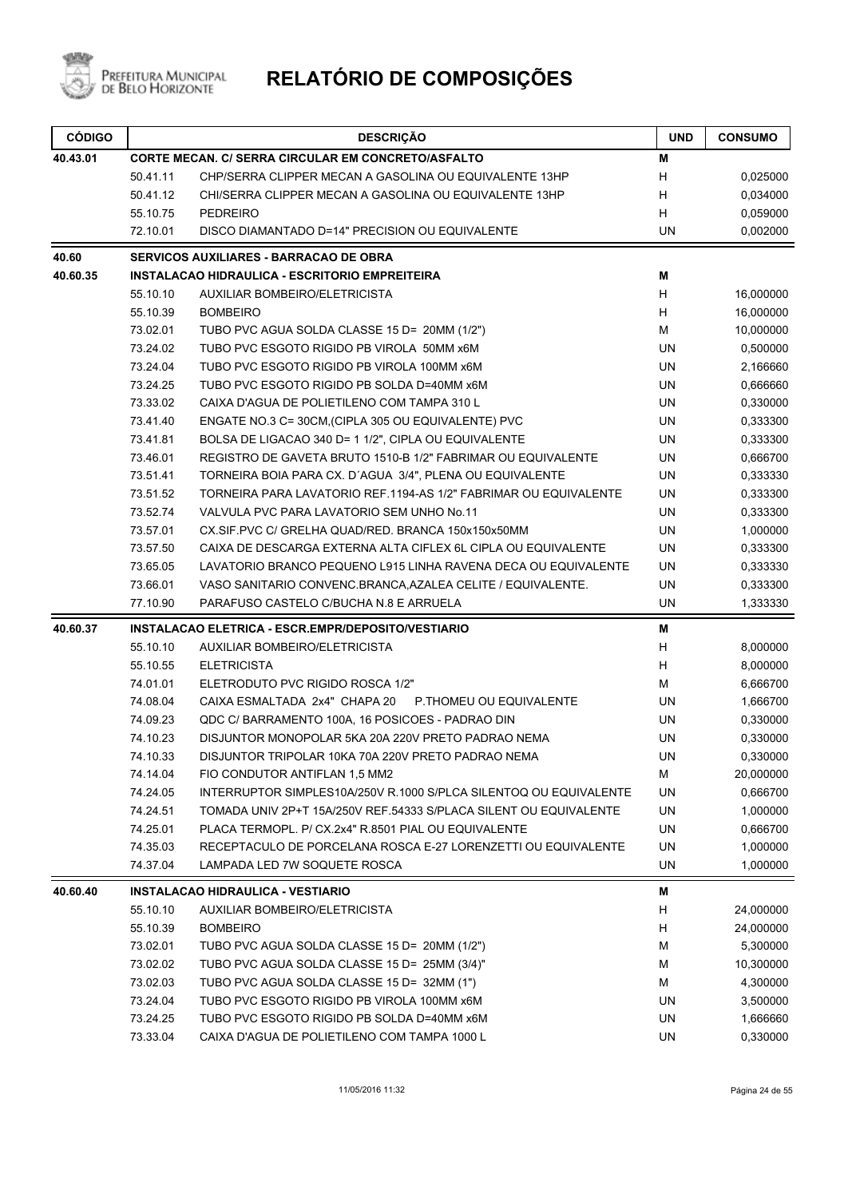

| <b>CÓDIGO</b> |          | <b>DESCRIÇÃO</b>                                                  | <b>UND</b> | <b>CONSUMO</b> |
|---------------|----------|-------------------------------------------------------------------|------------|----------------|
| 40.43.01      |          | CORTE MECAN. C/ SERRA CIRCULAR EM CONCRETO/ASFALTO                | Μ          |                |
|               | 50.41.11 | CHP/SERRA CLIPPER MECAN A GASOLINA OU EQUIVALENTE 13HP            | H          | 0,025000       |
|               | 50.41.12 | CHI/SERRA CLIPPER MECAN A GASOLINA OU EQUIVALENTE 13HP            | H          | 0,034000       |
|               | 55.10.75 | <b>PEDREIRO</b>                                                   | H          | 0,059000       |
|               | 72.10.01 | DISCO DIAMANTADO D=14" PRECISION OU EQUIVALENTE                   | <b>UN</b>  | 0,002000       |
| 40.60         |          | <b>SERVICOS AUXILIARES - BARRACAO DE OBRA</b>                     |            |                |
| 40.60.35      |          | INSTALACAO HIDRAULICA - ESCRITORIO EMPREITEIRA                    | М          |                |
|               | 55.10.10 | <b>AUXILIAR BOMBEIRO/ELETRICISTA</b>                              | H          | 16,000000      |
|               | 55.10.39 | <b>BOMBEIRO</b>                                                   | H          | 16,000000      |
|               | 73.02.01 | TUBO PVC AGUA SOLDA CLASSE 15 D= 20MM (1/2")                      | М          | 10,000000      |
|               | 73.24.02 | TUBO PVC ESGOTO RIGIDO PB VIROLA 50MM x6M                         | <b>UN</b>  | 0,500000       |
|               | 73.24.04 | TUBO PVC ESGOTO RIGIDO PB VIROLA 100MM x6M                        | <b>UN</b>  | 2,166660       |
|               | 73.24.25 | TUBO PVC ESGOTO RIGIDO PB SOLDA D=40MM x6M                        | <b>UN</b>  | 0,666660       |
|               | 73.33.02 | CAIXA D'AGUA DE POLIETILENO COM TAMPA 310 L                       | <b>UN</b>  | 0,330000       |
|               | 73.41.40 | ENGATE NO.3 C= 30CM, (CIPLA 305 OU EQUIVALENTE) PVC               | UN         | 0,333300       |
|               | 73.41.81 | BOLSA DE LIGACAO 340 D= 1 1/2", CIPLA OU EQUIVALENTE              | UN         | 0,333300       |
|               | 73.46.01 | REGISTRO DE GAVETA BRUTO 1510-B 1/2" FABRIMAR OU EQUIVALENTE      | UN         | 0,666700       |
|               | 73.51.41 | TORNEIRA BOIA PARA CX. D'AGUA 3/4", PLENA OU EQUIVALENTE          | UN         | 0,333330       |
|               | 73.51.52 | TORNEIRA PARA LAVATORIO REF.1194-AS 1/2" FABRIMAR OU EQUIVALENTE  | UN         | 0,333300       |
|               | 73.52.74 | VALVULA PVC PARA LAVATORIO SEM UNHO No.11                         | <b>UN</b>  | 0,333300       |
|               | 73.57.01 | CX.SIF.PVC C/ GRELHA QUAD/RED. BRANCA 150x150x50MM                | <b>UN</b>  | 1,000000       |
|               | 73.57.50 | CAIXA DE DESCARGA EXTERNA ALTA CIFLEX 6L CIPLA OU EQUIVALENTE     | UN         | 0,333300       |
|               | 73.65.05 | LAVATORIO BRANCO PEQUENO L915 LINHA RAVENA DECA OU EQUIVALENTE    | UN         | 0,333330       |
|               | 73.66.01 | VASO SANITARIO CONVENC.BRANCA, AZALEA CELITE / EQUIVALENTE.       | UN         | 0,333300       |
|               | 77.10.90 | PARAFUSO CASTELO C/BUCHA N.8 E ARRUELA                            | UN         | 1,333330       |
| 40.60.37      |          | INSTALACAO ELETRICA - ESCR.EMPR/DEPOSITO/VESTIARIO                | М          |                |
|               | 55.10.10 | <b>AUXILIAR BOMBEIRO/ELETRICISTA</b>                              | H          | 8,000000       |
|               | 55.10.55 | <b>ELETRICISTA</b>                                                | H          | 8,000000       |
|               | 74.01.01 | ELETRODUTO PVC RIGIDO ROSCA 1/2"                                  | м          | 6,666700       |
|               | 74.08.04 | CAIXA ESMALTADA 2x4" CHAPA 20<br>P.THOMEU OU EQUIVALENTE          | UN         | 1,666700       |
|               | 74.09.23 | QDC C/BARRAMENTO 100A, 16 POSICOES - PADRAO DIN                   | UN         | 0,330000       |
|               | 74.10.23 | DISJUNTOR MONOPOLAR 5KA 20A 220V PRETO PADRAO NEMA                | UN         | 0,330000       |
|               | 74.10.33 | DISJUNTOR TRIPOLAR 10KA 70A 220V PRETO PADRAO NEMA                | UN         | 0,330000       |
|               | 74.14.04 | FIO CONDUTOR ANTIFLAN 1,5 MM2                                     | м          | 20,000000      |
|               | 74.24.05 | INTERRUPTOR SIMPLES10A/250V R.1000 S/PLCA SILENTOQ OU EQUIVALENTE | <b>UN</b>  | 0,666700       |
|               | 74.24.51 | TOMADA UNIV 2P+T 15A/250V REF.54333 S/PLACA SILENT OU EQUIVALENTE | UN         | 1,000000       |
|               | 74.25.01 | PLACA TERMOPL. P/ CX.2x4" R.8501 PIAL OU EQUIVALENTE              | UN         | 0,666700       |
|               | 74.35.03 | RECEPTACULO DE PORCELANA ROSCA E-27 LORENZETTI OU EQUIVALENTE     | UN         | 1,000000       |
|               | 74.37.04 | LAMPADA LED 7W SOQUETE ROSCA                                      | <b>UN</b>  | 1,000000       |
| 40.60.40      |          | <b>INSTALACAO HIDRAULICA - VESTIARIO</b>                          | M          |                |
|               | 55.10.10 | <b>AUXILIAR BOMBEIRO/ELETRICISTA</b>                              | H          | 24,000000      |
|               | 55.10.39 | <b>BOMBEIRO</b>                                                   | Н          | 24,000000      |
|               | 73.02.01 | TUBO PVC AGUA SOLDA CLASSE 15 D= 20MM (1/2")                      | М          | 5,300000       |
|               | 73.02.02 | TUBO PVC AGUA SOLDA CLASSE 15 D= 25MM (3/4)"                      | м          | 10,300000      |
|               | 73.02.03 | TUBO PVC AGUA SOLDA CLASSE 15 D= 32MM (1")                        | M          | 4,300000       |
|               | 73.24.04 | TUBO PVC ESGOTO RIGIDO PB VIROLA 100MM x6M                        | UN         | 3,500000       |
|               | 73.24.25 | TUBO PVC ESGOTO RIGIDO PB SOLDA D=40MM x6M                        | UN         | 1,666660       |
|               | 73.33.04 | CAIXA D'AGUA DE POLIETILENO COM TAMPA 1000 L                      | <b>UN</b>  | 0,330000       |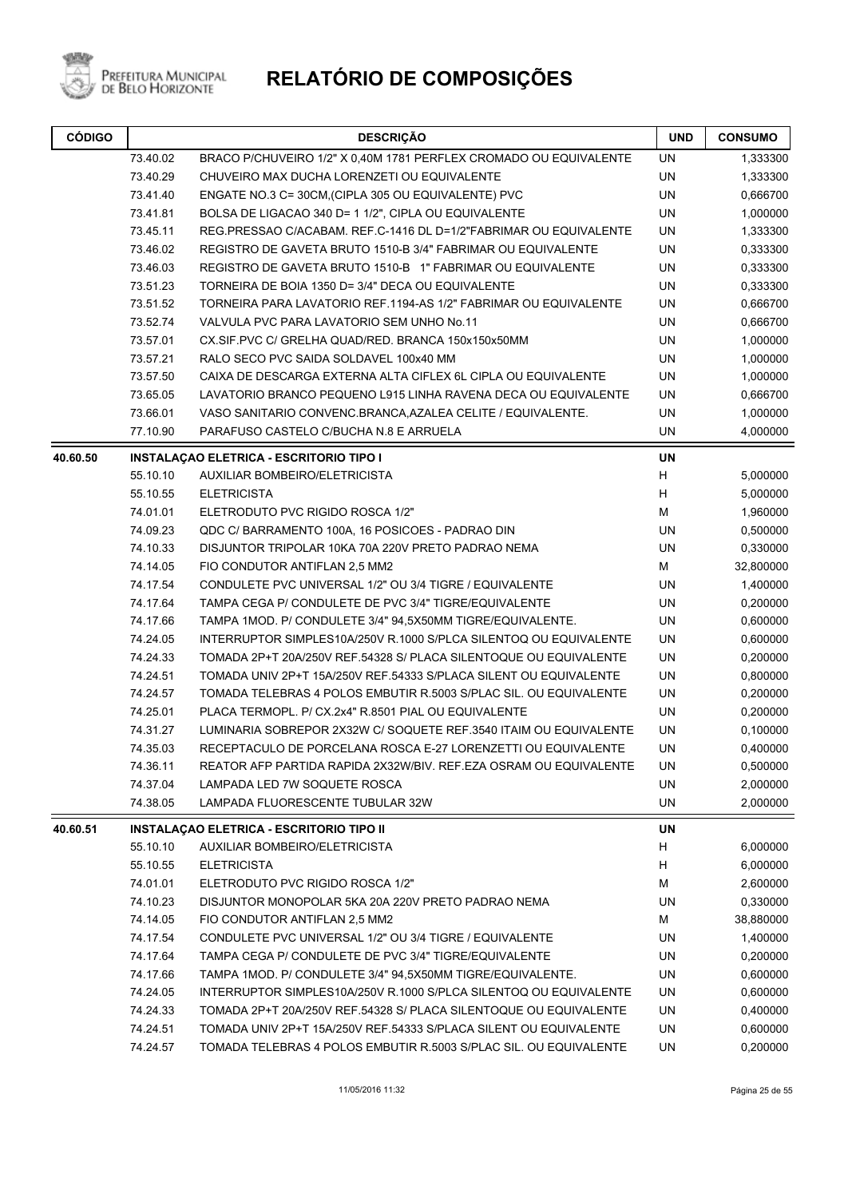

| <b>CÓDIGO</b> |                                                                              | <b>DESCRIÇÃO</b>                                                  | <b>UND</b> | <b>CONSUMO</b> |
|---------------|------------------------------------------------------------------------------|-------------------------------------------------------------------|------------|----------------|
|               | 73.40.02                                                                     | BRACO P/CHUVEIRO 1/2" X 0,40M 1781 PERFLEX CROMADO OU EQUIVALENTE | <b>UN</b>  | 1,333300       |
|               | 73.40.29                                                                     | CHUVEIRO MAX DUCHA LORENZETI OU EQUIVALENTE                       | UN         | 1,333300       |
|               | 73.41.40                                                                     | ENGATE NO.3 C= 30CM, (CIPLA 305 OU EQUIVALENTE) PVC               | UN         | 0,666700       |
|               | 73.41.81                                                                     | BOLSA DE LIGACAO 340 D= 1 1/2", CIPLA OU EQUIVALENTE              | UN         | 1,000000       |
|               | 73.45.11                                                                     | REG.PRESSAO C/ACABAM. REF.C-1416 DL D=1/2"FABRIMAR OU EQUIVALENTE | UN         | 1,333300       |
|               | 73.46.02                                                                     | REGISTRO DE GAVETA BRUTO 1510-B 3/4" FABRIMAR OU EQUIVALENTE      | UN         | 0,333300       |
|               | 73.46.03                                                                     | REGISTRO DE GAVETA BRUTO 1510-B 1" FABRIMAR OU EQUIVALENTE        | UN         | 0,333300       |
|               | 73.51.23                                                                     | TORNEIRA DE BOIA 1350 D= 3/4" DECA OU EQUIVALENTE                 | UN         | 0,333300       |
|               | 73.51.52<br>TORNEIRA PARA LAVATORIO REF.1194-AS 1/2" FABRIMAR OU EQUIVALENTE |                                                                   | UN         | 0,666700       |
|               | 73.52.74<br>VALVULA PVC PARA LAVATORIO SEM UNHO No.11                        |                                                                   | UN         | 0,666700       |
|               | 73.57.01                                                                     | CX.SIF.PVC C/ GRELHA QUAD/RED. BRANCA 150x150x50MM                | UN         | 1,000000       |
|               | 73.57.21                                                                     | RALO SECO PVC SAIDA SOLDAVEL 100x40 MM                            | UN         | 1,000000       |
|               | 73.57.50                                                                     | CAIXA DE DESCARGA EXTERNA ALTA CIFLEX 6L CIPLA OU EQUIVALENTE     | UN         | 1,000000       |
|               | 73.65.05                                                                     | LAVATORIO BRANCO PEQUENO L915 LINHA RAVENA DECA OU EQUIVALENTE    | UN         | 0,666700       |
|               | 73.66.01                                                                     | VASO SANITARIO CONVENC.BRANCA, AZALEA CELITE / EQUIVALENTE.       | UN         | 1,000000       |
|               | 77.10.90                                                                     | PARAFUSO CASTELO C/BUCHA N.8 E ARRUELA                            | UN         | 4,000000       |
| 40.60.50      |                                                                              | <b>INSTALAÇÃO ELETRICA - ESCRITORIO TIPO I</b>                    | <b>UN</b>  |                |
|               | 55.10.10                                                                     | AUXILIAR BOMBEIRO/ELETRICISTA                                     | H          | 5,000000       |
|               | 55.10.55                                                                     | <b>ELETRICISTA</b>                                                | H          | 5,000000       |
|               | 74.01.01                                                                     | ELETRODUTO PVC RIGIDO ROSCA 1/2"                                  | M          | 1,960000       |
|               | 74.09.23                                                                     | QDC C/ BARRAMENTO 100A, 16 POSICOES - PADRAO DIN                  | UN         | 0,500000       |
|               | 74.10.33                                                                     | DISJUNTOR TRIPOLAR 10KA 70A 220V PRETO PADRAO NEMA                | UN         | 0,330000       |
|               | 74.14.05                                                                     | FIO CONDUTOR ANTIFLAN 2,5 MM2                                     | м          | 32,800000      |
|               | 74.17.54                                                                     | CONDULETE PVC UNIVERSAL 1/2" OU 3/4 TIGRE / EQUIVALENTE           | UN         | 1,400000       |
|               | 74.17.64                                                                     | TAMPA CEGA P/ CONDULETE DE PVC 3/4" TIGRE/EQUIVALENTE             | UN         | 0,200000       |
|               | 74.17.66                                                                     | TAMPA 1MOD. P/ CONDULETE 3/4" 94,5X50MM TIGRE/EQUIVALENTE.        | UN         | 0,600000       |
|               | 74.24.05                                                                     | INTERRUPTOR SIMPLES10A/250V R.1000 S/PLCA SILENTOQ OU EQUIVALENTE | UN         | 0,600000       |
|               | 74.24.33                                                                     | TOMADA 2P+T 20A/250V REF.54328 S/ PLACA SILENTOQUE OU EQUIVALENTE | UN         | 0,200000       |
|               | 74.24.51                                                                     | TOMADA UNIV 2P+T 15A/250V REF.54333 S/PLACA SILENT OU EQUIVALENTE | UN         | 0,800000       |
|               | 74.24.57                                                                     | TOMADA TELEBRAS 4 POLOS EMBUTIR R.5003 S/PLAC SIL. OU EQUIVALENTE | UN         | 0,200000       |
|               | 74.25.01                                                                     | PLACA TERMOPL. P/ CX.2x4" R.8501 PIAL OU EQUIVALENTE              | UN         | 0,200000       |
|               | 74.31.27                                                                     | LUMINARIA SOBREPOR 2X32W C/ SOQUETE REF.3540 ITAIM OU EQUIVALENTE | UN         | 0,100000       |
|               | 74.35.03                                                                     | RECEPTACULO DE PORCELANA ROSCA E-27 LORENZETTI OU EQUIVALENTE     | UN         | 0,400000       |
|               | 74.36.11                                                                     | REATOR AFP PARTIDA RAPIDA 2X32W/BIV. REF.EZA OSRAM OU EQUIVALENTE | UN         | 0,500000       |
|               | 74.37.04                                                                     | LAMPADA LED 7W SOQUETE ROSCA                                      | UN         | 2,000000       |
|               | 74.38.05                                                                     | LAMPADA FLUORESCENTE TUBULAR 32W                                  | UN         | 2,000000       |
| 40.60.51      |                                                                              | <b>INSTALAÇAO ELETRICA - ESCRITORIO TIPO II</b>                   | UN         |                |
|               | 55.10.10                                                                     | AUXILIAR BOMBEIRO/ELETRICISTA                                     | H          | 6,000000       |
|               | 55.10.55                                                                     | <b>ELETRICISTA</b>                                                | H          | 6,000000       |
|               | 74.01.01                                                                     | ELETRODUTO PVC RIGIDO ROSCA 1/2"                                  | M          | 2,600000       |
|               | 74.10.23                                                                     | DISJUNTOR MONOPOLAR 5KA 20A 220V PRETO PADRAO NEMA                | UN         | 0,330000       |
|               | 74.14.05                                                                     | FIO CONDUTOR ANTIFLAN 2,5 MM2                                     | M          | 38,880000      |
|               | 74.17.54                                                                     | CONDULETE PVC UNIVERSAL 1/2" OU 3/4 TIGRE / EQUIVALENTE           | <b>UN</b>  | 1,400000       |
|               | 74.17.64                                                                     | TAMPA CEGA P/ CONDULETE DE PVC 3/4" TIGRE/EQUIVALENTE             | <b>UN</b>  | 0,200000       |
|               | 74.17.66                                                                     | TAMPA 1MOD. P/ CONDULETE 3/4" 94,5X50MM TIGRE/EQUIVALENTE.        | UN         | 0,600000       |
|               | 74.24.05                                                                     | INTERRUPTOR SIMPLES10A/250V R.1000 S/PLCA SILENTOQ OU EQUIVALENTE | <b>UN</b>  | 0,600000       |
|               | 74.24.33                                                                     | TOMADA 2P+T 20A/250V REF.54328 S/ PLACA SILENTOQUE OU EQUIVALENTE | UN         | 0,400000       |
|               | 74.24.51                                                                     | TOMADA UNIV 2P+T 15A/250V REF.54333 S/PLACA SILENT OU EQUIVALENTE | <b>UN</b>  | 0,600000       |
|               | 74.24.57                                                                     | TOMADA TELEBRAS 4 POLOS EMBUTIR R.5003 S/PLAC SIL. OU EQUIVALENTE | UN         | 0,200000       |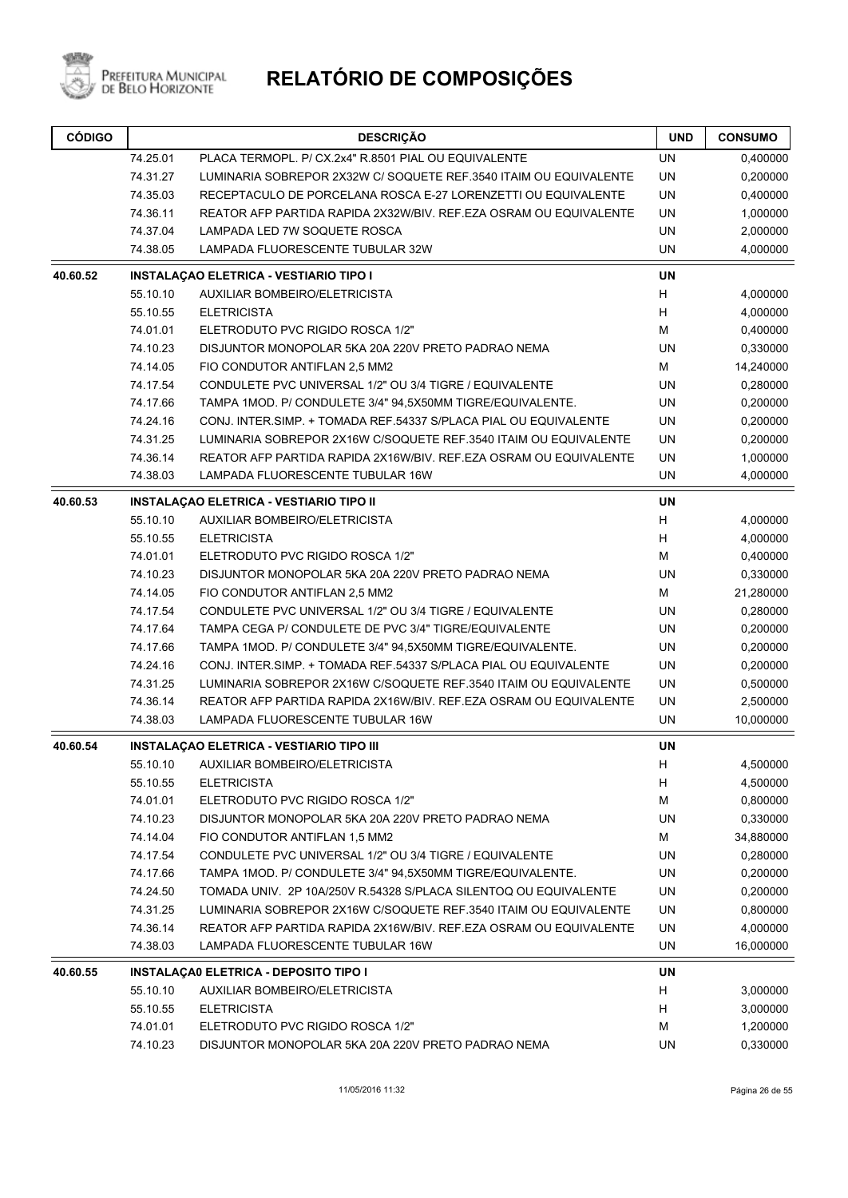

| <b>CÓDIGO</b> | <b>DESCRIÇÃO</b>                                                              |                                                                                                       | <b>UND</b> | <b>CONSUMO</b>        |
|---------------|-------------------------------------------------------------------------------|-------------------------------------------------------------------------------------------------------|------------|-----------------------|
|               | 74.25.01                                                                      | PLACA TERMOPL. P/ CX.2x4" R.8501 PIAL OU EQUIVALENTE                                                  | <b>UN</b>  | 0,400000              |
|               | 74.31.27                                                                      | LUMINARIA SOBREPOR 2X32W C/ SOQUETE REF.3540 ITAIM OU EQUIVALENTE                                     | <b>UN</b>  | 0,200000              |
|               | 74.35.03                                                                      | RECEPTACULO DE PORCELANA ROSCA E-27 LORENZETTI OU EQUIVALENTE                                         | UN         | 0,400000              |
|               | 74.36.11                                                                      | REATOR AFP PARTIDA RAPIDA 2X32W/BIV. REF.EZA OSRAM OU EQUIVALENTE                                     | <b>UN</b>  | 1,000000              |
|               | 74.37.04                                                                      | LAMPADA LED 7W SOQUETE ROSCA                                                                          | <b>UN</b>  | 2,000000              |
|               | 74.38.05                                                                      | LAMPADA FLUORESCENTE TUBULAR 32W                                                                      | <b>UN</b>  | 4,000000              |
| 40.60.52      |                                                                               | <b>INSTALAÇÃO ELETRICA - VESTIARIO TIPO I</b>                                                         | <b>UN</b>  |                       |
|               | 55.10.10                                                                      | AUXILIAR BOMBEIRO/ELETRICISTA                                                                         | Н          | 4,000000              |
|               | 55.10.55                                                                      | <b>ELETRICISTA</b>                                                                                    | Н          | 4,000000              |
|               | 74.01.01                                                                      | ELETRODUTO PVC RIGIDO ROSCA 1/2"                                                                      | М          | 0,400000              |
|               | 74.10.23                                                                      | DISJUNTOR MONOPOLAR 5KA 20A 220V PRETO PADRAO NEMA                                                    | <b>UN</b>  | 0,330000              |
|               | 74.14.05                                                                      | FIO CONDUTOR ANTIFLAN 2,5 MM2                                                                         | М          | 14,240000             |
|               | 74.17.54                                                                      | CONDULETE PVC UNIVERSAL 1/2" OU 3/4 TIGRE / EQUIVALENTE                                               | UN         | 0,280000              |
|               | 74.17.66                                                                      | TAMPA 1MOD. P/ CONDULETE 3/4" 94,5X50MM TIGRE/EQUIVALENTE.                                            | <b>UN</b>  | 0,200000              |
|               | 74.24.16                                                                      | CONJ. INTER SIMP. + TOMADA REF.54337 S/PLACA PIAL OU EQUIVALENTE                                      | <b>UN</b>  | 0,200000              |
|               | 74.31.25                                                                      | LUMINARIA SOBREPOR 2X16W C/SOQUETE REF.3540 ITAIM OU EQUIVALENTE                                      | UN         | 0,200000              |
|               | 74.36.14<br>REATOR AFP PARTIDA RAPIDA 2X16W/BIV. REF.EZA OSRAM OU EQUIVALENTE |                                                                                                       | UN         | 1,000000              |
|               | 74.38.03                                                                      | LAMPADA FLUORESCENTE TUBULAR 16W                                                                      | <b>UN</b>  | 4,000000              |
| 40.60.53      |                                                                               | <b>INSTALAÇAO ELETRICA - VESTIARIO TIPO II</b>                                                        | <b>UN</b>  |                       |
|               | 55.10.10                                                                      | <b>AUXILIAR BOMBEIRO/ELETRICISTA</b>                                                                  | H          | 4,000000              |
|               | 55.10.55                                                                      | <b>ELETRICISTA</b>                                                                                    | н          | 4,000000              |
|               | 74.01.01                                                                      | ELETRODUTO PVC RIGIDO ROSCA 1/2"                                                                      | M          | 0,400000              |
|               | 74.10.23                                                                      | DISJUNTOR MONOPOLAR 5KA 20A 220V PRETO PADRAO NEMA                                                    | UN         | 0,330000              |
|               | 74.14.05                                                                      | FIO CONDUTOR ANTIFLAN 2,5 MM2                                                                         | M          | 21,280000             |
|               | 74.17.54                                                                      | CONDULETE PVC UNIVERSAL 1/2" OU 3/4 TIGRE / EQUIVALENTE                                               | <b>UN</b>  | 0,280000              |
|               | 74.17.64                                                                      | TAMPA CEGA P/ CONDULETE DE PVC 3/4" TIGRE/EQUIVALENTE                                                 | <b>UN</b>  | 0,200000              |
|               | 74.17.66                                                                      | TAMPA 1MOD. P/ CONDULETE 3/4" 94,5X50MM TIGRE/EQUIVALENTE.                                            | <b>UN</b>  | 0,200000              |
|               | 74.24.16                                                                      | CONJ. INTER SIMP. + TOMADA REF.54337 S/PLACA PIAL OU EQUIVALENTE                                      | UN         | 0,200000              |
|               | 74.31.25                                                                      | LUMINARIA SOBREPOR 2X16W C/SOQUETE REF.3540 ITAIM OU EQUIVALENTE                                      | UN         | 0,500000              |
|               | 74.36.14                                                                      | REATOR AFP PARTIDA RAPIDA 2X16W/BIV. REF.EZA OSRAM OU EQUIVALENTE                                     | UN         | 2,500000              |
|               | 74.38.03                                                                      | <b>LAMPADA FLUORESCENTE TUBULAR 16W</b>                                                               | <b>UN</b>  | 10,000000             |
| 40.60.54      |                                                                               | <b>INSTALAÇÃO ELETRICA - VESTIARIO TIPO III</b>                                                       | <b>UN</b>  |                       |
|               |                                                                               | 55.10.10 AUXILIAR BOMBEIRO/ELETRICISTA                                                                | Н          | 4,500000              |
|               | 55.10.55                                                                      | <b>ELETRICISTA</b>                                                                                    | H          | 4,500000              |
|               | 74.01.01                                                                      | ELETRODUTO PVC RIGIDO ROSCA 1/2"                                                                      | М          | 0,800000              |
|               | 74.10.23                                                                      | DISJUNTOR MONOPOLAR 5KA 20A 220V PRETO PADRAO NEMA                                                    | UN         | 0,330000              |
|               | 74.14.04                                                                      | FIO CONDUTOR ANTIFLAN 1,5 MM2                                                                         | М          | 34,880000             |
|               | 74.17.54                                                                      | CONDULETE PVC UNIVERSAL 1/2" OU 3/4 TIGRE / EQUIVALENTE                                               | UN         | 0,280000              |
|               | 74.17.66                                                                      | TAMPA 1MOD. P/ CONDULETE 3/4" 94,5X50MM TIGRE/EQUIVALENTE.                                            | UN         | 0,200000              |
|               | 74.24.50                                                                      | TOMADA UNIV. 2P 10A/250V R.54328 S/PLACA SILENTOQ OU EQUIVALENTE                                      | UN         | 0,200000              |
|               | 74.31.25                                                                      | LUMINARIA SOBREPOR 2X16W C/SOQUETE REF.3540 ITAIM OU EQUIVALENTE                                      | UN         | 0,800000              |
|               | 74.36.14<br>74.38.03                                                          | REATOR AFP PARTIDA RAPIDA 2X16W/BIV. REF.EZA OSRAM OU EQUIVALENTE<br>LAMPADA FLUORESCENTE TUBULAR 16W | UN<br>UN   | 4,000000<br>16,000000 |
|               |                                                                               |                                                                                                       | UN         |                       |
| 40.60.55      | 55.10.10                                                                      | INSTALAÇÃO ELETRICA - DEPOSITO TIPO I<br>AUXILIAR BOMBEIRO/ELETRICISTA                                | н          | 3,000000              |
|               | 55.10.55                                                                      | <b>ELETRICISTA</b>                                                                                    | н          | 3,000000              |
|               | 74.01.01                                                                      | ELETRODUTO PVC RIGIDO ROSCA 1/2"                                                                      | М          | 1,200000              |
|               | 74.10.23                                                                      | DISJUNTOR MONOPOLAR 5KA 20A 220V PRETO PADRAO NEMA                                                    | UN         | 0,330000              |
|               |                                                                               |                                                                                                       |            |                       |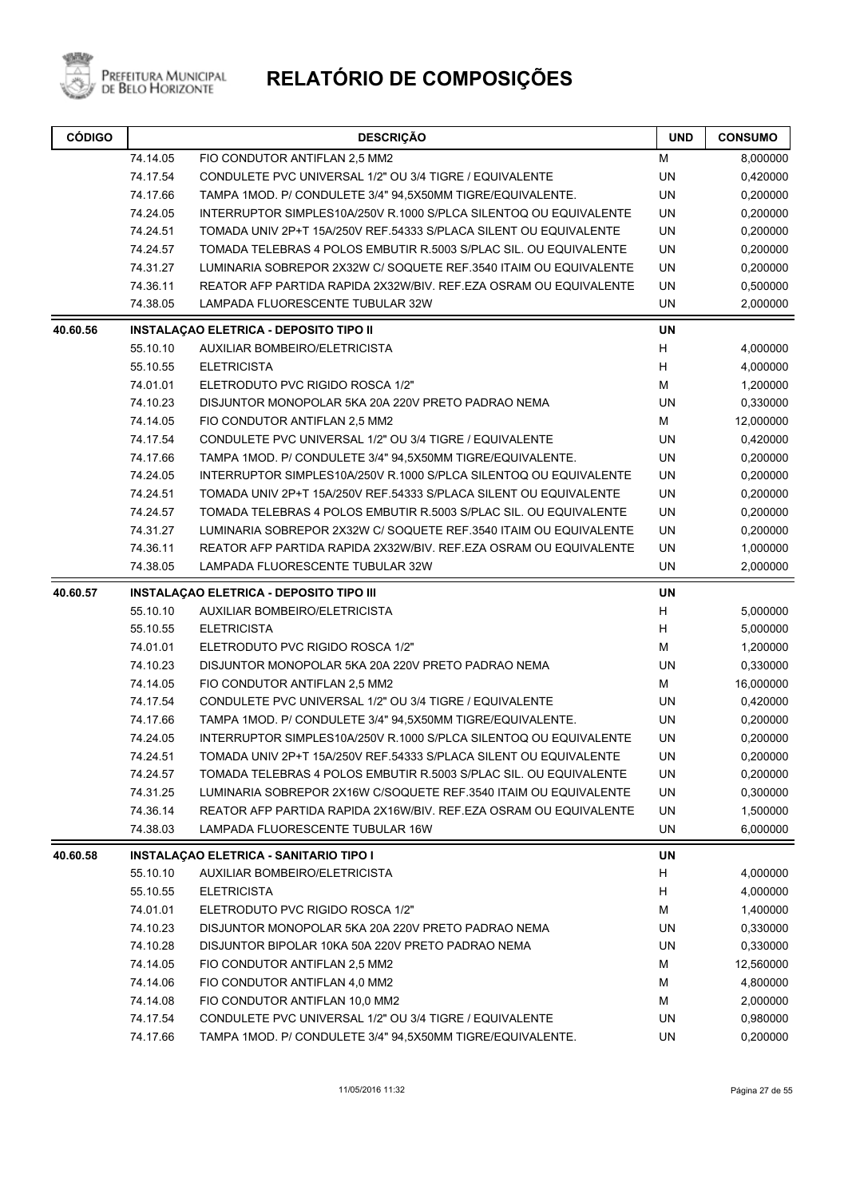

| <b>CÓDIGO</b> | <b>DESCRIÇÃO</b> |                                                                   | <b>UND</b> | <b>CONSUMO</b> |
|---------------|------------------|-------------------------------------------------------------------|------------|----------------|
|               | 74.14.05         | FIO CONDUTOR ANTIFLAN 2,5 MM2                                     | м          | 8,000000       |
|               | 74.17.54         | CONDULETE PVC UNIVERSAL 1/2" OU 3/4 TIGRE / EQUIVALENTE           | UN         | 0,420000       |
|               | 74.17.66         | TAMPA 1MOD. P/ CONDULETE 3/4" 94,5X50MM TIGRE/EQUIVALENTE.        | <b>UN</b>  | 0,200000       |
|               | 74.24.05         | INTERRUPTOR SIMPLES10A/250V R.1000 S/PLCA SILENTOQ OU EQUIVALENTE | UN         | 0,200000       |
|               | 74.24.51         | TOMADA UNIV 2P+T 15A/250V REF.54333 S/PLACA SILENT OU EQUIVALENTE | UN         | 0,200000       |
|               | 74.24.57         | TOMADA TELEBRAS 4 POLOS EMBUTIR R.5003 S/PLAC SIL. OU EQUIVALENTE | UN         | 0,200000       |
|               | 74.31.27         | LUMINARIA SOBREPOR 2X32W C/ SOQUETE REF.3540 ITAIM OU EQUIVALENTE | <b>UN</b>  | 0,200000       |
|               | 74.36.11         | REATOR AFP PARTIDA RAPIDA 2X32W/BIV. REF.EZA OSRAM OU EQUIVALENTE | UN         | 0,500000       |
|               | 74.38.05         | LAMPADA FLUORESCENTE TUBULAR 32W                                  | UN         | 2,000000       |
| 40.60.56      |                  | <b>INSTALAÇAO ELETRICA - DEPOSITO TIPO II</b>                     | <b>UN</b>  |                |
|               | 55.10.10         | AUXILIAR BOMBEIRO/ELETRICISTA                                     | H          | 4,000000       |
|               | 55.10.55         | <b>ELETRICISTA</b>                                                | H          | 4,000000       |
|               | 74.01.01         | ELETRODUTO PVC RIGIDO ROSCA 1/2"                                  | M          | 1,200000       |
|               | 74.10.23         | DISJUNTOR MONOPOLAR 5KA 20A 220V PRETO PADRAO NEMA                | <b>UN</b>  | 0,330000       |
|               | 74.14.05         | FIO CONDUTOR ANTIFLAN 2,5 MM2                                     | M          | 12,000000      |
|               | 74.17.54         | CONDULETE PVC UNIVERSAL 1/2" OU 3/4 TIGRE / EQUIVALENTE           | <b>UN</b>  | 0,420000       |
|               | 74.17.66         | TAMPA 1MOD. P/ CONDULETE 3/4" 94,5X50MM TIGRE/EQUIVALENTE.        | <b>UN</b>  | 0,200000       |
|               | 74.24.05         | INTERRUPTOR SIMPLES10A/250V R.1000 S/PLCA SILENTOQ OU EQUIVALENTE | UN         | 0,200000       |
|               | 74.24.51         | TOMADA UNIV 2P+T 15A/250V REF.54333 S/PLACA SILENT OU EQUIVALENTE | <b>UN</b>  | 0,200000       |
|               | 74.24.57         | TOMADA TELEBRAS 4 POLOS EMBUTIR R.5003 S/PLAC SIL. OU EQUIVALENTE | UN         | 0,200000       |
|               | 74.31.27         | LUMINARIA SOBREPOR 2X32W C/ SOQUETE REF.3540 ITAIM OU EQUIVALENTE | UN         | 0,200000       |
|               | 74.36.11         | REATOR AFP PARTIDA RAPIDA 2X32W/BIV. REF.EZA OSRAM OU EQUIVALENTE | UN         | 1,000000       |
|               | 74.38.05         | LAMPADA FLUORESCENTE TUBULAR 32W                                  | UN         | 2,000000       |
| 40.60.57      |                  | <b>INSTALAÇAO ELETRICA - DEPOSITO TIPO III</b>                    | <b>UN</b>  |                |
|               | 55.10.10         | AUXILIAR BOMBEIRO/ELETRICISTA                                     | $\sf H$    | 5,000000       |
|               | 55.10.55         | <b>ELETRICISTA</b>                                                | Н          | 5,000000       |
|               | 74.01.01         | ELETRODUTO PVC RIGIDO ROSCA 1/2"                                  | M          | 1,200000       |
|               | 74.10.23         | DISJUNTOR MONOPOLAR 5KA 20A 220V PRETO PADRAO NEMA                | UN         | 0,330000       |
|               | 74.14.05         | FIO CONDUTOR ANTIFLAN 2,5 MM2                                     | M          | 16,000000      |
|               | 74.17.54         | CONDULETE PVC UNIVERSAL 1/2" OU 3/4 TIGRE / EQUIVALENTE           | UN         | 0,420000       |
|               | 74.17.66         | TAMPA 1MOD. P/ CONDULETE 3/4" 94,5X50MM TIGRE/EQUIVALENTE.        | UN         | 0,200000       |
|               | 74.24.05         | INTERRUPTOR SIMPLES10A/250V R.1000 S/PLCA SILENTOQ OU EQUIVALENTE | UN         | 0,200000       |
|               | 74.24.51         | TOMADA UNIV 2P+T 15A/250V REF.54333 S/PLACA SILENT OU EQUIVALENTE | UN         | 0,200000       |
|               | 74.24.57         | TOMADA TELEBRAS 4 POLOS EMBUTIR R.5003 S/PLAC SIL. OU EQUIVALENTE | UN         | 0,200000       |
|               | 74.31.25         | LUMINARIA SOBREPOR 2X16W C/SOQUETE REF.3540 ITAIM OU EQUIVALENTE  | UN         | 0,300000       |
|               | 74.36.14         | REATOR AFP PARTIDA RAPIDA 2X16W/BIV. REF.EZA OSRAM OU EQUIVALENTE | UN         | 1,500000       |
|               | 74.38.03         | LAMPADA FLUORESCENTE TUBULAR 16W                                  | UN         | 6,000000       |
| 40.60.58      |                  | INSTALAÇÃO ELETRICA - SANITARIO TIPO I                            | UN         |                |
|               | 55.10.10         | AUXILIAR BOMBEIRO/ELETRICISTA                                     | H          | 4,000000       |
|               | 55.10.55         | <b>ELETRICISTA</b>                                                | H          | 4,000000       |
|               | 74.01.01         | ELETRODUTO PVC RIGIDO ROSCA 1/2"                                  | M          | 1,400000       |
|               | 74.10.23         | DISJUNTOR MONOPOLAR 5KA 20A 220V PRETO PADRAO NEMA                | UN         | 0,330000       |
|               | 74.10.28         | DISJUNTOR BIPOLAR 10KA 50A 220V PRETO PADRAO NEMA                 | UN         | 0,330000       |
|               | 74.14.05         | FIO CONDUTOR ANTIFLAN 2,5 MM2                                     | M          | 12,560000      |
|               | 74.14.06         | FIO CONDUTOR ANTIFLAN 4,0 MM2                                     | M          | 4,800000       |
|               | 74.14.08         | FIO CONDUTOR ANTIFLAN 10,0 MM2                                    | м          | 2,000000       |
|               | 74.17.54         | CONDULETE PVC UNIVERSAL 1/2" OU 3/4 TIGRE / EQUIVALENTE           | UN         | 0,980000       |
|               | 74.17.66         | TAMPA 1MOD. P/ CONDULETE 3/4" 94,5X50MM TIGRE/EQUIVALENTE.        | UN         | 0,200000       |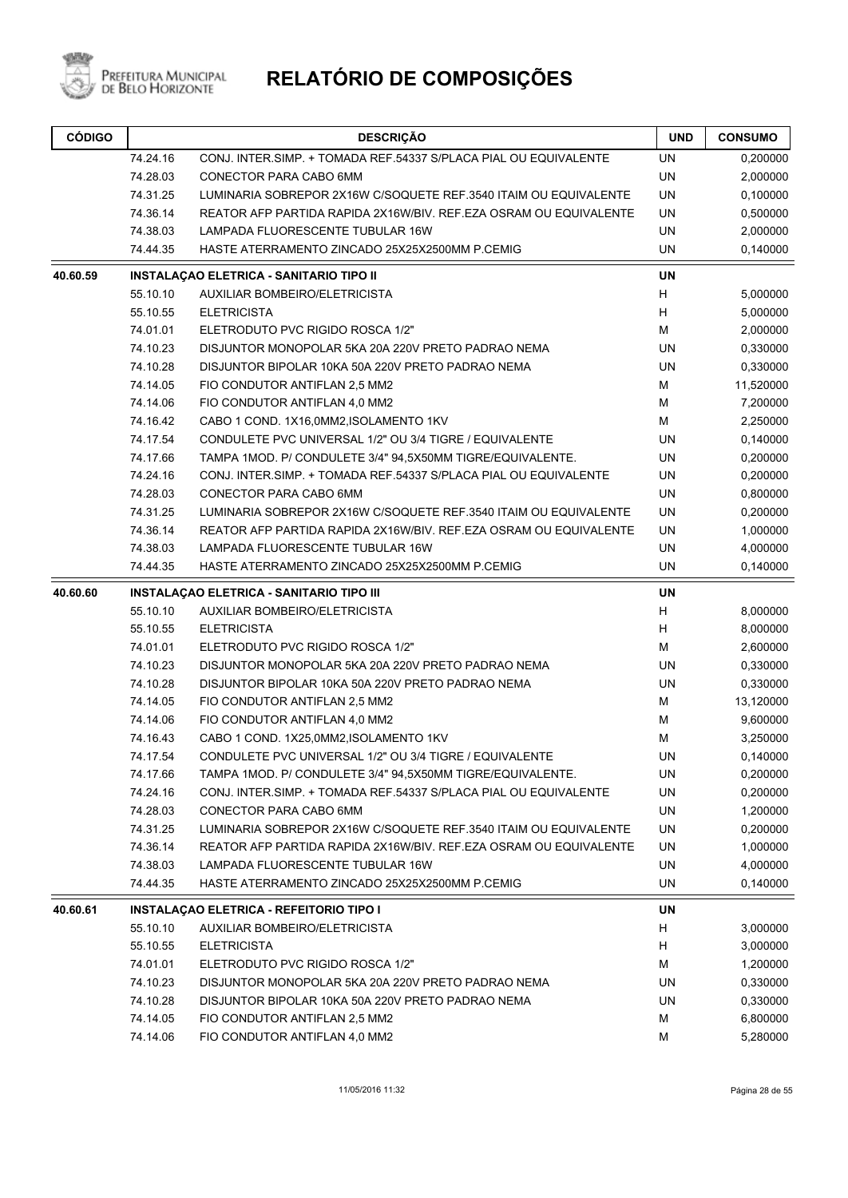

| <b>CÓDIGO</b> | <b>DESCRIÇÃO</b>                          |                                                                    | <b>UND</b> | <b>CONSUMO</b> |
|---------------|-------------------------------------------|--------------------------------------------------------------------|------------|----------------|
|               | 74.24.16                                  | CONJ. INTER SIMP. + TOMADA REF.54337 S/PLACA PIAL OU EQUIVALENTE   | <b>UN</b>  | 0,200000       |
|               | 74.28.03                                  | CONECTOR PARA CABO 6MM                                             | <b>UN</b>  | 2,000000       |
|               | 74.31.25                                  | LUMINARIA SOBREPOR 2X16W C/SOQUETE REF.3540 ITAIM OU EQUIVALENTE   | UN         | 0,100000       |
|               | 74.36.14                                  | REATOR AFP PARTIDA RAPIDA 2X16W/BIV. REF.EZA OSRAM OU EQUIVALENTE  | UN         | 0,500000       |
|               | 74.38.03                                  | LAMPADA FLUORESCENTE TUBULAR 16W                                   | <b>UN</b>  | 2,000000       |
|               | 74.44.35                                  | HASTE ATERRAMENTO ZINCADO 25X25X2500MM P.CEMIG                     | <b>UN</b>  | 0,140000       |
| 40.60.59      |                                           | <b>INSTALAÇAO ELETRICA - SANITARIO TIPO II</b>                     | <b>UN</b>  |                |
|               | 55.10.10                                  | AUXILIAR BOMBEIRO/ELETRICISTA                                      | H          | 5,000000       |
|               | 55.10.55                                  | <b>ELETRICISTA</b>                                                 | H          | 5,000000       |
|               | 74.01.01                                  | ELETRODUTO PVC RIGIDO ROSCA 1/2"                                   | M          | 2,000000       |
|               | 74.10.23                                  | DISJUNTOR MONOPOLAR 5KA 20A 220V PRETO PADRAO NEMA                 | <b>UN</b>  | 0,330000       |
|               | 74.10.28                                  | DISJUNTOR BIPOLAR 10KA 50A 220V PRETO PADRAO NEMA                  | UN         | 0,330000       |
|               | 74.14.05<br>FIO CONDUTOR ANTIFLAN 2,5 MM2 |                                                                    | м          | 11,520000      |
|               | 74.14.06<br>FIO CONDUTOR ANTIFLAN 4,0 MM2 |                                                                    | M          | 7,200000       |
|               | 74.16.42                                  | CABO 1 COND. 1X16,0MM2,ISOLAMENTO 1KV                              | M          | 2,250000       |
|               | 74.17.54                                  | CONDULETE PVC UNIVERSAL 1/2" OU 3/4 TIGRE / EQUIVALENTE            | <b>UN</b>  | 0,140000       |
|               | 74.17.66                                  | TAMPA 1MOD. P/ CONDULETE 3/4" 94,5X50MM TIGRE/EQUIVALENTE.         | UN         | 0,200000       |
|               | 74.24.16                                  | CONJ. INTER.SIMP. + TOMADA REF.54337 S/PLACA PIAL OU EQUIVALENTE   | <b>UN</b>  | 0,200000       |
|               | 74.28.03                                  | CONECTOR PARA CABO 6MM                                             | UN         | 0,800000       |
|               | 74.31.25                                  | LUMINARIA SOBREPOR 2X16W C/SOQUETE REF.3540 ITAIM OU EQUIVALENTE   | UN         | 0,200000       |
|               | 74.36.14                                  | REATOR AFP PARTIDA RAPIDA 2X16W/BIV. REF.EZA OSRAM OU EQUIVALENTE  | UN         | 1,000000       |
|               | 74.38.03                                  | LAMPADA FLUORESCENTE TUBULAR 16W                                   | <b>UN</b>  | 4,000000       |
|               | 74.44.35                                  | HASTE ATERRAMENTO ZINCADO 25X25X2500MM P.CEMIG                     | <b>UN</b>  | 0,140000       |
| 40.60.60      |                                           | <b>INSTALAÇAO ELETRICA - SANITARIO TIPO III</b>                    | <b>UN</b>  |                |
|               | 55.10.10                                  | AUXILIAR BOMBEIRO/ELETRICISTA                                      | H          | 8,000000       |
|               | 55.10.55                                  | <b>ELETRICISTA</b>                                                 | H          | 8,000000       |
|               | 74.01.01                                  | ELETRODUTO PVC RIGIDO ROSCA 1/2"                                   | м          | 2,600000       |
|               | 74.10.23                                  | DISJUNTOR MONOPOLAR 5KA 20A 220V PRETO PADRAO NEMA                 | UN         | 0,330000       |
|               | 74.10.28                                  | DISJUNTOR BIPOLAR 10KA 50A 220V PRETO PADRAO NEMA                  | UN         | 0,330000       |
|               | 74.14.05                                  | FIO CONDUTOR ANTIFLAN 2,5 MM2                                      | м          | 13,120000      |
|               | 74.14.06                                  | FIO CONDUTOR ANTIFLAN 4,0 MM2                                      | м          | 9,600000       |
|               | 74.16.43                                  | CABO 1 COND. 1X25,0MM2, ISOLAMENTO 1KV                             | М          | 3,250000       |
|               | 74.17.54                                  | CONDULETE PVC UNIVERSAL 1/2" OU 3/4 TIGRE / EQUIVALENTE            | UN         | 0,140000       |
|               | 74.17.66                                  | TAMPA 1MOD. P/ CONDULETE 3/4" 94,5X50MM TIGRE/EQUIVALENTE.         | UN         | 0,200000       |
|               | 74.24.16                                  | CONJ. INTER SIMP. + TOMADA REF.54337 S/PLACA PIAL OU EQUIVALENTE   | <b>UN</b>  | 0,200000       |
|               | 74.28.03                                  | CONECTOR PARA CABO 6MM                                             | UN         | 1,200000       |
|               | 74.31.25                                  | LUMINARIA SOBREPOR 2X16W C/SOQUETE REF.3540 ITAIM OU EQUIVALENTE   | UN         | 0,200000       |
|               | 74.36.14                                  | REATOR AFP PARTIDA RAPIDA 2X16W/BIV, REF. EZA OSRAM OU EQUIVALENTE | UN         | 1,000000       |
|               | 74.38.03                                  | <b>LAMPADA FLUORESCENTE TUBULAR 16W</b>                            | UN         | 4,000000       |
|               | 74.44.35                                  | HASTE ATERRAMENTO ZINCADO 25X25X2500MM P.CEMIG                     | UN         | 0,140000       |
| 40.60.61      |                                           | <b>INSTALAÇÃO ELETRICA - REFEITORIO TIPO I</b>                     | UN         |                |
|               | 55.10.10                                  | AUXILIAR BOMBEIRO/ELETRICISTA                                      | H          | 3,000000       |
|               | 55.10.55                                  | <b>ELETRICISTA</b>                                                 | H          | 3,000000       |
|               | 74.01.01                                  | ELETRODUTO PVC RIGIDO ROSCA 1/2"                                   | м          | 1,200000       |
|               | 74.10.23                                  | DISJUNTOR MONOPOLAR 5KA 20A 220V PRETO PADRAO NEMA                 | UN         | 0,330000       |
|               | 74.10.28                                  | DISJUNTOR BIPOLAR 10KA 50A 220V PRETO PADRAO NEMA                  | UN         | 0,330000       |
|               | 74.14.05                                  | FIO CONDUTOR ANTIFLAN 2,5 MM2                                      | M          | 6,800000       |
|               | 74.14.06                                  | FIO CONDUTOR ANTIFLAN 4,0 MM2                                      | M          | 5,280000       |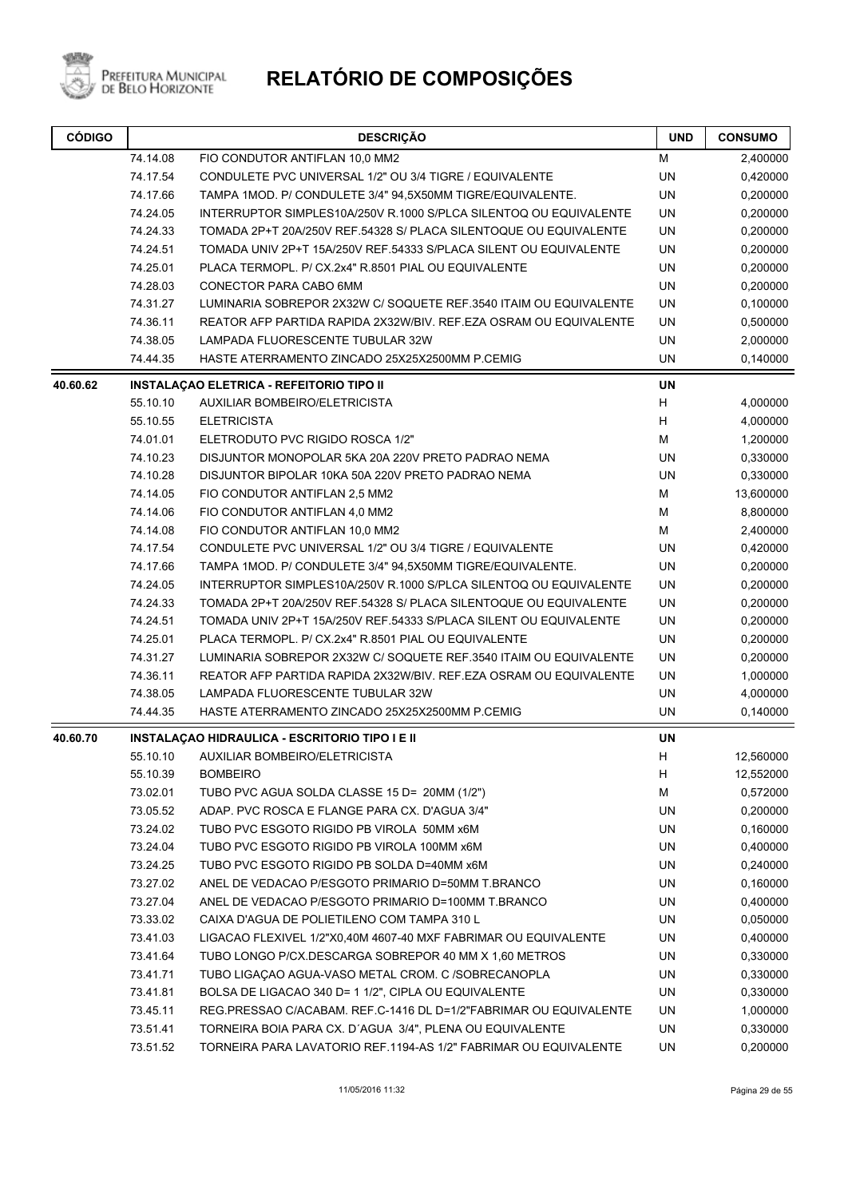

| <b>CÓDIGO</b> | <b>DESCRIÇÃO</b>                                           |                                                                   | <b>UND</b> | <b>CONSUMO</b> |
|---------------|------------------------------------------------------------|-------------------------------------------------------------------|------------|----------------|
|               | 74.14.08                                                   | FIO CONDUTOR ANTIFLAN 10,0 MM2                                    | М          | 2,400000       |
|               | 74.17.54                                                   | CONDULETE PVC UNIVERSAL 1/2" OU 3/4 TIGRE / EQUIVALENTE           | <b>UN</b>  | 0,420000       |
|               | 74.17.66                                                   | TAMPA 1MOD. P/ CONDULETE 3/4" 94,5X50MM TIGRE/EQUIVALENTE.        | UN         | 0,200000       |
|               | 74.24.05                                                   | INTERRUPTOR SIMPLES10A/250V R.1000 S/PLCA SILENTOQ OU EQUIVALENTE | UN         | 0,200000       |
|               | 74.24.33                                                   | TOMADA 2P+T 20A/250V REF.54328 S/ PLACA SILENTOQUE OU EQUIVALENTE | <b>UN</b>  | 0,200000       |
|               | 74.24.51                                                   | TOMADA UNIV 2P+T 15A/250V REF.54333 S/PLACA SILENT OU EQUIVALENTE | UN         | 0,200000       |
|               | 74.25.01                                                   | PLACA TERMOPL. P/ CX.2x4" R.8501 PIAL OU EQUIVALENTE              | <b>UN</b>  | 0,200000       |
|               | 74.28.03                                                   | CONECTOR PARA CABO 6MM                                            | <b>UN</b>  | 0,200000       |
|               | 74.31.27                                                   | LUMINARIA SOBREPOR 2X32W C/ SOQUETE REF.3540 ITAIM OU EQUIVALENTE | UN         | 0,100000       |
|               | 74.36.11                                                   | REATOR AFP PARTIDA RAPIDA 2X32W/BIV. REF.EZA OSRAM OU EQUIVALENTE | UN         | 0,500000       |
|               | LAMPADA FLUORESCENTE TUBULAR 32W<br>74.38.05               |                                                                   | UN         | 2,000000       |
|               | 74.44.35<br>HASTE ATERRAMENTO ZINCADO 25X25X2500MM P.CEMIG |                                                                   | <b>UN</b>  | 0,140000       |
| 40.60.62      |                                                            | <b>INSTALAÇÃO ELETRICA - REFEITORIO TIPO II</b>                   | <b>UN</b>  |                |
|               | 55.10.10                                                   | AUXILIAR BOMBEIRO/ELETRICISTA                                     | Н          | 4,000000       |
|               | 55.10.55                                                   | <b>ELETRICISTA</b>                                                | Н          | 4,000000       |
|               | 74.01.01                                                   | ELETRODUTO PVC RIGIDO ROSCA 1/2"                                  | M          | 1,200000       |
|               | 74.10.23                                                   | DISJUNTOR MONOPOLAR 5KA 20A 220V PRETO PADRAO NEMA                | <b>UN</b>  | 0,330000       |
|               | 74.10.28                                                   | DISJUNTOR BIPOLAR 10KA 50A 220V PRETO PADRAO NEMA                 | <b>UN</b>  | 0,330000       |
|               | 74.14.05                                                   | FIO CONDUTOR ANTIFLAN 2,5 MM2                                     | М          | 13,600000      |
|               | 74.14.06                                                   | FIO CONDUTOR ANTIFLAN 4,0 MM2                                     | М          | 8,800000       |
|               | 74.14.08                                                   | FIO CONDUTOR ANTIFLAN 10,0 MM2                                    | М          | 2,400000       |
|               | 74.17.54                                                   | CONDULETE PVC UNIVERSAL 1/2" OU 3/4 TIGRE / EQUIVALENTE           | UN         | 0,420000       |
|               | 74.17.66                                                   | TAMPA 1MOD. P/ CONDULETE 3/4" 94,5X50MM TIGRE/EQUIVALENTE.        | UN         | 0,200000       |
|               | 74.24.05                                                   | INTERRUPTOR SIMPLES10A/250V R.1000 S/PLCA SILENTOQ OU EQUIVALENTE | UN         | 0,200000       |
|               | 74.24.33                                                   | TOMADA 2P+T 20A/250V REF.54328 S/ PLACA SILENTOQUE OU EQUIVALENTE | UN         | 0,200000       |
|               | 74.24.51                                                   | TOMADA UNIV 2P+T 15A/250V REF.54333 S/PLACA SILENT OU EQUIVALENTE | <b>UN</b>  | 0,200000       |
|               | 74.25.01                                                   | PLACA TERMOPL. P/ CX.2x4" R.8501 PIAL OU EQUIVALENTE              | UN         | 0,200000       |
|               | 74.31.27                                                   | LUMINARIA SOBREPOR 2X32W C/ SOQUETE REF.3540 ITAIM OU EQUIVALENTE | UN         | 0,200000       |
|               | 74.36.11                                                   | REATOR AFP PARTIDA RAPIDA 2X32W/BIV. REF.EZA OSRAM OU EQUIVALENTE | <b>UN</b>  | 1,000000       |
|               | 74.38.05                                                   | LAMPADA FLUORESCENTE TUBULAR 32W                                  | UN         | 4,000000       |
|               | 74.44.35                                                   | HASTE ATERRAMENTO ZINCADO 25X25X2500MM P.CEMIG                    | UN         | 0,140000       |
| 40.60.70      |                                                            | INSTALAÇÃO HIDRAULICA - ESCRITORIO TIPO I E II                    | <b>UN</b>  |                |
|               | 55.10.10                                                   | <b>AUXILIAR BOMBEIRO/ELETRICISTA</b>                              | H          | 12,560000      |
|               | 55.10.39                                                   | <b>BOMBEIRO</b>                                                   | H          | 12,552000      |
|               | 73.02.01                                                   | TUBO PVC AGUA SOLDA CLASSE 15 D= 20MM (1/2")                      | M          | 0,572000       |
|               | 73.05.52                                                   | ADAP. PVC ROSCA E FLANGE PARA CX. D'AGUA 3/4"                     | UN         | 0,200000       |
|               | 73.24.02                                                   | TUBO PVC ESGOTO RIGIDO PB VIROLA 50MM x6M                         | UN         | 0,160000       |
|               | 73.24.04                                                   | TUBO PVC ESGOTO RIGIDO PB VIROLA 100MM x6M                        | UN         | 0,400000       |
|               | 73.24.25                                                   | TUBO PVC ESGOTO RIGIDO PB SOLDA D=40MM x6M                        | UN         | 0,240000       |
|               | 73.27.02                                                   | ANEL DE VEDACAO P/ESGOTO PRIMARIO D=50MM T.BRANCO                 | UN         | 0,160000       |
|               | 73.27.04                                                   | ANEL DE VEDACAO P/ESGOTO PRIMARIO D=100MM T.BRANCO                | UN         | 0,400000       |
|               | 73.33.02                                                   | CAIXA D'AGUA DE POLIETILENO COM TAMPA 310 L                       | UN         | 0,050000       |
|               | 73.41.03                                                   | LIGACAO FLEXIVEL 1/2"X0,40M 4607-40 MXF FABRIMAR OU EQUIVALENTE   | UN         | 0,400000       |
|               | 73.41.64                                                   | TUBO LONGO P/CX.DESCARGA SOBREPOR 40 MM X 1,60 METROS             | UN         | 0,330000       |
|               | 73.41.71                                                   | TUBO LIGAÇÃO AGUA-VASO METAL CROM. C /SOBRECANOPLA                | UN         | 0,330000       |
|               | 73.41.81                                                   | BOLSA DE LIGACAO 340 D= 1 1/2", CIPLA OU EQUIVALENTE              | UN         | 0,330000       |
|               | 73.45.11                                                   | REG.PRESSAO C/ACABAM. REF.C-1416 DL D=1/2"FABRIMAR OU EQUIVALENTE | UN         | 1,000000       |
|               | 73.51.41                                                   | TORNEIRA BOIA PARA CX. D'AGUA 3/4", PLENA OU EQUIVALENTE          | UN         | 0,330000       |
|               | 73.51.52                                                   | TORNEIRA PARA LAVATORIO REF.1194-AS 1/2" FABRIMAR OU EQUIVALENTE  | UN         | 0,200000       |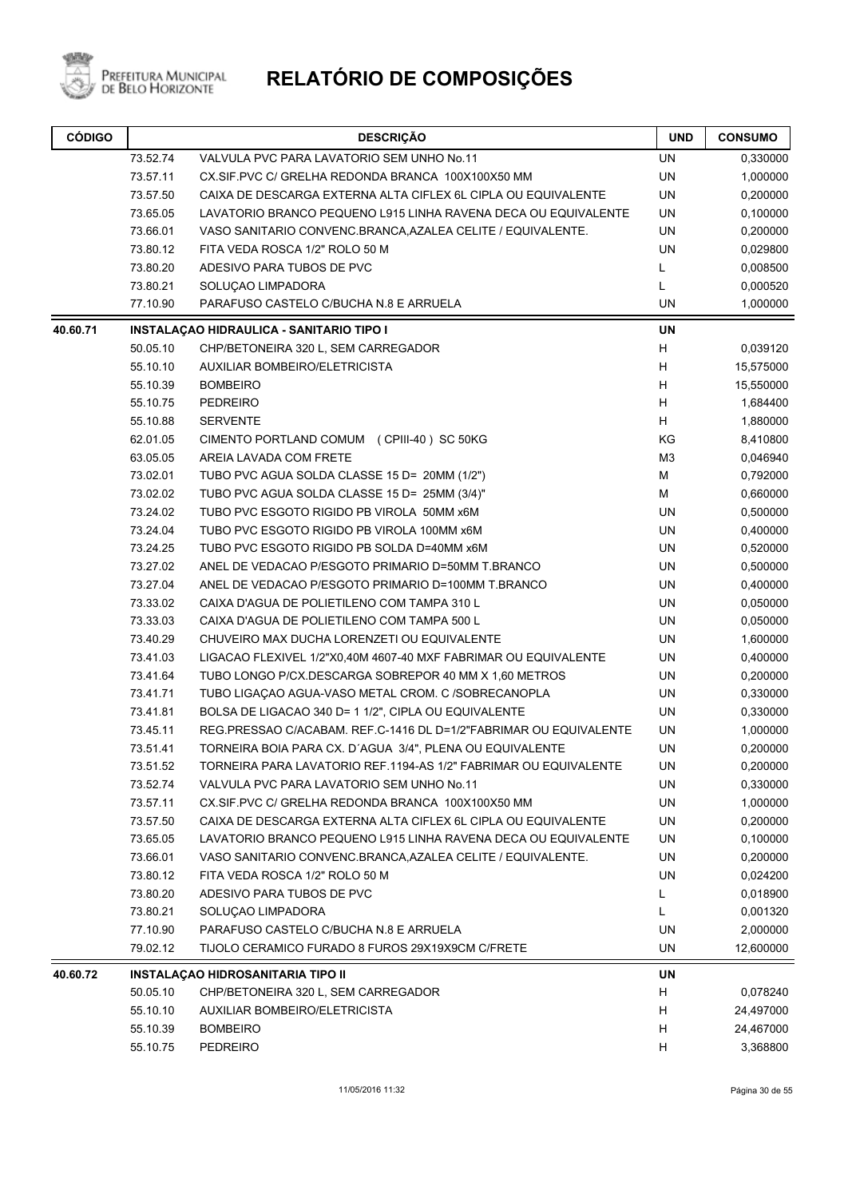

| <b>CÓDIGO</b> |          | <b>DESCRIÇÃO</b>                                                  | <b>UND</b> | <b>CONSUMO</b> |
|---------------|----------|-------------------------------------------------------------------|------------|----------------|
|               | 73.52.74 | VALVULA PVC PARA LAVATORIO SEM UNHO No.11                         | UN         | 0,330000       |
|               | 73.57.11 | CX.SIF.PVC C/ GRELHA REDONDA BRANCA 100X100X50 MM                 | UN         | 1,000000       |
|               | 73.57.50 | CAIXA DE DESCARGA EXTERNA ALTA CIFLEX 6L CIPLA OU EQUIVALENTE     | UN         | 0,200000       |
|               | 73.65.05 | LAVATORIO BRANCO PEQUENO L915 LINHA RAVENA DECA OU EQUIVALENTE    | UN         | 0,100000       |
|               | 73.66.01 | VASO SANITARIO CONVENC.BRANCA, AZALEA CELITE / EQUIVALENTE.       | UN         | 0,200000       |
|               | 73.80.12 | FITA VEDA ROSCA 1/2" ROLO 50 M                                    | <b>UN</b>  | 0,029800       |
|               | 73.80.20 | ADESIVO PARA TUBOS DE PVC                                         | Г          | 0,008500       |
|               | 73.80.21 | SOLUÇAO LIMPADORA                                                 | L          | 0,000520       |
|               | 77.10.90 | PARAFUSO CASTELO C/BUCHA N.8 E ARRUELA                            |            | 1,000000       |
| 40.60.71      |          | <b>INSTALAÇAO HIDRAULICA - SANITARIO TIPO I</b>                   | <b>UN</b>  |                |
|               | 50.05.10 | CHP/BETONEIRA 320 L, SEM CARREGADOR                               | н          | 0,039120       |
|               | 55.10.10 | AUXILIAR BOMBEIRO/ELETRICISTA                                     | Н          | 15,575000      |
|               | 55.10.39 | <b>BOMBEIRO</b>                                                   | Н          | 15,550000      |
|               | 55.10.75 | <b>PEDREIRO</b>                                                   | н          | 1,684400       |
|               | 55.10.88 | <b>SERVENTE</b>                                                   | н          | 1,880000       |
|               | 62.01.05 | CIMENTO PORTLAND COMUM (CPIII-40) SC 50KG                         | KG         | 8,410800       |
|               | 63.05.05 | AREIA LAVADA COM FRETE                                            | M3         | 0,046940       |
|               | 73.02.01 | TUBO PVC AGUA SOLDA CLASSE 15 D= 20MM (1/2")                      | М          | 0,792000       |
|               | 73.02.02 | TUBO PVC AGUA SOLDA CLASSE 15 D= 25MM (3/4)"                      | М          | 0,660000       |
|               | 73.24.02 | TUBO PVC ESGOTO RIGIDO PB VIROLA 50MM x6M                         | UN         | 0,500000       |
|               | 73.24.04 | TUBO PVC ESGOTO RIGIDO PB VIROLA 100MM x6M                        | <b>UN</b>  | 0,400000       |
|               | 73.24.25 | TUBO PVC ESGOTO RIGIDO PB SOLDA D=40MM x6M                        | UN         | 0,520000       |
|               | 73.27.02 | ANEL DE VEDACAO P/ESGOTO PRIMARIO D=50MM T.BRANCO                 | UN         | 0,500000       |
|               | 73.27.04 | ANEL DE VEDACAO P/ESGOTO PRIMARIO D=100MM T.BRANCO                | UN         | 0,400000       |
|               | 73.33.02 | CAIXA D'AGUA DE POLIETILENO COM TAMPA 310 L                       | UN         | 0,050000       |
|               | 73.33.03 | CAIXA D'AGUA DE POLIETILENO COM TAMPA 500 L                       | <b>UN</b>  | 0,050000       |
|               | 73.40.29 | CHUVEIRO MAX DUCHA LORENZETI OU EQUIVALENTE                       | UN         | 1,600000       |
|               | 73.41.03 | LIGACAO FLEXIVEL 1/2"X0,40M 4607-40 MXF FABRIMAR OU EQUIVALENTE   | UN         | 0,400000       |
|               | 73.41.64 | TUBO LONGO P/CX.DESCARGA SOBREPOR 40 MM X 1,60 METROS             | UN         | 0,200000       |
|               | 73.41.71 | TUBO LIGAÇÃO AGUA-VASO METAL CROM. C /SOBRECANOPLA                | UN         | 0,330000       |
|               | 73.41.81 | BOLSA DE LIGACAO 340 D= 1 1/2", CIPLA OU EQUIVALENTE              | UN         | 0,330000       |
|               | 73.45.11 | REG.PRESSAO C/ACABAM. REF.C-1416 DL D=1/2"FABRIMAR OU EQUIVALENTE | UN         | 1,000000       |
|               | 73.51.41 | TORNEIRA BOIA PARA CX. D'AGUA 3/4", PLENA OU EQUIVALENTE          | UN         | 0,200000       |
|               | 73.51.52 | TORNEIRA PARA LAVATORIO REF.1194-AS 1/2" FABRIMAR OU EQUIVALENTE  | UN         | 0,200000       |
|               | 73.52.74 | VALVULA PVC PARA LAVATORIO SEM UNHO No.11                         | UN         | 0,330000       |
|               | 73.57.11 | CX.SIF.PVC C/ GRELHA REDONDA BRANCA 100X100X50 MM                 | UN         | 1,000000       |
|               | 73.57.50 | CAIXA DE DESCARGA EXTERNA ALTA CIFLEX 6L CIPLA OU EQUIVALENTE     | UN         | 0,200000       |
|               | 73.65.05 | LAVATORIO BRANCO PEQUENO L915 LINHA RAVENA DECA OU EQUIVALENTE    | UN         | 0,100000       |
|               | 73.66.01 | VASO SANITARIO CONVENC.BRANCA, AZALEA CELITE / EQUIVALENTE.       | UN         | 0,200000       |
|               | 73.80.12 | FITA VEDA ROSCA 1/2" ROLO 50 M                                    | UN         | 0,024200       |
|               | 73.80.20 | ADESIVO PARA TUBOS DE PVC                                         | L          | 0,018900       |
|               | 73.80.21 | SOLUÇAO LIMPADORA                                                 | Г          | 0,001320       |
|               | 77.10.90 | PARAFUSO CASTELO C/BUCHA N.8 E ARRUELA                            | UN         | 2,000000       |
|               | 79.02.12 | TIJOLO CERAMICO FURADO 8 FUROS 29X19X9CM C/FRETE                  | UN         | 12,600000      |
| 40.60.72      |          | INSTALAÇÃO HIDROSANITARIA TIPO II                                 | UN         |                |
|               | 50.05.10 | CHP/BETONEIRA 320 L, SEM CARREGADOR                               | н          | 0,078240       |
|               | 55.10.10 | AUXILIAR BOMBEIRO/ELETRICISTA                                     | н          | 24,497000      |
|               | 55.10.39 | <b>BOMBEIRO</b>                                                   | н          | 24,467000      |
|               | 55.10.75 | <b>PEDREIRO</b>                                                   | н          | 3,368800       |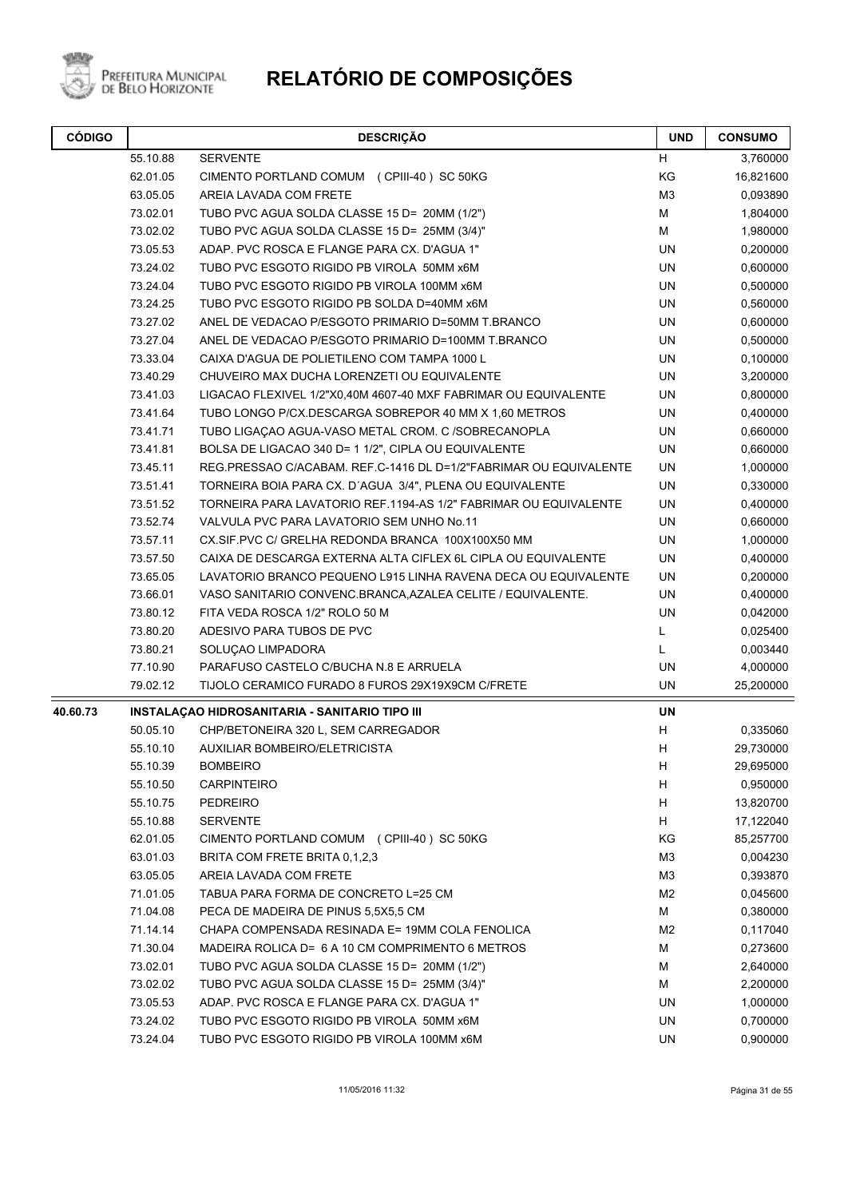

| <b>CÓDIGO</b> | <b>DESCRIÇÃO</b> |                                                                   | <b>UND</b>     | <b>CONSUMO</b> |
|---------------|------------------|-------------------------------------------------------------------|----------------|----------------|
|               | 55.10.88         | <b>SERVENTE</b>                                                   | H              | 3,760000       |
|               | 62.01.05         | CIMENTO PORTLAND COMUM (CPIII-40) SC 50KG                         | KG             | 16,821600      |
|               | 63.05.05         | AREIA LAVADA COM FRETE                                            | M <sub>3</sub> | 0,093890       |
|               | 73.02.01         | TUBO PVC AGUA SOLDA CLASSE 15 D= 20MM (1/2")                      | M              | 1,804000       |
|               | 73.02.02         | TUBO PVC AGUA SOLDA CLASSE 15 D= 25MM (3/4)"                      | M              | 1,980000       |
|               | 73.05.53         | ADAP. PVC ROSCA E FLANGE PARA CX. D'AGUA 1"                       | <b>UN</b>      | 0,200000       |
|               | 73.24.02         | TUBO PVC ESGOTO RIGIDO PB VIROLA 50MM x6M                         | <b>UN</b>      | 0,600000       |
|               | 73.24.04         | TUBO PVC ESGOTO RIGIDO PB VIROLA 100MM x6M                        | <b>UN</b>      | 0,500000       |
|               | 73.24.25         | TUBO PVC ESGOTO RIGIDO PB SOLDA D=40MM x6M                        | <b>UN</b>      | 0,560000       |
|               | 73.27.02         | ANEL DE VEDACAO P/ESGOTO PRIMARIO D=50MM T.BRANCO                 | <b>UN</b>      | 0,600000       |
|               | 73.27.04         | ANEL DE VEDACAO P/ESGOTO PRIMARIO D=100MM T.BRANCO                | UN             | 0,500000       |
|               | 73.33.04         | CAIXA D'AGUA DE POLIETILENO COM TAMPA 1000 L                      | <b>UN</b>      | 0,100000       |
|               | 73.40.29         | CHUVEIRO MAX DUCHA LORENZETI OU EQUIVALENTE                       | <b>UN</b>      | 3,200000       |
|               | 73.41.03         | LIGACAO FLEXIVEL 1/2"X0,40M 4607-40 MXF FABRIMAR OU EQUIVALENTE   | UN             | 0,800000       |
|               | 73.41.64         | TUBO LONGO P/CX.DESCARGA SOBREPOR 40 MM X 1,60 METROS             | UN             | 0,400000       |
|               | 73.41.71         | TUBO LIGAÇÃO AGUA-VASO METAL CROM. C /SOBRECANOPLA                | UN             | 0,660000       |
|               | 73.41.81         | BOLSA DE LIGACAO 340 D= 1 1/2", CIPLA OU EQUIVALENTE              | UN             | 0,660000       |
|               | 73.45.11         | REG.PRESSAO C/ACABAM. REF.C-1416 DL D=1/2"FABRIMAR OU EQUIVALENTE | <b>UN</b>      | 1,000000       |
|               | 73.51.41         | TORNEIRA BOIA PARA CX. D'AGUA 3/4", PLENA OU EQUIVALENTE          | UN             | 0,330000       |
|               | 73.51.52         | TORNEIRA PARA LAVATORIO REF.1194-AS 1/2" FABRIMAR OU EQUIVALENTE  | <b>UN</b>      | 0,400000       |
|               | 73.52.74         | VALVULA PVC PARA LAVATORIO SEM UNHO No.11                         | <b>UN</b>      | 0,660000       |
|               | 73.57.11         | CX.SIF.PVC C/ GRELHA REDONDA BRANCA 100X100X50 MM                 | <b>UN</b>      | 1,000000       |
|               | 73.57.50         | CAIXA DE DESCARGA EXTERNA ALTA CIFLEX 6L CIPLA OU EQUIVALENTE     | <b>UN</b>      | 0,400000       |
|               | 73.65.05         | LAVATORIO BRANCO PEQUENO L915 LINHA RAVENA DECA OU EQUIVALENTE    | UN             | 0,200000       |
|               | 73.66.01         | VASO SANITARIO CONVENC.BRANCA, AZALEA CELITE / EQUIVALENTE.       | <b>UN</b>      | 0,400000       |
|               | 73.80.12         | FITA VEDA ROSCA 1/2" ROLO 50 M                                    | <b>UN</b>      | 0,042000       |
|               | 73.80.20         | ADESIVO PARA TUBOS DE PVC                                         | L.             | 0,025400       |
|               | 73.80.21         | SOLUÇÃO LIMPADORA                                                 | L              | 0,003440       |
|               | 77.10.90         | PARAFUSO CASTELO C/BUCHA N.8 E ARRUELA                            | UN             | 4,000000       |
|               | 79.02.12         | TIJOLO CERAMICO FURADO 8 FUROS 29X19X9CM C/FRETE                  | <b>UN</b>      | 25,200000      |
| 40.60.73      |                  | INSTALAÇÃO HIDROSANITARIA - SANITARIO TIPO III                    | <b>UN</b>      |                |
|               | 50.05.10         | CHP/BETONEIRA 320 L, SEM CARREGADOR                               | H              | 0,335060       |
|               | 55.10.10         | <b>AUXILIAR BOMBEIRO/ELETRICISTA</b>                              | H              | 29,730000      |
|               | 55.10.39         | <b>BOMBEIRO</b>                                                   | H              | 29,695000      |
|               | 55.10.50         | <b>CARPINTEIRO</b>                                                | Н              | 0,950000       |
|               | 55.10.75         | <b>PEDREIRO</b>                                                   | н              | 13,820700      |
|               | 55.10.88         | <b>SERVENTE</b>                                                   | H              | 17,122040      |
|               | 62.01.05         | CIMENTO PORTLAND COMUM (CPIII-40) SC 50KG                         | ΚG             | 85,257700      |
|               | 63.01.03         | BRITA COM FRETE BRITA 0.1.2.3                                     | M <sub>3</sub> | 0,004230       |
|               | 63.05.05         | AREIA LAVADA COM FRETE                                            | M <sub>3</sub> | 0,393870       |
|               | 71.01.05         | TABUA PARA FORMA DE CONCRETO L=25 CM                              | M <sub>2</sub> | 0,045600       |
|               | 71.04.08         | PECA DE MADEIRA DE PINUS 5,5X5,5 CM                               | M              | 0,380000       |
|               | 71.14.14         | CHAPA COMPENSADA RESINADA E= 19MM COLA FENOLICA                   | M <sub>2</sub> | 0,117040       |
|               | 71.30.04         | MADEIRA ROLICA D= 6 A 10 CM COMPRIMENTO 6 METROS                  | M              | 0,273600       |
|               | 73.02.01         | TUBO PVC AGUA SOLDA CLASSE 15 D= 20MM (1/2")                      | M              | 2,640000       |
|               | 73.02.02         | TUBO PVC AGUA SOLDA CLASSE 15 D= 25MM (3/4)"                      | M              | 2,200000       |
|               | 73.05.53         | ADAP. PVC ROSCA E FLANGE PARA CX. D'AGUA 1"                       | UN             | 1,000000       |
|               | 73.24.02         | TUBO PVC ESGOTO RIGIDO PB VIROLA 50MM x6M                         | UN             | 0,700000       |
|               | 73.24.04         | TUBO PVC ESGOTO RIGIDO PB VIROLA 100MM x6M                        | UN             | 0,900000       |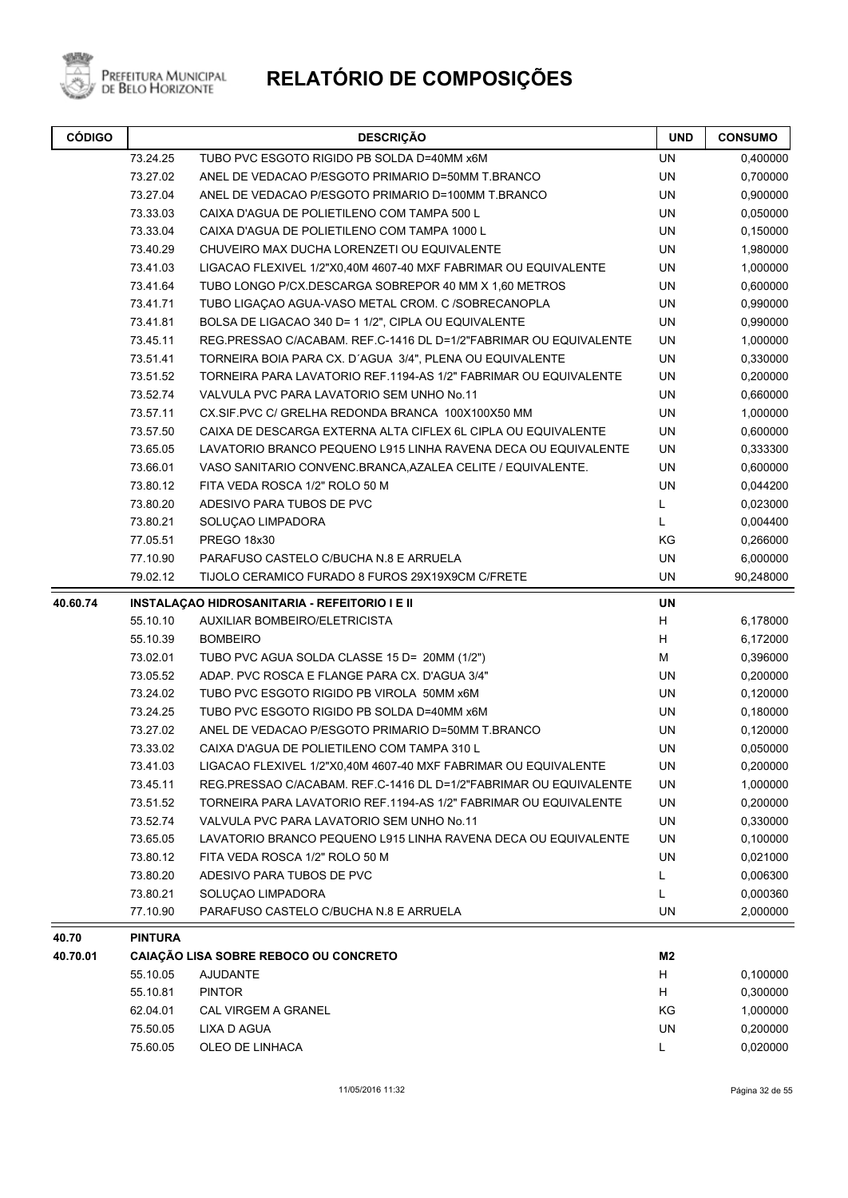

| <b>CÓDIGO</b> |                                                                             | <b>DESCRIÇÃO</b>                                                  | <b>UND</b>     | <b>CONSUMO</b> |
|---------------|-----------------------------------------------------------------------------|-------------------------------------------------------------------|----------------|----------------|
|               | 73.24.25                                                                    | TUBO PVC ESGOTO RIGIDO PB SOLDA D=40MM x6M                        | UN             | 0,400000       |
|               | 73.27.02                                                                    | ANEL DE VEDACAO P/ESGOTO PRIMARIO D=50MM T.BRANCO                 | <b>UN</b>      | 0,700000       |
|               | 73.27.04                                                                    | ANEL DE VEDACAO P/ESGOTO PRIMARIO D=100MM T.BRANCO                | UN             | 0,900000       |
|               | 73.33.03                                                                    | CAIXA D'AGUA DE POLIETILENO COM TAMPA 500 L                       | UN             | 0,050000       |
|               | 73.33.04                                                                    | CAIXA D'AGUA DE POLIETILENO COM TAMPA 1000 L                      | UN             | 0,150000       |
|               | 73.40.29                                                                    | CHUVEIRO MAX DUCHA LORENZETI OU EQUIVALENTE                       | <b>UN</b>      | 1,980000       |
|               | 73.41.03<br>LIGACAO FLEXIVEL 1/2"X0,40M 4607-40 MXF FABRIMAR OU EQUIVALENTE |                                                                   | <b>UN</b>      | 1,000000       |
|               | 73.41.64                                                                    | TUBO LONGO P/CX.DESCARGA SOBREPOR 40 MM X 1,60 METROS             | UN             | 0,600000       |
|               | 73.41.71                                                                    | TUBO LIGACAO AGUA-VASO METAL CROM. C /SOBRECANOPLA                | UN             | 0,990000       |
|               | 73.41.81<br>BOLSA DE LIGACAO 340 D= 1 1/2", CIPLA OU EQUIVALENTE            |                                                                   | <b>UN</b>      | 0,990000       |
|               | 73.45.11                                                                    | REG.PRESSAO C/ACABAM. REF.C-1416 DL D=1/2"FABRIMAR OU EQUIVALENTE | UN             | 1,000000       |
|               | 73.51.41                                                                    | TORNEIRA BOIA PARA CX. D'AGUA 3/4", PLENA OU EQUIVALENTE          | UN             | 0,330000       |
|               | 73.51.52                                                                    | TORNEIRA PARA LAVATORIO REF.1194-AS 1/2" FABRIMAR OU EQUIVALENTE  | <b>UN</b>      | 0,200000       |
|               | 73.52.74                                                                    | VALVULA PVC PARA LAVATORIO SEM UNHO No.11                         | <b>UN</b>      | 0,660000       |
|               | 73.57.11                                                                    | CX.SIF.PVC C/ GRELHA REDONDA BRANCA 100X100X50 MM                 | <b>UN</b>      | 1,000000       |
|               | 73.57.50                                                                    | CAIXA DE DESCARGA EXTERNA ALTA CIFLEX 6L CIPLA OU EQUIVALENTE     | UN             | 0,600000       |
|               | 73.65.05                                                                    | LAVATORIO BRANCO PEQUENO L915 LINHA RAVENA DECA OU EQUIVALENTE    | UN             | 0,333300       |
|               | 73.66.01                                                                    | VASO SANITARIO CONVENC.BRANCA, AZALEA CELITE / EQUIVALENTE.       | UN             | 0,600000       |
|               | 73.80.12                                                                    | FITA VEDA ROSCA 1/2" ROLO 50 M                                    | UN             | 0,044200       |
|               | 73.80.20                                                                    | ADESIVO PARA TUBOS DE PVC                                         | L              | 0,023000       |
|               | 73.80.21                                                                    | SOLUÇAO LIMPADORA                                                 | Г              | 0,004400       |
|               | 77.05.51                                                                    | PREGO 18x30                                                       | ΚG             | 0,266000       |
|               | 77.10.90                                                                    | PARAFUSO CASTELO C/BUCHA N.8 E ARRUELA                            | UN             | 6,000000       |
|               | 79.02.12                                                                    | TIJOLO CERAMICO FURADO 8 FUROS 29X19X9CM C/FRETE                  | UN             | 90,248000      |
| 40.60.74      |                                                                             | <b>INSTALAÇÃO HIDROSANITARIA - REFEITORIO I E II</b>              | <b>UN</b>      |                |
|               | 55.10.10                                                                    | <b>AUXILIAR BOMBEIRO/ELETRICISTA</b>                              | Н              | 6,178000       |
|               | 55.10.39                                                                    | <b>BOMBEIRO</b>                                                   | Н              | 6,172000       |
|               | 73.02.01                                                                    | TUBO PVC AGUA SOLDA CLASSE 15 D= 20MM (1/2")                      | м              | 0,396000       |
|               | 73.05.52                                                                    | ADAP. PVC ROSCA E FLANGE PARA CX. D'AGUA 3/4"                     | UN             | 0,200000       |
|               | 73.24.02                                                                    | TUBO PVC ESGOTO RIGIDO PB VIROLA 50MM x6M                         | UN             | 0,120000       |
|               | 73.24.25                                                                    | TUBO PVC ESGOTO RIGIDO PB SOLDA D=40MM x6M                        | <b>UN</b>      | 0,180000       |
|               | 73.27.02                                                                    | ANEL DE VEDACAO P/ESGOTO PRIMARIO D=50MM T.BRANCO                 | UN             | 0,120000       |
|               | 73.33.02                                                                    | CAIXA D'AGUA DE POLIETILENO COM TAMPA 310 L                       | UN             | 0,050000       |
|               | 73.41.03                                                                    | LIGACAO FLEXIVEL 1/2"X0,40M 4607-40 MXF FABRIMAR OU EQUIVALENTE   | <b>UN</b>      | 0,200000       |
|               | 73.45.11                                                                    | REG.PRESSAO C/ACABAM. REF.C-1416 DL D=1/2"FABRIMAR OU EQUIVALENTE | UN             | 1,000000       |
|               | 73.51.52                                                                    | TORNEIRA PARA LAVATORIO REF.1194-AS 1/2" FABRIMAR OU EQUIVALENTE  | UN             | 0,200000       |
|               | 73.52.74                                                                    | VALVULA PVC PARA LAVATORIO SEM UNHO No.11                         | UN             | 0,330000       |
|               | 73.65.05                                                                    | LAVATORIO BRANCO PEQUENO L915 LINHA RAVENA DECA OU EQUIVALENTE    | UN             | 0,100000       |
|               | 73.80.12                                                                    | FITA VEDA ROSCA 1/2" ROLO 50 M                                    | UN             | 0,021000       |
|               | 73.80.20                                                                    | ADESIVO PARA TUBOS DE PVC                                         | L              | 0,006300       |
|               | 73.80.21                                                                    | SOLUÇAO LIMPADORA                                                 | L              | 0,000360       |
|               | 77.10.90                                                                    | PARAFUSO CASTELO C/BUCHA N.8 E ARRUELA                            | UN             | 2,000000       |
| 40.70         | <b>PINTURA</b>                                                              |                                                                   |                |                |
| 40.70.01      |                                                                             | CAIAÇÃO LISA SOBRE REBOCO OU CONCRETO                             | M <sub>2</sub> |                |
|               | 55.10.05                                                                    | <b>AJUDANTE</b>                                                   | H              | 0,100000       |
|               | 55.10.81                                                                    | <b>PINTOR</b>                                                     | H              | 0,300000       |
|               | 62.04.01                                                                    | <b>CAL VIRGEM A GRANEL</b>                                        | KG             | 1,000000       |
|               | 75.50.05                                                                    | LIXA D AGUA                                                       | UN             | 0,200000       |
|               | 75.60.05                                                                    | OLEO DE LINHACA                                                   | L              | 0,020000       |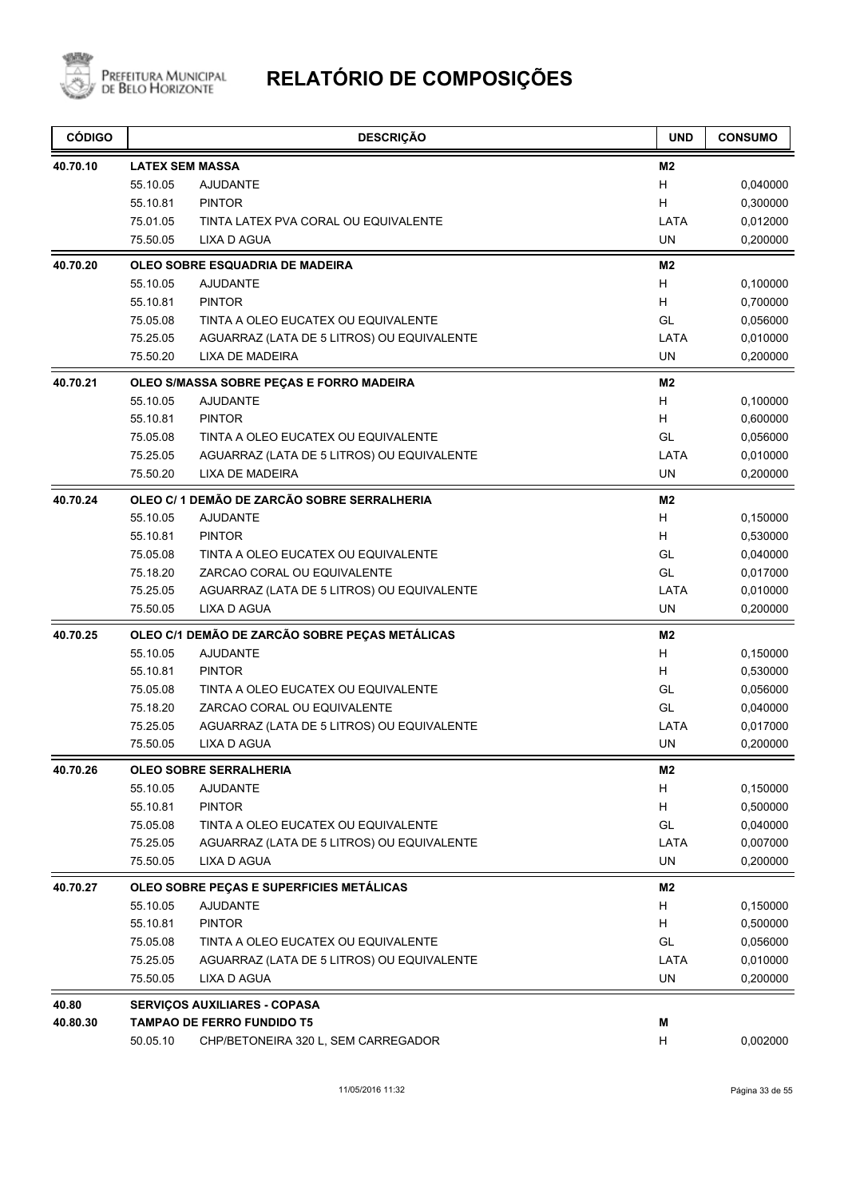

| <b>CÓDIGO</b> |                                 | <b>DESCRIÇÃO</b>                               | <b>UND</b> | <b>CONSUMO</b> |
|---------------|---------------------------------|------------------------------------------------|------------|----------------|
| 40.70.10      |                                 | <b>LATEX SEM MASSA</b>                         | M2         |                |
|               | 55.10.05                        | <b>AJUDANTE</b>                                | H.         | 0,040000       |
|               | 55.10.81                        | <b>PINTOR</b>                                  | H.         | 0,300000       |
|               | 75.01.05                        | TINTA LATEX PVA CORAL OU EQUIVALENTE           | LATA       | 0,012000       |
|               | 75.50.05                        | LIXA D AGUA                                    | <b>UN</b>  | 0,200000       |
| 40.70.20      | OLEO SOBRE ESQUADRIA DE MADEIRA |                                                |            |                |
|               | 55.10.05                        | <b>AJUDANTE</b>                                | H          | 0,100000       |
|               | 55.10.81                        | <b>PINTOR</b>                                  | H          | 0,700000       |
|               | 75.05.08                        | TINTA A OLEO EUCATEX OU EQUIVALENTE            | GL         | 0,056000       |
|               | 75.25.05                        | AGUARRAZ (LATA DE 5 LITROS) OU EQUIVALENTE     | LATA       | 0,010000       |
|               | 75.50.20                        | <b>LIXA DE MADEIRA</b>                         | <b>UN</b>  | 0,200000       |
| 40.70.21      |                                 | OLEO S/MASSA SOBRE PEÇAS E FORRO MADEIRA       | M2         |                |
|               | 55.10.05                        | <b>AJUDANTE</b>                                | H          | 0,100000       |
|               | 55.10.81                        | <b>PINTOR</b>                                  | H          | 0,600000       |
|               | 75.05.08                        | TINTA A OLEO EUCATEX OU EQUIVALENTE            | GL         | 0,056000       |
|               | 75.25.05                        | AGUARRAZ (LATA DE 5 LITROS) OU EQUIVALENTE     | LATA       | 0,010000       |
|               | 75.50.20                        | <b>LIXA DE MADEIRA</b>                         | <b>UN</b>  | 0,200000       |
| 40.70.24      |                                 | OLEO C/1 DEMÃO DE ZARCÃO SOBRE SERRALHERIA     | M2         |                |
|               | 55.10.05                        | <b>AJUDANTE</b>                                | H          | 0,150000       |
|               | 55.10.81                        | <b>PINTOR</b>                                  | H          | 0,530000       |
|               | 75.05.08                        | TINTA A OLEO EUCATEX OU EQUIVALENTE            | GL         | 0,040000       |
|               | 75.18.20                        | ZARCAO CORAL OU EQUIVALENTE                    | GL         | 0,017000       |
|               | 75.25.05                        | AGUARRAZ (LATA DE 5 LITROS) OU EQUIVALENTE     | LATA       | 0,010000       |
|               | 75.50.05                        | <b>LIXA D AGUA</b>                             | <b>UN</b>  | 0,200000       |
| 40.70.25      |                                 | OLEO C/1 DEMÃO DE ZARCÃO SOBRE PEÇAS METÁLICAS | M2         |                |
|               | 55.10.05                        | <b>AJUDANTE</b>                                | H          | 0,150000       |
|               | 55.10.81                        | <b>PINTOR</b>                                  | H          | 0,530000       |
|               | 75.05.08                        | TINTA A OLEO EUCATEX OU EQUIVALENTE            | GL         | 0,056000       |
|               | 75.18.20                        | ZARCAO CORAL OU EQUIVALENTE                    | GL         | 0,040000       |
|               | 75.25.05                        | AGUARRAZ (LATA DE 5 LITROS) OU EQUIVALENTE     | LATA       | 0,017000       |
|               | 75.50.05                        | <b>LIXA D AGUA</b>                             | UN         | 0,200000       |
| 40.70.26      |                                 | <b>OLEO SOBRE SERRALHERIA</b>                  | M2         |                |
|               | 55.10.05                        | <b>AJUDANTE</b>                                | Н          | 0,150000       |
|               | 55.10.81                        | <b>PINTOR</b>                                  | Н          | 0,500000       |
|               | 75.05.08                        | TINTA A OLEO EUCATEX OU EQUIVALENTE            | GL         | 0,040000       |
|               | 75.25.05                        | AGUARRAZ (LATA DE 5 LITROS) OU EQUIVALENTE     | LATA       | 0,007000       |
|               | 75.50.05                        | LIXA D AGUA                                    | UN         | 0,200000       |
| 40.70.27      |                                 | OLEO SOBRE PECAS E SUPERFICIES METÁLICAS       | M2         |                |
|               | 55.10.05                        | <b>AJUDANTE</b>                                | Н          | 0,150000       |
|               | 55.10.81                        | <b>PINTOR</b>                                  | Н          | 0,500000       |
|               | 75.05.08                        | TINTA A OLEO EUCATEX OU EQUIVALENTE            | GL         | 0,056000       |
|               | 75.25.05                        | AGUARRAZ (LATA DE 5 LITROS) OU EQUIVALENTE     | LATA       | 0,010000       |
|               | 75.50.05                        | LIXA D AGUA                                    | UN         | 0,200000       |
| 40.80         |                                 | <b>SERVIÇOS AUXILIARES - COPASA</b>            |            |                |
| 40.80.30      |                                 | <b>TAMPAO DE FERRO FUNDIDO T5</b>              | M          |                |
|               | 50.05.10                        | CHP/BETONEIRA 320 L, SEM CARREGADOR            | H.         | 0,002000       |
|               |                                 |                                                |            |                |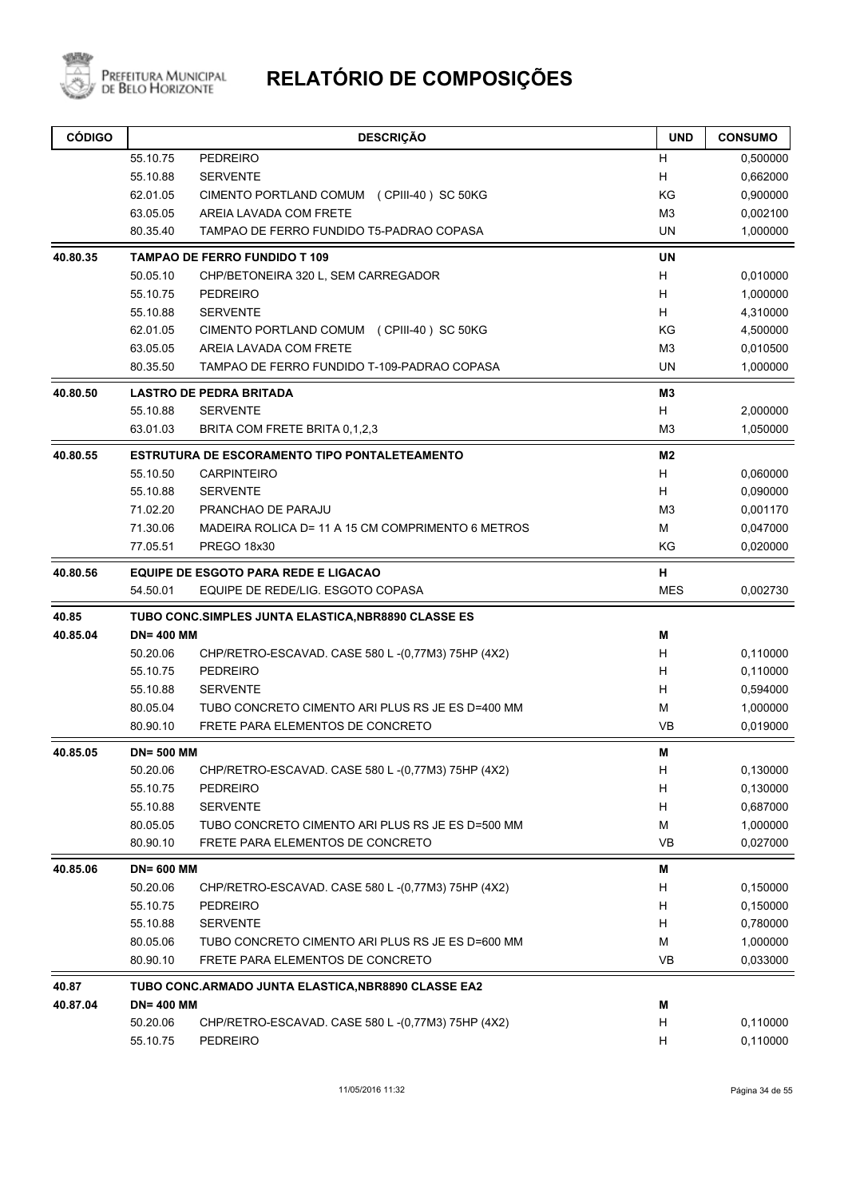

| <b>CÓDIGO</b> |                   | <b>DESCRIÇÃO</b>                                    | <b>UND</b>     | <b>CONSUMO</b> |
|---------------|-------------------|-----------------------------------------------------|----------------|----------------|
|               | 55.10.75          | <b>PEDREIRO</b>                                     | H              | 0,500000       |
|               | 55.10.88          | <b>SERVENTE</b>                                     | H              | 0,662000       |
|               | 62.01.05          | CIMENTO PORTLAND COMUM (CPIII-40) SC 50KG           | KG             | 0,900000       |
|               | 63.05.05          | AREIA LAVADA COM FRETE                              | M <sub>3</sub> | 0,002100       |
|               | 80.35.40          | TAMPAO DE FERRO FUNDIDO T5-PADRAO COPASA            | UN             | 1,000000       |
| 40.80.35      |                   | <b>TAMPAO DE FERRO FUNDIDO T 109</b>                | <b>UN</b>      |                |
|               | 50.05.10          | CHP/BETONEIRA 320 L, SEM CARREGADOR                 | H              | 0,010000       |
|               | 55.10.75          | <b>PEDREIRO</b>                                     | H              | 1,000000       |
|               | 55.10.88          | <b>SERVENTE</b>                                     | H.             | 4,310000       |
|               | 62.01.05          | CIMENTO PORTLAND COMUM (CPIII-40) SC 50KG           | KG             | 4,500000       |
|               | 63.05.05          | AREIA LAVADA COM FRETE                              | M <sub>3</sub> | 0,010500       |
|               | 80.35.50          | TAMPAO DE FERRO FUNDIDO T-109-PADRAO COPASA         | <b>UN</b>      | 1,000000       |
| 40.80.50      |                   | <b>LASTRO DE PEDRA BRITADA</b>                      | M3             |                |
|               | 55.10.88          | <b>SERVENTE</b>                                     | H              | 2,000000       |
|               | 63.01.03          | BRITA COM FRETE BRITA 0,1,2,3                       | M <sub>3</sub> | 1,050000       |
| 40.80.55      |                   | ESTRUTURA DE ESCORAMENTO TIPO PONTALETEAMENTO       | M <sub>2</sub> |                |
|               | 55.10.50          | <b>CARPINTEIRO</b>                                  | H              | 0,060000       |
|               | 55.10.88          | <b>SERVENTE</b>                                     | H.             | 0,090000       |
|               | 71.02.20          | PRANCHAO DE PARAJU                                  | M <sub>3</sub> | 0,001170       |
|               | 71.30.06          | MADEIRA ROLICA D= 11 A 15 CM COMPRIMENTO 6 METROS   | м              | 0,047000       |
|               | 77.05.51          | PREGO 18x30                                         | KG             | 0,020000       |
| 40.80.56      |                   | <b>EQUIPE DE ESGOTO PARA REDE E LIGACAO</b>         | н              |                |
|               | 54.50.01          | EQUIPE DE REDE/LIG. ESGOTO COPASA                   | <b>MES</b>     | 0,002730       |
| 40.85         |                   | TUBO CONC.SIMPLES JUNTA ELASTICA, NBR8890 CLASSE ES |                |                |
| 40.85.04      | <b>DN=400 MM</b>  |                                                     | М              |                |
|               | 50.20.06          | CHP/RETRO-ESCAVAD. CASE 580 L-(0,77M3) 75HP (4X2)   | H              | 0,110000       |
|               | 55.10.75          | <b>PEDREIRO</b>                                     | H              | 0,110000       |
|               | 55.10.88          | <b>SERVENTE</b>                                     | H              | 0,594000       |
|               | 80.05.04          | TUBO CONCRETO CIMENTO ARI PLUS RS JE ES D=400 MM    | М              | 1,000000       |
|               | 80.90.10          | FRETE PARA ELEMENTOS DE CONCRETO                    | VB             | 0,019000       |
| 40.85.05      | <b>DN= 500 MM</b> |                                                     | M              |                |
|               | 50.20.06          | CHP/RETRO-ESCAVAD. CASE 580 L-(0,77M3) 75HP (4X2)   | H              | 0,130000       |
|               | 55.10.75          | PEDREIRO                                            | H              | 0,130000       |
|               | 55.10.88          | <b>SERVENTE</b>                                     | H              | 0,687000       |
|               | 80.05.05          | TUBO CONCRETO CIMENTO ARI PLUS RS JE ES D=500 MM    | М              | 1,000000       |
|               | 80.90.10          | FRETE PARA ELEMENTOS DE CONCRETO                    | VB             | 0,027000       |
| 40.85.06      | <b>DN= 600 MM</b> |                                                     | M              |                |
|               | 50.20.06          | CHP/RETRO-ESCAVAD. CASE 580 L-(0,77M3) 75HP (4X2)   | H              | 0,150000       |
|               | 55.10.75          | <b>PEDREIRO</b>                                     | H              | 0,150000       |
|               | 55.10.88          | <b>SERVENTE</b>                                     | H              | 0,780000       |
|               | 80.05.06          | TUBO CONCRETO CIMENTO ARI PLUS RS JE ES D=600 MM    | M              | 1,000000       |
|               | 80.90.10          | FRETE PARA ELEMENTOS DE CONCRETO                    | VB             | 0,033000       |
| 40.87         |                   | TUBO CONC.ARMADO JUNTA ELASTICA,NBR8890 CLASSE EA2  |                |                |
| 40.87.04      | <b>DN=400 MM</b>  |                                                     | M              |                |
|               | 50.20.06          | CHP/RETRO-ESCAVAD. CASE 580 L-(0,77M3) 75HP (4X2)   | H              | 0,110000       |
|               | 55.10.75          | PEDREIRO                                            | H              | 0,110000       |
|               |                   |                                                     |                |                |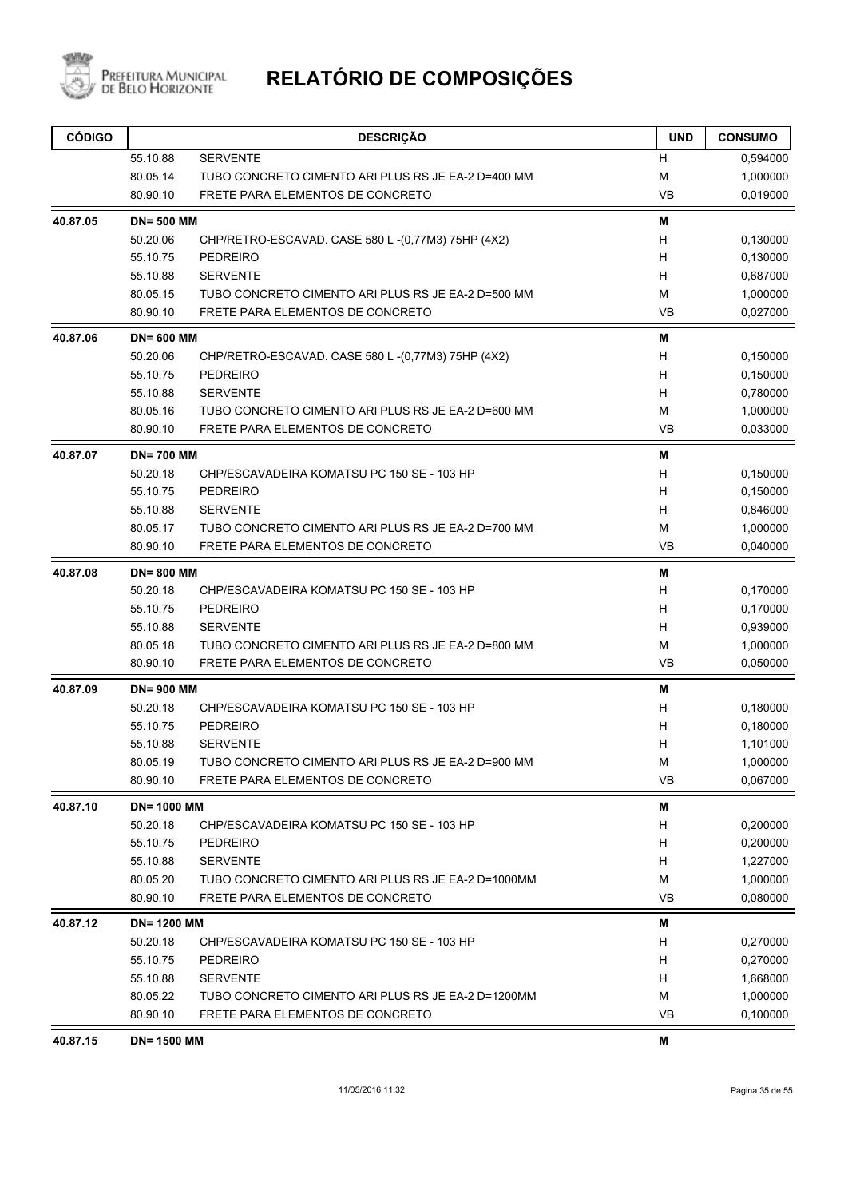

| <b>CÓDIGO</b> |                    | <b>DESCRIÇÃO</b>                                   | <b>UND</b> | <b>CONSUMO</b> |
|---------------|--------------------|----------------------------------------------------|------------|----------------|
|               | 55.10.88           | <b>SERVENTE</b>                                    | н          | 0,594000       |
|               | 80.05.14           | TUBO CONCRETO CIMENTO ARI PLUS RS JE EA-2 D=400 MM | М          | 1,000000       |
|               | 80.90.10           | FRETE PARA ELEMENTOS DE CONCRETO                   | <b>VB</b>  | 0,019000       |
| 40.87.05      | <b>DN=500 MM</b>   |                                                    | M          |                |
|               | 50.20.06           | CHP/RETRO-ESCAVAD. CASE 580 L-(0,77M3) 75HP (4X2)  | н          | 0,130000       |
|               | 55.10.75           | <b>PEDREIRO</b>                                    | Н          | 0,130000       |
|               | 55.10.88           | <b>SERVENTE</b>                                    | н          | 0,687000       |
|               | 80.05.15           | TUBO CONCRETO CIMENTO ARI PLUS RS JE EA-2 D=500 MM | М          | 1,000000       |
|               | 80.90.10           | FRETE PARA ELEMENTOS DE CONCRETO                   | <b>VB</b>  | 0,027000       |
| 40.87.06      | <b>DN=600 MM</b>   |                                                    | Μ          |                |
|               | 50.20.06           | CHP/RETRO-ESCAVAD. CASE 580 L-(0,77M3) 75HP (4X2)  | н          | 0,150000       |
|               | 55.10.75           | <b>PEDREIRO</b>                                    | н          | 0,150000       |
|               | 55.10.88           | <b>SERVENTE</b>                                    | H          | 0,780000       |
|               | 80.05.16           | TUBO CONCRETO CIMENTO ARI PLUS RS JE EA-2 D=600 MM | М          | 1,000000       |
|               | 80.90.10           | FRETE PARA ELEMENTOS DE CONCRETO                   | <b>VB</b>  | 0,033000       |
| 40.87.07      | <b>DN=700 MM</b>   |                                                    | М          |                |
|               | 50.20.18           | CHP/ESCAVADEIRA KOMATSU PC 150 SE - 103 HP         | H          | 0,150000       |
|               | 55.10.75           | <b>PEDREIRO</b>                                    | н          | 0.150000       |
|               | 55.10.88           | <b>SERVENTE</b>                                    | н          | 0,846000       |
|               | 80.05.17           | TUBO CONCRETO CIMENTO ARI PLUS RS JE EA-2 D=700 MM | М          | 1,000000       |
|               | 80.90.10           | FRETE PARA ELEMENTOS DE CONCRETO                   | <b>VB</b>  | 0,040000       |
| 40.87.08      | <b>DN=800 MM</b>   |                                                    | M          |                |
|               | 50.20.18           | CHP/ESCAVADEIRA KOMATSU PC 150 SE - 103 HP         | H          | 0,170000       |
|               | 55.10.75           | <b>PEDREIRO</b>                                    | н          | 0,170000       |
|               | 55.10.88           | <b>SERVENTE</b>                                    | Н          | 0,939000       |
|               | 80.05.18           | TUBO CONCRETO CIMENTO ARI PLUS RS JE EA-2 D=800 MM | М          | 1,000000       |
|               | 80.90.10           | FRETE PARA ELEMENTOS DE CONCRETO                   | VB         | 0,050000       |
| 40.87.09      | <b>DN=900 MM</b>   |                                                    | Μ          |                |
|               | 50.20.18           | CHP/ESCAVADEIRA KOMATSU PC 150 SE - 103 HP         | н          | 0,180000       |
|               | 55.10.75           | <b>PEDREIRO</b>                                    | н          | 0,180000       |
|               | 55.10.88           | <b>SERVENTE</b>                                    | н          | 1,101000       |
|               | 80.05.19           | TUBO CONCRETO CIMENTO ARI PLUS RS JE EA-2 D=900 MM | M          | 1,000000       |
|               | 80.90.10           | FRETE PARA ELEMENTOS DE CONCRETO                   | VB         | 0,067000       |
| 40.87.10      | <b>DN= 1000 MM</b> |                                                    | M          |                |
|               | 50.20.18           | CHP/ESCAVADEIRA KOMATSU PC 150 SE - 103 HP         | H          | 0,200000       |
|               | 55.10.75           | <b>PEDREIRO</b>                                    | Н          | 0,200000       |
|               | 55.10.88           | <b>SERVENTE</b>                                    | н          | 1,227000       |
|               | 80.05.20           | TUBO CONCRETO CIMENTO ARI PLUS RS JE EA-2 D=1000MM | М          | 1,000000       |
|               | 80.90.10           | FRETE PARA ELEMENTOS DE CONCRETO                   | <b>VB</b>  | 0,080000       |
| 40.87.12      | <b>DN=1200 MM</b>  |                                                    | M          |                |
|               | 50.20.18           | CHP/ESCAVADEIRA KOMATSU PC 150 SE - 103 HP         | H          | 0,270000       |
|               | 55.10.75           | <b>PEDREIRO</b>                                    | Н          | 0,270000       |
|               | 55.10.88           | <b>SERVENTE</b>                                    | H          | 1,668000       |
|               | 80.05.22           | TUBO CONCRETO CIMENTO ARI PLUS RS JE EA-2 D=1200MM | М          | 1,000000       |
|               | 80.90.10           | FRETE PARA ELEMENTOS DE CONCRETO                   | VB         | 0,100000       |
| 40.87.15      | <b>DN=1500 MM</b>  |                                                    | M          |                |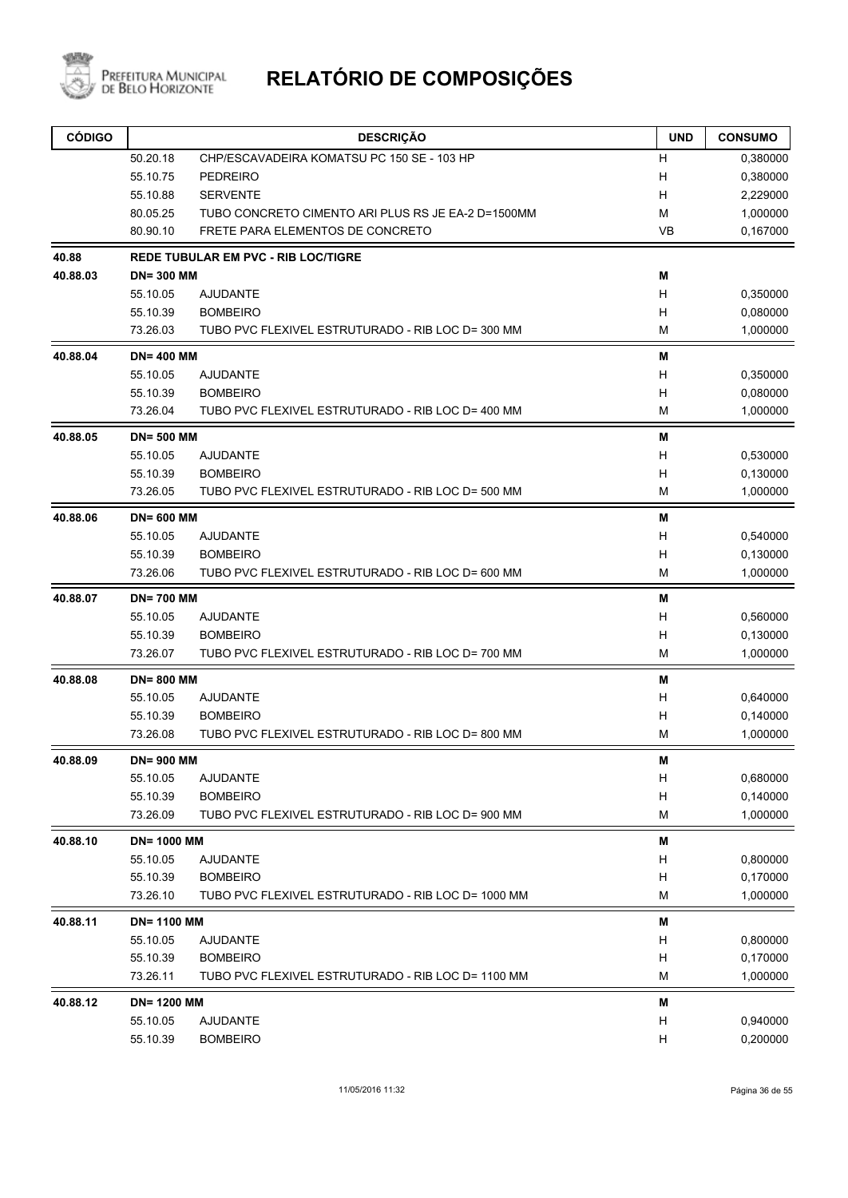

| <b>CÓDIGO</b> |                    | <b>DESCRIÇÃO</b>                                   | <b>UND</b> | <b>CONSUMO</b> |
|---------------|--------------------|----------------------------------------------------|------------|----------------|
|               | 50.20.18           | CHP/ESCAVADEIRA KOMATSU PC 150 SE - 103 HP         | н          | 0,380000       |
|               | 55.10.75           | <b>PEDREIRO</b>                                    | н          | 0,380000       |
|               | 55.10.88           | <b>SERVENTE</b>                                    | н          | 2,229000       |
|               | 80.05.25           | TUBO CONCRETO CIMENTO ARI PLUS RS JE EA-2 D=1500MM | M          | 1,000000       |
|               | 80.90.10           | FRETE PARA ELEMENTOS DE CONCRETO                   | <b>VB</b>  | 0,167000       |
| 40.88         |                    | <b>REDE TUBULAR EM PVC - RIB LOC/TIGRE</b>         |            |                |
| 40.88.03      | <b>DN=300 MM</b>   |                                                    | Μ          |                |
|               | 55.10.05           | <b>AJUDANTE</b>                                    | н          | 0,350000       |
|               | 55.10.39           | <b>BOMBEIRO</b>                                    | Н          | 0,080000       |
|               | 73.26.03           | TUBO PVC FLEXIVEL ESTRUTURADO - RIB LOC D= 300 MM  | M          | 1,000000       |
| 40.88.04      | <b>DN=400 MM</b>   |                                                    | M          |                |
|               | 55.10.05           | <b>AJUDANTE</b>                                    | н          | 0,350000       |
|               | 55.10.39           | <b>BOMBEIRO</b>                                    | н          | 0,080000       |
|               | 73.26.04           | TUBO PVC FLEXIVEL ESTRUTURADO - RIB LOC D= 400 MM  | M          | 1,000000       |
| 40.88.05      | <b>DN=500 MM</b>   |                                                    | Μ          |                |
|               | 55.10.05           | <b>AJUDANTE</b>                                    | H          | 0,530000       |
|               | 55.10.39           | <b>BOMBEIRO</b>                                    | н          | 0,130000       |
|               | 73.26.05           | TUBO PVC FLEXIVEL ESTRUTURADO - RIB LOC D= 500 MM  | M          | 1,000000       |
| 40.88.06      | <b>DN=600 MM</b>   |                                                    | Μ          |                |
|               | 55.10.05           | <b>AJUDANTE</b>                                    | Н          | 0,540000       |
|               | 55.10.39           | <b>BOMBEIRO</b>                                    | н          | 0,130000       |
|               | 73.26.06           | TUBO PVC FLEXIVEL ESTRUTURADO - RIB LOC D= 600 MM  | M          | 1,000000       |
| 40.88.07      | <b>DN=700 MM</b>   |                                                    | Μ          |                |
|               | 55.10.05           | <b>AJUDANTE</b>                                    | н          | 0,560000       |
|               | 55.10.39           | <b>BOMBEIRO</b>                                    | н          | 0,130000       |
|               | 73.26.07           | TUBO PVC FLEXIVEL ESTRUTURADO - RIB LOC D= 700 MM  | M          | 1,000000       |
| 40.88.08      | <b>DN=800 MM</b>   |                                                    | M          |                |
|               | 55.10.05           | <b>AJUDANTE</b>                                    | н          | 0,640000       |
|               | 55.10.39           | <b>BOMBEIRO</b>                                    | Н          | 0,140000       |
|               | 73.26.08           | TUBO PVC FLEXIVEL ESTRUTURADO - RIB LOC D= 800 MM  | М          | 1,000000       |
| 40.88.09      | <b>DN=900 MM</b>   |                                                    | M          |                |
|               | 55.10.05           | <b>AJUDANTE</b>                                    | H          | 0,680000       |
|               | 55.10.39           | <b>BOMBEIRO</b>                                    | Н          | 0,140000       |
|               | 73.26.09           | TUBO PVC FLEXIVEL ESTRUTURADO - RIB LOC D= 900 MM  | M          | 1,000000       |
| 40.88.10      | <b>DN= 1000 MM</b> |                                                    | Μ          |                |
|               | 55.10.05           | <b>AJUDANTE</b>                                    | Н          | 0,800000       |
|               | 55.10.39           | <b>BOMBEIRO</b>                                    | Н          | 0,170000       |
|               | 73.26.10           | TUBO PVC FLEXIVEL ESTRUTURADO - RIB LOC D= 1000 MM | M          | 1,000000       |
| 40.88.11      | <b>DN=1100 MM</b>  |                                                    | M          |                |
|               | 55.10.05           | <b>AJUDANTE</b>                                    | Н          | 0,800000       |
|               | 55.10.39           | <b>BOMBEIRO</b>                                    | Н          | 0,170000       |
|               | 73.26.11           | TUBO PVC FLEXIVEL ESTRUTURADO - RIB LOC D= 1100 MM | М          | 1,000000       |
| 40.88.12      | <b>DN=1200 MM</b>  |                                                    | M          |                |
|               | 55.10.05           | <b>AJUDANTE</b>                                    | Н          | 0,940000       |
|               | 55.10.39           | <b>BOMBEIRO</b>                                    | Н          | 0,200000       |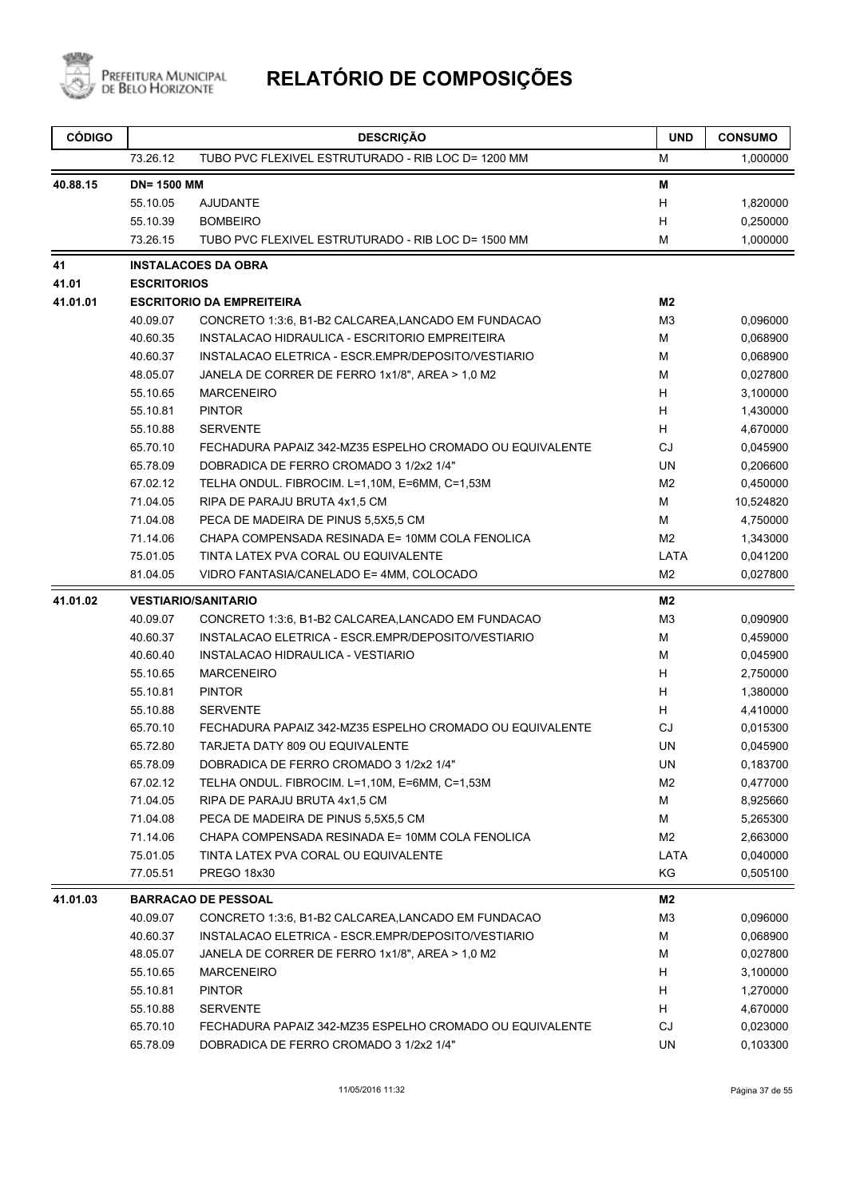

| <b>CÓDIGO</b> |                    | <b>DESCRIÇÃO</b>                                         | <b>UND</b>     | <b>CONSUMO</b> |
|---------------|--------------------|----------------------------------------------------------|----------------|----------------|
|               | 73.26.12           | TUBO PVC FLEXIVEL ESTRUTURADO - RIB LOC D= 1200 MM       | М              | 1,000000       |
| 40.88.15      | <b>DN=1500 MM</b>  |                                                          | Μ              |                |
|               | 55.10.05           | <b>AJUDANTE</b>                                          | H              | 1,820000       |
|               | 55.10.39           | <b>BOMBEIRO</b>                                          | н              | 0,250000       |
|               | 73.26.15           | TUBO PVC FLEXIVEL ESTRUTURADO - RIB LOC D= 1500 MM       | м              | 1,000000       |
| 41            |                    | <b>INSTALACOES DA OBRA</b>                               |                |                |
| 41.01         | <b>ESCRITORIOS</b> |                                                          |                |                |
| 41.01.01      |                    | <b>ESCRITORIO DA EMPREITEIRA</b>                         | M <sub>2</sub> |                |
|               | 40.09.07           | CONCRETO 1:3:6, B1-B2 CALCAREA, LANCADO EM FUNDACAO      | M3             | 0,096000       |
|               | 40.60.35           | INSTALACAO HIDRAULICA - ESCRITORIO EMPREITEIRA           | м              | 0,068900       |
|               | 40.60.37           | INSTALACAO ELETRICA - ESCR.EMPR/DEPOSITO/VESTIARIO       | м              | 0,068900       |
|               | 48.05.07           | JANELA DE CORRER DE FERRO 1x1/8", AREA > 1,0 M2          | м              | 0,027800       |
|               | 55.10.65           | <b>MARCENEIRO</b>                                        | H              | 3,100000       |
|               | 55.10.81           | <b>PINTOR</b>                                            | H              | 1,430000       |
|               | 55.10.88           | <b>SERVENTE</b>                                          | H              | 4,670000       |
|               | 65.70.10           | FECHADURA PAPAIZ 342-MZ35 ESPELHO CROMADO OU EQUIVALENTE | CJ             | 0,045900       |
|               | 65.78.09           | DOBRADICA DE FERRO CROMADO 3 1/2x2 1/4"                  | UN             | 0,206600       |
|               | 67.02.12           | TELHA ONDUL. FIBROCIM. L=1,10M, E=6MM, C=1,53M           | M <sub>2</sub> | 0,450000       |
|               | 71.04.05           | RIPA DE PARAJU BRUTA 4x1,5 CM                            | м              | 10,524820      |
|               | 71.04.08           | PECA DE MADEIRA DE PINUS 5,5X5,5 CM                      | м              | 4,750000       |
|               | 71.14.06           | CHAPA COMPENSADA RESINADA E= 10MM COLA FENOLICA          | M <sub>2</sub> | 1,343000       |
|               | 75.01.05           | TINTA LATEX PVA CORAL OU EQUIVALENTE                     | LATA           | 0,041200       |
|               | 81.04.05           | VIDRO FANTASIA/CANELADO E= 4MM, COLOCADO                 | M <sub>2</sub> | 0,027800       |
| 41.01.02      |                    | <b>VESTIARIO/SANITARIO</b>                               | M2             |                |
|               | 40.09.07           | CONCRETO 1:3:6, B1-B2 CALCAREA, LANCADO EM FUNDACAO      | M3             | 0,090900       |
|               | 40.60.37           | INSTALACAO ELETRICA - ESCR.EMPR/DEPOSITO/VESTIARIO       | М              | 0,459000       |
|               | 40.60.40           | INSTALACAO HIDRAULICA - VESTIARIO                        | м              | 0,045900       |
|               | 55.10.65           | <b>MARCENEIRO</b>                                        | H              | 2,750000       |
|               | 55.10.81           | <b>PINTOR</b>                                            | H              | 1,380000       |
|               | 55.10.88           | <b>SERVENTE</b>                                          | H              | 4,410000       |
|               | 65.70.10           | FECHADURA PAPAIZ 342-MZ35 ESPELHO CROMADO OU EQUIVALENTE | CJ             | 0,015300       |
|               | 65.72.80           | TARJETA DATY 809 OU EQUIVALENTE                          | UN             | 0,045900       |
|               | 65.78.09           | DOBRADICA DE FERRO CROMADO 3 1/2x2 1/4"                  | UN             | 0,183700       |
|               | 67.02.12           | TELHA ONDUL. FIBROCIM. L=1,10M, E=6MM, C=1,53M           | M2             | 0,477000       |
|               | 71.04.05           | RIPA DE PARAJU BRUTA 4x1,5 CM                            | M              | 8,925660       |
|               | 71.04.08           | PECA DE MADEIRA DE PINUS 5,5X5,5 CM                      | M              | 5,265300       |
|               | 71.14.06           | CHAPA COMPENSADA RESINADA E= 10MM COLA FENOLICA          | M2             | 2,663000       |
|               | 75.01.05           | TINTA LATEX PVA CORAL OU EQUIVALENTE                     | LATA           | 0,040000       |
|               | 77.05.51           | PREGO 18x30                                              | KG             | 0,505100       |
| 41.01.03      |                    | <b>BARRACAO DE PESSOAL</b>                               | M2             |                |
|               | 40.09.07           | CONCRETO 1:3:6, B1-B2 CALCAREA, LANCADO EM FUNDACAO      | M <sub>3</sub> | 0,096000       |
|               | 40.60.37           | INSTALACAO ELETRICA - ESCR.EMPR/DEPOSITO/VESTIARIO       | M              | 0,068900       |
|               | 48.05.07           | JANELA DE CORRER DE FERRO 1x1/8", AREA > 1,0 M2          | м              | 0,027800       |
|               | 55.10.65           | <b>MARCENEIRO</b>                                        | H.             | 3,100000       |
|               | 55.10.81           | <b>PINTOR</b>                                            | H.             | 1,270000       |
|               | 55.10.88           | <b>SERVENTE</b>                                          | H              | 4,670000       |
|               | 65.70.10           | FECHADURA PAPAIZ 342-MZ35 ESPELHO CROMADO OU EQUIVALENTE | CJ             | 0,023000       |
|               | 65.78.09           | DOBRADICA DE FERRO CROMADO 3 1/2x2 1/4"                  | UN             | 0,103300       |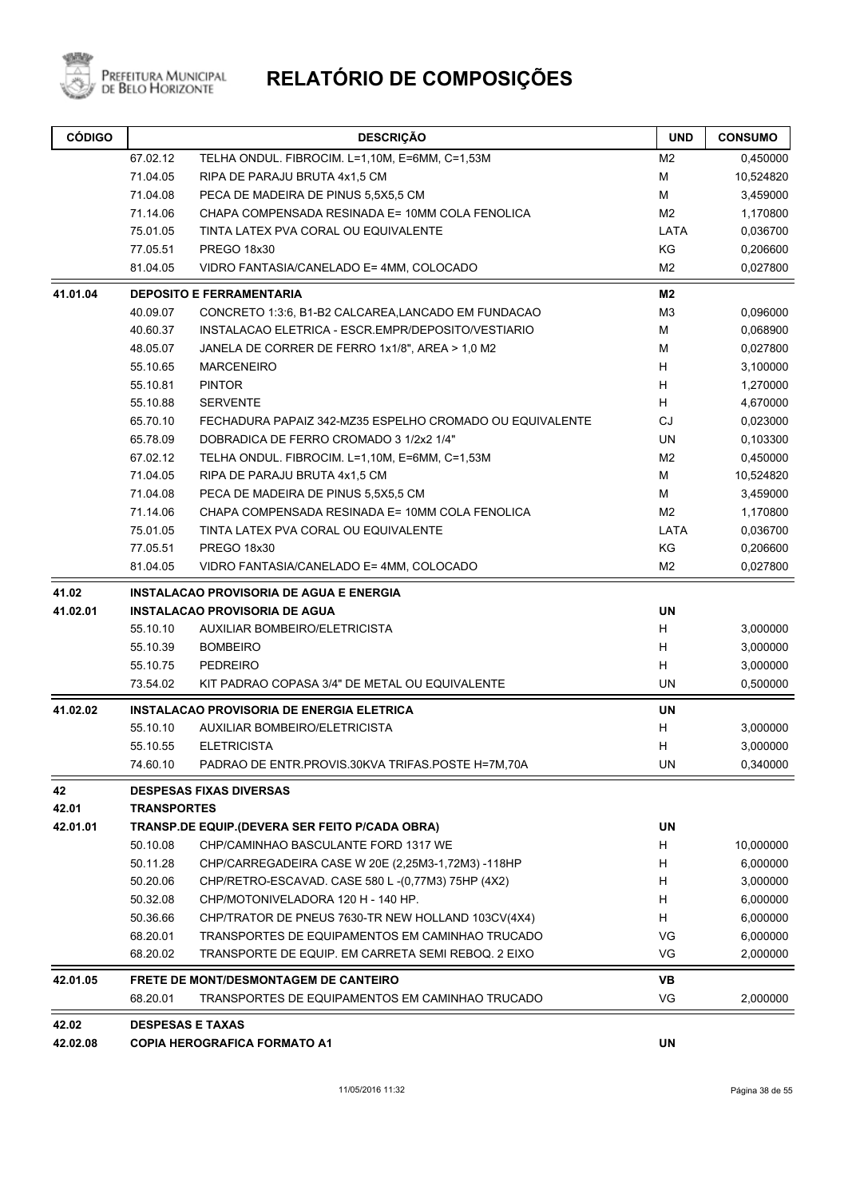

| <b>CÓDIGO</b> |                    | <b>DESCRIÇÃO</b>                                         | <b>UND</b>     | <b>CONSUMO</b> |
|---------------|--------------------|----------------------------------------------------------|----------------|----------------|
|               | 67.02.12           | TELHA ONDUL. FIBROCIM. L=1,10M, E=6MM, C=1,53M           | M <sub>2</sub> | 0,450000       |
|               | 71.04.05           | RIPA DE PARAJU BRUTA 4x1,5 CM                            | M              | 10,524820      |
|               | 71.04.08           | PECA DE MADEIRA DE PINUS 5,5X5,5 CM                      | М              | 3,459000       |
|               | 71.14.06           | CHAPA COMPENSADA RESINADA E= 10MM COLA FENOLICA          | M <sub>2</sub> | 1,170800       |
|               | 75.01.05           | TINTA LATEX PVA CORAL OU EQUIVALENTE                     | LATA           | 0,036700       |
|               | 77.05.51           | <b>PREGO 18x30</b>                                       | KG             | 0,206600       |
|               | 81.04.05           | VIDRO FANTASIA/CANELADO E= 4MM, COLOCADO                 | M2             | 0,027800       |
| 41.01.04      |                    | <b>DEPOSITO E FERRAMENTARIA</b>                          | M <sub>2</sub> |                |
|               | 40.09.07           | CONCRETO 1:3:6, B1-B2 CALCAREA,LANCADO EM FUNDACAO       | M <sub>3</sub> | 0,096000       |
|               | 40.60.37           | INSTALACAO ELETRICA - ESCR.EMPR/DEPOSITO/VESTIARIO       | М              | 0,068900       |
|               | 48.05.07           | JANELA DE CORRER DE FERRO 1x1/8", AREA > 1,0 M2          | М              | 0,027800       |
|               | 55.10.65           | <b>MARCENEIRO</b>                                        | н              | 3,100000       |
|               | 55.10.81           | <b>PINTOR</b>                                            | H              | 1,270000       |
|               | 55.10.88           | <b>SERVENTE</b>                                          | H              | 4,670000       |
|               | 65.70.10           | FECHADURA PAPAIZ 342-MZ35 ESPELHO CROMADO OU EQUIVALENTE | <b>CJ</b>      | 0,023000       |
|               | 65.78.09           | DOBRADICA DE FERRO CROMADO 3 1/2x2 1/4"                  | <b>UN</b>      | 0,103300       |
|               | 67.02.12           | TELHA ONDUL. FIBROCIM. L=1,10M, E=6MM, C=1,53M           | M2             | 0,450000       |
|               | 71.04.05           | RIPA DE PARAJU BRUTA 4x1,5 CM                            | M              | 10,524820      |
|               | 71.04.08           | PECA DE MADEIRA DE PINUS 5,5X5,5 CM                      | M              | 3,459000       |
|               | 71.14.06           | CHAPA COMPENSADA RESINADA E= 10MM COLA FENOLICA          | M <sub>2</sub> | 1,170800       |
|               | 75.01.05           | TINTA LATEX PVA CORAL OU EQUIVALENTE                     | LATA           | 0,036700       |
|               | 77.05.51           | PREGO 18x30                                              | KG             | 0,206600       |
|               | 81.04.05           | VIDRO FANTASIA/CANELADO E= 4MM, COLOCADO                 | M <sub>2</sub> | 0,027800       |
| 41.02         |                    | <b>INSTALACAO PROVISORIA DE AGUA E ENERGIA</b>           |                |                |
| 41.02.01      |                    | <b>INSTALACAO PROVISORIA DE AGUA</b>                     | <b>UN</b>      |                |
|               | 55.10.10           | <b>AUXILIAR BOMBEIRO/ELETRICISTA</b>                     | н              | 3,000000       |
|               | 55.10.39           | <b>BOMBEIRO</b>                                          | H              | 3,000000       |
|               | 55.10.75           | PEDREIRO                                                 | н              | 3,000000       |
|               | 73.54.02           | KIT PADRAO COPASA 3/4" DE METAL OU EQUIVALENTE           | UN             | 0,500000       |
| 41.02.02      |                    | <b>INSTALACAO PROVISORIA DE ENERGIA ELETRICA</b>         | <b>UN</b>      |                |
|               | 55.10.10           | AUXILIAR BOMBEIRO/ELETRICISTA                            | н              | 3,000000       |
|               | 55.10.55           | <b>ELETRICISTA</b>                                       | н              | 3,000000       |
|               | 74.60.10           | PADRAO DE ENTR.PROVIS.30KVA TRIFAS.POSTE H=7M,70A        | UN             | 0,340000       |
| 42            |                    | <b>DESPESAS FIXAS DIVERSAS</b>                           |                |                |
| 42.01         | <b>TRANSPORTES</b> |                                                          |                |                |
| 42.01.01      |                    | <b>TRANSP.DE EQUIP.(DEVERA SER FEITO P/CADA OBRA)</b>    | UN             |                |
|               | 50.10.08           | CHP/CAMINHAO BASCULANTE FORD 1317 WE                     | H              | 10,000000      |
|               | 50.11.28           | CHP/CARREGADEIRA CASE W 20E (2,25M3-1,72M3) -118HP       | H              | 6,000000       |
|               | 50.20.06           | CHP/RETRO-ESCAVAD. CASE 580 L -(0,77M3) 75HP (4X2)       | H              | 3,000000       |
|               | 50.32.08           | CHP/MOTONIVELADORA 120 H - 140 HP.                       | H              | 6,000000       |
|               | 50.36.66           | CHP/TRATOR DE PNEUS 7630-TR NEW HOLLAND 103CV(4X4)       | н              | 6,000000       |
|               | 68.20.01           | TRANSPORTES DE EQUIPAMENTOS EM CAMINHAO TRUCADO          | VG             | 6,000000       |
|               | 68.20.02           | TRANSPORTE DE EQUIP. EM CARRETA SEMI REBOQ. 2 EIXO       | VG             | 2,000000       |
| 42.01.05      |                    | <b>FRETE DE MONT/DESMONTAGEM DE CANTEIRO</b>             | VB             |                |
|               | 68.20.01           | TRANSPORTES DE EQUIPAMENTOS EM CAMINHAO TRUCADO          | VG             | 2,000000       |
| 42.02         |                    | <b>DESPESAS E TAXAS</b>                                  |                |                |
| 42.02.08      |                    | <b>COPIA HEROGRAFICA FORMATO A1</b>                      | UN             |                |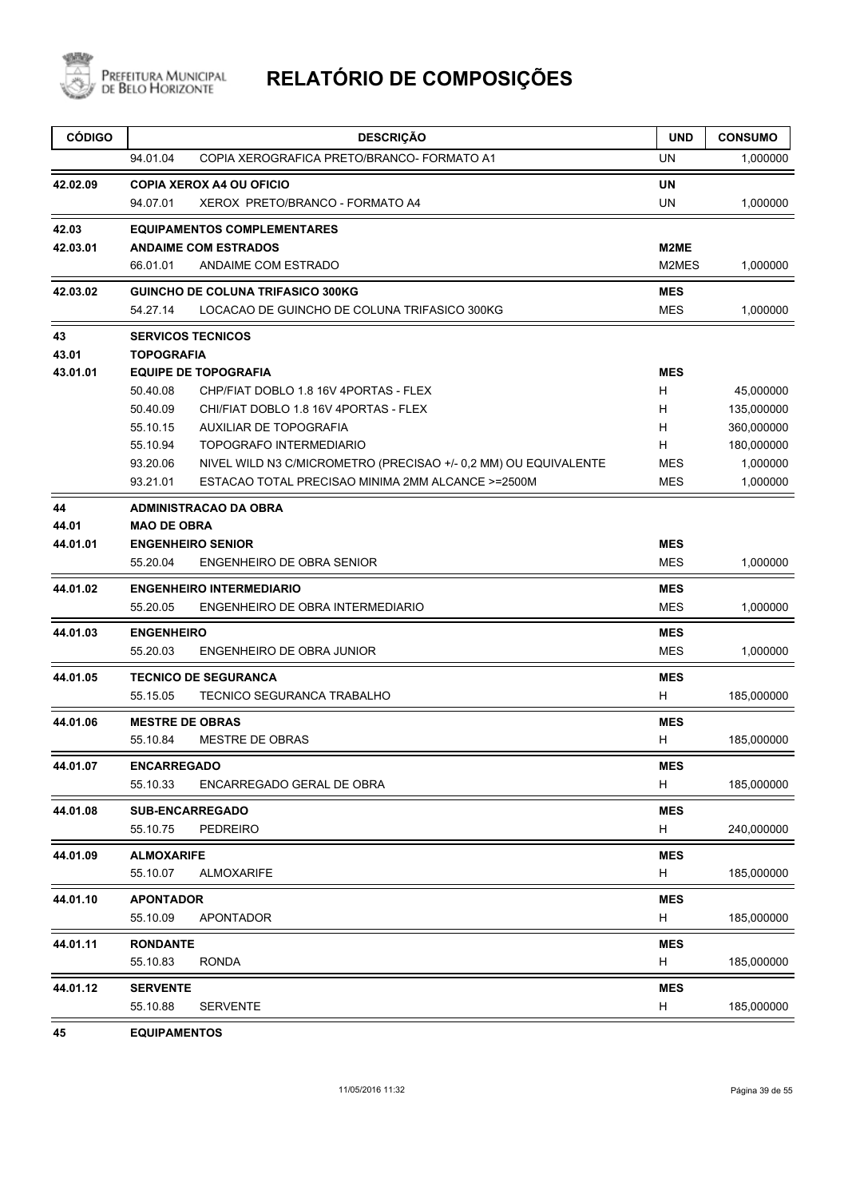

| <b>CÓDIGO</b> | <b>DESCRIÇÃO</b>                                                            | <b>UND</b> | <b>CONSUMO</b> |
|---------------|-----------------------------------------------------------------------------|------------|----------------|
|               | COPIA XEROGRAFICA PRETO/BRANCO- FORMATO A1<br>94.01.04                      | UN         | 1,000000       |
| 42.02.09      | <b>COPIA XEROX A4 OU OFICIO</b>                                             | UN         |                |
|               | 94.07.01<br>XEROX PRETO/BRANCO - FORMATO A4                                 | UN         | 1,000000       |
| 42.03         | <b>EQUIPAMENTOS COMPLEMENTARES</b>                                          |            |                |
| 42.03.01      | <b>ANDAIME COM ESTRADOS</b>                                                 | M2ME       |                |
|               | 66.01.01<br>ANDAIME COM ESTRADO                                             | M2MES      | 1,000000       |
| 42.03.02      | <b>GUINCHO DE COLUNA TRIFASICO 300KG</b>                                    | <b>MES</b> |                |
|               | 54.27.14<br>LOCACAO DE GUINCHO DE COLUNA TRIFASICO 300KG                    | <b>MES</b> | 1,000000       |
| 43            | <b>SERVICOS TECNICOS</b>                                                    |            |                |
| 43.01         | <b>TOPOGRAFIA</b>                                                           |            |                |
| 43.01.01      | <b>EQUIPE DE TOPOGRAFIA</b>                                                 | <b>MES</b> |                |
|               | 50.40.08<br>CHP/FIAT DOBLO 1.8 16V 4PORTAS - FLEX                           | H          | 45,000000      |
|               | 50.40.09<br>CHI/FIAT DOBLO 1.8 16V 4PORTAS - FLEX                           | H          | 135,000000     |
|               | 55.10.15<br><b>AUXILIAR DE TOPOGRAFIA</b>                                   | H          | 360,000000     |
|               | 55.10.94<br><b>TOPOGRAFO INTERMEDIARIO</b>                                  | H          | 180,000000     |
|               | 93.20.06<br>NIVEL WILD N3 C/MICROMETRO (PRECISAO +/- 0,2 MM) OU EQUIVALENTE | <b>MES</b> | 1,000000       |
|               | 93.21.01<br>ESTACAO TOTAL PRECISAO MINIMA 2MM ALCANCE >=2500M               | MES        | 1,000000       |
| 44            | <b>ADMINISTRACAO DA OBRA</b>                                                |            |                |
| 44.01         | <b>MAO DE OBRA</b>                                                          |            |                |
| 44.01.01      | <b>ENGENHEIRO SENIOR</b>                                                    | <b>MES</b> |                |
|               | 55.20.04<br>ENGENHEIRO DE OBRA SENIOR                                       | <b>MES</b> | 1,000000       |
| 44.01.02      | <b>ENGENHEIRO INTERMEDIARIO</b>                                             | <b>MES</b> |                |
|               | 55.20.05<br>ENGENHEIRO DE OBRA INTERMEDIARIO                                | <b>MES</b> | 1,000000       |
| 44.01.03      | <b>ENGENHEIRO</b>                                                           | <b>MES</b> |                |
|               | 55.20.03<br>ENGENHEIRO DE OBRA JUNIOR                                       | <b>MES</b> | 1,000000       |
| 44.01.05      | <b>TECNICO DE SEGURANCA</b>                                                 | <b>MES</b> |                |
|               | 55.15.05<br>TECNICO SEGURANCA TRABALHO                                      | н          | 185,000000     |
| 44.01.06      | <b>MESTRE DE OBRAS</b>                                                      | <b>MES</b> |                |
|               | <b>MESTRE DE OBRAS</b><br>55.10.84                                          | н          | 185,000000     |
| 44.01.07      | <b>ENCARREGADO</b>                                                          | <b>MES</b> |                |
|               | 55.10.33<br>ENCARREGADO GERAL DE OBRA                                       | H          | 185,000000     |
| 44.01.08      | <b>SUB-ENCARREGADO</b>                                                      | <b>MES</b> |                |
|               | 55.10.75<br><b>PEDREIRO</b>                                                 | H          | 240,000000     |
| 44.01.09      | <b>ALMOXARIFE</b>                                                           | <b>MES</b> |                |
|               | 55.10.07<br>ALMOXARIFE                                                      | H          | 185,000000     |
| 44.01.10      | <b>APONTADOR</b>                                                            | <b>MES</b> |                |
|               | 55.10.09<br>APONTADOR                                                       | H          | 185,000000     |
| 44.01.11      | <b>RONDANTE</b>                                                             | <b>MES</b> |                |
|               | 55.10.83<br><b>RONDA</b>                                                    | H          | 185,000000     |
| 44.01.12      | <b>SERVENTE</b>                                                             | <b>MES</b> |                |
|               | 55.10.88<br><b>SERVENTE</b>                                                 | н          | 185,000000     |

**45 EQUIPAMENTOS**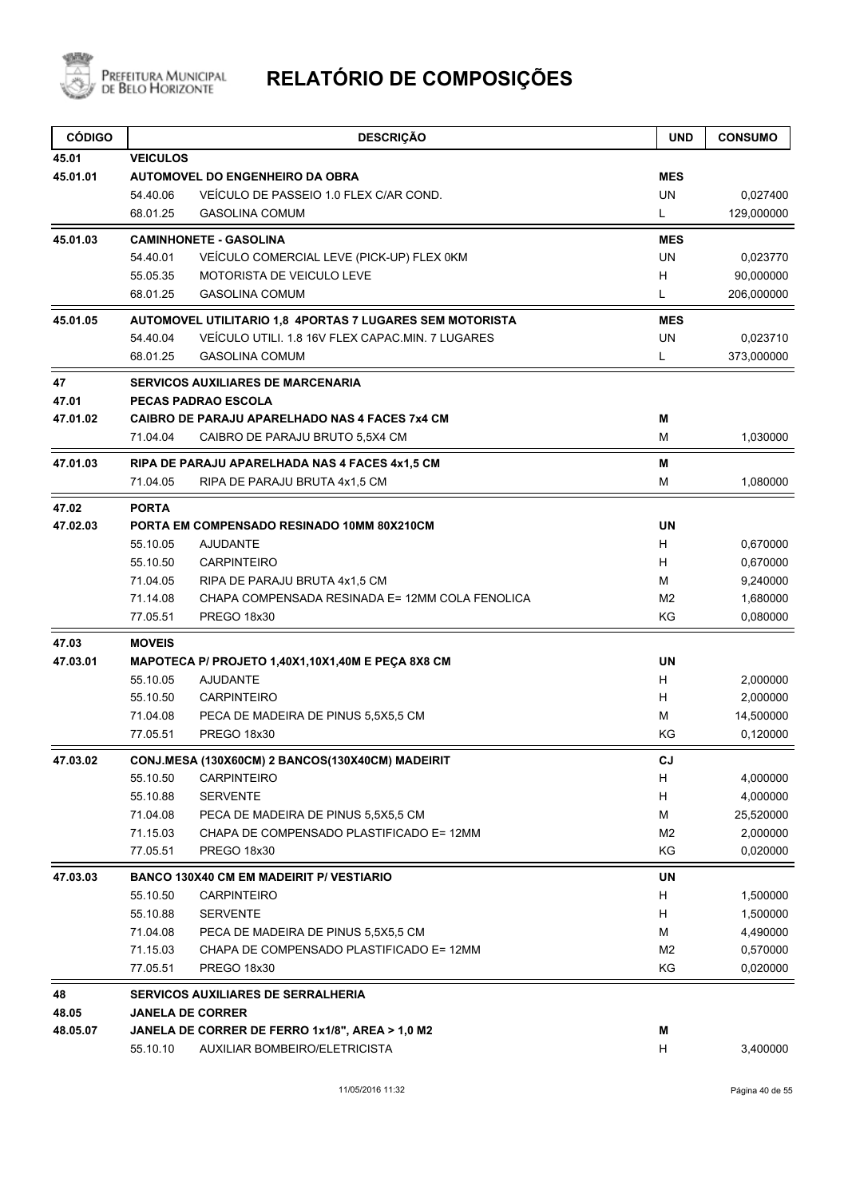

| <b>CÓDIGO</b>     |                 | <b>DESCRIÇÃO</b>                                                                 | <b>UND</b>     | <b>CONSUMO</b> |
|-------------------|-----------------|----------------------------------------------------------------------------------|----------------|----------------|
| 45.01             | <b>VEICULOS</b> |                                                                                  |                |                |
| 45.01.01          |                 | <b>AUTOMOVEL DO ENGENHEIRO DA OBRA</b>                                           | <b>MES</b>     |                |
|                   | 54.40.06        | VEÍCULO DE PASSEIO 1.0 FLEX C/AR COND.                                           | <b>UN</b>      | 0,027400       |
|                   | 68.01.25        | <b>GASOLINA COMUM</b>                                                            | L.             | 129,000000     |
| 45.01.03          |                 | <b>CAMINHONETE - GASOLINA</b>                                                    | <b>MES</b>     |                |
|                   | 54.40.01        | VEÍCULO COMERCIAL LEVE (PICK-UP) FLEX 0KM                                        | <b>UN</b>      | 0,023770       |
|                   | 55.05.35        | <b>MOTORISTA DE VEICULO LEVE</b>                                                 | H              | 90,000000      |
|                   | 68.01.25        | <b>GASOLINA COMUM</b>                                                            | L              | 206,000000     |
| 45.01.05          |                 | AUTOMOVEL UTILITARIO 1,8 4PORTAS 7 LUGARES SEM MOTORISTA                         | <b>MES</b>     |                |
|                   | 54.40.04        | VEÍCULO UTILI. 1.8 16V FLEX CAPAC.MIN. 7 LUGARES                                 | <b>UN</b>      | 0,023710       |
|                   | 68.01.25        | <b>GASOLINA COMUM</b>                                                            | L              | 373,000000     |
| 47                |                 | <b>SERVICOS AUXILIARES DE MARCENARIA</b>                                         |                |                |
| 47.01             |                 | PECAS PADRAO ESCOLA                                                              |                |                |
| 47.01.02          |                 | <b>CAIBRO DE PARAJU APARELHADO NAS 4 FACES 7x4 CM</b>                            | M              |                |
|                   | 71.04.04        | CAIBRO DE PARAJU BRUTO 5,5X4 CM                                                  | м              | 1,030000       |
| 47.01.03          |                 | RIPA DE PARAJU APARELHADA NAS 4 FACES 4x1,5 CM                                   | М              |                |
|                   | 71.04.05        | RIPA DE PARAJU BRUTA 4x1,5 CM                                                    | M              | 1,080000       |
| 47.02             | <b>PORTA</b>    |                                                                                  |                |                |
| 47.02.03          |                 | PORTA EM COMPENSADO RESINADO 10MM 80X210CM                                       | <b>UN</b>      |                |
|                   | 55.10.05        | <b>AJUDANTE</b>                                                                  | H.             | 0,670000       |
|                   | 55.10.50        | <b>CARPINTEIRO</b>                                                               | H              | 0,670000       |
|                   | 71.04.05        | RIPA DE PARAJU BRUTA 4x1,5 CM                                                    | м              | 9,240000       |
|                   | 71.14.08        | CHAPA COMPENSADA RESINADA E= 12MM COLA FENOLICA                                  | M <sub>2</sub> | 1,680000       |
|                   | 77.05.51        | PREGO 18x30                                                                      | ΚG             | 0,080000       |
| 47.03             | <b>MOVEIS</b>   |                                                                                  |                |                |
| 47.03.01          |                 | MAPOTECA P/ PROJETO 1,40X1,10X1,40M E PEÇA 8X8 CM                                | <b>UN</b>      |                |
|                   | 55.10.05        | <b>AJUDANTE</b>                                                                  | H              | 2,000000       |
|                   | 55.10.50        | <b>CARPINTEIRO</b>                                                               | H.             | 2,000000       |
|                   | 71.04.08        | PECA DE MADEIRA DE PINUS 5,5X5,5 CM                                              | м              | 14,500000      |
|                   | 77.05.51        | PREGO 18x30                                                                      | ΚG             | 0,120000       |
| 47.03.02          |                 | CONJ.MESA (130X60CM) 2 BANCOS(130X40CM) MADEIRIT                                 | CJ.            |                |
|                   | 55.10.50        | <b>CARPINTEIRO</b>                                                               | H              | 4,000000       |
|                   | 55.10.88        | <b>SERVENTE</b>                                                                  | H              | 4,000000       |
|                   | 71.04.08        | PECA DE MADEIRA DE PINUS 5,5X5,5 CM                                              | M              | 25,520000      |
|                   | 71.15.03        | CHAPA DE COMPENSADO PLASTIFICADO E= 12MM                                         | M <sub>2</sub> | 2,000000       |
|                   | 77.05.51        | PREGO 18x30                                                                      | KG             | 0,020000       |
| 47.03.03          |                 | <b>BANCO 130X40 CM EM MADEIRIT P/ VESTIARIO</b>                                  | UN             |                |
|                   | 55.10.50        | <b>CARPINTEIRO</b>                                                               | H              | 1,500000       |
|                   | 55.10.88        | <b>SERVENTE</b>                                                                  | H              | 1,500000       |
|                   | 71.04.08        | PECA DE MADEIRA DE PINUS 5,5X5,5 CM                                              | м              | 4,490000       |
|                   | 71.15.03        | CHAPA DE COMPENSADO PLASTIFICADO E= 12MM                                         | M <sub>2</sub> | 0,570000       |
|                   | 77.05.51        | PREGO 18x30                                                                      | KG             | 0,020000       |
| 48                |                 | <b>SERVICOS AUXILIARES DE SERRALHERIA</b>                                        |                |                |
| 48.05<br>48.05.07 |                 | <b>JANELA DE CORRER</b>                                                          | M              |                |
|                   | 55.10.10        | JANELA DE CORRER DE FERRO 1x1/8", AREA > 1,0 M2<br>AUXILIAR BOMBEIRO/ELETRICISTA | H              | 3,400000       |
|                   |                 |                                                                                  |                |                |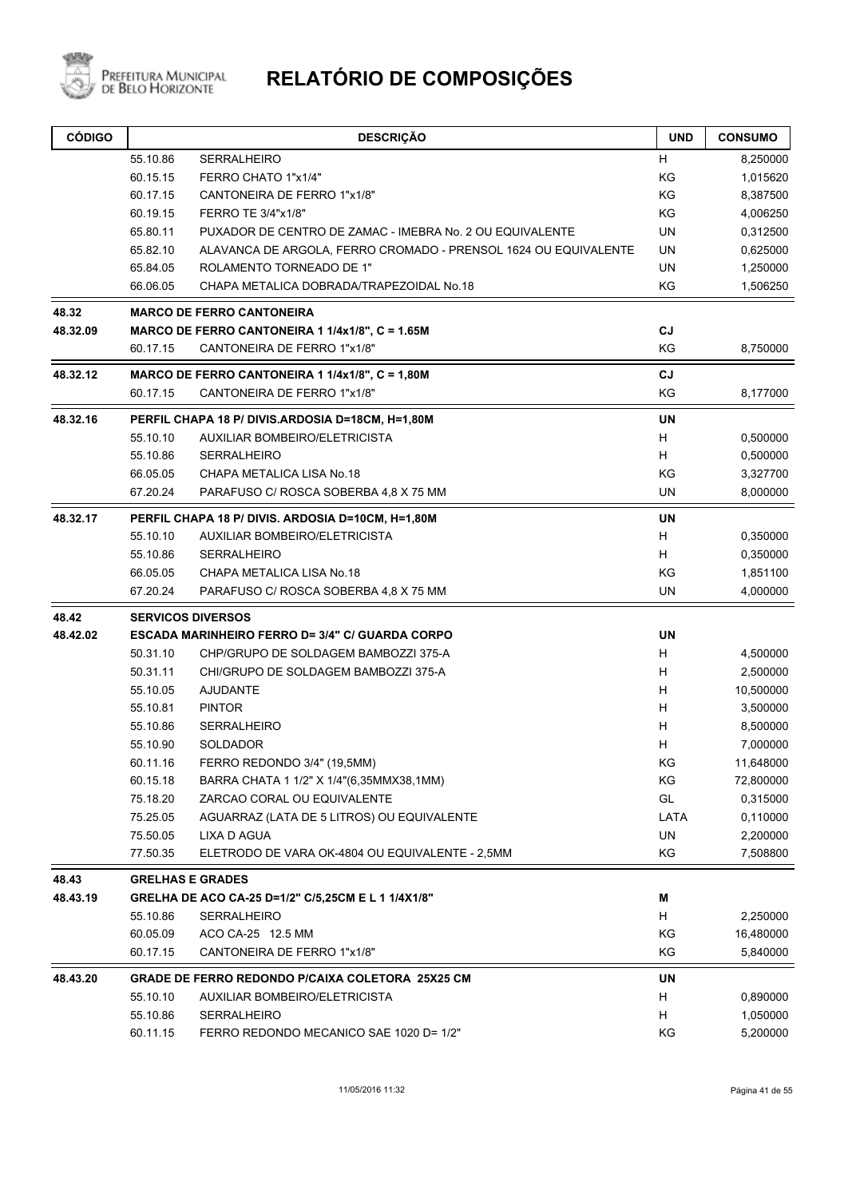

| <b>CÓDIGO</b> |          | <b>DESCRIÇÃO</b>                                                | <b>UND</b> | <b>CONSUMO</b> |
|---------------|----------|-----------------------------------------------------------------|------------|----------------|
|               | 55.10.86 | <b>SERRALHEIRO</b>                                              | H          | 8,250000       |
|               | 60.15.15 | FERRO CHATO 1"x1/4"                                             | KG         | 1,015620       |
|               | 60.17.15 | CANTONEIRA DE FERRO 1"x1/8"                                     | KG         | 8,387500       |
|               | 60.19.15 | FERRO TE 3/4"x1/8"                                              | KG         | 4,006250       |
|               | 65.80.11 | PUXADOR DE CENTRO DE ZAMAC - IMEBRA No. 2 OU EQUIVALENTE        | <b>UN</b>  | 0,312500       |
|               | 65.82.10 | ALAVANCA DE ARGOLA, FERRO CROMADO - PRENSOL 1624 OU EQUIVALENTE | <b>UN</b>  | 0,625000       |
|               | 65.84.05 | ROLAMENTO TORNEADO DE 1"                                        | UN         | 1,250000       |
|               | 66.06.05 | CHAPA METALICA DOBRADA/TRAPEZOIDAL No.18                        | KG         | 1,506250       |
| 48.32         |          | <b>MARCO DE FERRO CANTONEIRA</b>                                |            |                |
| 48.32.09      |          | MARCO DE FERRO CANTONEIRA 1 1/4x1/8", C = 1.65M                 | CJ         |                |
|               | 60.17.15 | CANTONEIRA DE FERRO 1"x1/8"                                     | KG         | 8,750000       |
| 48.32.12      |          | MARCO DE FERRO CANTONEIRA 1 1/4x1/8", C = 1,80M                 | CJ         |                |
|               | 60.17.15 | CANTONEIRA DE FERRO 1"x1/8"                                     | KG         | 8,177000       |
| 48.32.16      |          | PERFIL CHAPA 18 P/ DIVIS.ARDOSIA D=18CM, H=1,80M                | UN         |                |
|               | 55.10.10 | AUXILIAR BOMBEIRO/ELETRICISTA                                   | H          | 0,500000       |
|               | 55.10.86 | <b>SERRALHEIRO</b>                                              | H          | 0,500000       |
|               | 66.05.05 | CHAPA METALICA LISA No.18                                       | KG         | 3,327700       |
|               | 67.20.24 | PARAFUSO C/ ROSCA SOBERBA 4,8 X 75 MM                           | <b>UN</b>  | 8,000000       |
| 48.32.17      |          | PERFIL CHAPA 18 P/ DIVIS. ARDOSIA D=10CM, H=1,80M               | <b>UN</b>  |                |
|               | 55.10.10 | <b>AUXILIAR BOMBEIRO/ELETRICISTA</b>                            | H          | 0,350000       |
|               | 55.10.86 | <b>SERRALHEIRO</b>                                              | H          | 0,350000       |
|               | 66.05.05 | CHAPA METALICA LISA No.18                                       | KG         | 1,851100       |
|               | 67.20.24 | PARAFUSO C/ ROSCA SOBERBA 4.8 X 75 MM                           | UN         | 4,000000       |
| 48.42         |          | <b>SERVICOS DIVERSOS</b>                                        |            |                |
| 48.42.02      |          | <b>ESCADA MARINHEIRO FERRO D= 3/4" C/ GUARDA CORPO</b>          | <b>UN</b>  |                |
|               | 50.31.10 | CHP/GRUPO DE SOLDAGEM BAMBOZZI 375-A                            | H          | 4,500000       |
|               | 50.31.11 | CHI/GRUPO DE SOLDAGEM BAMBOZZI 375-A                            | H          | 2,500000       |
|               | 55.10.05 | AJUDANTE                                                        | H          | 10,500000      |
|               | 55.10.81 | <b>PINTOR</b>                                                   | H          | 3,500000       |
|               | 55.10.86 | <b>SERRALHEIRO</b>                                              | H          | 8,500000       |
|               | 55.10.90 | <b>SOLDADOR</b>                                                 | H          | 7,000000       |
|               | 60.11.16 | FERRO REDONDO 3/4" (19,5MM)                                     | ΚG         | 11,648000      |
|               | 60.15.18 | BARRA CHATA 1 1/2" X 1/4"(6,35MMX38,1MM)                        | KG         | 72,800000      |
|               | 75.18.20 | ZARCAO CORAL OU EQUIVALENTE                                     | GL         | 0,315000       |
|               | 75.25.05 | AGUARRAZ (LATA DE 5 LITROS) OU EQUIVALENTE                      | LATA       | 0,110000       |
|               | 75.50.05 | LIXA D AGUA                                                     | UN         | 2,200000       |
|               | 77.50.35 | ELETRODO DE VARA OK-4804 OU EQUIVALENTE - 2,5MM                 | KG         | 7,508800       |
| 48.43         |          | <b>GRELHAS E GRADES</b>                                         |            |                |
| 48.43.19      |          | GRELHA DE ACO CA-25 D=1/2" C/5,25CM E L 1 1/4X1/8"              | M          |                |
|               | 55.10.86 | SERRALHEIRO                                                     | H          | 2,250000       |
|               | 60.05.09 | ACO CA-25 12.5 MM                                               | KG         | 16,480000      |
|               | 60.17.15 | CANTONEIRA DE FERRO 1"x1/8"                                     | KG         | 5,840000       |
| 48.43.20      |          | <b>GRADE DE FERRO REDONDO P/CAIXA COLETORA 25X25 CM</b>         | UN         |                |
|               | 55.10.10 | AUXILIAR BOMBEIRO/ELETRICISTA                                   | H          | 0,890000       |
|               | 55.10.86 | SERRALHEIRO                                                     | H          | 1,050000       |
|               | 60.11.15 | FERRO REDONDO MECANICO SAE 1020 D= 1/2"                         | KG         | 5,200000       |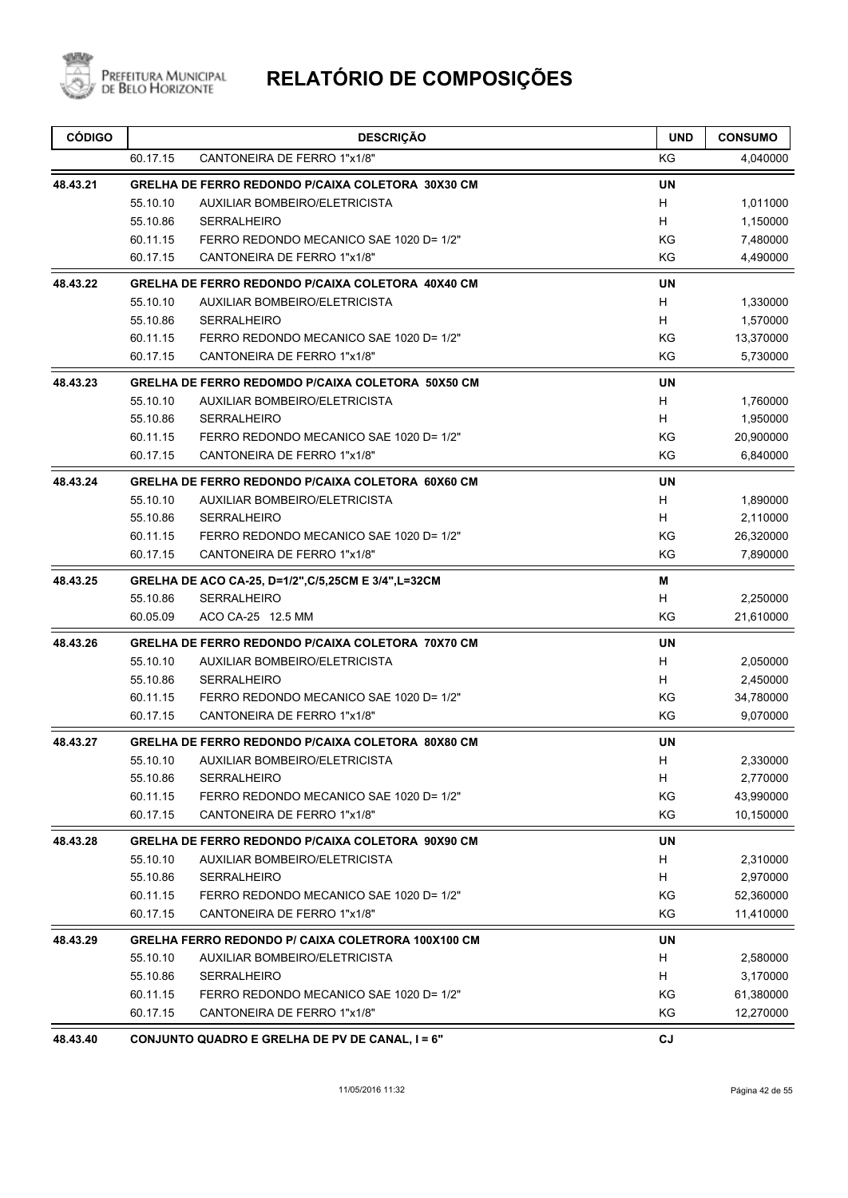

| <b>CÓDIGO</b> |          | <b>DESCRIÇÃO</b>                                         | <b>UND</b> | <b>CONSUMO</b> |
|---------------|----------|----------------------------------------------------------|------------|----------------|
|               | 60.17.15 | CANTONEIRA DE FERRO 1"x1/8"                              | KG         | 4,040000       |
| 48.43.21      |          | GRELHA DE FERRO REDONDO P/CAIXA COLETORA 30X30 CM        | <b>UN</b>  |                |
|               | 55.10.10 | AUXILIAR BOMBEIRO/ELETRICISTA                            | H          | 1,011000       |
|               | 55.10.86 | <b>SERRALHEIRO</b>                                       | H.         | 1,150000       |
|               | 60.11.15 | FERRO REDONDO MECANICO SAE 1020 D= 1/2"                  | ΚG         | 7,480000       |
|               | 60.17.15 | CANTONEIRA DE FERRO 1"x1/8"                              | ΚG         | 4,490000       |
| 48.43.22      |          | GRELHA DE FERRO REDONDO P/CAIXA COLETORA 40X40 CM        | <b>UN</b>  |                |
|               | 55.10.10 | <b>AUXILIAR BOMBEIRO/ELETRICISTA</b>                     | H          | 1,330000       |
|               | 55.10.86 | <b>SERRALHEIRO</b>                                       | H.         | 1,570000       |
|               | 60.11.15 | FERRO REDONDO MECANICO SAE 1020 D= 1/2"                  | ΚG         | 13,370000      |
|               | 60.17.15 | CANTONEIRA DE FERRO 1"x1/8"                              | KG         | 5,730000       |
| 48.43.23      |          | <b>GRELHA DE FERRO REDOMDO P/CAIXA COLETORA 50X50 CM</b> | <b>UN</b>  |                |
|               | 55.10.10 | AUXILIAR BOMBEIRO/ELETRICISTA                            | H.         | 1,760000       |
|               | 55.10.86 | <b>SERRALHEIRO</b>                                       | H          | 1,950000       |
|               | 60.11.15 | FERRO REDONDO MECANICO SAE 1020 D= 1/2"                  | KG         | 20,900000      |
|               | 60.17.15 | CANTONEIRA DE FERRO 1"x1/8"                              | ΚG         | 6,840000       |
| 48.43.24      |          | GRELHA DE FERRO REDONDO P/CAIXA COLETORA 60X60 CM        | <b>UN</b>  |                |
|               | 55.10.10 | AUXILIAR BOMBEIRO/ELETRICISTA                            | H          | 1,890000       |
|               | 55.10.86 | <b>SERRALHEIRO</b>                                       | H          | 2,110000       |
|               | 60.11.15 | FERRO REDONDO MECANICO SAE 1020 D= 1/2"                  | KG         | 26,320000      |
|               | 60.17.15 | CANTONEIRA DE FERRO 1"x1/8"                              | ΚG         | 7,890000       |
| 48.43.25      |          | GRELHA DE ACO CA-25, D=1/2", C/5, 25CM E 3/4", L=32CM    | м          |                |
|               | 55.10.86 | <b>SERRALHEIRO</b>                                       | н          | 2,250000       |
|               | 60.05.09 | ACO CA-25 12.5 MM                                        | KG         | 21,610000      |
| 48.43.26      |          | <b>GRELHA DE FERRO REDONDO P/CAIXA COLETORA 70X70 CM</b> | <b>UN</b>  |                |
|               | 55.10.10 | <b>AUXILIAR BOMBEIRO/ELETRICISTA</b>                     | H.         | 2,050000       |
|               | 55.10.86 | <b>SERRALHEIRO</b>                                       | H.         | 2,450000       |
|               | 60.11.15 | FERRO REDONDO MECANICO SAE 1020 D= 1/2"                  | ΚG         | 34,780000      |
|               | 60.17.15 | CANTONEIRA DE FERRO 1"x1/8"                              | KG         | 9,070000       |
| 48.43.27      |          | GRELHA DE FERRO REDONDO P/CAIXA COLETORA 80X80 CM        | UN         |                |
|               | 55.10.10 | AUXILIAR BOMBEIRO/ELETRICISTA                            | H          | 2,330000       |
|               | 55.10.86 | <b>SERRALHEIRO</b>                                       | H          | 2,770000       |
|               | 60.11.15 | FERRO REDONDO MECANICO SAE 1020 D= 1/2"                  | KG         | 43,990000      |
|               | 60.17.15 | CANTONEIRA DE FERRO 1"x1/8"                              | ΚG         | 10,150000      |
| 48.43.28      |          | GRELHA DE FERRO REDONDO P/CAIXA COLETORA 90X90 CM        | UN         |                |
|               | 55.10.10 | <b>AUXILIAR BOMBEIRO/ELETRICISTA</b>                     | H          | 2,310000       |
|               | 55.10.86 | <b>SERRALHEIRO</b>                                       | H          | 2,970000       |
|               | 60.11.15 | FERRO REDONDO MECANICO SAE 1020 D= 1/2"                  | ΚG         | 52,360000      |
|               | 60.17.15 | CANTONEIRA DE FERRO 1"x1/8"                              | ΚG         | 11,410000      |
| 48.43.29      |          | GRELHA FERRO REDONDO P/ CAIXA COLETRORA 100X100 CM       | UN         |                |
|               | 55.10.10 | <b>AUXILIAR BOMBEIRO/ELETRICISTA</b>                     | H          | 2,580000       |
|               | 55.10.86 | <b>SERRALHEIRO</b>                                       | H          | 3,170000       |
|               | 60.11.15 | FERRO REDONDO MECANICO SAE 1020 D= 1/2"                  | ΚG         | 61,380000      |
|               | 60.17.15 | CANTONEIRA DE FERRO 1"x1/8"                              | ΚG         | 12,270000      |
| 48.43.40      |          | CONJUNTO QUADRO E GRELHA DE PV DE CANAL, I = 6"          | $c_{J}$    |                |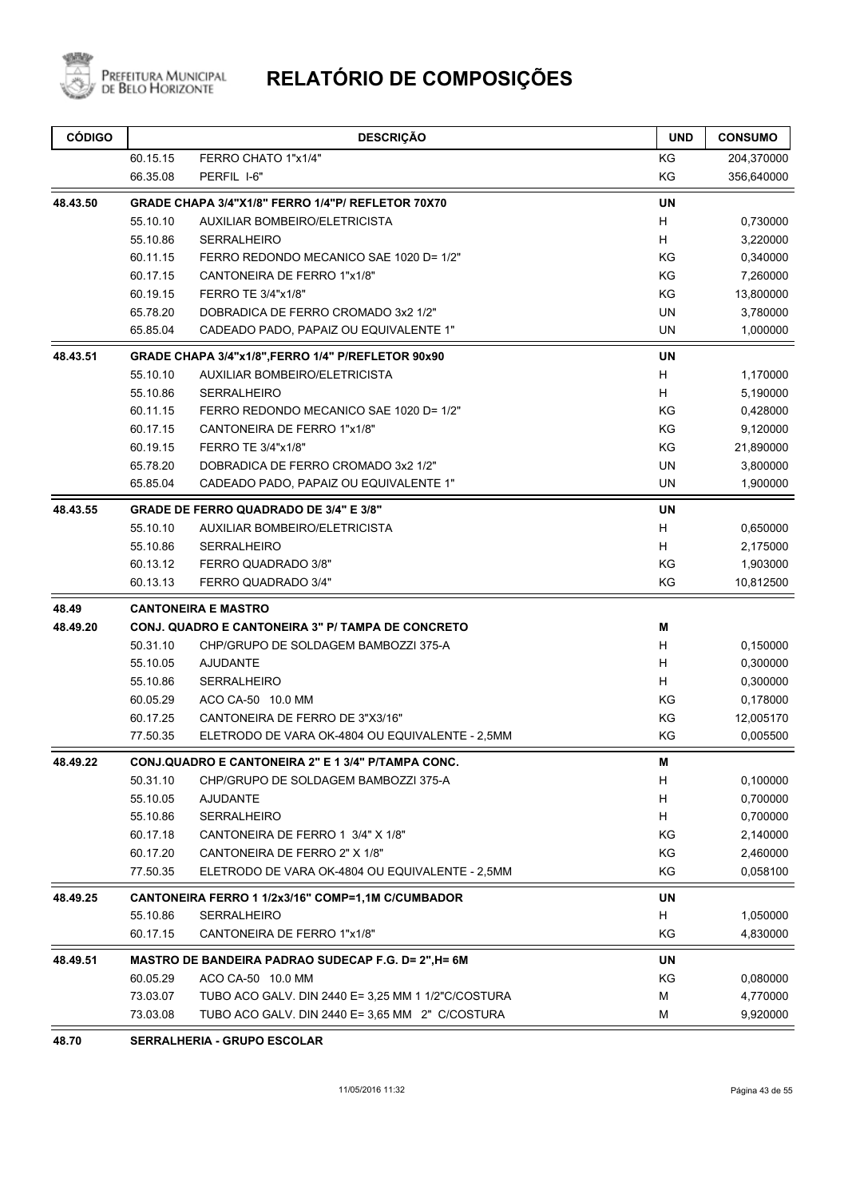

| KG<br>60.15.15<br>FERRO CHATO 1"x1/4"<br>66.35.08<br>PERFIL I-6"<br>KG<br>48.43.50<br>GRADE CHAPA 3/4"X1/8" FERRO 1/4"P/ REFLETOR 70X70<br>UN<br>55.10.10<br>AUXILIAR BOMBEIRO/ELETRICISTA<br>H<br>55.10.86<br><b>SERRALHEIRO</b><br>H<br>KG<br>0,340000<br>60.11.15<br>FERRO REDONDO MECANICO SAE 1020 D= 1/2"<br>KG<br>60.17.15<br>CANTONEIRA DE FERRO 1"x1/8"<br>KG<br>60.19.15<br>FERRO TE 3/4"x1/8"<br>65.78.20<br>DOBRADICA DE FERRO CROMADO 3x2 1/2"<br>UN<br><b>UN</b><br>65.85.04<br>CADEADO PADO, PAPAIZ OU EQUIVALENTE 1"<br><b>UN</b><br>48.43.51<br>GRADE CHAPA 3/4"x1/8", FERRO 1/4" P/REFLETOR 90x90<br>55.10.10<br>AUXILIAR BOMBEIRO/ELETRICISTA<br>H<br>1,170000<br>55.10.86<br>H<br><b>SERRALHEIRO</b><br>5,190000<br>KG<br>60.11.15<br>FERRO REDONDO MECANICO SAE 1020 D= 1/2"<br>0,428000<br>KG<br>9,120000<br>60.17.15<br>CANTONEIRA DE FERRO 1"x1/8"<br>KG<br>60.19.15<br>FERRO TE 3/4"x1/8"<br><b>UN</b><br>65.78.20<br>DOBRADICA DE FERRO CROMADO 3x2 1/2"<br><b>UN</b><br>65.85.04<br>CADEADO PADO, PAPAIZ OU EQUIVALENTE 1"<br><b>UN</b><br>48.43.55<br><b>GRADE DE FERRO QUADRADO DE 3/4" E 3/8"</b><br>55.10.10<br>AUXILIAR BOMBEIRO/ELETRICISTA<br>H<br>H<br>55.10.86<br><b>SERRALHEIRO</b><br>KG<br>60.13.12<br>FERRO QUADRADO 3/8"<br>KG<br>60.13.13<br>FERRO QUADRADO 3/4"<br>48.49<br><b>CANTONEIRA E MASTRO</b><br>48.49.20<br>M<br>CONJ. QUADRO E CANTONEIRA 3" P/ TAMPA DE CONCRETO<br>H<br>50.31.10<br>CHP/GRUPO DE SOLDAGEM BAMBOZZI 375-A<br>H<br>55.10.05<br><b>AJUDANTE</b><br>H<br>55.10.86<br><b>SERRALHEIRO</b><br>KG<br>60.05.29<br>ACO CA-50 10.0 MM<br>60.17.25<br>CANTONEIRA DE FERRO DE 3"X3/16"<br>ΚG<br>KG<br>77.50.35<br>ELETRODO DE VARA OK-4804 OU EQUIVALENTE - 2,5MM<br><b>CONJ.QUADRO E CANTONEIRA 2" E 1 3/4" P/TAMPA CONC.</b><br>48.49.22<br>М<br>50.31.10<br>CHP/GRUPO DE SOLDAGEM BAMBOZZI 375-A<br>H<br>H<br>55.10.05<br><b>AJUDANTE</b><br>55.10.86<br><b>SERRALHEIRO</b><br>H<br>KG<br>60.17.18<br>CANTONEIRA DE FERRO 1 3/4" X 1/8"<br>KG<br>60.17.20<br>CANTONEIRA DE FERRO 2" X 1/8"<br>77.50.35<br>KG<br>ELETRODO DE VARA OK-4804 OU EQUIVALENTE - 2,5MM<br>UN<br>48.49.25<br>CANTONEIRA FERRO 1 1/2x3/16" COMP=1,1M C/CUMBADOR<br>55.10.86<br>SERRALHEIRO<br>H<br>KG<br>60.17.15<br>CANTONEIRA DE FERRO 1"x1/8"<br><b>UN</b><br>48.49.51<br>MASTRO DE BANDEIRA PADRAO SUDECAP F.G. D= 2", H= 6M<br>60.05.29<br>ACO CA-50 10.0 MM<br>KG<br>73.03.07<br>TUBO ACO GALV. DIN 2440 E= 3,25 MM 1 1/2"C/COSTURA<br>M | <b>CÓDIGO</b> |          | <b>DESCRIÇÃO</b>                                | <b>UND</b> | <b>CONSUMO</b> |
|-------------------------------------------------------------------------------------------------------------------------------------------------------------------------------------------------------------------------------------------------------------------------------------------------------------------------------------------------------------------------------------------------------------------------------------------------------------------------------------------------------------------------------------------------------------------------------------------------------------------------------------------------------------------------------------------------------------------------------------------------------------------------------------------------------------------------------------------------------------------------------------------------------------------------------------------------------------------------------------------------------------------------------------------------------------------------------------------------------------------------------------------------------------------------------------------------------------------------------------------------------------------------------------------------------------------------------------------------------------------------------------------------------------------------------------------------------------------------------------------------------------------------------------------------------------------------------------------------------------------------------------------------------------------------------------------------------------------------------------------------------------------------------------------------------------------------------------------------------------------------------------------------------------------------------------------------------------------------------------------------------------------------------------------------------------------------------------------------------------------------------------------------------------------------------------------------------------------------------------------------------------------------------------------------------------------------------------------------------------------------------------------------------------------------------------------------------------------------------------|---------------|----------|-------------------------------------------------|------------|----------------|
|                                                                                                                                                                                                                                                                                                                                                                                                                                                                                                                                                                                                                                                                                                                                                                                                                                                                                                                                                                                                                                                                                                                                                                                                                                                                                                                                                                                                                                                                                                                                                                                                                                                                                                                                                                                                                                                                                                                                                                                                                                                                                                                                                                                                                                                                                                                                                                                                                                                                                     |               |          |                                                 |            | 204,370000     |
|                                                                                                                                                                                                                                                                                                                                                                                                                                                                                                                                                                                                                                                                                                                                                                                                                                                                                                                                                                                                                                                                                                                                                                                                                                                                                                                                                                                                                                                                                                                                                                                                                                                                                                                                                                                                                                                                                                                                                                                                                                                                                                                                                                                                                                                                                                                                                                                                                                                                                     |               |          |                                                 |            | 356,640000     |
|                                                                                                                                                                                                                                                                                                                                                                                                                                                                                                                                                                                                                                                                                                                                                                                                                                                                                                                                                                                                                                                                                                                                                                                                                                                                                                                                                                                                                                                                                                                                                                                                                                                                                                                                                                                                                                                                                                                                                                                                                                                                                                                                                                                                                                                                                                                                                                                                                                                                                     |               |          |                                                 |            |                |
|                                                                                                                                                                                                                                                                                                                                                                                                                                                                                                                                                                                                                                                                                                                                                                                                                                                                                                                                                                                                                                                                                                                                                                                                                                                                                                                                                                                                                                                                                                                                                                                                                                                                                                                                                                                                                                                                                                                                                                                                                                                                                                                                                                                                                                                                                                                                                                                                                                                                                     |               |          |                                                 |            | 0,730000       |
|                                                                                                                                                                                                                                                                                                                                                                                                                                                                                                                                                                                                                                                                                                                                                                                                                                                                                                                                                                                                                                                                                                                                                                                                                                                                                                                                                                                                                                                                                                                                                                                                                                                                                                                                                                                                                                                                                                                                                                                                                                                                                                                                                                                                                                                                                                                                                                                                                                                                                     |               |          |                                                 |            | 3,220000       |
|                                                                                                                                                                                                                                                                                                                                                                                                                                                                                                                                                                                                                                                                                                                                                                                                                                                                                                                                                                                                                                                                                                                                                                                                                                                                                                                                                                                                                                                                                                                                                                                                                                                                                                                                                                                                                                                                                                                                                                                                                                                                                                                                                                                                                                                                                                                                                                                                                                                                                     |               |          |                                                 |            |                |
|                                                                                                                                                                                                                                                                                                                                                                                                                                                                                                                                                                                                                                                                                                                                                                                                                                                                                                                                                                                                                                                                                                                                                                                                                                                                                                                                                                                                                                                                                                                                                                                                                                                                                                                                                                                                                                                                                                                                                                                                                                                                                                                                                                                                                                                                                                                                                                                                                                                                                     |               |          |                                                 |            | 7,260000       |
|                                                                                                                                                                                                                                                                                                                                                                                                                                                                                                                                                                                                                                                                                                                                                                                                                                                                                                                                                                                                                                                                                                                                                                                                                                                                                                                                                                                                                                                                                                                                                                                                                                                                                                                                                                                                                                                                                                                                                                                                                                                                                                                                                                                                                                                                                                                                                                                                                                                                                     |               |          |                                                 |            | 13,800000      |
|                                                                                                                                                                                                                                                                                                                                                                                                                                                                                                                                                                                                                                                                                                                                                                                                                                                                                                                                                                                                                                                                                                                                                                                                                                                                                                                                                                                                                                                                                                                                                                                                                                                                                                                                                                                                                                                                                                                                                                                                                                                                                                                                                                                                                                                                                                                                                                                                                                                                                     |               |          |                                                 |            | 3,780000       |
|                                                                                                                                                                                                                                                                                                                                                                                                                                                                                                                                                                                                                                                                                                                                                                                                                                                                                                                                                                                                                                                                                                                                                                                                                                                                                                                                                                                                                                                                                                                                                                                                                                                                                                                                                                                                                                                                                                                                                                                                                                                                                                                                                                                                                                                                                                                                                                                                                                                                                     |               |          |                                                 |            | 1,000000       |
|                                                                                                                                                                                                                                                                                                                                                                                                                                                                                                                                                                                                                                                                                                                                                                                                                                                                                                                                                                                                                                                                                                                                                                                                                                                                                                                                                                                                                                                                                                                                                                                                                                                                                                                                                                                                                                                                                                                                                                                                                                                                                                                                                                                                                                                                                                                                                                                                                                                                                     |               |          |                                                 |            |                |
|                                                                                                                                                                                                                                                                                                                                                                                                                                                                                                                                                                                                                                                                                                                                                                                                                                                                                                                                                                                                                                                                                                                                                                                                                                                                                                                                                                                                                                                                                                                                                                                                                                                                                                                                                                                                                                                                                                                                                                                                                                                                                                                                                                                                                                                                                                                                                                                                                                                                                     |               |          |                                                 |            |                |
|                                                                                                                                                                                                                                                                                                                                                                                                                                                                                                                                                                                                                                                                                                                                                                                                                                                                                                                                                                                                                                                                                                                                                                                                                                                                                                                                                                                                                                                                                                                                                                                                                                                                                                                                                                                                                                                                                                                                                                                                                                                                                                                                                                                                                                                                                                                                                                                                                                                                                     |               |          |                                                 |            |                |
|                                                                                                                                                                                                                                                                                                                                                                                                                                                                                                                                                                                                                                                                                                                                                                                                                                                                                                                                                                                                                                                                                                                                                                                                                                                                                                                                                                                                                                                                                                                                                                                                                                                                                                                                                                                                                                                                                                                                                                                                                                                                                                                                                                                                                                                                                                                                                                                                                                                                                     |               |          |                                                 |            |                |
|                                                                                                                                                                                                                                                                                                                                                                                                                                                                                                                                                                                                                                                                                                                                                                                                                                                                                                                                                                                                                                                                                                                                                                                                                                                                                                                                                                                                                                                                                                                                                                                                                                                                                                                                                                                                                                                                                                                                                                                                                                                                                                                                                                                                                                                                                                                                                                                                                                                                                     |               |          |                                                 |            |                |
|                                                                                                                                                                                                                                                                                                                                                                                                                                                                                                                                                                                                                                                                                                                                                                                                                                                                                                                                                                                                                                                                                                                                                                                                                                                                                                                                                                                                                                                                                                                                                                                                                                                                                                                                                                                                                                                                                                                                                                                                                                                                                                                                                                                                                                                                                                                                                                                                                                                                                     |               |          |                                                 |            | 21,890000      |
|                                                                                                                                                                                                                                                                                                                                                                                                                                                                                                                                                                                                                                                                                                                                                                                                                                                                                                                                                                                                                                                                                                                                                                                                                                                                                                                                                                                                                                                                                                                                                                                                                                                                                                                                                                                                                                                                                                                                                                                                                                                                                                                                                                                                                                                                                                                                                                                                                                                                                     |               |          |                                                 |            | 3,800000       |
|                                                                                                                                                                                                                                                                                                                                                                                                                                                                                                                                                                                                                                                                                                                                                                                                                                                                                                                                                                                                                                                                                                                                                                                                                                                                                                                                                                                                                                                                                                                                                                                                                                                                                                                                                                                                                                                                                                                                                                                                                                                                                                                                                                                                                                                                                                                                                                                                                                                                                     |               |          |                                                 |            | 1,900000       |
|                                                                                                                                                                                                                                                                                                                                                                                                                                                                                                                                                                                                                                                                                                                                                                                                                                                                                                                                                                                                                                                                                                                                                                                                                                                                                                                                                                                                                                                                                                                                                                                                                                                                                                                                                                                                                                                                                                                                                                                                                                                                                                                                                                                                                                                                                                                                                                                                                                                                                     |               |          |                                                 |            |                |
|                                                                                                                                                                                                                                                                                                                                                                                                                                                                                                                                                                                                                                                                                                                                                                                                                                                                                                                                                                                                                                                                                                                                                                                                                                                                                                                                                                                                                                                                                                                                                                                                                                                                                                                                                                                                                                                                                                                                                                                                                                                                                                                                                                                                                                                                                                                                                                                                                                                                                     |               |          |                                                 |            | 0,650000       |
|                                                                                                                                                                                                                                                                                                                                                                                                                                                                                                                                                                                                                                                                                                                                                                                                                                                                                                                                                                                                                                                                                                                                                                                                                                                                                                                                                                                                                                                                                                                                                                                                                                                                                                                                                                                                                                                                                                                                                                                                                                                                                                                                                                                                                                                                                                                                                                                                                                                                                     |               |          |                                                 |            | 2,175000       |
|                                                                                                                                                                                                                                                                                                                                                                                                                                                                                                                                                                                                                                                                                                                                                                                                                                                                                                                                                                                                                                                                                                                                                                                                                                                                                                                                                                                                                                                                                                                                                                                                                                                                                                                                                                                                                                                                                                                                                                                                                                                                                                                                                                                                                                                                                                                                                                                                                                                                                     |               |          |                                                 |            | 1,903000       |
|                                                                                                                                                                                                                                                                                                                                                                                                                                                                                                                                                                                                                                                                                                                                                                                                                                                                                                                                                                                                                                                                                                                                                                                                                                                                                                                                                                                                                                                                                                                                                                                                                                                                                                                                                                                                                                                                                                                                                                                                                                                                                                                                                                                                                                                                                                                                                                                                                                                                                     |               |          |                                                 |            | 10,812500      |
|                                                                                                                                                                                                                                                                                                                                                                                                                                                                                                                                                                                                                                                                                                                                                                                                                                                                                                                                                                                                                                                                                                                                                                                                                                                                                                                                                                                                                                                                                                                                                                                                                                                                                                                                                                                                                                                                                                                                                                                                                                                                                                                                                                                                                                                                                                                                                                                                                                                                                     |               |          |                                                 |            |                |
|                                                                                                                                                                                                                                                                                                                                                                                                                                                                                                                                                                                                                                                                                                                                                                                                                                                                                                                                                                                                                                                                                                                                                                                                                                                                                                                                                                                                                                                                                                                                                                                                                                                                                                                                                                                                                                                                                                                                                                                                                                                                                                                                                                                                                                                                                                                                                                                                                                                                                     |               |          |                                                 |            |                |
|                                                                                                                                                                                                                                                                                                                                                                                                                                                                                                                                                                                                                                                                                                                                                                                                                                                                                                                                                                                                                                                                                                                                                                                                                                                                                                                                                                                                                                                                                                                                                                                                                                                                                                                                                                                                                                                                                                                                                                                                                                                                                                                                                                                                                                                                                                                                                                                                                                                                                     |               |          |                                                 |            | 0,150000       |
|                                                                                                                                                                                                                                                                                                                                                                                                                                                                                                                                                                                                                                                                                                                                                                                                                                                                                                                                                                                                                                                                                                                                                                                                                                                                                                                                                                                                                                                                                                                                                                                                                                                                                                                                                                                                                                                                                                                                                                                                                                                                                                                                                                                                                                                                                                                                                                                                                                                                                     |               |          |                                                 |            | 0,300000       |
|                                                                                                                                                                                                                                                                                                                                                                                                                                                                                                                                                                                                                                                                                                                                                                                                                                                                                                                                                                                                                                                                                                                                                                                                                                                                                                                                                                                                                                                                                                                                                                                                                                                                                                                                                                                                                                                                                                                                                                                                                                                                                                                                                                                                                                                                                                                                                                                                                                                                                     |               |          |                                                 |            | 0,300000       |
|                                                                                                                                                                                                                                                                                                                                                                                                                                                                                                                                                                                                                                                                                                                                                                                                                                                                                                                                                                                                                                                                                                                                                                                                                                                                                                                                                                                                                                                                                                                                                                                                                                                                                                                                                                                                                                                                                                                                                                                                                                                                                                                                                                                                                                                                                                                                                                                                                                                                                     |               |          |                                                 |            | 0,178000       |
|                                                                                                                                                                                                                                                                                                                                                                                                                                                                                                                                                                                                                                                                                                                                                                                                                                                                                                                                                                                                                                                                                                                                                                                                                                                                                                                                                                                                                                                                                                                                                                                                                                                                                                                                                                                                                                                                                                                                                                                                                                                                                                                                                                                                                                                                                                                                                                                                                                                                                     |               |          |                                                 |            | 12,005170      |
|                                                                                                                                                                                                                                                                                                                                                                                                                                                                                                                                                                                                                                                                                                                                                                                                                                                                                                                                                                                                                                                                                                                                                                                                                                                                                                                                                                                                                                                                                                                                                                                                                                                                                                                                                                                                                                                                                                                                                                                                                                                                                                                                                                                                                                                                                                                                                                                                                                                                                     |               |          |                                                 |            | 0,005500       |
|                                                                                                                                                                                                                                                                                                                                                                                                                                                                                                                                                                                                                                                                                                                                                                                                                                                                                                                                                                                                                                                                                                                                                                                                                                                                                                                                                                                                                                                                                                                                                                                                                                                                                                                                                                                                                                                                                                                                                                                                                                                                                                                                                                                                                                                                                                                                                                                                                                                                                     |               |          |                                                 |            |                |
|                                                                                                                                                                                                                                                                                                                                                                                                                                                                                                                                                                                                                                                                                                                                                                                                                                                                                                                                                                                                                                                                                                                                                                                                                                                                                                                                                                                                                                                                                                                                                                                                                                                                                                                                                                                                                                                                                                                                                                                                                                                                                                                                                                                                                                                                                                                                                                                                                                                                                     |               |          |                                                 |            | 0,100000       |
|                                                                                                                                                                                                                                                                                                                                                                                                                                                                                                                                                                                                                                                                                                                                                                                                                                                                                                                                                                                                                                                                                                                                                                                                                                                                                                                                                                                                                                                                                                                                                                                                                                                                                                                                                                                                                                                                                                                                                                                                                                                                                                                                                                                                                                                                                                                                                                                                                                                                                     |               |          |                                                 |            | 0,700000       |
|                                                                                                                                                                                                                                                                                                                                                                                                                                                                                                                                                                                                                                                                                                                                                                                                                                                                                                                                                                                                                                                                                                                                                                                                                                                                                                                                                                                                                                                                                                                                                                                                                                                                                                                                                                                                                                                                                                                                                                                                                                                                                                                                                                                                                                                                                                                                                                                                                                                                                     |               |          |                                                 |            | 0,700000       |
|                                                                                                                                                                                                                                                                                                                                                                                                                                                                                                                                                                                                                                                                                                                                                                                                                                                                                                                                                                                                                                                                                                                                                                                                                                                                                                                                                                                                                                                                                                                                                                                                                                                                                                                                                                                                                                                                                                                                                                                                                                                                                                                                                                                                                                                                                                                                                                                                                                                                                     |               |          |                                                 |            | 2,140000       |
|                                                                                                                                                                                                                                                                                                                                                                                                                                                                                                                                                                                                                                                                                                                                                                                                                                                                                                                                                                                                                                                                                                                                                                                                                                                                                                                                                                                                                                                                                                                                                                                                                                                                                                                                                                                                                                                                                                                                                                                                                                                                                                                                                                                                                                                                                                                                                                                                                                                                                     |               |          |                                                 |            | 2,460000       |
|                                                                                                                                                                                                                                                                                                                                                                                                                                                                                                                                                                                                                                                                                                                                                                                                                                                                                                                                                                                                                                                                                                                                                                                                                                                                                                                                                                                                                                                                                                                                                                                                                                                                                                                                                                                                                                                                                                                                                                                                                                                                                                                                                                                                                                                                                                                                                                                                                                                                                     |               |          |                                                 |            | 0,058100       |
|                                                                                                                                                                                                                                                                                                                                                                                                                                                                                                                                                                                                                                                                                                                                                                                                                                                                                                                                                                                                                                                                                                                                                                                                                                                                                                                                                                                                                                                                                                                                                                                                                                                                                                                                                                                                                                                                                                                                                                                                                                                                                                                                                                                                                                                                                                                                                                                                                                                                                     |               |          |                                                 |            |                |
|                                                                                                                                                                                                                                                                                                                                                                                                                                                                                                                                                                                                                                                                                                                                                                                                                                                                                                                                                                                                                                                                                                                                                                                                                                                                                                                                                                                                                                                                                                                                                                                                                                                                                                                                                                                                                                                                                                                                                                                                                                                                                                                                                                                                                                                                                                                                                                                                                                                                                     |               |          |                                                 |            | 1,050000       |
|                                                                                                                                                                                                                                                                                                                                                                                                                                                                                                                                                                                                                                                                                                                                                                                                                                                                                                                                                                                                                                                                                                                                                                                                                                                                                                                                                                                                                                                                                                                                                                                                                                                                                                                                                                                                                                                                                                                                                                                                                                                                                                                                                                                                                                                                                                                                                                                                                                                                                     |               |          |                                                 |            | 4,830000       |
|                                                                                                                                                                                                                                                                                                                                                                                                                                                                                                                                                                                                                                                                                                                                                                                                                                                                                                                                                                                                                                                                                                                                                                                                                                                                                                                                                                                                                                                                                                                                                                                                                                                                                                                                                                                                                                                                                                                                                                                                                                                                                                                                                                                                                                                                                                                                                                                                                                                                                     |               |          |                                                 |            |                |
|                                                                                                                                                                                                                                                                                                                                                                                                                                                                                                                                                                                                                                                                                                                                                                                                                                                                                                                                                                                                                                                                                                                                                                                                                                                                                                                                                                                                                                                                                                                                                                                                                                                                                                                                                                                                                                                                                                                                                                                                                                                                                                                                                                                                                                                                                                                                                                                                                                                                                     |               |          |                                                 |            | 0,080000       |
|                                                                                                                                                                                                                                                                                                                                                                                                                                                                                                                                                                                                                                                                                                                                                                                                                                                                                                                                                                                                                                                                                                                                                                                                                                                                                                                                                                                                                                                                                                                                                                                                                                                                                                                                                                                                                                                                                                                                                                                                                                                                                                                                                                                                                                                                                                                                                                                                                                                                                     |               |          |                                                 |            | 4,770000       |
|                                                                                                                                                                                                                                                                                                                                                                                                                                                                                                                                                                                                                                                                                                                                                                                                                                                                                                                                                                                                                                                                                                                                                                                                                                                                                                                                                                                                                                                                                                                                                                                                                                                                                                                                                                                                                                                                                                                                                                                                                                                                                                                                                                                                                                                                                                                                                                                                                                                                                     |               | 73.03.08 | TUBO ACO GALV. DIN 2440 E= 3,65 MM 2" C/COSTURA | M          | 9,920000       |

**48.70 SERRALHERIA - GRUPO ESCOLAR**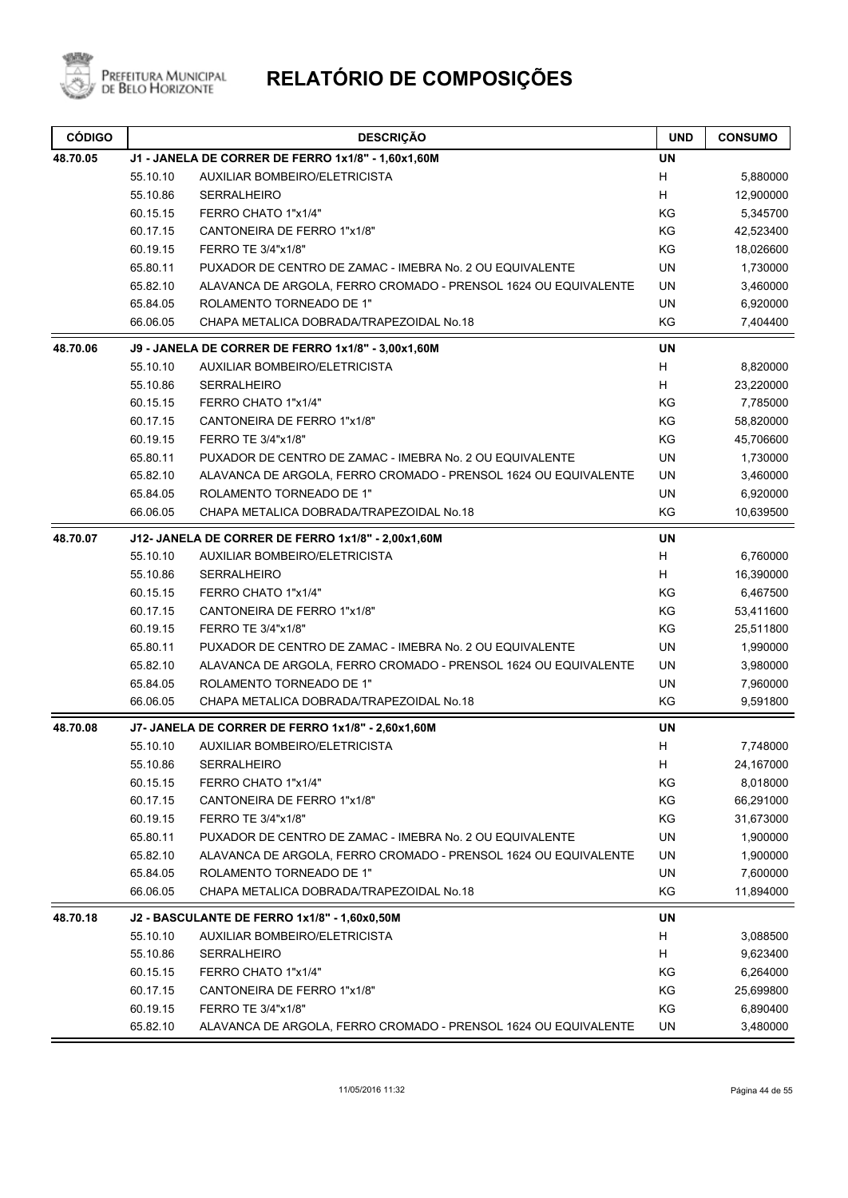

| <b>CÓDIGO</b> |          | <b>DESCRIÇÃO</b>                                                | <b>UND</b> | <b>CONSUMO</b> |
|---------------|----------|-----------------------------------------------------------------|------------|----------------|
| 48.70.05      |          | J1 - JANELA DE CORRER DE FERRO 1x1/8" - 1,60x1,60M              | <b>UN</b>  |                |
|               | 55.10.10 | AUXILIAR BOMBEIRO/ELETRICISTA                                   | H          | 5,880000       |
|               | 55.10.86 | <b>SERRALHEIRO</b>                                              | H          | 12,900000      |
|               | 60.15.15 | FERRO CHATO 1"x1/4"                                             | KG         | 5,345700       |
|               | 60.17.15 | CANTONEIRA DE FERRO 1"x1/8"                                     | KG         | 42,523400      |
|               | 60.19.15 | FERRO TE 3/4"x1/8"                                              | KG         | 18,026600      |
|               | 65.80.11 | PUXADOR DE CENTRO DE ZAMAC - IMEBRA No. 2 OU EQUIVALENTE        | <b>UN</b>  | 1,730000       |
|               | 65.82.10 | ALAVANCA DE ARGOLA, FERRO CROMADO - PRENSOL 1624 OU EQUIVALENTE | UN         | 3,460000       |
|               | 65.84.05 | ROLAMENTO TORNEADO DE 1"                                        | <b>UN</b>  | 6,920000       |
|               | 66.06.05 | CHAPA METALICA DOBRADA/TRAPEZOIDAL No.18                        | KG         | 7,404400       |
| 48.70.06      |          | J9 - JANELA DE CORRER DE FERRO 1x1/8" - 3,00x1,60M              | UN         |                |
|               | 55.10.10 | AUXILIAR BOMBEIRO/ELETRICISTA                                   | H          | 8,820000       |
|               | 55.10.86 | <b>SERRALHEIRO</b>                                              | Н          | 23,220000      |
|               | 60.15.15 | FERRO CHATO 1"x1/4"                                             | KG         | 7,785000       |
|               | 60.17.15 | CANTONEIRA DE FERRO 1"x1/8"                                     | KG         | 58,820000      |
|               | 60.19.15 | FERRO TE 3/4"x1/8"                                              | KG         | 45,706600      |
|               | 65.80.11 | PUXADOR DE CENTRO DE ZAMAC - IMEBRA No. 2 OU EQUIVALENTE        | <b>UN</b>  | 1,730000       |
|               | 65.82.10 | ALAVANCA DE ARGOLA, FERRO CROMADO - PRENSOL 1624 OU EQUIVALENTE | UN         | 3,460000       |
|               | 65.84.05 | ROLAMENTO TORNEADO DE 1"                                        | UN         | 6,920000       |
|               | 66.06.05 | CHAPA METALICA DOBRADA/TRAPEZOIDAL No.18                        | KG         | 10,639500      |
| 48.70.07      |          | J12- JANELA DE CORRER DE FERRO 1x1/8" - 2,00x1,60M              | <b>UN</b>  |                |
|               | 55.10.10 | AUXILIAR BOMBEIRO/ELETRICISTA                                   | H          | 6,760000       |
|               | 55.10.86 | <b>SERRALHEIRO</b>                                              | H          | 16,390000      |
|               | 60.15.15 | FERRO CHATO 1"x1/4"                                             | KG         | 6,467500       |
|               | 60.17.15 | CANTONEIRA DE FERRO 1"x1/8"                                     | KG         | 53,411600      |
|               | 60.19.15 | FERRO TE 3/4"x1/8"                                              | KG         | 25,511800      |
|               | 65.80.11 | PUXADOR DE CENTRO DE ZAMAC - IMEBRA No. 2 OU EQUIVALENTE        | UN         | 1,990000       |
|               | 65.82.10 | ALAVANCA DE ARGOLA, FERRO CROMADO - PRENSOL 1624 OU EQUIVALENTE | UN         | 3,980000       |
|               | 65.84.05 | ROLAMENTO TORNEADO DE 1"                                        | UN         | 7,960000       |
|               | 66.06.05 | CHAPA METALICA DOBRADA/TRAPEZOIDAL No.18                        | KG         | 9,591800       |
| 48.70.08      |          | J7- JANELA DE CORRER DE FERRO 1x1/8" - 2,60x1,60M               | <b>UN</b>  |                |
|               | 55.10.10 | AUXILIAR BOMBEIRO/ELETRICISTA                                   | Н          | 7,748000       |
|               | 55.10.86 | SERRALHEIRO                                                     | н          | 24,167000      |
|               | 60.15.15 | FERRO CHATO 1"x1/4"                                             | ΚG         | 8,018000       |
|               | 60.17.15 | CANTONEIRA DE FERRO 1"x1/8"                                     | KG         | 66,291000      |
|               | 60.19.15 | FERRO TE 3/4"x1/8"                                              | KG         | 31,673000      |
|               | 65.80.11 | PUXADOR DE CENTRO DE ZAMAC - IMEBRA No. 2 OU EQUIVALENTE        | UN         | 1,900000       |
|               | 65.82.10 | ALAVANCA DE ARGOLA, FERRO CROMADO - PRENSOL 1624 OU EQUIVALENTE | UN         | 1,900000       |
|               | 65.84.05 | ROLAMENTO TORNEADO DE 1"                                        | UN         | 7,600000       |
|               | 66.06.05 | CHAPA METALICA DOBRADA/TRAPEZOIDAL No.18                        | KG         | 11,894000      |
| 48.70.18      |          | J2 - BASCULANTE DE FERRO 1x1/8" - 1,60x0,50M                    | <b>UN</b>  |                |
|               | 55.10.10 | AUXILIAR BOMBEIRO/ELETRICISTA                                   | H          | 3,088500       |
|               | 55.10.86 | SERRALHEIRO                                                     | H          | 9,623400       |
|               | 60.15.15 | FERRO CHATO 1"x1/4"                                             | KG         | 6,264000       |
|               | 60.17.15 | CANTONEIRA DE FERRO 1"x1/8"                                     | KG         | 25,699800      |
|               | 60.19.15 | FERRO TE 3/4"x1/8"                                              | KG         | 6,890400       |
|               | 65.82.10 | ALAVANCA DE ARGOLA, FERRO CROMADO - PRENSOL 1624 OU EQUIVALENTE | UN         | 3,480000       |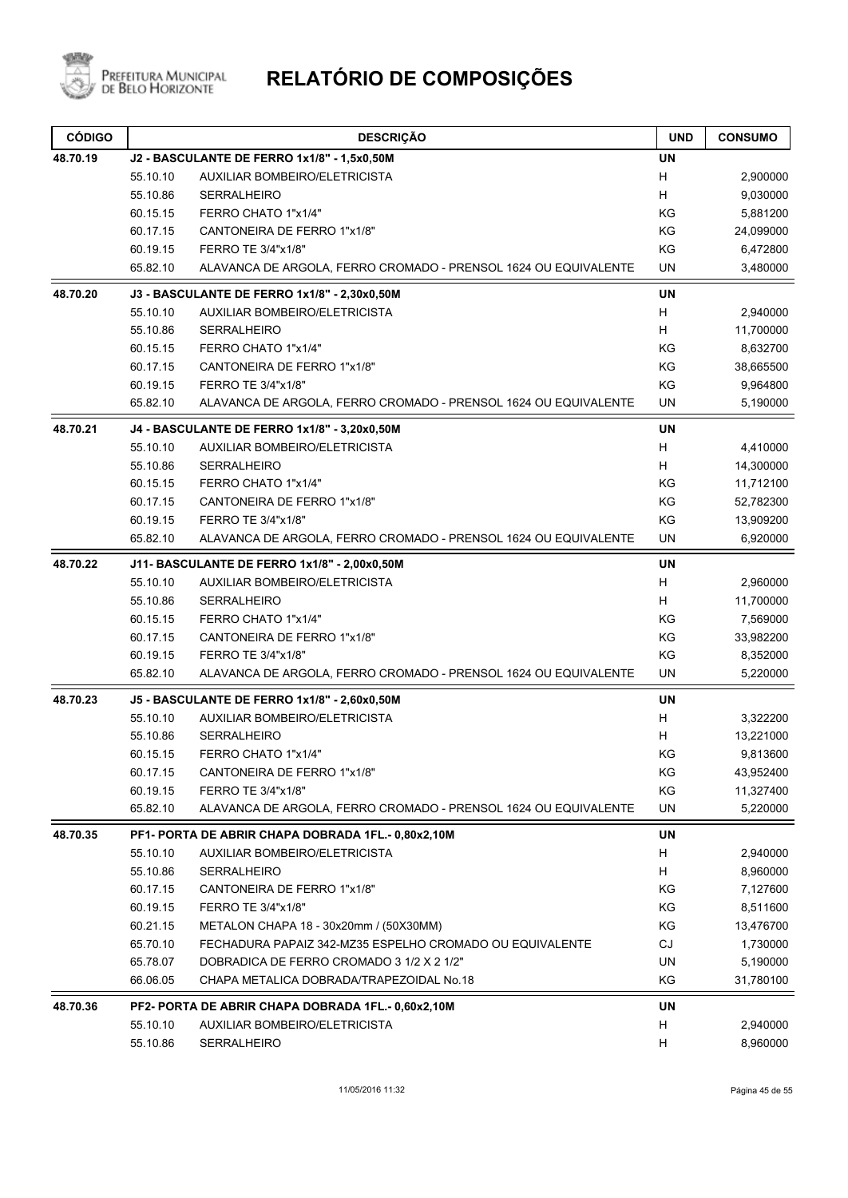

| <b>CÓDIGO</b> |          | <b>DESCRIÇÃO</b>                                                | <b>UND</b> | <b>CONSUMO</b> |
|---------------|----------|-----------------------------------------------------------------|------------|----------------|
| 48.70.19      |          | J2 - BASCULANTE DE FERRO 1x1/8" - 1,5x0,50M                     | <b>UN</b>  |                |
|               | 55.10.10 | <b>AUXILIAR BOMBEIRO/ELETRICISTA</b>                            | Н          | 2,900000       |
|               | 55.10.86 | <b>SERRALHEIRO</b>                                              | н          | 9,030000       |
|               | 60.15.15 | FERRO CHATO 1"x1/4"                                             | KG         | 5,881200       |
|               | 60.17.15 | CANTONEIRA DE FERRO 1"x1/8"                                     | KG         | 24,099000      |
|               | 60.19.15 | FERRO TE 3/4"x1/8"                                              | KG         | 6,472800       |
|               | 65.82.10 | ALAVANCA DE ARGOLA, FERRO CROMADO - PRENSOL 1624 OU EQUIVALENTE | UN         | 3,480000       |
| 48.70.20      |          | J3 - BASCULANTE DE FERRO 1x1/8" - 2,30x0,50M                    | <b>UN</b>  |                |
|               | 55.10.10 | <b>AUXILIAR BOMBEIRO/ELETRICISTA</b>                            | н          | 2,940000       |
|               | 55.10.86 | <b>SERRALHEIRO</b>                                              | Н          | 11,700000      |
|               | 60.15.15 | FERRO CHATO 1"x1/4"                                             | KG         | 8,632700       |
|               | 60.17.15 | CANTONEIRA DE FERRO 1"x1/8"                                     | KG         | 38,665500      |
|               | 60.19.15 | FERRO TE 3/4"x1/8"                                              | KG         | 9,964800       |
|               | 65.82.10 | ALAVANCA DE ARGOLA, FERRO CROMADO - PRENSOL 1624 OU EQUIVALENTE | UN         | 5,190000       |
| 48.70.21      |          | J4 - BASCULANTE DE FERRO 1x1/8" - 3,20x0,50M                    | <b>UN</b>  |                |
|               | 55.10.10 | <b>AUXILIAR BOMBEIRO/ELETRICISTA</b>                            | н          | 4,410000       |
|               | 55.10.86 | SERRALHEIRO                                                     | Н          | 14,300000      |
|               | 60.15.15 | FERRO CHATO 1"x1/4"                                             | ΚG         | 11,712100      |
|               | 60.17.15 | CANTONEIRA DE FERRO 1"x1/8"                                     | KG         | 52,782300      |
|               | 60.19.15 | FERRO TE 3/4"x1/8"                                              | KG         | 13,909200      |
|               | 65.82.10 | ALAVANCA DE ARGOLA, FERRO CROMADO - PRENSOL 1624 OU EQUIVALENTE | UN         | 6,920000       |
| 48.70.22      |          | J11- BASCULANTE DE FERRO 1x1/8" - 2,00x0,50M                    | <b>UN</b>  |                |
|               | 55.10.10 | AUXILIAR BOMBEIRO/ELETRICISTA                                   | Н          | 2,960000       |
|               | 55.10.86 | <b>SERRALHEIRO</b>                                              | Н          | 11,700000      |
|               | 60.15.15 | FERRO CHATO 1"x1/4"                                             | KG         | 7,569000       |
|               | 60.17.15 | CANTONEIRA DE FERRO 1"x1/8"                                     | KG         | 33,982200      |
|               | 60.19.15 | FERRO TE 3/4"x1/8"                                              | KG         | 8,352000       |
|               | 65.82.10 | ALAVANCA DE ARGOLA, FERRO CROMADO - PRENSOL 1624 OU EQUIVALENTE | UN         | 5,220000       |
| 48.70.23      |          | J5 - BASCULANTE DE FERRO 1x1/8" - 2,60x0,50M                    | <b>UN</b>  |                |
|               | 55.10.10 | <b>AUXILIAR BOMBEIRO/ELETRICISTA</b>                            | н          | 3,322200       |
|               | 55.10.86 | <b>SERRALHEIRO</b>                                              | Н          | 13,221000      |
|               | 60.15.15 | FERRO CHATO 1"x1/4"                                             | ΚG         | 9,813600       |
|               | 60.17.15 | CANTONEIRA DE FERRO 1"x1/8"                                     | KG         | 43,952400      |
|               | 60.19.15 | FERRO TE 3/4"x1/8"                                              | ΚG         | 11,327400      |
|               | 65.82.10 | ALAVANCA DE ARGOLA, FERRO CROMADO - PRENSOL 1624 OU EQUIVALENTE | UN         | 5,220000       |
| 48.70.35      |          | PF1- PORTA DE ABRIR CHAPA DOBRADA 1FL.- 0,80x2,10M              | UN         |                |
|               | 55.10.10 | <b>AUXILIAR BOMBEIRO/ELETRICISTA</b>                            | н          | 2,940000       |
|               | 55.10.86 | SERRALHEIRO                                                     | н          | 8,960000       |
|               | 60.17.15 | CANTONEIRA DE FERRO 1"x1/8"                                     | ΚG         | 7,127600       |
|               | 60.19.15 | FERRO TE 3/4"x1/8"                                              | ΚG         | 8,511600       |
|               | 60.21.15 | METALON CHAPA 18 - 30x20mm / (50X30MM)                          | ΚG         | 13,476700      |
|               | 65.70.10 | FECHADURA PAPAIZ 342-MZ35 ESPELHO CROMADO OU EQUIVALENTE        | CJ         | 1,730000       |
|               | 65.78.07 | DOBRADICA DE FERRO CROMADO 3 1/2 X 2 1/2"                       | UN         | 5,190000       |
|               | 66.06.05 | CHAPA METALICA DOBRADA/TRAPEZOIDAL No.18                        | KG         | 31,780100      |
| 48.70.36      |          | PF2- PORTA DE ABRIR CHAPA DOBRADA 1FL.- 0,60x2,10M              | UN         |                |
|               | 55.10.10 | AUXILIAR BOMBEIRO/ELETRICISTA                                   | н          | 2,940000       |
|               | 55.10.86 | SERRALHEIRO                                                     | н          | 8,960000       |
|               |          |                                                                 |            |                |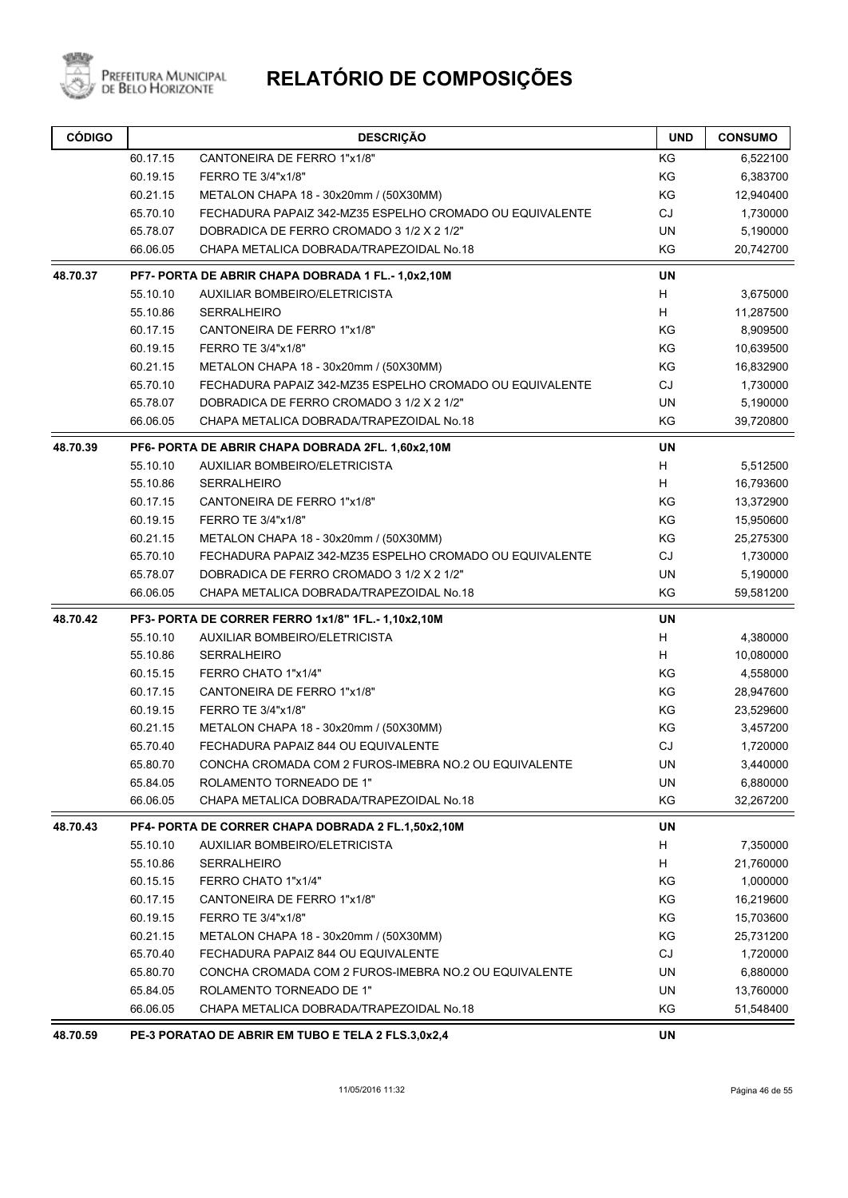

| <b>CÓDIGO</b> |          | <b>DESCRIÇÃO</b>                                         | <b>UND</b> | <b>CONSUMO</b> |
|---------------|----------|----------------------------------------------------------|------------|----------------|
|               | 60.17.15 | CANTONEIRA DE FERRO 1"x1/8"                              | KG         | 6,522100       |
|               | 60.19.15 | FERRO TE 3/4"x1/8"                                       | KG         | 6,383700       |
|               | 60.21.15 | METALON CHAPA 18 - 30x20mm / (50X30MM)                   | KG         | 12,940400      |
|               | 65.70.10 | FECHADURA PAPAIZ 342-MZ35 ESPELHO CROMADO OU EQUIVALENTE | <b>CJ</b>  | 1,730000       |
|               | 65.78.07 | DOBRADICA DE FERRO CROMADO 3 1/2 X 2 1/2"                | <b>UN</b>  | 5,190000       |
|               | 66.06.05 | CHAPA METALICA DOBRADA/TRAPEZOIDAL No.18                 | KG         | 20,742700      |
| 48.70.37      |          | PF7- PORTA DE ABRIR CHAPA DOBRADA 1 FL.- 1,0x2,10M       | <b>UN</b>  |                |
|               | 55.10.10 | AUXILIAR BOMBEIRO/ELETRICISTA                            | H          | 3,675000       |
|               | 55.10.86 | <b>SERRALHEIRO</b>                                       | Н          | 11,287500      |
|               | 60.17.15 | CANTONEIRA DE FERRO 1"x1/8"                              | KG         | 8,909500       |
|               | 60.19.15 | FERRO TE 3/4"x1/8"                                       | KG         | 10,639500      |
|               | 60.21.15 | METALON CHAPA 18 - 30x20mm / (50X30MM)                   | KG         | 16,832900      |
|               | 65.70.10 | FECHADURA PAPAIZ 342-MZ35 ESPELHO CROMADO OU EQUIVALENTE | CJ         | 1,730000       |
|               | 65.78.07 | DOBRADICA DE FERRO CROMADO 3 1/2 X 2 1/2"                | <b>UN</b>  | 5,190000       |
|               | 66.06.05 | CHAPA METALICA DOBRADA/TRAPEZOIDAL No.18                 | KG         | 39,720800      |
| 48.70.39      |          | PF6- PORTA DE ABRIR CHAPA DOBRADA 2FL. 1,60x2,10M        | <b>UN</b>  |                |
|               | 55.10.10 | AUXILIAR BOMBEIRO/ELETRICISTA                            | н          | 5,512500       |
|               | 55.10.86 | <b>SERRALHEIRO</b>                                       | н          | 16,793600      |
|               | 60.17.15 | CANTONEIRA DE FERRO 1"x1/8"                              | KG         | 13,372900      |
|               | 60.19.15 | FERRO TE 3/4"x1/8"                                       | KG         | 15,950600      |
|               | 60.21.15 | METALON CHAPA 18 - 30x20mm / (50X30MM)                   | KG         | 25,275300      |
|               | 65.70.10 | FECHADURA PAPAIZ 342-MZ35 ESPELHO CROMADO OU EQUIVALENTE | <b>CJ</b>  | 1,730000       |
|               | 65.78.07 | DOBRADICA DE FERRO CROMADO 3 1/2 X 2 1/2"                | <b>UN</b>  | 5,190000       |
|               | 66.06.05 | CHAPA METALICA DOBRADA/TRAPEZOIDAL No.18                 | KG         | 59,581200      |
| 48.70.42      |          | PF3- PORTA DE CORRER FERRO 1x1/8" 1FL.-1,10x2,10M        | <b>UN</b>  |                |
|               | 55.10.10 | AUXILIAR BOMBEIRO/ELETRICISTA                            | Н          | 4,380000       |
|               | 55.10.86 | <b>SERRALHEIRO</b>                                       | H          | 10,080000      |
|               | 60.15.15 | FERRO CHATO 1"x1/4"                                      | KG         | 4,558000       |
|               | 60.17.15 | CANTONEIRA DE FERRO 1"x1/8"                              | KG         | 28,947600      |
|               | 60.19.15 | FERRO TE 3/4"x1/8"                                       | KG         | 23,529600      |
|               | 60.21.15 | METALON CHAPA 18 - 30x20mm / (50X30MM)                   | KG         | 3,457200       |
|               | 65.70.40 | FECHADURA PAPAIZ 844 OU EQUIVALENTE                      | CJ         | 1,720000       |
|               | 65.80.70 | CONCHA CROMADA COM 2 FUROS-IMEBRA NO.2 OU EQUIVALENTE    | UN         | 3,440000       |
|               | 65.84.05 | ROLAMENTO TORNEADO DE 1"                                 | UN         | 6,880000       |
|               | 66.06.05 | CHAPA METALICA DOBRADA/TRAPEZOIDAL No.18                 | KG         | 32,267200      |
| 48.70.43      |          | PF4- PORTA DE CORRER CHAPA DOBRADA 2 FL.1,50x2,10M       | UN         |                |
|               | 55.10.10 | AUXILIAR BOMBEIRO/ELETRICISTA                            | H          | 7,350000       |
|               | 55.10.86 | <b>SERRALHEIRO</b>                                       | Н          | 21,760000      |
|               | 60.15.15 | FERRO CHATO 1"x1/4"                                      | KG         | 1,000000       |
|               | 60.17.15 | CANTONEIRA DE FERRO 1"x1/8"                              | KG         | 16,219600      |
|               | 60.19.15 | FERRO TE 3/4"x1/8"                                       | KG         | 15,703600      |
|               | 60.21.15 | METALON CHAPA 18 - 30x20mm / (50X30MM)                   | KG         | 25,731200      |
|               | 65.70.40 | FECHADURA PAPAIZ 844 OU EQUIVALENTE                      | CJ         | 1,720000       |
|               | 65.80.70 | CONCHA CROMADA COM 2 FUROS-IMEBRA NO.2 OU EQUIVALENTE    | UN         | 6,880000       |
|               | 65.84.05 | ROLAMENTO TORNEADO DE 1"                                 | UN         | 13,760000      |
|               | 66.06.05 | CHAPA METALICA DOBRADA/TRAPEZOIDAL No.18                 | KG         | 51,548400      |
| 48.70.59      |          | PE-3 PORATAO DE ABRIR EM TUBO E TELA 2 FLS.3,0x2,4       | <b>UN</b>  |                |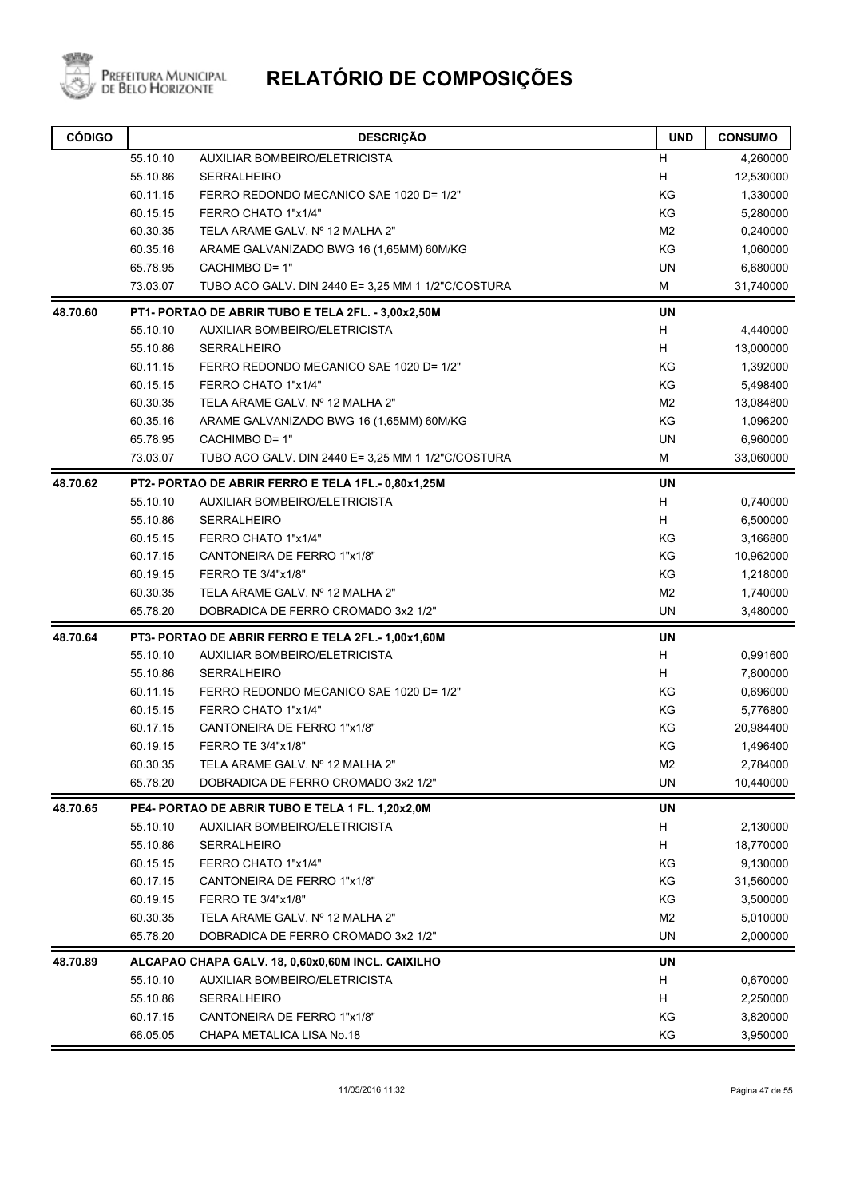

| <b>CÓDIGO</b> |          | <b>DESCRIÇÃO</b>                                   | <b>UND</b>     | <b>CONSUMO</b> |
|---------------|----------|----------------------------------------------------|----------------|----------------|
|               | 55.10.10 | AUXILIAR BOMBEIRO/ELETRICISTA                      | H              | 4,260000       |
|               | 55.10.86 | <b>SERRALHEIRO</b>                                 | Н              | 12,530000      |
|               | 60.11.15 | FERRO REDONDO MECANICO SAE 1020 D= 1/2"            | KG             | 1,330000       |
|               | 60.15.15 | FERRO CHATO 1"x1/4"                                | KG             | 5,280000       |
|               | 60.30.35 | TELA ARAME GALV. Nº 12 MALHA 2"                    | M2             | 0,240000       |
|               | 60.35.16 | ARAME GALVANIZADO BWG 16 (1,65MM) 60M/KG           | KG             | 1,060000       |
|               | 65.78.95 | CACHIMBO D= 1"                                     | <b>UN</b>      | 6,680000       |
|               | 73.03.07 | TUBO ACO GALV. DIN 2440 E= 3,25 MM 1 1/2"C/COSTURA | М              | 31,740000      |
| 48.70.60      |          | PT1- PORTAO DE ABRIR TUBO E TELA 2FL. - 3,00x2,50M | <b>UN</b>      |                |
|               | 55.10.10 | AUXILIAR BOMBEIRO/ELETRICISTA                      | Н              | 4,440000       |
|               | 55.10.86 | <b>SERRALHEIRO</b>                                 | н              | 13,000000      |
|               | 60.11.15 | FERRO REDONDO MECANICO SAE 1020 D= 1/2"            | KG             | 1,392000       |
|               | 60.15.15 | FERRO CHATO 1"x1/4"                                | KG             | 5,498400       |
|               | 60.30.35 | TELA ARAME GALV. Nº 12 MALHA 2"                    | M <sub>2</sub> | 13,084800      |
|               | 60.35.16 | ARAME GALVANIZADO BWG 16 (1,65MM) 60M/KG           | KG             | 1,096200       |
|               | 65.78.95 | CACHIMBO D= 1"                                     | UN             | 6,960000       |
|               | 73.03.07 | TUBO ACO GALV. DIN 2440 E= 3,25 MM 1 1/2"C/COSTURA | М              | 33,060000      |
| 48.70.62      |          | PT2- PORTAO DE ABRIR FERRO E TELA 1FL.- 0,80x1,25M | UN             |                |
|               | 55.10.10 | AUXILIAR BOMBEIRO/ELETRICISTA                      | Н              | 0,740000       |
|               | 55.10.86 | <b>SERRALHEIRO</b>                                 | н              | 6,500000       |
|               | 60.15.15 | FERRO CHATO 1"x1/4"                                | KG             | 3,166800       |
|               | 60.17.15 | CANTONEIRA DE FERRO 1"x1/8"                        | KG             | 10,962000      |
|               | 60.19.15 | FERRO TE 3/4"x1/8"                                 | KG             | 1,218000       |
|               | 60.30.35 | TELA ARAME GALV. Nº 12 MALHA 2"                    | M <sub>2</sub> | 1,740000       |
|               | 65.78.20 | DOBRADICA DE FERRO CROMADO 3x2 1/2"                | UN             | 3,480000       |
| 48.70.64      |          | PT3- PORTAO DE ABRIR FERRO E TELA 2FL.- 1,00x1,60M | UN             |                |
|               | 55.10.10 | AUXILIAR BOMBEIRO/ELETRICISTA                      | Н              | 0,991600       |
|               | 55.10.86 | <b>SERRALHEIRO</b>                                 | н              | 7,800000       |
|               | 60.11.15 | FERRO REDONDO MECANICO SAE 1020 D= 1/2"            | KG             | 0,696000       |
|               | 60.15.15 | FERRO CHATO 1"x1/4"                                | KG             | 5,776800       |
|               | 60.17.15 | CANTONEIRA DE FERRO 1"x1/8"                        | KG             | 20,984400      |
|               | 60.19.15 | FERRO TE 3/4"x1/8"                                 | KG             | 1,496400       |
|               | 60.30.35 | TELA ARAME GALV. Nº 12 MALHA 2"                    | M2             | 2,784000       |
|               | 65.78.20 | DOBRADICA DE FERRO CROMADO 3x2 1/2"                | UN             | 10,440000      |
| 48.70.65      |          | PE4- PORTAO DE ABRIR TUBO E TELA 1 FL. 1,20x2,0M   | UN             |                |
|               | 55.10.10 | AUXILIAR BOMBEIRO/ELETRICISTA                      | H              | 2,130000       |
|               | 55.10.86 | SERRALHEIRO                                        | Н              | 18,770000      |
|               | 60.15.15 | FERRO CHATO 1"x1/4"                                | KG             | 9,130000       |
|               | 60.17.15 | CANTONEIRA DE FERRO 1"x1/8"                        | ΚG             | 31,560000      |
|               | 60.19.15 | FERRO TE 3/4"x1/8"                                 | ΚG             | 3,500000       |
|               | 60.30.35 | TELA ARAME GALV. Nº 12 MALHA 2"                    | M <sub>2</sub> | 5,010000       |
|               | 65.78.20 | DOBRADICA DE FERRO CROMADO 3x2 1/2"                | <b>UN</b>      | 2,000000       |
| 48.70.89      |          | ALCAPAO CHAPA GALV. 18, 0,60x0,60M INCL. CAIXILHO  | UN             |                |
|               | 55.10.10 | AUXILIAR BOMBEIRO/ELETRICISTA                      | H              | 0,670000       |
|               | 55.10.86 | <b>SERRALHEIRO</b>                                 | H              | 2,250000       |
|               | 60.17.15 | CANTONEIRA DE FERRO 1"x1/8"                        | KG             | 3,820000       |
|               | 66.05.05 | CHAPA METALICA LISA No.18                          | ΚG             | 3,950000       |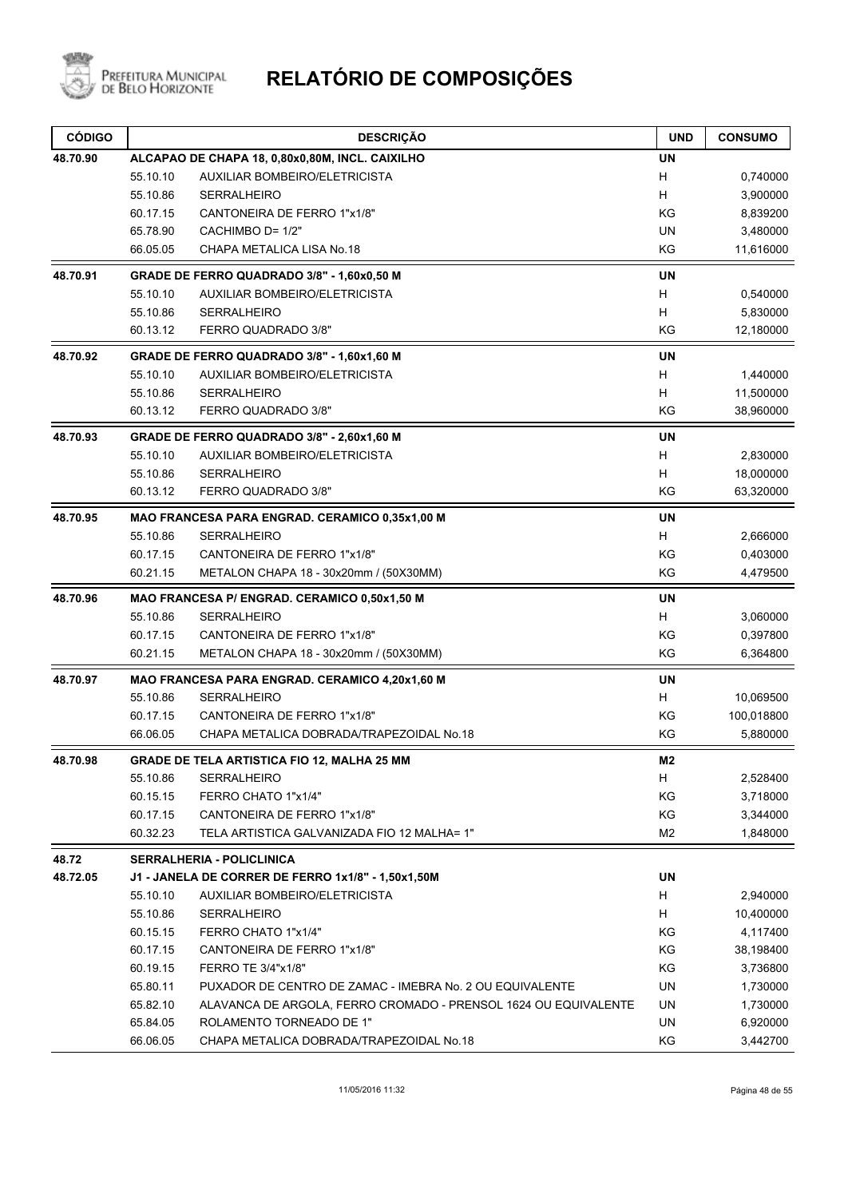

| <b>CÓDIGO</b> | <b>DESCRIÇÃO</b>                                                            | <b>UND</b> | <b>CONSUMO</b> |
|---------------|-----------------------------------------------------------------------------|------------|----------------|
| 48.70.90      | ALCAPAO DE CHAPA 18, 0,80x0,80M, INCL. CAIXILHO                             | <b>UN</b>  |                |
|               | 55.10.10<br>AUXILIAR BOMBEIRO/ELETRICISTA                                   | H          | 0,740000       |
|               | 55.10.86<br><b>SERRALHEIRO</b>                                              | H          | 3,900000       |
|               | 60.17.15<br>CANTONEIRA DE FERRO 1"x1/8"                                     | KG         | 8,839200       |
|               | CACHIMBO D= 1/2"<br>65.78.90                                                | <b>UN</b>  | 3,480000       |
|               | 66.05.05<br>CHAPA METALICA LISA No.18                                       | KG         | 11,616000      |
| 48.70.91      | GRADE DE FERRO QUADRADO 3/8" - 1,60x0,50 M                                  | <b>UN</b>  |                |
|               | 55.10.10<br>AUXILIAR BOMBEIRO/ELETRICISTA                                   | H          | 0,540000       |
|               | 55.10.86<br><b>SERRALHEIRO</b>                                              | H          | 5,830000       |
|               | 60.13.12<br>FERRO QUADRADO 3/8"                                             | KG         | 12,180000      |
| 48.70.92      | GRADE DE FERRO QUADRADO 3/8" - 1,60x1,60 M                                  | UN         |                |
|               | 55.10.10<br>AUXILIAR BOMBEIRO/ELETRICISTA                                   | H          | 1,440000       |
|               | 55.10.86<br><b>SERRALHEIRO</b>                                              | H          | 11,500000      |
|               | 60.13.12<br>FERRO QUADRADO 3/8"                                             | KG         | 38,960000      |
| 48.70.93      | GRADE DE FERRO QUADRADO 3/8" - 2,60x1,60 M                                  | UN         |                |
|               | 55.10.10<br>AUXILIAR BOMBEIRO/ELETRICISTA                                   | H          | 2,830000       |
|               | 55.10.86<br><b>SERRALHEIRO</b>                                              | H          | 18,000000      |
|               | 60.13.12<br>FERRO QUADRADO 3/8"                                             | KG         | 63,320000      |
| 48.70.95      | MAO FRANCESA PARA ENGRAD. CERAMICO 0,35x1,00 M                              | UN         |                |
|               | 55.10.86<br><b>SERRALHEIRO</b>                                              | H          | 2,666000       |
|               | 60.17.15<br>CANTONEIRA DE FERRO 1"x1/8"                                     | KG         | 0,403000       |
|               | 60.21.15<br>METALON CHAPA 18 - 30x20mm / (50X30MM)                          | KG         | 4,479500       |
| 48.70.96      | MAO FRANCESA P/ ENGRAD. CERAMICO 0,50x1,50 M                                | <b>UN</b>  |                |
|               | 55.10.86<br><b>SERRALHEIRO</b>                                              | H          | 3,060000       |
|               | 60.17.15<br>CANTONEIRA DE FERRO 1"x1/8"                                     | ΚG         | 0,397800       |
|               | 60.21.15<br>METALON CHAPA 18 - 30x20mm / (50X30MM)                          | ΚG         | 6,364800       |
| 48.70.97      | MAO FRANCESA PARA ENGRAD. CERAMICO 4,20x1,60 M                              | <b>UN</b>  |                |
|               | 55.10.86<br><b>SERRALHEIRO</b>                                              | H          | 10,069500      |
|               | 60.17.15<br>CANTONEIRA DE FERRO 1"x1/8"                                     | ΚG         | 100,018800     |
|               | 66.06.05<br>CHAPA METALICA DOBRADA/TRAPEZOIDAL No.18                        | KG         | 5,880000       |
| 48.70.98      | <b>GRADE DE TELA ARTISTICA FIO 12, MALHA 25 MM</b>                          | M2         |                |
|               | 55.10.86<br><b>SERRALHEIRO</b>                                              | H.         | 2,528400       |
|               | 60.15.15<br>FERRO CHATO 1"x1/4"                                             | KG         | 3,718000       |
|               | 60.17.15<br>CANTONEIRA DE FERRO 1"x1/8"                                     | KG         | 3,344000       |
|               | TELA ARTISTICA GALVANIZADA FIO 12 MALHA= 1"<br>60.32.23                     | M2         | 1,848000       |
| 48.72         | <b>SERRALHERIA - POLICLINICA</b>                                            |            |                |
| 48.72.05      | J1 - JANELA DE CORRER DE FERRO 1x1/8" - 1,50x1,50M                          | UN         |                |
|               | 55.10.10<br>AUXILIAR BOMBEIRO/ELETRICISTA                                   | H          | 2,940000       |
|               | 55.10.86<br><b>SERRALHEIRO</b>                                              | H          | 10,400000      |
|               | 60.15.15<br>FERRO CHATO 1"x1/4"                                             | KG         | 4,117400       |
|               | 60.17.15<br>CANTONEIRA DE FERRO 1"x1/8"                                     | KG         | 38,198400      |
|               | FERRO TE 3/4"x1/8"<br>60.19.15                                              | KG         | 3,736800       |
|               | 65.80.11<br>PUXADOR DE CENTRO DE ZAMAC - IMEBRA No. 2 OU EQUIVALENTE        | UN         | 1,730000       |
|               | 65.82.10<br>ALAVANCA DE ARGOLA, FERRO CROMADO - PRENSOL 1624 OU EQUIVALENTE | UN         | 1,730000       |
|               | 65.84.05<br>ROLAMENTO TORNEADO DE 1"                                        | UN         | 6,920000       |
|               | 66.06.05<br>CHAPA METALICA DOBRADA/TRAPEZOIDAL No.18                        | KG         | 3,442700       |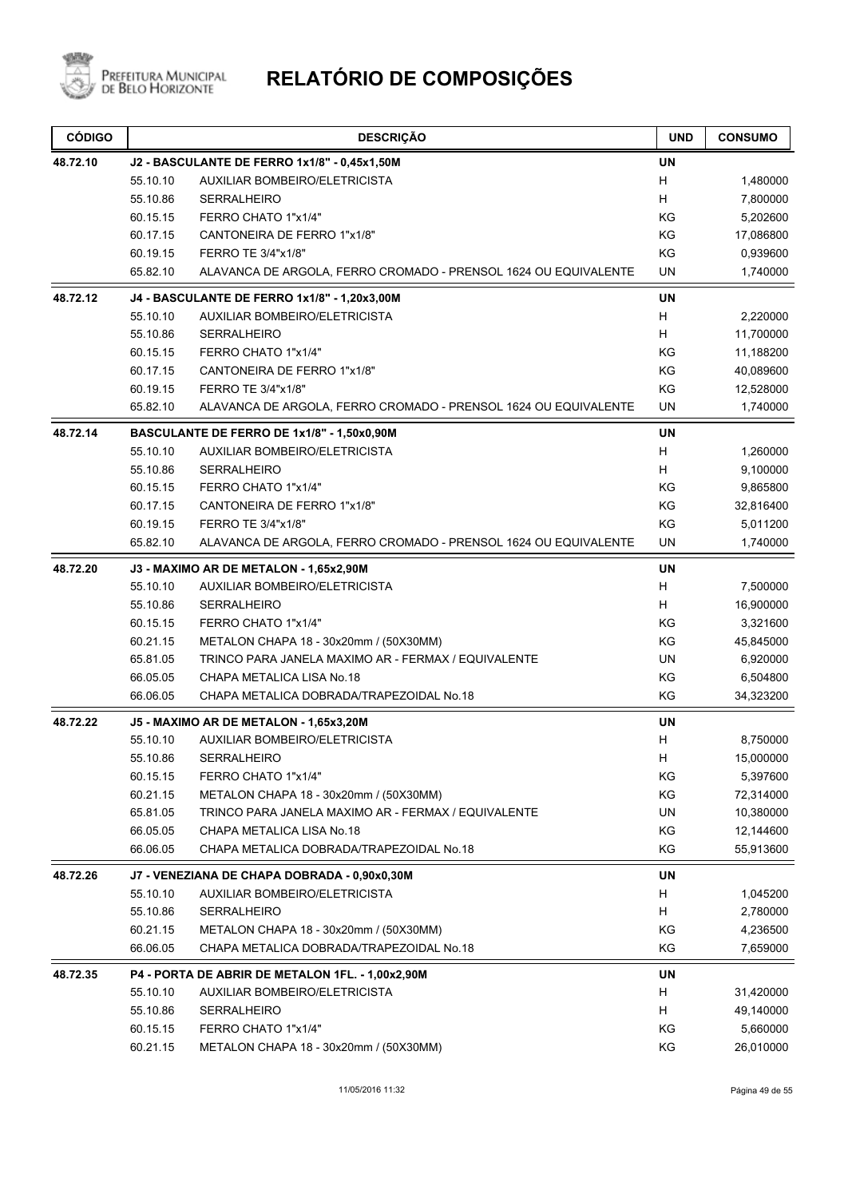

| <b>CÓDIGO</b> |                                              | <b>DESCRIÇÃO</b>                                                | <b>UND</b>                | <b>CONSUMO</b> |
|---------------|----------------------------------------------|-----------------------------------------------------------------|---------------------------|----------------|
| 48.72.10      | J2 - BASCULANTE DE FERRO 1x1/8" - 0,45x1,50M |                                                                 |                           |                |
|               | 55.10.10                                     | AUXILIAR BOMBEIRO/ELETRICISTA                                   | H                         | 1,480000       |
|               | 55.10.86                                     | <b>SERRALHEIRO</b>                                              | H                         | 7,800000       |
|               | 60.15.15                                     | FERRO CHATO 1"x1/4"                                             | KG                        | 5,202600       |
|               | 60.17.15                                     | CANTONEIRA DE FERRO 1"x1/8"                                     | KG                        | 17,086800      |
|               | 60.19.15                                     | FERRO TE 3/4"x1/8"                                              | KG                        | 0,939600       |
|               | 65.82.10                                     | ALAVANCA DE ARGOLA, FERRO CROMADO - PRENSOL 1624 OU EQUIVALENTE | UN                        | 1,740000       |
| 48.72.12      |                                              | J4 - BASCULANTE DE FERRO 1x1/8" - 1,20x3,00M                    | <b>UN</b>                 |                |
|               | 55.10.10                                     | <b>AUXILIAR BOMBEIRO/ELETRICISTA</b>                            | $\boldsymbol{\mathsf{H}}$ | 2,220000       |
|               | 55.10.86                                     | <b>SERRALHEIRO</b>                                              | H                         | 11,700000      |
|               | 60.15.15                                     | FERRO CHATO 1"x1/4"                                             | KG                        | 11,188200      |
|               | 60.17.15                                     | CANTONEIRA DE FERRO 1"x1/8"                                     | KG                        | 40,089600      |
|               | 60.19.15                                     | FERRO TE 3/4"x1/8"                                              | KG                        | 12,528000      |
|               | 65.82.10                                     | ALAVANCA DE ARGOLA, FERRO CROMADO - PRENSOL 1624 OU EQUIVALENTE | UN                        | 1,740000       |
| 48.72.14      |                                              | BASCULANTE DE FERRO DE 1x1/8" - 1,50x0,90M                      | <b>UN</b>                 |                |
|               | 55.10.10                                     | AUXILIAR BOMBEIRO/ELETRICISTA                                   | H                         | 1,260000       |
|               | 55.10.86                                     | <b>SERRALHEIRO</b>                                              | H                         | 9,100000       |
|               | 60.15.15                                     | FERRO CHATO 1"x1/4"                                             | KG                        | 9,865800       |
|               | 60.17.15                                     | CANTONEIRA DE FERRO 1"x1/8"                                     | KG                        | 32,816400      |
|               | 60.19.15                                     | FERRO TE 3/4"x1/8"                                              | KG                        | 5,011200       |
|               | 65.82.10                                     | ALAVANCA DE ARGOLA, FERRO CROMADO - PRENSOL 1624 OU EQUIVALENTE | <b>UN</b>                 | 1,740000       |
| 48.72.20      | J3 - MAXIMO AR DE METALON - 1,65x2,90M       |                                                                 |                           |                |
|               | 55.10.10                                     | AUXILIAR BOMBEIRO/ELETRICISTA                                   | H                         | 7,500000       |
|               | 55.10.86                                     | <b>SERRALHEIRO</b>                                              | H                         | 16,900000      |
|               | 60.15.15                                     | FERRO CHATO 1"x1/4"                                             | KG                        | 3,321600       |
|               | 60.21.15                                     | METALON CHAPA 18 - 30x20mm / (50X30MM)                          | KG                        | 45,845000      |
|               | 65.81.05                                     | TRINCO PARA JANELA MAXIMO AR - FERMAX / EQUIVALENTE             | UN                        | 6,920000       |
|               | 66.05.05                                     | CHAPA METALICA LISA No.18                                       | KG                        | 6,504800       |
|               | 66.06.05                                     | CHAPA METALICA DOBRADA/TRAPEZOIDAL No.18                        | KG                        | 34,323200      |
| 48.72.22      |                                              | J5 - MAXIMO AR DE METALON - 1,65x3,20M                          | UN                        |                |
|               | 55.10.10                                     | AUXILIAR BOMBEIRO/ELETRICISTA                                   | H                         | 8,750000       |
|               | 55.10.86                                     | SERRALHEIRO                                                     | н                         | 15,000000      |
|               | 60.15.15                                     | FERRO CHATO 1"x1/4"                                             | ΚG                        | 5,397600       |
|               | 60.21.15                                     | METALON CHAPA 18 - 30x20mm / (50X30MM)                          | KG                        | 72,314000      |
|               | 65.81.05                                     | TRINCO PARA JANELA MAXIMO AR - FERMAX / EQUIVALENTE             | UN                        | 10,380000      |
|               | 66.05.05                                     | CHAPA METALICA LISA No.18                                       | KG                        | 12,144600      |
|               | 66.06.05                                     | CHAPA METALICA DOBRADA/TRAPEZOIDAL No.18                        | KG                        | 55,913600      |
| 48.72.26      |                                              | J7 - VENEZIANA DE CHAPA DOBRADA - 0,90x0,30M                    | UN                        |                |
|               | 55.10.10                                     | AUXILIAR BOMBEIRO/ELETRICISTA                                   | H                         | 1,045200       |
|               | 55.10.86                                     | <b>SERRALHEIRO</b>                                              | H.                        | 2,780000       |
|               | 60.21.15                                     | METALON CHAPA 18 - 30x20mm / (50X30MM)                          | KG                        | 4,236500       |
|               | 66.06.05                                     | CHAPA METALICA DOBRADA/TRAPEZOIDAL No.18                        | ΚG                        | 7,659000       |
| 48.72.35      |                                              | P4 - PORTA DE ABRIR DE METALON 1FL. - 1,00x2,90M                | UN                        |                |
|               | 55.10.10                                     | AUXILIAR BOMBEIRO/ELETRICISTA                                   | H                         | 31,420000      |
|               | 55.10.86                                     | SERRALHEIRO                                                     | H                         | 49,140000      |
|               | 60.15.15                                     | FERRO CHATO 1"x1/4"                                             | KG                        | 5,660000       |
|               | 60.21.15                                     | METALON CHAPA 18 - 30x20mm / (50X30MM)                          | KG                        | 26,010000      |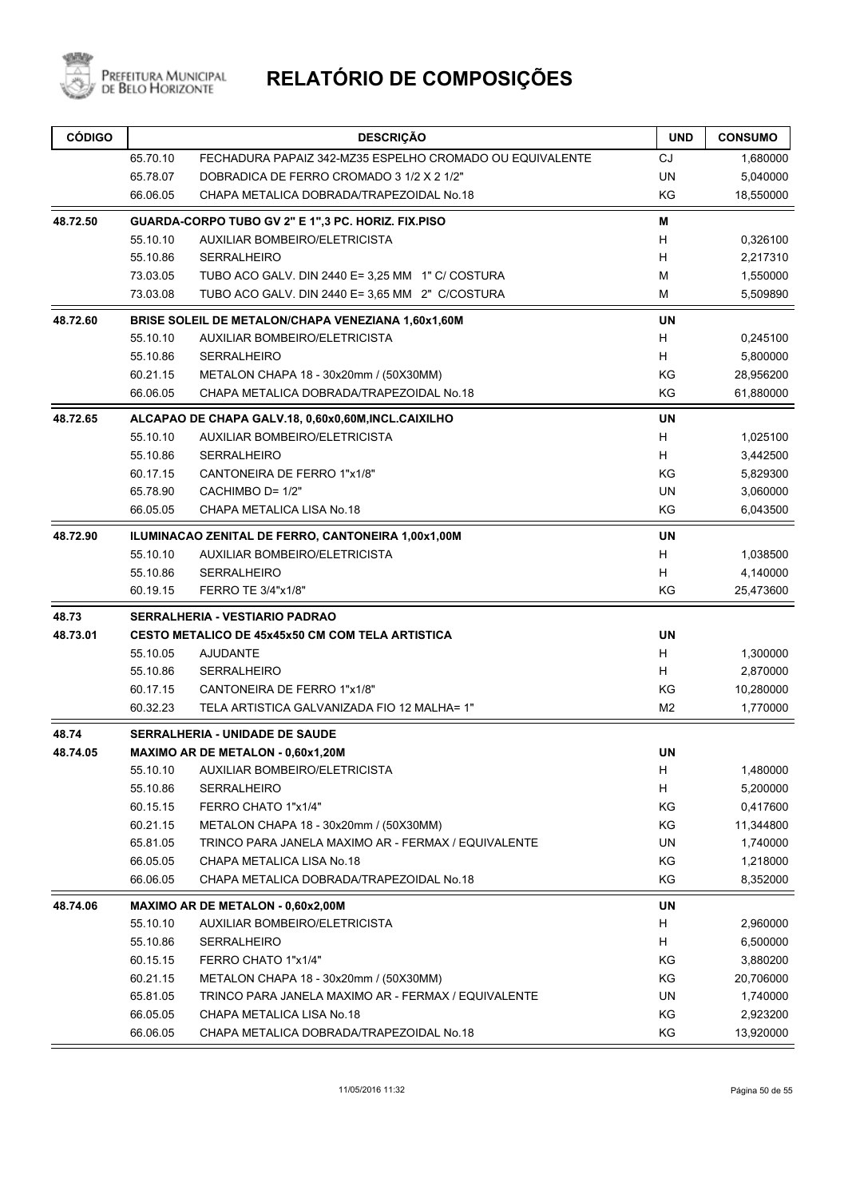

| <b>CÓDIGO</b> |                                       | <b>DESCRIÇÃO</b>                                         | <b>UND</b>     | <b>CONSUMO</b> |  |
|---------------|---------------------------------------|----------------------------------------------------------|----------------|----------------|--|
|               | 65.70.10                              | FECHADURA PAPAIZ 342-MZ35 ESPELHO CROMADO OU EQUIVALENTE | <b>CJ</b>      | 1,680000       |  |
|               | 65.78.07                              | DOBRADICA DE FERRO CROMADO 3 1/2 X 2 1/2"                | <b>UN</b>      | 5,040000       |  |
|               | 66.06.05                              | CHAPA METALICA DOBRADA/TRAPEZOIDAL No.18                 | KG             | 18,550000      |  |
| 48.72.50      |                                       | GUARDA-CORPO TUBO GV 2" E 1",3 PC. HORIZ. FIX.PISO       | M              |                |  |
|               | 55.10.10                              | AUXILIAR BOMBEIRO/ELETRICISTA                            | н              | 0,326100       |  |
|               | 55.10.86                              | <b>SERRALHEIRO</b>                                       | H              | 2,217310       |  |
|               | 73.03.05                              | TUBO ACO GALV. DIN 2440 E= 3,25 MM 1" C/ COSTURA         | М              | 1,550000       |  |
|               | 73.03.08                              | TUBO ACO GALV. DIN 2440 E= 3,65 MM 2" C/COSTURA          | М              | 5,509890       |  |
| 48.72.60      |                                       | BRISE SOLEIL DE METALON/CHAPA VENEZIANA 1,60x1,60M       | UN             |                |  |
|               | 55.10.10                              | <b>AUXILIAR BOMBEIRO/ELETRICISTA</b>                     | H              | 0,245100       |  |
|               | 55.10.86                              | <b>SERRALHEIRO</b>                                       | H              | 5,800000       |  |
|               | 60.21.15                              | METALON CHAPA 18 - 30x20mm / (50X30MM)                   | KG             | 28,956200      |  |
|               | 66.06.05                              | CHAPA METALICA DOBRADA/TRAPEZOIDAL No.18                 | ΚG             | 61,880000      |  |
| 48.72.65      |                                       | ALCAPAO DE CHAPA GALV.18, 0,60x0,60M, INCL.CAIXILHO      | <b>UN</b>      |                |  |
|               | 55.10.10                              | <b>AUXILIAR BOMBEIRO/ELETRICISTA</b>                     | H              | 1,025100       |  |
|               | 55.10.86                              | <b>SERRALHEIRO</b>                                       | H              | 3,442500       |  |
|               | 60.17.15                              | CANTONEIRA DE FERRO 1"x1/8"                              | ΚG             | 5,829300       |  |
|               | 65.78.90                              | CACHIMBO D= 1/2"                                         | UN             | 3,060000       |  |
|               | 66.05.05                              | CHAPA METALICA LISA No.18                                | KG             | 6,043500       |  |
| 48.72.90      |                                       | ILUMINACAO ZENITAL DE FERRO, CANTONEIRA 1,00x1,00M       | <b>UN</b>      |                |  |
|               | 55.10.10                              | AUXILIAR BOMBEIRO/ELETRICISTA                            | H              | 1,038500       |  |
|               | 55.10.86                              | <b>SERRALHEIRO</b>                                       | н              | 4,140000       |  |
|               | 60.19.15                              | FERRO TE 3/4"x1/8"                                       | KG             | 25,473600      |  |
| 48.73         |                                       | <b>SERRALHERIA - VESTIARIO PADRAO</b>                    |                |                |  |
| 48.73.01      |                                       | <b>CESTO METALICO DE 45x45x50 CM COM TELA ARTISTICA</b>  | <b>UN</b>      |                |  |
|               | 55.10.05                              | AJUDANTE                                                 | H              | 1,300000       |  |
|               | 55.10.86                              | <b>SERRALHEIRO</b>                                       | H              | 2,870000       |  |
|               | 60.17.15                              | CANTONEIRA DE FERRO 1"x1/8"                              | KG             | 10,280000      |  |
|               | 60.32.23                              | TELA ARTISTICA GALVANIZADA FIO 12 MALHA= 1"              | M <sub>2</sub> | 1,770000       |  |
| 48.74         | <b>SERRALHERIA - UNIDADE DE SAUDE</b> |                                                          |                |                |  |
| 48.74.05      |                                       | <b>MAXIMO AR DE METALON - 0.60x1.20M</b>                 | <b>UN</b>      |                |  |
|               | 55.10.10                              | <b>AUXILIAR BOMBEIRO/ELETRICISTA</b>                     | H.             | 1,480000       |  |
|               | 55.10.86                              | <b>SERRALHEIRO</b>                                       | H              | 5,200000       |  |
|               | 60.15.15                              | FERRO CHATO 1"x1/4"                                      | KG             | 0,417600       |  |
|               | 60.21.15                              | METALON CHAPA 18 - 30x20mm / (50X30MM)                   | ΚG             | 11,344800      |  |
|               | 65.81.05                              | TRINCO PARA JANELA MAXIMO AR - FERMAX / EQUIVALENTE      | UN             | 1,740000       |  |
|               | 66.05.05                              | CHAPA METALICA LISA No.18                                | ΚG             | 1,218000       |  |
|               | 66.06.05                              | CHAPA METALICA DOBRADA/TRAPEZOIDAL No.18                 | KG             | 8,352000       |  |
| 48.74.06      |                                       | MAXIMO AR DE METALON - 0,60x2,00M                        | UN             |                |  |
|               | 55.10.10                              | <b>AUXILIAR BOMBEIRO/ELETRICISTA</b>                     | н              | 2,960000       |  |
|               | 55.10.86                              | <b>SERRALHEIRO</b>                                       | H              | 6,500000       |  |
|               | 60.15.15                              | FERRO CHATO 1"x1/4"                                      | ΚG             | 3,880200       |  |
|               | 60.21.15                              | METALON CHAPA 18 - 30x20mm / (50X30MM)                   | KG             | 20,706000      |  |
|               | 65.81.05                              | TRINCO PARA JANELA MAXIMO AR - FERMAX / EQUIVALENTE      | UN             | 1,740000       |  |
|               | 66.05.05                              | CHAPA METALICA LISA No.18                                | ΚG             | 2,923200       |  |
|               | 66.06.05                              | CHAPA METALICA DOBRADA/TRAPEZOIDAL No.18                 | KG             | 13,920000      |  |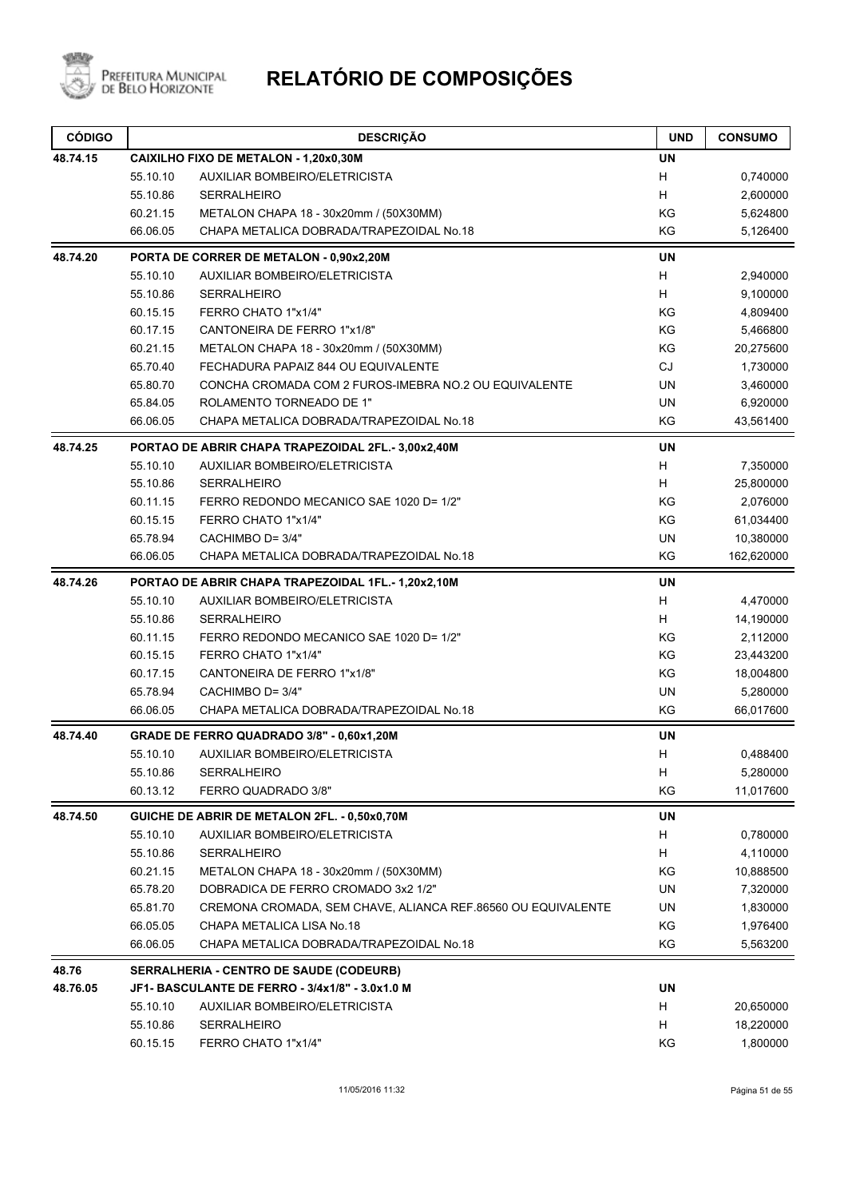

| <b>CÓDIGO</b> |                                         | <b>DESCRIÇÃO</b>                                             | <b>UND</b> | <b>CONSUMO</b> |  |
|---------------|-----------------------------------------|--------------------------------------------------------------|------------|----------------|--|
| 48.74.15      | CAIXILHO FIXO DE METALON - 1,20x0,30M   |                                                              |            |                |  |
|               | 55.10.10                                | <b>AUXILIAR BOMBEIRO/ELETRICISTA</b>                         | H          | 0,740000       |  |
|               | 55.10.86                                | <b>SERRALHEIRO</b>                                           | H          | 2,600000       |  |
|               | 60.21.15                                | METALON CHAPA 18 - 30x20mm / (50X30MM)                       | KG         | 5,624800       |  |
|               | 66.06.05                                | CHAPA METALICA DOBRADA/TRAPEZOIDAL No.18                     | KG         | 5,126400       |  |
| 48.74.20      |                                         | PORTA DE CORRER DE METALON - 0,90x2,20M                      | <b>UN</b>  |                |  |
|               | 55.10.10                                | <b>AUXILIAR BOMBEIRO/ELETRICISTA</b>                         | H          | 2,940000       |  |
|               | 55.10.86                                | <b>SERRALHEIRO</b>                                           | H          | 9,100000       |  |
|               | 60.15.15                                | FERRO CHATO 1"x1/4"                                          | KG         | 4,809400       |  |
|               | 60.17.15                                | CANTONEIRA DE FERRO 1"x1/8"                                  | KG         | 5,466800       |  |
|               | 60.21.15                                | METALON CHAPA 18 - 30x20mm / (50X30MM)                       | KG         | 20,275600      |  |
|               | 65.70.40                                | FECHADURA PAPAIZ 844 OU EQUIVALENTE                          | CJ         | 1,730000       |  |
|               | 65.80.70                                | CONCHA CROMADA COM 2 FUROS-IMEBRA NO.2 OU EQUIVALENTE        | <b>UN</b>  | 3,460000       |  |
|               | 65.84.05                                | ROLAMENTO TORNEADO DE 1"                                     | <b>UN</b>  | 6,920000       |  |
|               | 66.06.05                                | CHAPA METALICA DOBRADA/TRAPEZOIDAL No.18                     | KG         | 43,561400      |  |
| 48.74.25      |                                         | PORTAO DE ABRIR CHAPA TRAPEZOIDAL 2FL.- 3,00x2,40M           | <b>UN</b>  |                |  |
|               | 55.10.10                                | <b>AUXILIAR BOMBEIRO/ELETRICISTA</b>                         | Н          | 7,350000       |  |
|               | 55.10.86                                | <b>SERRALHEIRO</b>                                           | H          | 25,800000      |  |
|               | 60.11.15                                | FERRO REDONDO MECANICO SAE 1020 D= 1/2"                      | KG         | 2,076000       |  |
|               | 60.15.15                                | FERRO CHATO 1"x1/4"                                          | KG         | 61,034400      |  |
|               | 65.78.94                                | CACHIMBO D= 3/4"                                             | <b>UN</b>  | 10,380000      |  |
|               | 66.06.05                                | CHAPA METALICA DOBRADA/TRAPEZOIDAL No.18                     | KG         | 162,620000     |  |
| 48.74.26      |                                         | PORTAO DE ABRIR CHAPA TRAPEZOIDAL 1FL.-1,20x2,10M            | <b>UN</b>  |                |  |
|               | 55.10.10                                | <b>AUXILIAR BOMBEIRO/ELETRICISTA</b>                         | Н          | 4,470000       |  |
|               | 55.10.86                                | <b>SERRALHEIRO</b>                                           | H          | 14,190000      |  |
|               | 60.11.15                                | FERRO REDONDO MECANICO SAE 1020 D= 1/2"                      | KG         | 2,112000       |  |
|               | 60.15.15                                | FERRO CHATO 1"x1/4"                                          | KG         | 23,443200      |  |
|               | 60.17.15                                | CANTONEIRA DE FERRO 1"x1/8"                                  | KG         | 18,004800      |  |
|               | 65.78.94                                | CACHIMBO D= 3/4"                                             | <b>UN</b>  | 5,280000       |  |
|               | 66.06.05                                | CHAPA METALICA DOBRADA/TRAPEZOIDAL No.18                     | KG         | 66,017600      |  |
| 48.74.40      |                                         | GRADE DE FERRO QUADRADO 3/8" - 0,60x1,20M                    | <b>UN</b>  |                |  |
|               | 55.10.10                                | AUXILIAR BOMBEIRO/ELETRICISTA                                | Η          | 0,488400       |  |
|               | 55.10.86                                | SERRALHEIRO                                                  | H          | 5,280000       |  |
|               | 60.13.12                                | FERRO QUADRADO 3/8"                                          | KG         | 11,017600      |  |
| 48.74.50      |                                         | GUICHE DE ABRIR DE METALON 2FL. - 0,50x0,70M                 | UN         |                |  |
|               | 55.10.10                                | <b>AUXILIAR BOMBEIRO/ELETRICISTA</b>                         | H          | 0,780000       |  |
|               | 55.10.86                                | SERRALHEIRO                                                  | H          | 4,110000       |  |
|               | 60.21.15                                | METALON CHAPA 18 - 30x20mm / (50X30MM)                       | ΚG         | 10,888500      |  |
|               | 65.78.20                                | DOBRADICA DE FERRO CROMADO 3x2 1/2"                          | UN         | 7,320000       |  |
|               | 65.81.70                                | CREMONA CROMADA, SEM CHAVE, ALIANCA REF.86560 OU EQUIVALENTE | UN         | 1,830000       |  |
|               | 66.05.05                                | CHAPA METALICA LISA No.18                                    | KG         | 1,976400       |  |
|               | 66.06.05                                | CHAPA METALICA DOBRADA/TRAPEZOIDAL No.18                     | ΚG         | 5,563200       |  |
| 48.76         | SERRALHERIA - CENTRO DE SAUDE (CODEURB) |                                                              |            |                |  |
| 48.76.05      |                                         | JF1-BASCULANTE DE FERRO - 3/4x1/8" - 3.0x1.0 M               | UN         |                |  |
|               | 55.10.10                                | AUXILIAR BOMBEIRO/ELETRICISTA                                | H          | 20,650000      |  |
|               | 55.10.86                                | SERRALHEIRO                                                  | H          | 18,220000      |  |
|               | 60.15.15                                | FERRO CHATO 1"x1/4"                                          | ΚG         | 1,800000       |  |
|               |                                         |                                                              |            |                |  |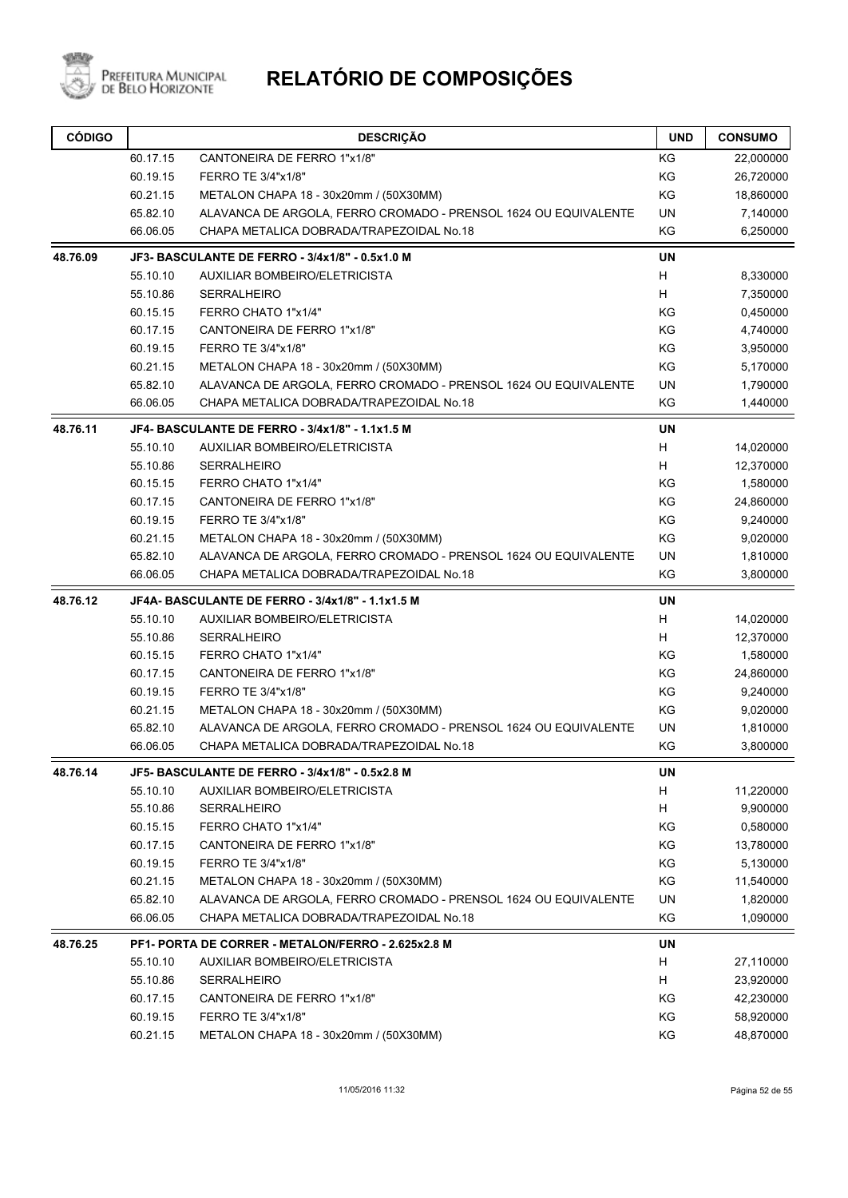

| <b>CÓDIGO</b> |                                                 | <b>DESCRIÇÃO</b>                                                | <b>UND</b> | <b>CONSUMO</b> |
|---------------|-------------------------------------------------|-----------------------------------------------------------------|------------|----------------|
|               | 60.17.15                                        | CANTONEIRA DE FERRO 1"x1/8"                                     | KG         | 22,000000      |
|               | 60.19.15                                        | FERRO TE 3/4"x1/8"                                              | KG         | 26,720000      |
|               | 60.21.15                                        | METALON CHAPA 18 - 30x20mm / (50X30MM)                          | KG         | 18,860000      |
|               | 65.82.10                                        | ALAVANCA DE ARGOLA, FERRO CROMADO - PRENSOL 1624 OU EQUIVALENTE | UN         | 7,140000       |
|               | 66.06.05                                        | CHAPA METALICA DOBRADA/TRAPEZOIDAL No.18                        | KG         | 6,250000       |
| 48.76.09      | JF3- BASCULANTE DE FERRO - 3/4x1/8" - 0.5x1.0 M | <b>UN</b>                                                       |            |                |
|               | 55.10.10                                        | AUXILIAR BOMBEIRO/ELETRICISTA                                   | H          | 8,330000       |
|               | 55.10.86                                        | <b>SERRALHEIRO</b>                                              | H          | 7,350000       |
|               | 60.15.15                                        | FERRO CHATO 1"x1/4"                                             | ΚG         | 0,450000       |
|               | 60.17.15                                        | CANTONEIRA DE FERRO 1"x1/8"                                     | KG         | 4,740000       |
|               | 60.19.15                                        | FERRO TE 3/4"x1/8"                                              | KG         | 3,950000       |
|               | 60.21.15                                        | METALON CHAPA 18 - 30x20mm / (50X30MM)                          | KG         | 5,170000       |
|               | 65.82.10                                        | ALAVANCA DE ARGOLA, FERRO CROMADO - PRENSOL 1624 OU EQUIVALENTE | UN         | 1,790000       |
|               | 66.06.05                                        | CHAPA METALICA DOBRADA/TRAPEZOIDAL No.18                        | KG         | 1,440000       |
| 48.76.11      |                                                 | JF4- BASCULANTE DE FERRO - 3/4x1/8" - 1.1x1.5 M                 | <b>UN</b>  |                |
|               | 55.10.10                                        | AUXILIAR BOMBEIRO/ELETRICISTA                                   | н          | 14,020000      |
|               | 55.10.86                                        | <b>SERRALHEIRO</b>                                              | H          | 12,370000      |
|               | 60.15.15                                        | FERRO CHATO 1"x1/4"                                             | KG         | 1,580000       |
|               | 60.17.15                                        | CANTONEIRA DE FERRO 1"x1/8"                                     | KG         | 24,860000      |
|               | 60.19.15                                        | FERRO TE 3/4"x1/8"                                              | KG         | 9,240000       |
|               | 60.21.15                                        | METALON CHAPA 18 - 30x20mm / (50X30MM)                          | KG         | 9,020000       |
|               | 65.82.10                                        | ALAVANCA DE ARGOLA, FERRO CROMADO - PRENSOL 1624 OU EQUIVALENTE | UN         | 1,810000       |
|               | 66.06.05                                        | CHAPA METALICA DOBRADA/TRAPEZOIDAL No.18                        | KG         | 3,800000       |
| 48.76.12      |                                                 | JF4A- BASCULANTE DE FERRO - 3/4x1/8" - 1.1x1.5 M                | <b>UN</b>  |                |
|               | 55.10.10                                        | AUXILIAR BOMBEIRO/ELETRICISTA                                   | н          | 14,020000      |
|               | 55.10.86                                        | <b>SERRALHEIRO</b>                                              | н          | 12,370000      |
|               | 60.15.15                                        | FERRO CHATO 1"x1/4"                                             | KG         | 1,580000       |
|               | 60.17.15                                        | CANTONEIRA DE FERRO 1"x1/8"                                     | KG         | 24,860000      |
|               | 60.19.15                                        | FERRO TE 3/4"x1/8"                                              | KG         | 9,240000       |
|               | 60.21.15                                        | METALON CHAPA 18 - 30x20mm / (50X30MM)                          | KG         | 9,020000       |
|               | 65.82.10                                        | ALAVANCA DE ARGOLA, FERRO CROMADO - PRENSOL 1624 OU EQUIVALENTE | UN         | 1,810000       |
|               | 66.06.05                                        | CHAPA METALICA DOBRADA/TRAPEZOIDAL No.18                        | KG         | 3,800000       |
| 48.76.14      |                                                 | JF5- BASCULANTE DE FERRO - 3/4x1/8" - 0.5x2.8 M                 | UN         |                |
|               | 55.10.10                                        | AUXILIAR BOMBEIRO/ELETRICISTA                                   | H          | 11,220000      |
|               | 55.10.86                                        | <b>SERRALHEIRO</b>                                              | Н          | 9,900000       |
|               | 60.15.15                                        | FERRO CHATO 1"x1/4"                                             | KG         | 0,580000       |
|               | 60.17.15                                        | CANTONEIRA DE FERRO 1"x1/8"                                     | KG         | 13,780000      |
|               | 60.19.15                                        | FERRO TE 3/4"x1/8"                                              | ΚG         | 5,130000       |
|               | 60.21.15                                        | METALON CHAPA 18 - 30x20mm / (50X30MM)                          | KG         | 11,540000      |
|               | 65.82.10                                        | ALAVANCA DE ARGOLA, FERRO CROMADO - PRENSOL 1624 OU EQUIVALENTE | UN         | 1,820000       |
|               | 66.06.05                                        | CHAPA METALICA DOBRADA/TRAPEZOIDAL No.18                        | KG         | 1,090000       |
| 48.76.25      |                                                 | PF1- PORTA DE CORRER - METALON/FERRO - 2.625x2.8 M              | UN         |                |
|               | 55.10.10                                        | AUXILIAR BOMBEIRO/ELETRICISTA                                   | H          | 27,110000      |
|               | 55.10.86                                        | <b>SERRALHEIRO</b>                                              | H          | 23,920000      |
|               | 60.17.15                                        | CANTONEIRA DE FERRO 1"x1/8"                                     | KG         | 42,230000      |
|               | 60.19.15                                        | FERRO TE 3/4"x1/8"                                              | KG         | 58,920000      |
|               | 60.21.15                                        | METALON CHAPA 18 - 30x20mm / (50X30MM)                          | KG         | 48,870000      |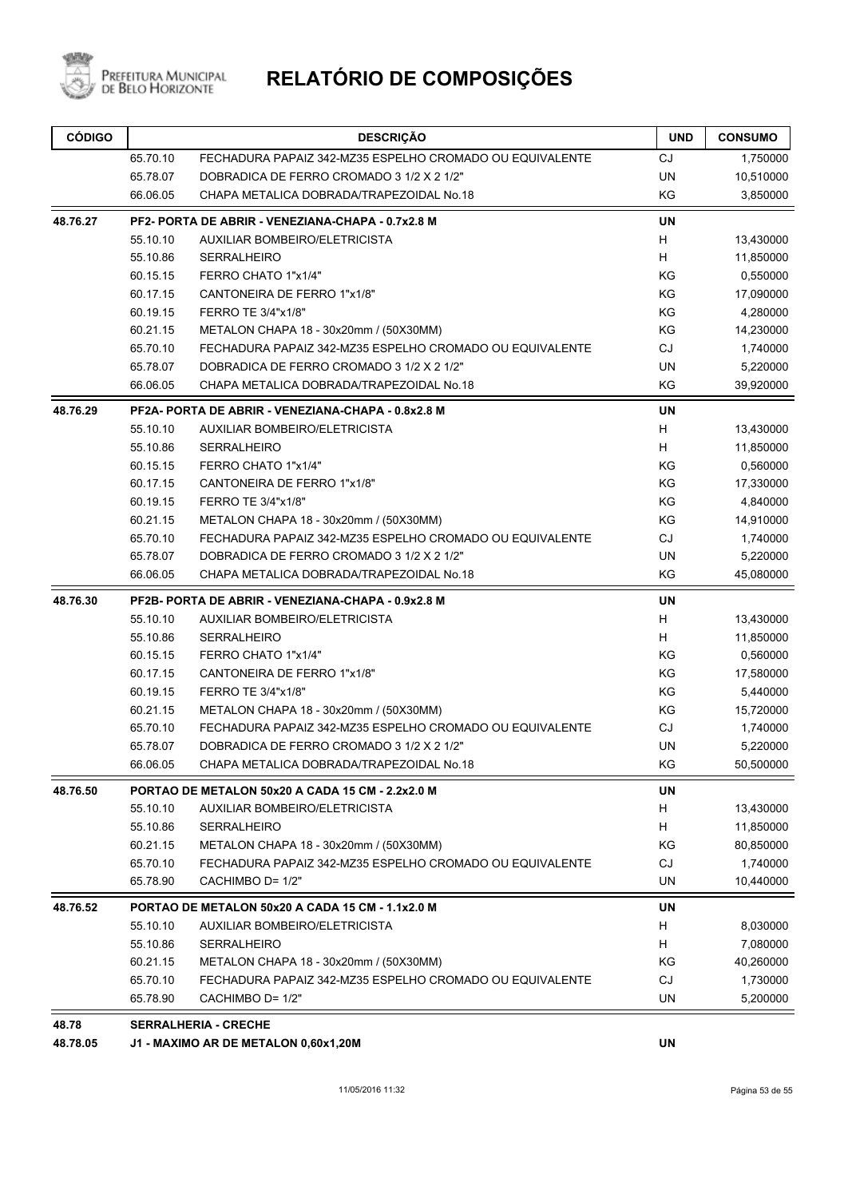

| <b>CÓDIGO</b> |          | <b>DESCRIÇÃO</b>                                         | <b>UND</b> | <b>CONSUMO</b> |
|---------------|----------|----------------------------------------------------------|------------|----------------|
|               | 65.70.10 | FECHADURA PAPAIZ 342-MZ35 ESPELHO CROMADO OU EQUIVALENTE | CJ         | 1,750000       |
|               | 65.78.07 | DOBRADICA DE FERRO CROMADO 3 1/2 X 2 1/2"                | <b>UN</b>  | 10,510000      |
|               | 66.06.05 | CHAPA METALICA DOBRADA/TRAPEZOIDAL No.18                 | KG         | 3,850000       |
| 48.76.27      |          | PF2- PORTA DE ABRIR - VENEZIANA-CHAPA - 0.7x2.8 M        | <b>UN</b>  |                |
|               | 55.10.10 | AUXILIAR BOMBEIRO/ELETRICISTA                            | H          | 13,430000      |
|               | 55.10.86 | <b>SERRALHEIRO</b>                                       | Н          | 11,850000      |
|               | 60.15.15 | FERRO CHATO 1"x1/4"                                      | ΚG         | 0,550000       |
|               | 60.17.15 | CANTONEIRA DE FERRO 1"x1/8"                              | KG         | 17,090000      |
|               | 60.19.15 | FERRO TE 3/4"x1/8"                                       | KG         | 4,280000       |
|               | 60.21.15 | METALON CHAPA 18 - 30x20mm / (50X30MM)                   | KG         | 14,230000      |
|               | 65.70.10 | FECHADURA PAPAIZ 342-MZ35 ESPELHO CROMADO OU EQUIVALENTE | <b>CJ</b>  | 1,740000       |
|               | 65.78.07 | DOBRADICA DE FERRO CROMADO 3 1/2 X 2 1/2"                | <b>UN</b>  | 5,220000       |
|               | 66.06.05 | CHAPA METALICA DOBRADA/TRAPEZOIDAL No.18                 | KG         | 39,920000      |
| 48.76.29      |          | PF2A- PORTA DE ABRIR - VENEZIANA-CHAPA - 0.8x2.8 M       | <b>UN</b>  |                |
|               | 55.10.10 | <b>AUXILIAR BOMBEIRO/ELETRICISTA</b>                     | Н          | 13,430000      |
|               | 55.10.86 | <b>SERRALHEIRO</b>                                       | н          | 11,850000      |
|               | 60.15.15 | FERRO CHATO 1"x1/4"                                      | KG         | 0,560000       |
|               | 60.17.15 | CANTONEIRA DE FERRO 1"x1/8"                              | KG         | 17,330000      |
|               | 60.19.15 | FERRO TE 3/4"x1/8"                                       | KG         | 4,840000       |
|               | 60.21.15 | METALON CHAPA 18 - 30x20mm / (50X30MM)                   | KG         | 14,910000      |
|               | 65.70.10 | FECHADURA PAPAIZ 342-MZ35 ESPELHO CROMADO OU EQUIVALENTE | <b>CJ</b>  | 1,740000       |
|               | 65.78.07 | DOBRADICA DE FERRO CROMADO 3 1/2 X 2 1/2"                | <b>UN</b>  | 5,220000       |
|               | 66.06.05 | CHAPA METALICA DOBRADA/TRAPEZOIDAL No.18                 | KG         | 45,080000      |
| 48.76.30      |          | PF2B- PORTA DE ABRIR - VENEZIANA-CHAPA - 0.9x2.8 M       | UN         |                |
|               | 55.10.10 | AUXILIAR BOMBEIRO/ELETRICISTA                            | H          | 13,430000      |
|               | 55.10.86 | <b>SERRALHEIRO</b>                                       | H          | 11,850000      |
|               | 60.15.15 | FERRO CHATO 1"x1/4"                                      | KG         | 0,560000       |
|               | 60.17.15 | CANTONEIRA DE FERRO 1"x1/8"                              | KG         | 17,580000      |
|               | 60.19.15 | FERRO TE 3/4"x1/8"                                       | KG         | 5,440000       |
|               | 60.21.15 | METALON CHAPA 18 - 30x20mm / (50X30MM)                   | KG         | 15,720000      |
|               | 65.70.10 | FECHADURA PAPAIZ 342-MZ35 ESPELHO CROMADO OU EQUIVALENTE | <b>CJ</b>  | 1,740000       |
|               | 65.78.07 | DOBRADICA DE FERRO CROMADO 3 1/2 X 2 1/2"                | UN         | 5,220000       |
|               | 66.06.05 | CHAPA METALICA DOBRADA/TRAPEZOIDAL No.18                 | KG         | 50,500000      |
| 48.76.50      |          | PORTAO DE METALON 50x20 A CADA 15 CM - 2.2x2.0 M         | <b>UN</b>  |                |
|               | 55.10.10 | AUXILIAR BOMBEIRO/ELETRICISTA                            | H          | 13,430000      |
|               | 55.10.86 | <b>SERRALHEIRO</b>                                       | H          | 11,850000      |
|               | 60.21.15 | METALON CHAPA 18 - 30x20mm / (50X30MM)                   | KG         | 80,850000      |
|               | 65.70.10 | FECHADURA PAPAIZ 342-MZ35 ESPELHO CROMADO OU EQUIVALENTE | <b>CJ</b>  | 1,740000       |
|               | 65.78.90 | CACHIMBO D= 1/2"                                         | <b>UN</b>  | 10,440000      |
| 48.76.52      |          | PORTAO DE METALON 50x20 A CADA 15 CM - 1.1x2.0 M         | UN         |                |
|               | 55.10.10 | <b>AUXILIAR BOMBEIRO/ELETRICISTA</b>                     | H          | 8,030000       |
|               | 55.10.86 | <b>SERRALHEIRO</b>                                       | H          | 7,080000       |
|               | 60.21.15 | METALON CHAPA 18 - 30x20mm / (50X30MM)                   | ΚG         | 40,260000      |
|               | 65.70.10 | FECHADURA PAPAIZ 342-MZ35 ESPELHO CROMADO OU EQUIVALENTE | CJ         | 1,730000       |
|               | 65.78.90 | CACHIMBO D= 1/2"                                         | UN         | 5,200000       |
| 48.78         |          | <b>SERRALHERIA - CRECHE</b>                              |            |                |

**48.78.05 J1 - MAXIMO AR DE METALON 0,60x1,20M UN**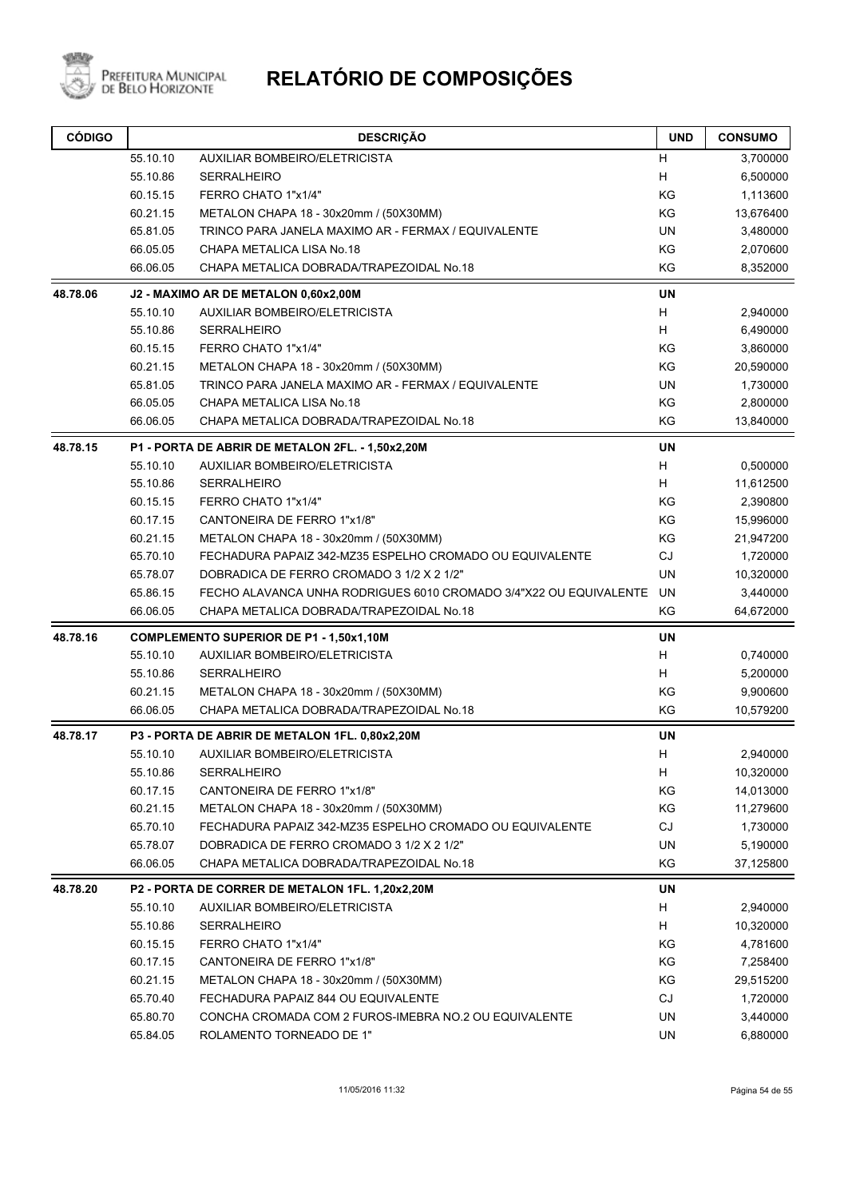

| <b>CÓDIGO</b> |          | <b>DESCRIÇÃO</b>                                                  | <b>UND</b> | <b>CONSUMO</b> |
|---------------|----------|-------------------------------------------------------------------|------------|----------------|
|               | 55.10.10 | AUXILIAR BOMBEIRO/ELETRICISTA                                     | н          | 3,700000       |
|               | 55.10.86 | <b>SERRALHEIRO</b>                                                | H          | 6,500000       |
|               | 60.15.15 | FERRO CHATO 1"x1/4"                                               | KG         | 1,113600       |
|               | 60.21.15 | METALON CHAPA 18 - 30x20mm / (50X30MM)                            | KG         | 13,676400      |
|               | 65.81.05 | TRINCO PARA JANELA MAXIMO AR - FERMAX / EQUIVALENTE               | <b>UN</b>  | 3,480000       |
|               | 66.05.05 | CHAPA METALICA LISA No.18                                         | KG         | 2,070600       |
|               | 66.06.05 | CHAPA METALICA DOBRADA/TRAPEZOIDAL No.18                          | ΚG         | 8,352000       |
| 48.78.06      |          | J2 - MAXIMO AR DE METALON 0,60x2,00M                              | <b>UN</b>  |                |
|               | 55.10.10 | <b>AUXILIAR BOMBEIRO/ELETRICISTA</b>                              | H          | 2,940000       |
|               | 55.10.86 | <b>SERRALHEIRO</b>                                                | H          | 6,490000       |
|               | 60.15.15 | FERRO CHATO 1"x1/4"                                               | KG         | 3,860000       |
|               | 60.21.15 | METALON CHAPA 18 - 30x20mm / (50X30MM)                            | KG         | 20,590000      |
|               | 65.81.05 | TRINCO PARA JANELA MAXIMO AR - FERMAX / EQUIVALENTE               | <b>UN</b>  | 1,730000       |
|               | 66.05.05 | CHAPA METALICA LISA No.18                                         | KG         | 2,800000       |
|               | 66.06.05 | CHAPA METALICA DOBRADA/TRAPEZOIDAL No.18                          | KG         | 13,840000      |
| 48.78.15      |          | P1 - PORTA DE ABRIR DE METALON 2FL. - 1,50x2,20M                  | <b>UN</b>  |                |
|               | 55.10.10 | <b>AUXILIAR BOMBEIRO/ELETRICISTA</b>                              | H          | 0,500000       |
|               | 55.10.86 | <b>SERRALHEIRO</b>                                                | H          | 11,612500      |
|               | 60.15.15 | FERRO CHATO 1"x1/4"                                               | KG         | 2,390800       |
|               | 60.17.15 | CANTONEIRA DE FERRO 1"x1/8"                                       | KG         | 15,996000      |
|               | 60.21.15 | METALON CHAPA 18 - 30x20mm / (50X30MM)                            | KG         | 21,947200      |
|               | 65.70.10 | FECHADURA PAPAIZ 342-MZ35 ESPELHO CROMADO OU EQUIVALENTE          | <b>CJ</b>  | 1,720000       |
|               | 65.78.07 | DOBRADICA DE FERRO CROMADO 3 1/2 X 2 1/2"                         | <b>UN</b>  | 10,320000      |
|               | 65.86.15 | FECHO ALAVANCA UNHA RODRIGUES 6010 CROMADO 3/4"X22 OU EQUIVALENTE | UN         | 3,440000       |
|               | 66.06.05 | CHAPA METALICA DOBRADA/TRAPEZOIDAL No.18                          | KG         | 64,672000      |
| 48.78.16      |          | <b>COMPLEMENTO SUPERIOR DE P1 - 1,50x1,10M</b>                    | <b>UN</b>  |                |
|               | 55.10.10 | <b>AUXILIAR BOMBEIRO/ELETRICISTA</b>                              | H          | 0,740000       |
|               | 55.10.86 | <b>SERRALHEIRO</b>                                                | H          | 5,200000       |
|               | 60.21.15 | METALON CHAPA 18 - 30x20mm / (50X30MM)                            | KG         | 9,900600       |
|               | 66.06.05 | CHAPA METALICA DOBRADA/TRAPEZOIDAL No.18                          | ΚG         | 10,579200      |
| 48.78.17      |          | P3 - PORTA DE ABRIR DE METALON 1FL. 0,80x2,20M                    | <b>UN</b>  |                |
|               | 55.10.10 | AUXILIAR BOMBEIRO/ELETRICISTA                                     | H          | 2,940000       |
|               | 55.10.86 | <b>SERRALHEIRO</b>                                                | H          | 10,320000      |
|               | 60.17.15 | CANTONEIRA DE FERRO 1"x1/8"                                       | KG         | 14,013000      |
|               | 60.21.15 | METALON CHAPA 18 - 30x20mm / (50X30MM)                            | KG         | 11,279600      |
|               | 65.70.10 | FECHADURA PAPAIZ 342-MZ35 ESPELHO CROMADO OU EQUIVALENTE          | CJ         | 1,730000       |
|               | 65.78.07 | DOBRADICA DE FERRO CROMADO 3 1/2 X 2 1/2"                         | UN         | 5,190000       |
|               | 66.06.05 | CHAPA METALICA DOBRADA/TRAPEZOIDAL No.18                          | KG         | 37,125800      |
| 48.78.20      |          | P2 - PORTA DE CORRER DE METALON 1FL. 1,20x2,20M                   | <b>UN</b>  |                |
|               | 55.10.10 | AUXILIAR BOMBEIRO/ELETRICISTA                                     | H          | 2,940000       |
|               | 55.10.86 | <b>SERRALHEIRO</b>                                                | H          | 10,320000      |
|               | 60.15.15 | FERRO CHATO 1"x1/4"                                               | KG         | 4,781600       |
|               | 60.17.15 | CANTONEIRA DE FERRO 1"x1/8"                                       | KG         | 7,258400       |
|               | 60.21.15 | METALON CHAPA 18 - 30x20mm / (50X30MM)                            | KG         | 29,515200      |
|               | 65.70.40 | FECHADURA PAPAIZ 844 OU EQUIVALENTE                               | CJ         | 1,720000       |
|               | 65.80.70 | CONCHA CROMADA COM 2 FUROS-IMEBRA NO.2 OU EQUIVALENTE             | UN         | 3,440000       |
|               | 65.84.05 | ROLAMENTO TORNEADO DE 1"                                          | UN         | 6,880000       |